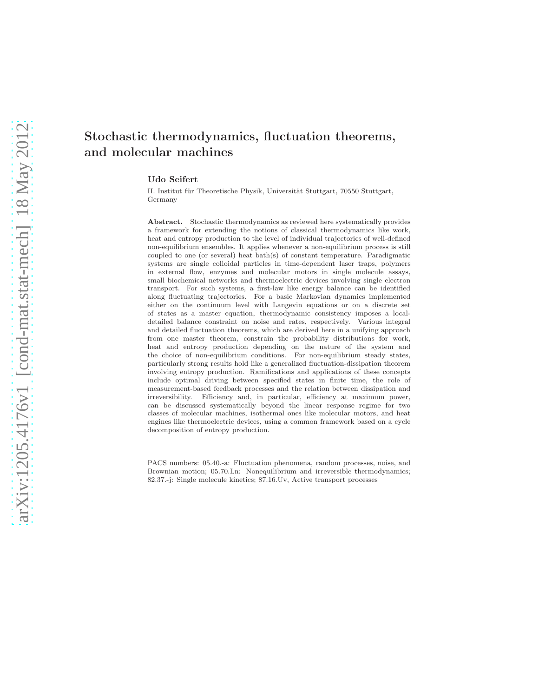# Stochastic thermodynamics, fluctuation theorems, and molecular machines

#### Udo Seifert

II. Institut für Theoretische Physik, Universität Stuttgart, 70550 Stuttgart, Germany

Abstract. Stochastic thermodynamics as reviewed here systematically provides a framework for extending the notions of classical thermodynamics like work, heat and entropy production to the level of individual trajectories of well-defined non-equilibrium ensembles. It applies whenever a non-equilibrium process is still coupled to one (or several) heat bath(s) of constant temperature. Paradigmatic systems are single colloidal particles in time-dependent laser traps, polymers in external flow, enzymes and molecular motors in single molecule assays, small biochemical networks and thermoelectric devices involving single electron transport. For such systems, a first-law like energy balance can be identified along fluctuating trajectories. For a basic Markovian dynamics implemented either on the continuum level with Langevin equations or on a discrete set of states as a master equation, thermodynamic consistency imposes a localdetailed balance constraint on noise and rates, respectively. Various integral and detailed fluctuation theorems, which are derived here in a unifying approach from one master theorem, constrain the probability distributions for work, heat and entropy production depending on the nature of the system and the choice of non-equilibrium conditions. For non-equilibrium steady states, particularly strong results hold like a generalized fluctuation-dissipation theorem involving entropy production. Ramifications and applications of these concepts include optimal driving between specified states in finite time, the role of measurement-based feedback processes and the relation between dissipation and irreversibility. Efficiency and, in particular, efficiency at maximum power, can be discussed systematically beyond the linear response regime for two classes of molecular machines, isothermal ones like molecular motors, and heat engines like thermoelectric devices, using a common framework based on a cycle decomposition of entropy production.

PACS numbers: 05.40.-a: Fluctuation phenomena, random processes, noise, and Brownian motion; 05.70.Ln: Nonequilibrium and irreversible thermodynamics; 82.37.-j: Single molecule kinetics; 87.16.Uv, Active transport processes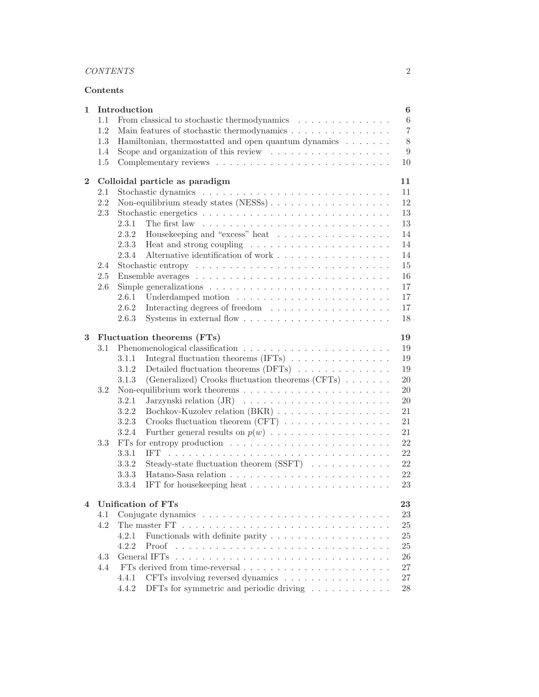|              | Contents |                                                                                         |                  |
|--------------|----------|-----------------------------------------------------------------------------------------|------------------|
| 1            |          | Introduction                                                                            | $\boldsymbol{6}$ |
|              | 1.1      | From classical to stochastic thermodynamics                                             | $\,6\,$          |
|              | 1.2      | Main features of stochastic thermodynamics                                              | $\overline{7}$   |
|              | 1.3      | Hamiltonian, thermostatted and open quantum dynamics                                    | $8\,$            |
|              | 1.4      | Scope and organization of this review $\ldots \ldots \ldots \ldots \ldots \ldots$       | 9                |
|              | 1.5      |                                                                                         | 10               |
|              |          |                                                                                         |                  |
| $\mathbf{2}$ |          | Colloidal particle as paradigm                                                          | 11               |
|              | 2.1      |                                                                                         | 11               |
|              | 2.2      |                                                                                         | 12               |
|              | 2.3      |                                                                                         | 13               |
|              |          | 2.3.1                                                                                   | 13               |
|              |          | 2.3.2<br>Housekeeping and "excess" heat                                                 | 14               |
|              |          | 2.3.3<br>Heat and strong coupling $\dots \dots \dots \dots \dots \dots \dots$           | 14               |
|              |          | Alternative identification of work<br>2.3.4                                             | 14               |
|              | 2.4      |                                                                                         | 15               |
|              | 2.5      |                                                                                         | 16               |
|              | 2.6      | Simple generalizations $\dots \dots \dots \dots \dots \dots \dots \dots \dots \dots$    | 17               |
|              |          | 2.6.1                                                                                   | 17               |
|              |          | 2.6.2                                                                                   | 17               |
|              |          | Systems in external flow $\dots \dots \dots \dots \dots \dots \dots \dots$<br>2.6.3     | 18               |
|              |          |                                                                                         |                  |
| 3            |          | Fluctuation theorems (FTs)                                                              | 19               |
|              | 3.1      |                                                                                         | 19               |
|              |          | Integral fluctuation theorems (IFTs) $\dots \dots \dots \dots \dots$<br>3.1.1           | 19               |
|              |          | Detailed fluctuation theorems (DFTs) $\ldots \ldots \ldots \ldots \ldots$<br>3.1.2      | 19               |
|              |          | (Generalized) Crooks fluctuation theorems (CFTs) $\ldots \ldots$<br>3.1.3               | 20               |
|              | 3.2      |                                                                                         | 20               |
|              |          | 3.2.1                                                                                   | 20               |
|              |          | Bochkov-Kuzolev relation (BKR) $\ldots \ldots \ldots \ldots \ldots \ldots$<br>3.2.2     | 21               |
|              |          | 3.2.3                                                                                   | 21               |
|              |          | 3.2.4                                                                                   | 21               |
|              | 3.3      |                                                                                         | 22               |
|              |          | 3.3.1<br><b>IFT</b>                                                                     | 22               |
|              |          | Steady-state fluctuation theorem $(SSFT) \dots \dots \dots \dots$<br>3.3.2              | 22               |
|              |          | 3.3.3                                                                                   | 22               |
|              |          | 3.3.4                                                                                   | 23               |
| 4            |          | <b>Unification of FTs</b>                                                               | 23               |
|              | 4.1      |                                                                                         | 23               |
|              | 4.2      | The master $FT \dots \dots \dots \dots \dots \dots \dots \dots \dots \dots \dots \dots$ | $25\,$           |
|              |          | 4.2.1                                                                                   | $25\,$           |
|              |          | 4.2.2<br>Proof                                                                          | $25\,$           |
|              | 4.3      |                                                                                         | 26               |
|              | 4.4      |                                                                                         | $27\,$           |
|              |          | CFTs involving reversed dynamics<br>4.4.1                                               | $27\,$           |
|              |          | DFTs for symmetric and periodic driving $\dots \dots \dots \dots$<br>4.4.2              | 28               |
|              |          |                                                                                         |                  |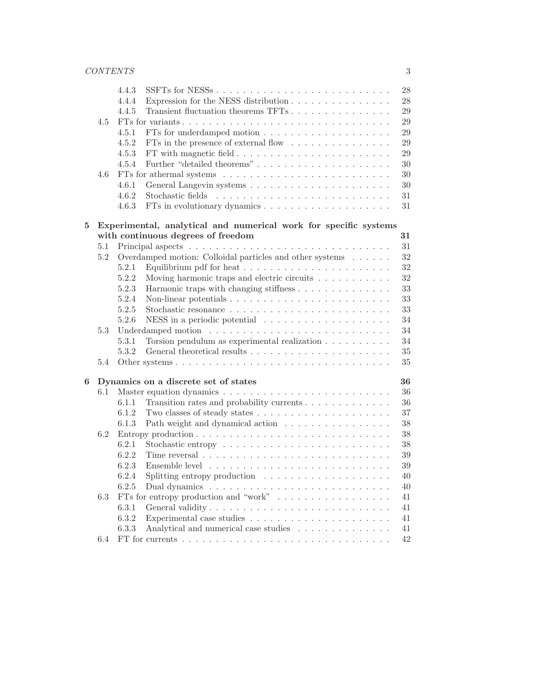|   |     | 4.4.3 | 28                                                                                                  |
|---|-----|-------|-----------------------------------------------------------------------------------------------------|
|   |     | 4.4.4 | Expression for the NESS distribution<br>28                                                          |
|   |     | 4.4.5 | Transient fluctuation theorems TFTs<br>29                                                           |
|   | 4.5 |       | $\,29$                                                                                              |
|   |     | 4.5.1 | 29                                                                                                  |
|   |     | 4.5.2 | 29<br>FTs in the presence of external flow $\dots \dots \dots \dots \dots$                          |
|   |     | 4.5.3 | 29                                                                                                  |
|   |     | 4.5.4 | 30                                                                                                  |
|   | 4.6 |       | $30\,$<br>FTs for athermal systems $\ldots \ldots \ldots \ldots \ldots \ldots \ldots \ldots \ldots$ |
|   |     | 4.6.1 | 30                                                                                                  |
|   |     | 4.6.2 | 31                                                                                                  |
|   |     | 4.6.3 | 31                                                                                                  |
| 5 |     |       | Experimental, analytical and numerical work for specific systems                                    |
|   |     |       | with continuous degrees of freedom<br>31                                                            |
|   | 5.1 |       | 31                                                                                                  |
|   | 5.2 |       | Overdamped motion: Colloidal particles and other systems<br>32                                      |
|   |     | 5.2.1 | 32                                                                                                  |
|   |     | 5.2.2 | 32<br>Moving harmonic traps and electric circuits $\ldots \ldots \ldots \ldots$                     |
|   |     | 5.2.3 | 33<br>Harmonic traps with changing stiffness                                                        |
|   |     | 5.2.4 | 33                                                                                                  |
|   |     | 5.2.5 | 33                                                                                                  |
|   |     | 5.2.6 | 34                                                                                                  |
|   | 5.3 |       | 34                                                                                                  |
|   |     | 5.3.1 | Torsion pendulum as experimental realization $\ldots \ldots \ldots$<br>34                           |
|   |     | 5.3.2 | $35\,$                                                                                              |
|   | 5.4 |       | 35                                                                                                  |
| 6 |     |       | Dynamics on a discrete set of states<br>36                                                          |
|   | 6.1 |       | 36                                                                                                  |
|   |     | 6.1.1 | 36<br>Transition rates and probability currents                                                     |
|   |     | 6.1.2 | 37                                                                                                  |
|   |     | 6.1.3 | Path weight and dynamical action $\ldots \ldots \ldots \ldots \ldots$<br>38                         |
|   | 6.2 |       | $38\,$                                                                                              |
|   |     | 6.2.1 | 38                                                                                                  |
|   |     | 6.2.2 | 39                                                                                                  |
|   |     | 6.2.3 | $39\,$                                                                                              |
|   |     | 6.2.4 | Splitting entropy production $\ldots \ldots \ldots \ldots \ldots \ldots$<br>40                      |
|   |     | 6.2.5 | 40                                                                                                  |
|   | 6.3 |       | FTs for entropy production and "work" $\ldots \ldots \ldots \ldots \ldots$<br>41                    |
|   |     | 6.3.1 | 41                                                                                                  |
|   |     | 6.3.2 | Experimental case studies $\ldots \ldots \ldots \ldots \ldots \ldots \ldots$<br>41                  |
|   |     | 6.3.3 | Analytical and numerical case studies<br>41                                                         |
|   | 6.4 |       | 42                                                                                                  |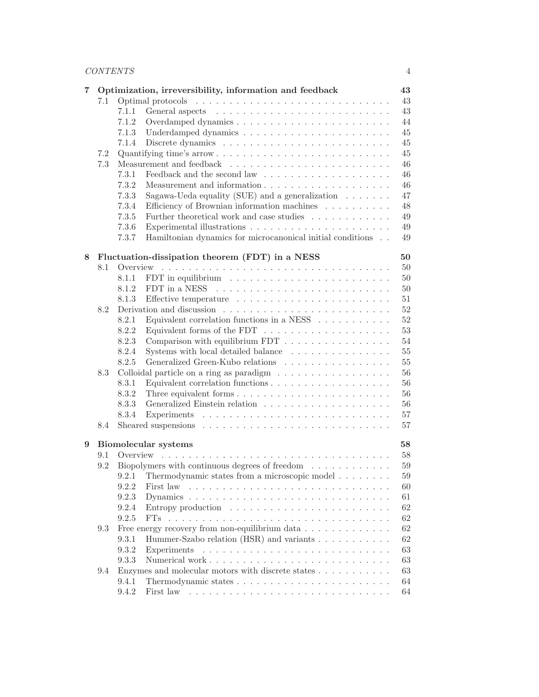| 7 |     | Optimization, irreversibility, information and feedback                                | 43     |
|---|-----|----------------------------------------------------------------------------------------|--------|
|   | 7.1 |                                                                                        | 43     |
|   |     | 7.1.1                                                                                  | 43     |
|   |     | 7.1.2                                                                                  | 44     |
|   |     | 7.1.3                                                                                  | $45\,$ |
|   |     | 7.1.4                                                                                  | $45\,$ |
|   | 7.2 | Quantifying time's arrow                                                               | $45\,$ |
|   | 7.3 | Measurement and feedback $\ldots \ldots \ldots \ldots \ldots \ldots \ldots \ldots$     | 46     |
|   |     | 7.3.1                                                                                  | 46     |
|   |     | 7.3.2                                                                                  | 46     |
|   |     | Sagawa-Ueda equality (SUE) and a generalization $\ldots \ldots$<br>7.3.3               | 47     |
|   |     | Efficiency of Brownian information machines<br>7.3.4                                   | 48     |
|   |     | 7.3.5<br>Further theoretical work and case studies $\ldots \ldots \ldots \ldots$       | 49     |
|   |     | 7.3.6<br>Experimental illustrations $\ldots \ldots \ldots \ldots \ldots \ldots \ldots$ | 49     |
|   |     | 7.3.7<br>Hamiltonian dynamics for microcanonical initial conditions                    | 49     |
| 8 |     | Fluctuation-dissipation theorem (FDT) in a NESS                                        | 50     |
|   | 8.1 |                                                                                        | 50     |
|   |     | 8.1.1                                                                                  | 50     |
|   |     | 8.1.2                                                                                  | 50     |
|   |     | 8.1.3                                                                                  | 51     |
|   | 8.2 | Derivation and discussion $\ldots \ldots \ldots \ldots \ldots \ldots \ldots \ldots$    | 52     |
|   |     | 8.2.1<br>Equivalent correlation functions in a NESS $\ldots \ldots \ldots$             | $52\,$ |
|   |     | Equivalent forms of the FDT $\ldots \ldots \ldots \ldots \ldots \ldots$<br>8.2.2       | $53\,$ |
|   |     | Comparison with equilibrium FDT<br>8.2.3                                               | 54     |
|   |     | 8.2.4<br>Systems with local detailed balance                                           | $55\,$ |
|   |     | 8.2.5<br>Generalized Green-Kubo relations                                              | $55\,$ |
|   | 8.3 |                                                                                        | 56     |
|   |     | 8.3.1                                                                                  | 56     |
|   |     | 8.3.2                                                                                  | 56     |
|   |     | 8.3.3                                                                                  | 56     |
|   |     | 8.3.4                                                                                  | 57     |
|   | 8.4 |                                                                                        | 57     |
|   |     |                                                                                        |        |
| 9 |     | Biomolecular systems                                                                   | 58     |
|   | 9.1 | Overview                                                                               | 58     |
|   | 9.2 | Biopolymers with continuous degrees of freedom $\ldots \ldots \ldots$                  | $59\,$ |
|   |     | 9.2.1 Thermodynamic states from a microscopic model $\dots \dots$                      | 59     |
|   |     | 9.2.2                                                                                  | 60     |
|   |     | 9.2.3                                                                                  | 61     |
|   |     | 9.2.4                                                                                  | 62     |
|   |     | 9.2.5                                                                                  | 62     |
|   | 9.3 | Free energy recovery from non-equilibrium data $\ldots \ldots \ldots \ldots$           | 62     |
|   |     | 9.3.1<br>Hummer-Szabo relation (HSR) and variants $\ldots \ldots \ldots$               | 62     |
|   |     | 9.3.2                                                                                  | 63     |
|   |     | 9.3.3                                                                                  | 63     |
|   | 9.4 | Enzymes and molecular motors with discrete states                                      | 63     |
|   |     | 9.4.1                                                                                  | 64     |
|   |     | 9.4.2                                                                                  | 64     |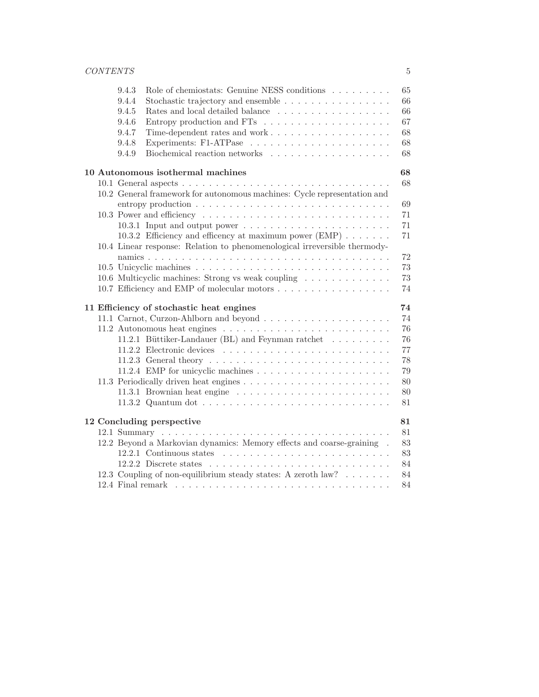| 9.4.3 | Role of chemiostats: Genuine NESS conditions $\hfill\ldots\ldots\ldots\ldots$<br>65      |
|-------|------------------------------------------------------------------------------------------|
| 9.4.4 | 66<br>Stochastic trajectory and ensemble $\ldots \ldots \ldots \ldots \ldots$            |
| 9.4.5 | 66<br>Rates and local detailed balance                                                   |
| 9.4.6 | 67                                                                                       |
| 9.4.7 | 68<br>Time-dependent rates and work                                                      |
| 9.4.8 | 68                                                                                       |
| 9.4.9 | 68                                                                                       |
|       | 10 Autonomous isothermal machines<br>68                                                  |
|       | 68                                                                                       |
|       | 10.2 General framework for autonomous machines: Cycle representation and                 |
|       | 69                                                                                       |
|       | 71                                                                                       |
|       | 10.3.1 Input and output power $\ldots \ldots \ldots \ldots \ldots \ldots \ldots$<br>71   |
|       | 10.3.2 Efficiency and efficency at maximum power (EMP) $\dots \dots$<br>71               |
|       | 10.4 Linear response: Relation to phenomenological irreversible thermody-                |
|       | 72                                                                                       |
|       | 73                                                                                       |
|       | 10.6 Multicyclic machines: Strong vs weak coupling<br>73                                 |
|       | 10.7 Efficiency and EMP of molecular motors<br>74                                        |
|       | 74<br>11 Efficiency of stochastic heat engines                                           |
|       | 11.1 Carnot, Curzon-Ahlborn and beyond $\ldots \ldots \ldots \ldots \ldots \ldots$<br>74 |
|       | 76                                                                                       |
|       | 11.2.1 Büttiker-Landauer (BL) and Feynman ratchet<br>76                                  |
|       | 77                                                                                       |
|       | 78                                                                                       |
|       | 79                                                                                       |
|       | 80                                                                                       |
|       | 80                                                                                       |
|       | 81                                                                                       |
|       | 12 Concluding perspective<br>81                                                          |
|       | 81                                                                                       |
|       | 12.2 Beyond a Markovian dynamics: Memory effects and coarse-graining.<br>83              |
|       | 83                                                                                       |
|       | 84                                                                                       |
|       | 12.2.2 Discrete states $\ldots \ldots \ldots \ldots \ldots \ldots \ldots \ldots \ldots$  |
|       | 12.3 Coupling of non-equilibrium steady states: A zeroth law?<br>84                      |
|       | 84                                                                                       |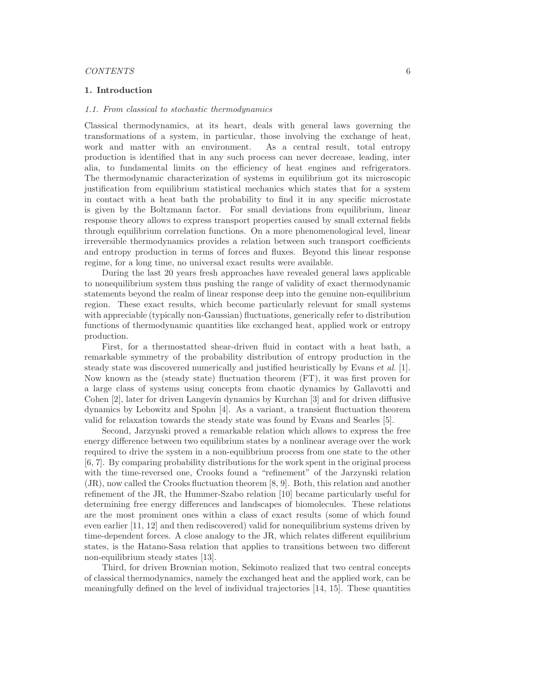# 1. Introduction

#### 1.1. From classical to stochastic thermodynamics

Classical thermodynamics, at its heart, deals with general laws governing the transformations of a system, in particular, those involving the exchange of heat, work and matter with an environment. As a central result, total entropy production is identified that in any such process can never decrease, leading, inter alia, to fundamental limits on the efficiency of heat engines and refrigerators. The thermodynamic characterization of systems in equilibrium got its microscopic justification from equilibrium statistical mechanics which states that for a system in contact with a heat bath the probability to find it in any specific microstate is given by the Boltzmann factor. For small deviations from equilibrium, linear response theory allows to express transport properties caused by small external fields through equilibrium correlation functions. On a more phenomenological level, linear irreversible thermodynamics provides a relation between such transport coefficients and entropy production in terms of forces and fluxes. Beyond this linear response regime, for a long time, no universal exact results were available.

During the last 20 years fresh approaches have revealed general laws applicable to nonequilibrium system thus pushing the range of validity of exact thermodynamic statements beyond the realm of linear response deep into the genuine non-equilibrium region. These exact results, which become particularly relevant for small systems with appreciable (typically non-Gaussian) fluctuations, generically refer to distribution functions of thermodynamic quantities like exchanged heat, applied work or entropy production.

First, for a thermostatted shear-driven fluid in contact with a heat bath, a remarkable symmetry of the probability distribution of entropy production in the steady state was discovered numerically and justified heuristically by Evans et al. [1]. Now known as the (steady state) fluctuation theorem (FT), it was first proven for a large class of systems using concepts from chaotic dynamics by Gallavotti and Cohen [2], later for driven Langevin dynamics by Kurchan [3] and for driven diffusive dynamics by Lebowitz and Spohn [4]. As a variant, a transient fluctuation theorem valid for relaxation towards the steady state was found by Evans and Searles [5].

Second, Jarzynski proved a remarkable relation which allows to express the free energy difference between two equilibrium states by a nonlinear average over the work required to drive the system in a non-equilibrium process from one state to the other [6, 7]. By comparing probability distributions for the work spent in the original process with the time-reversed one, Crooks found a "refinement" of the Jarzynski relation (JR), now called the Crooks fluctuation theorem [8, 9]. Both, this relation and another refinement of the JR, the Hummer-Szabo relation [10] became particularly useful for determining free energy differences and landscapes of biomolecules. These relations are the most prominent ones within a class of exact results (some of which found even earlier [11, 12] and then rediscovered) valid for nonequilibrium systems driven by time-dependent forces. A close analogy to the JR, which relates different equilibrium states, is the Hatano-Sasa relation that applies to transitions between two different non-equilibrium steady states [13].

Third, for driven Brownian motion, Sekimoto realized that two central concepts of classical thermodynamics, namely the exchanged heat and the applied work, can be meaningfully defined on the level of individual trajectories [14, 15]. These quantities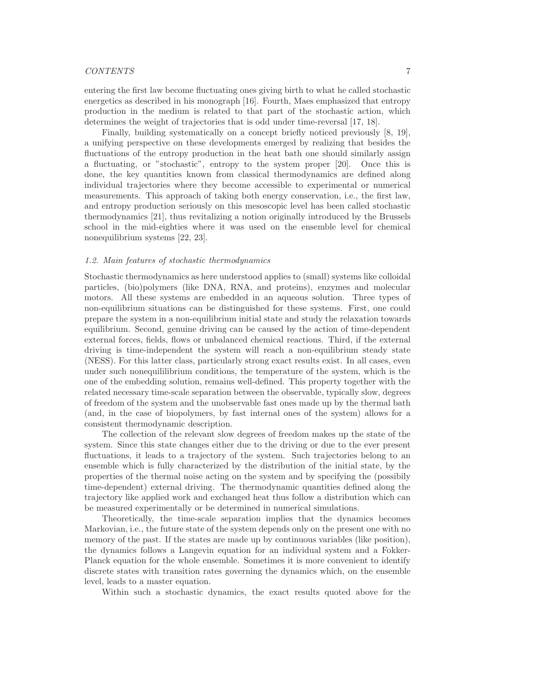entering the first law become fluctuating ones giving birth to what he called stochastic energetics as described in his monograph [16]. Fourth, Maes emphasized that entropy production in the medium is related to that part of the stochastic action, which determines the weight of trajectories that is odd under time-reversal [17, 18].

Finally, building systematically on a concept briefly noticed previously [8, 19], a unifying perspective on these developments emerged by realizing that besides the fluctuations of the entropy production in the heat bath one should similarly assign a fluctuating, or "stochastic", entropy to the system proper [20]. Once this is done, the key quantities known from classical thermodynamics are defined along individual trajectories where they become accessible to experimental or numerical measurements. This approach of taking both energy conservation, i.e., the first law, and entropy production seriously on this mesoscopic level has been called stochastic thermodynamics [21], thus revitalizing a notion originally introduced by the Brussels school in the mid-eighties where it was used on the ensemble level for chemical nonequilibrium systems [22, 23].

# 1.2. Main features of stochastic thermodynamics

Stochastic thermodynamics as here understood applies to (small) systems like colloidal particles, (bio)polymers (like DNA, RNA, and proteins), enzymes and molecular motors. All these systems are embedded in an aqueous solution. Three types of non-equilibrium situations can be distinguished for these systems. First, one could prepare the system in a non-equilibrium initial state and study the relaxation towards equilibrium. Second, genuine driving can be caused by the action of time-dependent external forces, fields, flows or unbalanced chemical reactions. Third, if the external driving is time-independent the system will reach a non-equilibrium steady state (NESS). For this latter class, particularly strong exact results exist. In all cases, even under such nonequililibrium conditions, the temperature of the system, which is the one of the embedding solution, remains well-defined. This property together with the related necessary time-scale separation between the observable, typically slow, degrees of freedom of the system and the unobservable fast ones made up by the thermal bath (and, in the case of biopolymers, by fast internal ones of the system) allows for a consistent thermodynamic description.

The collection of the relevant slow degrees of freedom makes up the state of the system. Since this state changes either due to the driving or due to the ever present fluctuations, it leads to a trajectory of the system. Such trajectories belong to an ensemble which is fully characterized by the distribution of the initial state, by the properties of the thermal noise acting on the system and by specifying the (possibily time-dependent) external driving. The thermodynamic quantities defined along the trajectory like applied work and exchanged heat thus follow a distribution which can be measured experimentally or be determined in numerical simulations.

Theoretically, the time-scale separation implies that the dynamics becomes Markovian, i.e., the future state of the system depends only on the present one with no memory of the past. If the states are made up by continuous variables (like position), the dynamics follows a Langevin equation for an individual system and a Fokker-Planck equation for the whole ensemble. Sometimes it is more convenient to identify discrete states with transition rates governing the dynamics which, on the ensemble level, leads to a master equation.

Within such a stochastic dynamics, the exact results quoted above for the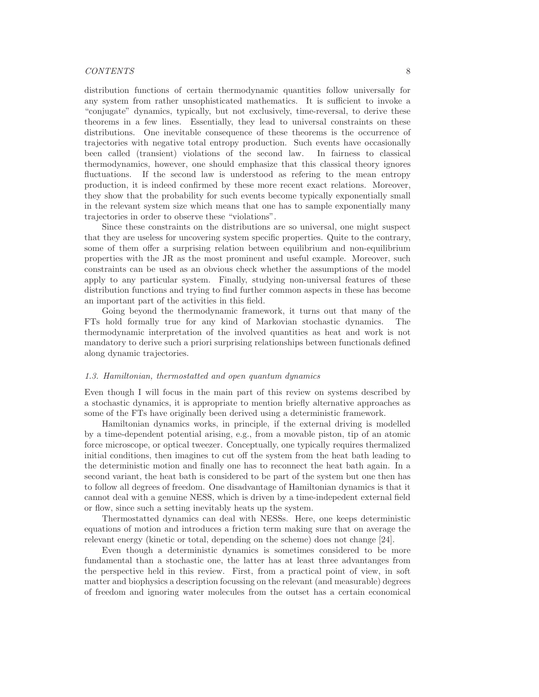distribution functions of certain thermodynamic quantities follow universally for any system from rather unsophisticated mathematics. It is sufficient to invoke a "conjugate" dynamics, typically, but not exclusively, time-reversal, to derive these theorems in a few lines. Essentially, they lead to universal constraints on these distributions. One inevitable consequence of these theorems is the occurrence of trajectories with negative total entropy production. Such events have occasionally been called (transient) violations of the second law. In fairness to classical thermodynamics, however, one should emphasize that this classical theory ignores fluctuations. If the second law is understood as refering to the mean entropy production, it is indeed confirmed by these more recent exact relations. Moreover, they show that the probability for such events become typically exponentially small in the relevant system size which means that one has to sample exponentially many trajectories in order to observe these "violations".

Since these constraints on the distributions are so universal, one might suspect that they are useless for uncovering system specific properties. Quite to the contrary, some of them offer a surprising relation between equilibrium and non-equilibrium properties with the JR as the most prominent and useful example. Moreover, such constraints can be used as an obvious check whether the assumptions of the model apply to any particular system. Finally, studying non-universal features of these distribution functions and trying to find further common aspects in these has become an important part of the activities in this field.

Going beyond the thermodynamic framework, it turns out that many of the FTs hold formally true for any kind of Markovian stochastic dynamics. The thermodynamic interpretation of the involved quantities as heat and work is not mandatory to derive such a priori surprising relationships between functionals defined along dynamic trajectories.

#### 1.3. Hamiltonian, thermostatted and open quantum dynamics

Even though I will focus in the main part of this review on systems described by a stochastic dynamics, it is appropriate to mention briefly alternative approaches as some of the FTs have originally been derived using a deterministic framework.

Hamiltonian dynamics works, in principle, if the external driving is modelled by a time-dependent potential arising, e.g., from a movable piston, tip of an atomic force microscope, or optical tweezer. Conceptually, one typically requires thermalized initial conditions, then imagines to cut off the system from the heat bath leading to the deterministic motion and finally one has to reconnect the heat bath again. In a second variant, the heat bath is considered to be part of the system but one then has to follow all degrees of freedom. One disadvantage of Hamiltonian dynamics is that it cannot deal with a genuine NESS, which is driven by a time-indepedent external field or flow, since such a setting inevitably heats up the system.

Thermostatted dynamics can deal with NESSs. Here, one keeps deterministic equations of motion and introduces a friction term making sure that on average the relevant energy (kinetic or total, depending on the scheme) does not change [24].

Even though a deterministic dynamics is sometimes considered to be more fundamental than a stochastic one, the latter has at least three advantanges from the perspective held in this review. First, from a practical point of view, in soft matter and biophysics a description focussing on the relevant (and measurable) degrees of freedom and ignoring water molecules from the outset has a certain economical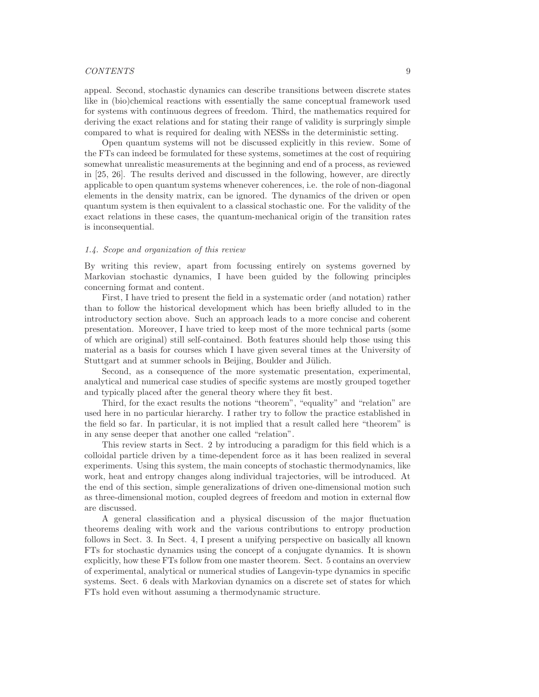appeal. Second, stochastic dynamics can describe transitions between discrete states like in (bio)chemical reactions with essentially the same conceptual framework used for systems with continuous degrees of freedom. Third, the mathematics required for deriving the exact relations and for stating their range of validity is surpringly simple compared to what is required for dealing with NESSs in the deterministic setting.

Open quantum systems will not be discussed explicitly in this review. Some of the FTs can indeed be formulated for these systems, sometimes at the cost of requiring somewhat unrealistic measurements at the beginning and end of a process, as reviewed in [25, 26]. The results derived and discussed in the following, however, are directly applicable to open quantum systems whenever coherences, i.e. the role of non-diagonal elements in the density matrix, can be ignored. The dynamics of the driven or open quantum system is then equivalent to a classical stochastic one. For the validity of the exact relations in these cases, the quantum-mechanical origin of the transition rates is inconsequential.

#### 1.4. Scope and organization of this review

By writing this review, apart from focussing entirely on systems governed by Markovian stochastic dynamics, I have been guided by the following principles concerning format and content.

First, I have tried to present the field in a systematic order (and notation) rather than to follow the historical development which has been briefly alluded to in the introductory section above. Such an approach leads to a more concise and coherent presentation. Moreover, I have tried to keep most of the more technical parts (some of which are original) still self-contained. Both features should help those using this material as a basis for courses which I have given several times at the University of Stuttgart and at summer schools in Beijing, Boulder and Jülich.

Second, as a consequence of the more systematic presentation, experimental, analytical and numerical case studies of specific systems are mostly grouped together and typically placed after the general theory where they fit best.

Third, for the exact results the notions "theorem", "equality" and "relation" are used here in no particular hierarchy. I rather try to follow the practice established in the field so far. In particular, it is not implied that a result called here "theorem" is in any sense deeper that another one called "relation".

This review starts in Sect. 2 by introducing a paradigm for this field which is a colloidal particle driven by a time-dependent force as it has been realized in several experiments. Using this system, the main concepts of stochastic thermodynamics, like work, heat and entropy changes along individual trajectories, will be introduced. At the end of this section, simple generalizations of driven one-dimensional motion such as three-dimensional motion, coupled degrees of freedom and motion in external flow are discussed.

A general classification and a physical discussion of the major fluctuation theorems dealing with work and the various contributions to entropy production follows in Sect. 3. In Sect. 4, I present a unifying perspective on basically all known FTs for stochastic dynamics using the concept of a conjugate dynamics. It is shown explicitly, how these FTs follow from one master theorem. Sect. 5 contains an overview of experimental, analytical or numerical studies of Langevin-type dynamics in specific systems. Sect. 6 deals with Markovian dynamics on a discrete set of states for which FTs hold even without assuming a thermodynamic structure.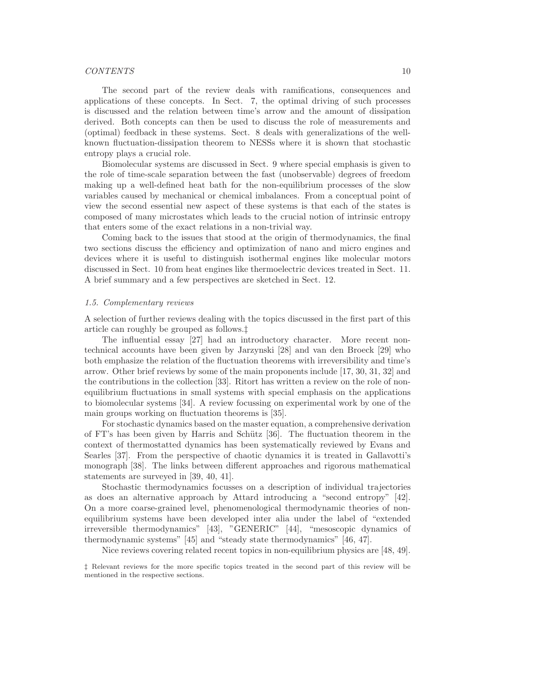The second part of the review deals with ramifications, consequences and applications of these concepts. In Sect. 7, the optimal driving of such processes is discussed and the relation between time's arrow and the amount of dissipation derived. Both concepts can then be used to discuss the role of measurements and (optimal) feedback in these systems. Sect. 8 deals with generalizations of the wellknown fluctuation-dissipation theorem to NESSs where it is shown that stochastic entropy plays a crucial role.

Biomolecular systems are discussed in Sect. 9 where special emphasis is given to the role of time-scale separation between the fast (unobservable) degrees of freedom making up a well-defined heat bath for the non-equilibrium processes of the slow variables caused by mechanical or chemical imbalances. From a conceptual point of view the second essential new aspect of these systems is that each of the states is composed of many microstates which leads to the crucial notion of intrinsic entropy that enters some of the exact relations in a non-trivial way.

Coming back to the issues that stood at the origin of thermodynamics, the final two sections discuss the efficiency and optimization of nano and micro engines and devices where it is useful to distinguish isothermal engines like molecular motors discussed in Sect. 10 from heat engines like thermoelectric devices treated in Sect. 11. A brief summary and a few perspectives are sketched in Sect. 12.

#### 1.5. Complementary reviews

A selection of further reviews dealing with the topics discussed in the first part of this article can roughly be grouped as follows.‡

The influential essay [27] had an introductory character. More recent nontechnical accounts have been given by Jarzynski [28] and van den Broeck [29] who both emphasize the relation of the fluctuation theorems with irreversibility and time's arrow. Other brief reviews by some of the main proponents include [17, 30, 31, 32] and the contributions in the collection [33]. Ritort has written a review on the role of nonequilibrium fluctuations in small systems with special emphasis on the applications to biomolecular systems [34]. A review focussing on experimental work by one of the main groups working on fluctuation theorems is [35].

For stochastic dynamics based on the master equation, a comprehensive derivation of FT's has been given by Harris and Schütz [36]. The fluctuation theorem in the context of thermostatted dynamics has been systematically reviewed by Evans and Searles [37]. From the perspective of chaotic dynamics it is treated in Gallavotti's monograph [38]. The links between different approaches and rigorous mathematical statements are surveyed in [39, 40, 41].

Stochastic thermodynamics focusses on a description of individual trajectories as does an alternative approach by Attard introducing a "second entropy" [42]. On a more coarse-grained level, phenomenological thermodynamic theories of nonequilibrium systems have been developed inter alia under the label of "extended irreversible thermodynamics" [43], "GENERIC" [44], "mesoscopic dynamics of thermodynamic systems" [45] and "steady state thermodynamics" [46, 47].

Nice reviews covering related recent topics in non-equilibrium physics are [48, 49].

‡ Relevant reviews for the more specific topics treated in the second part of this review will be mentioned in the respective sections.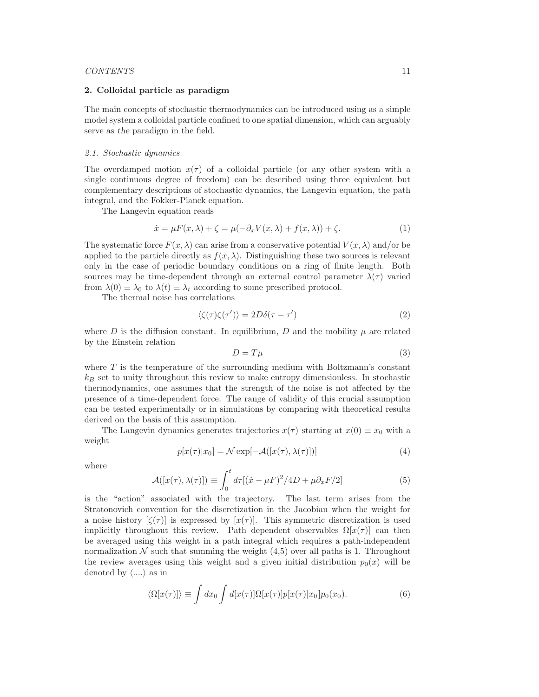#### 2. Colloidal particle as paradigm

The main concepts of stochastic thermodynamics can be introduced using as a simple model system a colloidal particle confined to one spatial dimension, which can arguably serve as the paradigm in the field.

#### 2.1. Stochastic dynamics

The overdamped motion  $x(\tau)$  of a colloidal particle (or any other system with a single continuous degree of freedom) can be described using three equivalent but complementary descriptions of stochastic dynamics, the Langevin equation, the path integral, and the Fokker-Planck equation.

The Langevin equation reads

$$
\dot{x} = \mu F(x, \lambda) + \zeta = \mu(-\partial_x V(x, \lambda) + f(x, \lambda)) + \zeta.
$$
\n(1)

The systematic force  $F(x, \lambda)$  can arise from a conservative potential  $V(x, \lambda)$  and/or be applied to the particle directly as  $f(x, \lambda)$ . Distinguishing these two sources is relevant only in the case of periodic boundary conditions on a ring of finite length. Both sources may be time-dependent through an external control parameter  $\lambda(\tau)$  varied from  $\lambda(0) \equiv \lambda_0$  to  $\lambda(t) \equiv \lambda_t$  according to some prescribed protocol.

The thermal noise has correlations

$$
\langle \zeta(\tau)\zeta(\tau') \rangle = 2D\delta(\tau - \tau')
$$
\n(2)

where D is the diffusion constant. In equilibrium, D and the mobility  $\mu$  are related by the Einstein relation

$$
D = T\mu \tag{3}
$$

where  $T$  is the temperature of the surrounding medium with Boltzmann's constant  $k_B$  set to unity throughout this review to make entropy dimensionless. In stochastic thermodynamics, one assumes that the strength of the noise is not affected by the presence of a time-dependent force. The range of validity of this crucial assumption can be tested experimentally or in simulations by comparing with theoretical results derived on the basis of this assumption.

The Langevin dynamics generates trajectories  $x(\tau)$  starting at  $x(0) \equiv x_0$  with a weight

$$
p[x(\tau)|x_0] = \mathcal{N} \exp[-\mathcal{A}([x(\tau), \lambda(\tau)])]
$$
\n(4)

where

$$
\mathcal{A}([x(\tau), \lambda(\tau)]) \equiv \int_0^t d\tau [(\dot{x} - \mu F)^2 / 4D + \mu \partial_x F / 2] \tag{5}
$$

is the "action" associated with the trajectory. The last term arises from the Stratonovich convention for the discretization in the Jacobian when the weight for a noise history  $[\zeta(\tau)]$  is expressed by  $[x(\tau)]$ . This symmetric discretization is used implicitly throughout this review. Path dependent observables  $\Omega[x(\tau)]$  can then be averaged using this weight in a path integral which requires a path-independent normalization  $N$  such that summing the weight  $(4,5)$  over all paths is 1. Throughout the review averages using this weight and a given initial distribution  $p_0(x)$  will be denoted by  $\langle \dots \rangle$  as in

$$
\langle \Omega[x(\tau)] \rangle \equiv \int dx_0 \int d[x(\tau)] \Omega[x(\tau)] p[x(\tau)] x_0 [p_0(x_0). \tag{6}
$$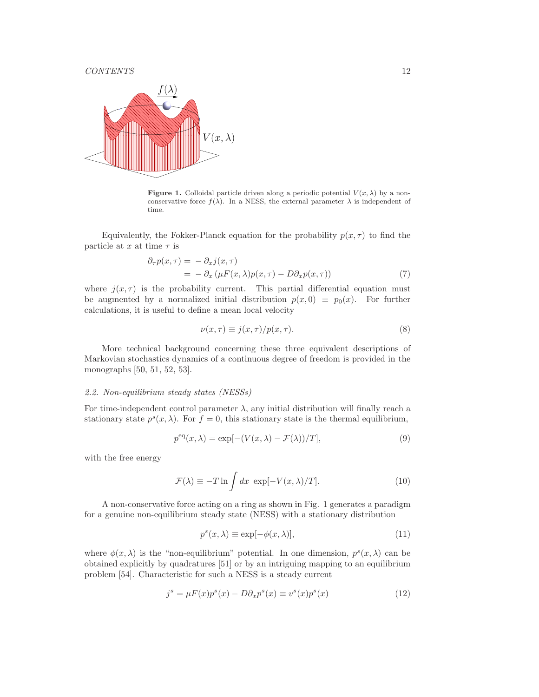

**Figure 1.** Colloidal particle driven along a periodic potential  $V(x, \lambda)$  by a nonconservative force  $f(\lambda)$ . In a NESS, the external parameter  $\lambda$  is independent of time.

Equivalently, the Fokker-Planck equation for the probability  $p(x, \tau)$  to find the particle at x at time  $\tau$  is

$$
\partial_{\tau} p(x,\tau) = -\partial_{x} j(x,\tau) \n= -\partial_{x} (\mu F(x,\lambda)p(x,\tau) - D\partial_{x} p(x,\tau))
$$
\n(7)

where  $j(x, \tau)$  is the probability current. This partial differential equation must be augmented by a normalized initial distribution  $p(x, 0) \equiv p_0(x)$ . For further calculations, it is useful to define a mean local velocity

$$
\nu(x,\tau) \equiv j(x,\tau)/p(x,\tau). \tag{8}
$$

More technical background concerning these three equivalent descriptions of Markovian stochastics dynamics of a continuous degree of freedom is provided in the monographs [50, 51, 52, 53].

# 2.2. Non-equilibrium steady states (NESSs)

For time-independent control parameter  $\lambda$ , any initial distribution will finally reach a stationary state  $p^{s}(x, \lambda)$ . For  $f = 0$ , this stationary state is the thermal equilibrium,

$$
p^{\text{eq}}(x,\lambda) = \exp[-(V(x,\lambda) - \mathcal{F}(\lambda))/T],\tag{9}
$$

with the free energy

$$
\mathcal{F}(\lambda) \equiv -T \ln \int dx \, \exp[-V(x,\lambda)/T]. \tag{10}
$$

A non-conservative force acting on a ring as shown in Fig. 1 generates a paradigm for a genuine non-equilibrium steady state (NESS) with a stationary distribution

$$
p^{s}(x,\lambda) \equiv \exp[-\phi(x,\lambda)],\tag{11}
$$

where  $\phi(x,\lambda)$  is the "non-equilibrium" potential. In one dimension,  $p^{s}(x,\lambda)$  can be obtained explicitly by quadratures [51] or by an intriguing mapping to an equilibrium problem [54]. Characteristic for such a NESS is a steady current

$$
j^{s} = \mu F(x) p^{s}(x) - D \partial_{x} p^{s}(x) \equiv v^{s}(x) p^{s}(x)
$$
\n(12)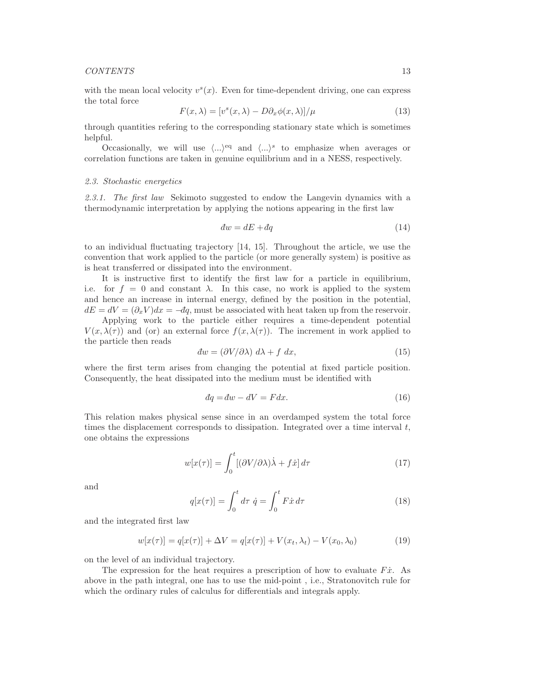with the mean local velocity  $v^s(x)$ . Even for time-dependent driving, one can express the total force

$$
F(x,\lambda) = [v^{s}(x,\lambda) - D\partial_x \phi(x,\lambda)]/\mu
$$
\n(13)

through quantities refering to the corresponding stationary state which is sometimes helpful.

Occasionally, we will use  $\langle ... \rangle^{\text{eq}}$  and  $\langle ... \rangle^s$  to emphasize when averages or correlation functions are taken in genuine equilibrium and in a NESS, respectively.

#### 2.3. Stochastic energetics

2.3.1. The first law Sekimoto suggested to endow the Langevin dynamics with a thermodynamic interpretation by applying the notions appearing in the first law

$$
dw = dE + dq \tag{14}
$$

to an individual fluctuating trajectory [14, 15]. Throughout the article, we use the convention that work applied to the particle (or more generally system) is positive as is heat transferred or dissipated into the environment.

It is instructive first to identify the first law for a particle in equilibrium, i.e. for  $f = 0$  and constant  $\lambda$ . In this case, no work is applied to the system and hence an increase in internal energy, defined by the position in the potential,  $dE = dV = (\partial_x V)dx = -dq$ , must be associated with heat taken up from the reservoir.

Applying work to the particle either requires a time-dependent potential  $V(x, \lambda(\tau))$  and (or) an external force  $f(x, \lambda(\tau))$ . The increment in work applied to the particle then reads

$$
dw = (\partial V/\partial \lambda) d\lambda + f dx, \qquad (15)
$$

where the first term arises from changing the potential at fixed particle position. Consequently, the heat dissipated into the medium must be identified with

$$
dq = dw - dV = F dx.
$$
\n(16)

This relation makes physical sense since in an overdamped system the total force times the displacement corresponds to dissipation. Integrated over a time interval  $t$ , one obtains the expressions

$$
w[x(\tau)] = \int_0^t [(\partial V/\partial \lambda)\dot{\lambda} + f\dot{x}] d\tau
$$
\n(17)

and

$$
q[x(\tau)] = \int_0^t d\tau \ \dot{q} = \int_0^t F \dot{x} \, d\tau \tag{18}
$$

and the integrated first law

$$
w[x(\tau)] = q[x(\tau)] + \Delta V = q[x(\tau)] + V(x_t, \lambda_t) - V(x_0, \lambda_0)
$$
\n(19)

on the level of an individual trajectory.

The expression for the heat requires a prescription of how to evaluate  $Fx$ . As above in the path integral, one has to use the mid-point , i.e., Stratonovitch rule for which the ordinary rules of calculus for differentials and integrals apply.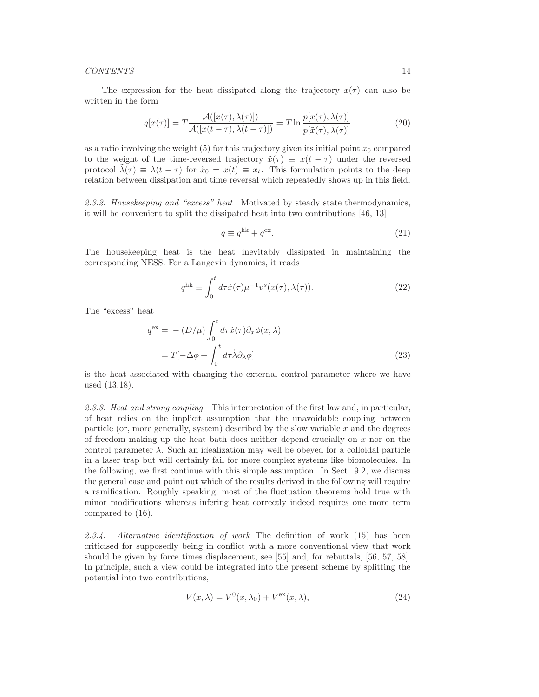The expression for the heat dissipated along the trajectory  $x(\tau)$  can also be written in the form

$$
q[x(\tau)] = T \frac{\mathcal{A}([x(\tau), \lambda(\tau)])}{\mathcal{A}([x(t-\tau), \lambda(t-\tau)])} = T \ln \frac{p[x(\tau), \lambda(\tau)]}{p[\tilde{x}(\tau), \tilde{\lambda}(\tau)]}
$$
(20)

as a ratio involving the weight  $(5)$  for this trajectory given its initial point  $x_0$  compared to the weight of the time-reversed trajectory  $\tilde{x}(\tau) \equiv x(t - \tau)$  under the reversed protocol  $\tilde{\lambda}(\tau) \equiv \lambda(t - \tau)$  for  $\tilde{x}_0 = x(t) \equiv x_t$ . This formulation points to the deep relation between dissipation and time reversal which repeatedly shows up in this field.

2.3.2. Housekeeping and "excess" heat Motivated by steady state thermodynamics, it will be convenient to split the dissipated heat into two contributions [46, 13]

$$
q \equiv q^{\text{hk}} + q^{\text{ex}}.\tag{21}
$$

The housekeeping heat is the heat inevitably dissipated in maintaining the corresponding NESS. For a Langevin dynamics, it reads

$$
q^{\rm hk} \equiv \int_0^t d\tau \dot{x}(\tau) \mu^{-1} v^s(x(\tau), \lambda(\tau)). \tag{22}
$$

The "excess" heat

$$
q^{\text{ex}} = -(D/\mu) \int_0^t d\tau \dot{x}(\tau) \partial_x \phi(x, \lambda)
$$
  
=  $T[-\Delta \phi + \int_0^t d\tau \dot{\lambda} \partial_\lambda \phi]$  (23)

is the heat associated with changing the external control parameter where we have used (13,18).

2.3.3. Heat and strong coupling This interpretation of the first law and, in particular, of heat relies on the implicit assumption that the unavoidable coupling between particle (or, more generally, system) described by the slow variable  $x$  and the degrees of freedom making up the heat bath does neither depend crucially on  $x$  nor on the control parameter  $\lambda$ . Such an idealization may well be obeyed for a colloidal particle in a laser trap but will certainly fail for more complex systems like biomolecules. In the following, we first continue with this simple assumption. In Sect. 9.2, we discuss the general case and point out which of the results derived in the following will require a ramification. Roughly speaking, most of the fluctuation theorems hold true with minor modifications whereas infering heat correctly indeed requires one more term compared to (16).

2.3.4. Alternative identification of work The definition of work  $(15)$  has been criticised for supposedly being in conflict with a more conventional view that work should be given by force times displacement, see [55] and, for rebuttals, [56, 57, 58]. In principle, such a view could be integrated into the present scheme by splitting the potential into two contributions,

$$
V(x,\lambda) = V^0(x,\lambda_0) + V^{\text{ex}}(x,\lambda),\tag{24}
$$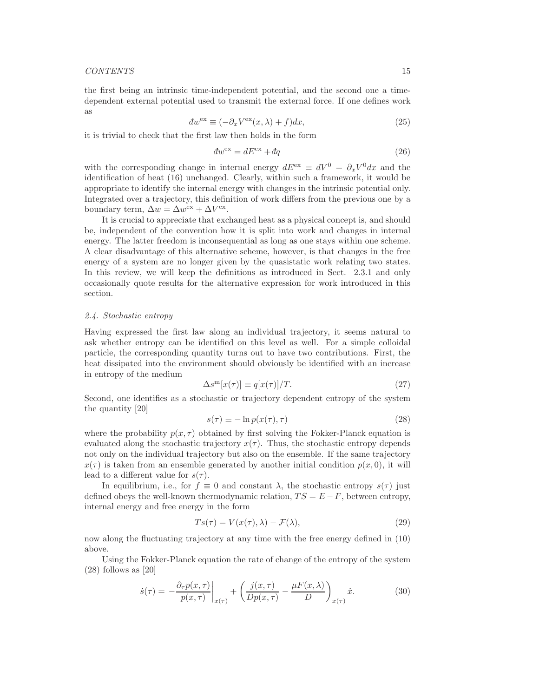the first being an intrinsic time-independent potential, and the second one a timedependent external potential used to transmit the external force. If one defines work as

$$
dw^{\text{ex}} \equiv (-\partial_x V^{\text{ex}}(x,\lambda) + f)dx,\tag{25}
$$

it is trivial to check that the first law then holds in the form

$$
dw^{\text{ex}} = dE^{\text{ex}} + dq \tag{26}
$$

with the corresponding change in internal energy  $dE^{ex} \equiv dV^0 = \partial_x V^0 dx$  and the identification of heat (16) unchanged. Clearly, within such a framework, it would be appropriate to identify the internal energy with changes in the intrinsic potential only. Integrated over a trajectory, this definition of work differs from the previous one by a boundary term,  $\Delta w = \Delta w^{\text{ex}} + \Delta V^{\text{ex}}$ .

It is crucial to appreciate that exchanged heat as a physical concept is, and should be, independent of the convention how it is split into work and changes in internal energy. The latter freedom is inconsequential as long as one stays within one scheme. A clear disadvantage of this alternative scheme, however, is that changes in the free energy of a system are no longer given by the quasistatic work relating two states. In this review, we will keep the definitions as introduced in Sect. 2.3.1 and only occasionally quote results for the alternative expression for work introduced in this section.

# 2.4. Stochastic entropy

Having expressed the first law along an individual trajectory, it seems natural to ask whether entropy can be identified on this level as well. For a simple colloidal particle, the corresponding quantity turns out to have two contributions. First, the heat dissipated into the environment should obviously be identified with an increase in entropy of the medium

$$
\Delta s^{\mathbf{m}}[x(\tau)] \equiv q[x(\tau)]/T.
$$
\n(27)

Second, one identifies as a stochastic or trajectory dependent entropy of the system the quantity [20]

$$
s(\tau) \equiv -\ln p(x(\tau), \tau) \tag{28}
$$

where the probability  $p(x, \tau)$  obtained by first solving the Fokker-Planck equation is evaluated along the stochastic trajectory  $x(\tau)$ . Thus, the stochastic entropy depends not only on the individual trajectory but also on the ensemble. If the same trajectory  $x(\tau)$  is taken from an ensemble generated by another initial condition  $p(x, 0)$ , it will lead to a different value for  $s(\tau)$ .

In equilibrium, i.e., for  $f \equiv 0$  and constant  $\lambda$ , the stochastic entropy  $s(\tau)$  just defined obeys the well-known thermodynamic relation,  $TS = E - F$ , between entropy, internal energy and free energy in the form

$$
Ts(\tau) = V(x(\tau), \lambda) - \mathcal{F}(\lambda),\tag{29}
$$

now along the fluctuating trajectory at any time with the free energy defined in (10) above.

Using the Fokker-Planck equation the rate of change of the entropy of the system (28) follows as [20]

$$
\dot{s}(\tau) = -\frac{\partial_{\tau}p(x,\tau)}{p(x,\tau)}\bigg|_{x(\tau)} + \left(\frac{j(x,\tau)}{Dp(x,\tau)} - \frac{\mu F(x,\lambda)}{D}\right)_{x(\tau)}\dot{x}.\tag{30}
$$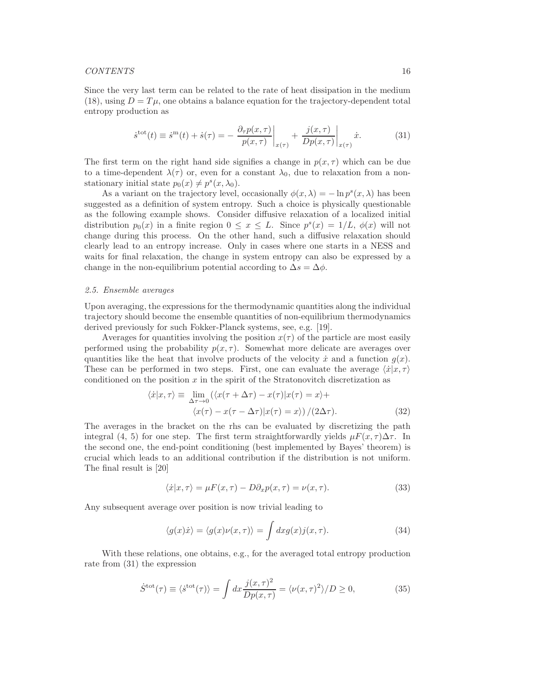Since the very last term can be related to the rate of heat dissipation in the medium (18), using  $D = T\mu$ , one obtains a balance equation for the trajectory-dependent total entropy production as

$$
\dot{s}^{\text{tot}}(t) \equiv \dot{s}^{\text{m}}(t) + \dot{s}(\tau) = -\left. \frac{\partial_{\tau} p(x,\tau)}{p(x,\tau)} \right|_{x(\tau)} + \left. \frac{j(x,\tau)}{Dp(x,\tau)} \right|_{x(\tau)} \dot{x}.\tag{31}
$$

The first term on the right hand side signifies a change in  $p(x, \tau)$  which can be due to a time-dependent  $\lambda(\tau)$  or, even for a constant  $\lambda_0$ , due to relaxation from a nonstationary initial state  $p_0(x) \neq p^s(x, \lambda_0)$ .

As a variant on the trajectory level, occasionally  $\phi(x, \lambda) = -\ln p^s(x, \lambda)$  has been suggested as a definition of system entropy. Such a choice is physically questionable as the following example shows. Consider diffusive relaxation of a localized initial distribution  $p_0(x)$  in a finite region  $0 \le x \le L$ . Since  $p^{s}(x) = 1/L$ ,  $\phi(x)$  will not change during this process. On the other hand, such a diffusive relaxation should clearly lead to an entropy increase. Only in cases where one starts in a NESS and waits for final relaxation, the change in system entropy can also be expressed by a change in the non-equilibrium potential according to  $\Delta s = \Delta \phi$ .

# 2.5. Ensemble averages

Upon averaging, the expressions for the thermodynamic quantities along the individual trajectory should become the ensemble quantities of non-equilibrium thermodynamics derived previously for such Fokker-Planck systems, see, e.g. [19].

Averages for quantities involving the position  $x(\tau)$  of the particle are most easily performed using the probability  $p(x, \tau)$ . Somewhat more delicate are averages over quantities like the heat that involve products of the velocity  $\dot{x}$  and a function  $g(x)$ . These can be performed in two steps. First, one can evaluate the average  $\langle \dot{x} | x, \tau \rangle$ conditioned on the position  $x$  in the spirit of the Stratonovitch discretization as

$$
\langle \dot{x} | x, \tau \rangle \equiv \lim_{\Delta \tau \to 0} \left( \langle x(\tau + \Delta \tau) - x(\tau) | x(\tau) = x \rangle + \right. \n\langle x(\tau) - x(\tau - \Delta \tau) | x(\tau) = x \rangle \right) / (2\Delta \tau).
$$
\n(32)

The averages in the bracket on the rhs can be evaluated by discretizing the path integral (4, 5) for one step. The first term straightforwardly yields  $\mu F(x, \tau) \Delta \tau$ . In the second one, the end-point conditioning (best implemented by Bayes' theorem) is crucial which leads to an additional contribution if the distribution is not uniform. The final result is [20]

$$
\langle \dot{x} | x, \tau \rangle = \mu F(x, \tau) - D \partial_x p(x, \tau) = \nu(x, \tau). \tag{33}
$$

Any subsequent average over position is now trivial leading to

$$
\langle g(x)\dot{x}\rangle = \langle g(x)\nu(x,\tau)\rangle = \int dx g(x)j(x,\tau). \tag{34}
$$

With these relations, one obtains, e.g., for the averaged total entropy production rate from (31) the expression

$$
\dot{S}^{\text{tot}}(\tau) \equiv \langle \dot{s}^{\text{tot}}(\tau) \rangle = \int dx \frac{j(x,\tau)^2}{Dp(x,\tau)} = \langle \nu(x,\tau)^2 \rangle / D \ge 0,
$$
\n(35)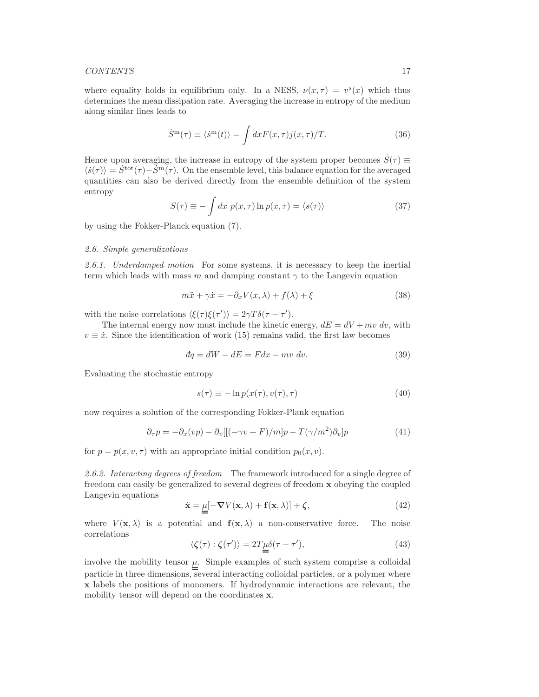where equality holds in equilibrium only. In a NESS,  $\nu(x, \tau) = v^s(x)$  which thus determines the mean dissipation rate. Averaging the increase in entropy of the medium along similar lines leads to

$$
\dot{S}^{\rm m}(\tau) \equiv \langle \dot{s}^{\rm m}(t) \rangle = \int dx F(x,\tau) j(x,\tau) / T. \tag{36}
$$

Hence upon averaging, the increase in entropy of the system proper becomes  $\dot{S}(\tau) \equiv$  $\langle \dot{s}(\tau) \rangle = \dot{S}^{\rm tot}(\tau) - \dot{S}^{\rm m}(\tau)$ . On the ensemble level, this balance equation for the averaged quantities can also be derived directly from the ensemble definition of the system entropy

$$
S(\tau) \equiv -\int dx \ p(x,\tau) \ln p(x,\tau) = \langle s(\tau) \rangle \tag{37}
$$

by using the Fokker-Planck equation (7).

# 2.6. Simple generalizations

2.6.1. Underdamped motion For some systems, it is necessary to keep the inertial term which leads with mass m and damping constant  $\gamma$  to the Langevin equation

$$
m\ddot{x} + \gamma \dot{x} = -\partial_x V(x, \lambda) + f(\lambda) + \xi \tag{38}
$$

with the noise correlations  $\langle \xi(\tau) \xi(\tau') \rangle = 2\gamma T \delta(\tau - \tau').$ 

The internal energy now must include the kinetic energy,  $dE = dV + mv dv$ , with  $v \equiv \dot{x}$ . Since the identification of work (15) remains valid, the first law becomes

$$
dq = dW - dE = Fdx - mv dv.
$$
\n(39)

Evaluating the stochastic entropy

$$
s(\tau) \equiv -\ln p(x(\tau), v(\tau), \tau) \tag{40}
$$

now requires a solution of the corresponding Fokker-Plank equation

$$
\partial_{\tau} p = -\partial_{x}(vp) - \partial_{v} [ [(-\gamma v + F)/m] p - T(\gamma/m^{2}) \partial_{v} ] p \tag{41}
$$

for  $p = p(x, v, \tau)$  with an appropriate initial condition  $p_0(x, v)$ .

2.6.2. Interacting degrees of freedom The framework introduced for a single degree of freedom can easily be generalized to several degrees of freedom x obeying the coupled Langevin equations

$$
\dot{\mathbf{x}} = \underline{\underline{\mu}}[-\nabla V(\mathbf{x}, \lambda) + \mathbf{f}(\mathbf{x}, \lambda)] + \zeta,
$$
\n(42)

where  $V(\mathbf{x}, \lambda)$  is a potential and  $f(\mathbf{x}, \lambda)$  a non-conservative force. The noise correlations

$$
\langle \zeta(\tau) : \zeta(\tau') \rangle = 2T \underline{\mu} \delta(\tau - \tau'), \tag{43}
$$

involve the mobility tensor  $\mu$ . Simple examples of such system comprise a colloidal particle in three dimensions, several interacting colloidal particles, or a polymer where x labels the positions of monomers. If hydrodynamic interactions are relevant, the mobility tensor will depend on the coordinates x.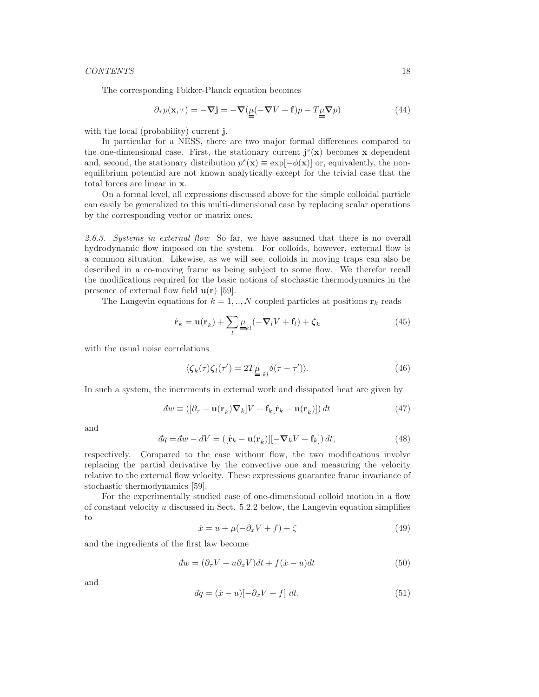The corresponding Fokker-Planck equation becomes

$$
\partial_{\tau} p(\mathbf{x}, \tau) = -\nabla \mathbf{j} = -\nabla (\underline{\underline{\mu}}(-\nabla V + \mathbf{f})p - T\underline{\mu}\nabla p)
$$
(44)

with the local (probability) current j.

In particular for a NESS, there are two major formal differences compared to the one-dimensional case. First, the stationary current  $\mathbf{j}^s(\mathbf{x})$  becomes x dependent and, second, the stationary distribution  $p^{s}(\mathbf{x}) \equiv \exp[-\phi(\mathbf{x})]$  or, equivalently, the nonequilibrium potential are not known analytically except for the trivial case that the total forces are linear in x.

On a formal level, all expressions discussed above for the simple colloidal particle can easily be generalized to this multi-dimensional case by replacing scalar operations by the corresponding vector or matrix ones.

2.6.3. Systems in external flow So far, we have assumed that there is no overall hydrodynamic flow imposed on the system. For colloids, however, external flow is a common situation. Likewise, as we will see, colloids in moving traps can also be described in a co-moving frame as being subject to some flow. We therefor recall the modifications required for the basic notions of stochastic thermodynamics in the presence of external flow field  $\mathbf{u}(\mathbf{r})$  [59].

The Langevin equations for  $k = 1, ..., N$  coupled particles at positions  $\mathbf{r}_k$  reads

$$
\dot{\mathbf{r}}_k = \mathbf{u}(\mathbf{r}_k) + \sum_l \underline{\mu}_{kl} (-\nabla_l V + \mathbf{f}_l) + \zeta_k
$$
\n(45)

with the usual noise correlations

$$
\langle \zeta_k(\tau) \zeta_l(\tau') = 2T_{\frac{\mu}{m}} \delta(\tau - \tau') \rangle.
$$
 (46)

In such a system, the increments in external work and dissipated heat are given by

$$
dw \equiv \left( [\partial_{\tau} + \mathbf{u}(\mathbf{r}_k) \nabla_k] V + \mathbf{f}_k[\dot{\mathbf{r}}_k - \mathbf{u}(\mathbf{r}_k)] \right) dt \tag{47}
$$

and

$$
dq = dw - dV = \left( [\dot{\mathbf{r}}_k - \mathbf{u}(\mathbf{r}_k)][-\nabla_k V + \mathbf{f}_k] \right) dt, \tag{48}
$$

respectively. Compared to the case withour flow, the two modifications involve replacing the partial derivative by the convective one and measuring the velocity relative to the external flow velocity. These expressions guarantee frame invariance of stochastic thermodynamics [59].

For the experimentally studied case of one-dimensional colloid motion in a flow of constant velocity  $u$  discussed in Sect. 5.2.2 below, the Langevin equation simplifies to

$$
\dot{x} = u + \mu(-\partial_x V + f) + \zeta \tag{49}
$$

and the ingredients of the first law become

$$
dw = (\partial_{\tau} V + u \partial_x V)dt + f(\dot{x} - u)dt
$$
\n(50)

and

$$
dq = (\dot{x} - u)[-\partial_x V + f] dt.
$$
\n(51)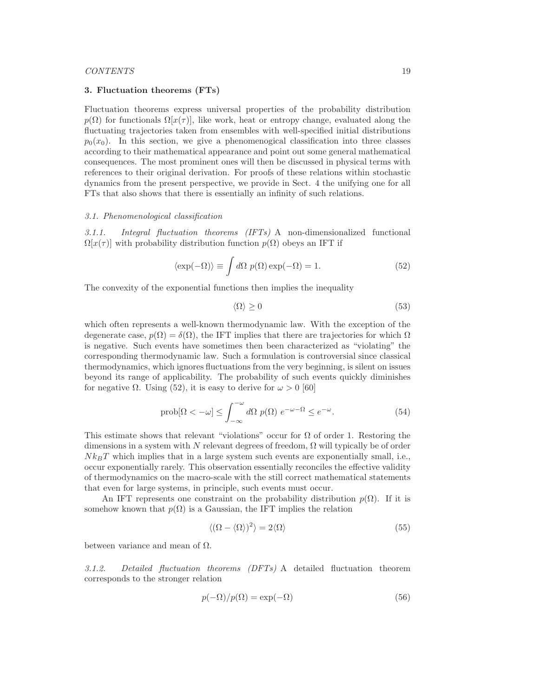#### 3. Fluctuation theorems (FTs)

Fluctuation theorems express universal properties of the probability distribution  $p(\Omega)$  for functionals  $\Omega[x(\tau)]$ , like work, heat or entropy change, evaluated along the fluctuating trajectories taken from ensembles with well-specified initial distributions  $p_0(x_0)$ . In this section, we give a phenomenogical classification into three classes according to their mathematical appearance and point out some general mathematical consequences. The most prominent ones will then be discussed in physical terms with references to their original derivation. For proofs of these relations within stochastic dynamics from the present perspective, we provide in Sect. 4 the unifying one for all FTs that also shows that there is essentially an infinity of such relations.

#### 3.1. Phenomenological classification

3.1.1. Integral fluctuation theorems (IFTs) A non-dimensionalized functional  $\Omega[x(\tau)]$  with probability distribution function  $p(\Omega)$  obeys an IFT if

$$
\langle \exp(-\Omega) \rangle \equiv \int d\Omega \ p(\Omega) \exp(-\Omega) = 1. \tag{52}
$$

The convexity of the exponential functions then implies the inequality

$$
\langle \Omega \rangle \ge 0 \tag{53}
$$

which often represents a well-known thermodynamic law. With the exception of the degenerate case,  $p(\Omega) = \delta(\Omega)$ , the IFT implies that there are trajectories for which  $\Omega$ is negative. Such events have sometimes then been characterized as "violating" the corresponding thermodynamic law. Such a formulation is controversial since classical thermodynamics, which ignores fluctuations from the very beginning, is silent on issues beyond its range of applicability. The probability of such events quickly diminishes for negative  $\Omega$ . Using (52), it is easy to derive for  $\omega > 0$  [60]

$$
\text{prob}[\Omega < -\omega] \le \int_{-\infty}^{-\omega} d\Omega \ p(\Omega) \ e^{-\omega - \Omega} \le e^{-\omega}.\tag{54}
$$

This estimate shows that relevant "violations" occur for  $\Omega$  of order 1. Restoring the dimensions in a system with N relevant degrees of freedom,  $\Omega$  will typically be of order  $N k_B T$  which implies that in a large system such events are exponentially small, i.e., occur exponentially rarely. This observation essentially reconciles the effective validity of thermodynamics on the macro-scale with the still correct mathematical statements that even for large systems, in principle, such events must occur.

An IFT represents one constraint on the probability distribution  $p(\Omega)$ . If it is somehow known that  $p(\Omega)$  is a Gaussian, the IFT implies the relation

$$
\langle (\Omega - \langle \Omega \rangle)^2 \rangle = 2 \langle \Omega \rangle \tag{55}
$$

between variance and mean of  $\Omega$ .

3.1.2. Detailed fluctuation theorems  $(DFTs)$  A detailed fluctuation theorem corresponds to the stronger relation

$$
p(-\Omega)/p(\Omega) = \exp(-\Omega)
$$
\n(56)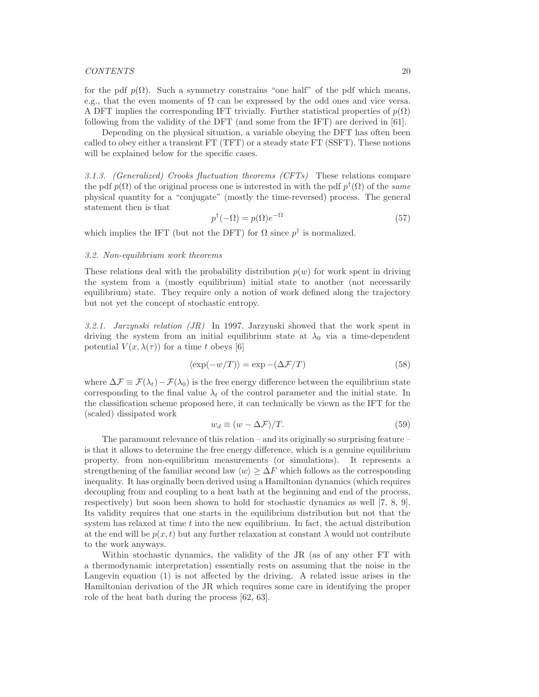for the pdf  $p(\Omega)$ . Such a symmetry constrains "one half" of the pdf which means, e.g., that the even moments of  $\Omega$  can be expressed by the odd ones and vice versa. A DFT implies the corresponding IFT trivially. Further statistical properties of  $p(\Omega)$ following from the validity of the DFT (and some from the IFT) are derived in [61].

Depending on the physical situation, a variable obeying the DFT has often been called to obey either a transient FT (TFT) or a steady state FT (SSFT). These notions will be explained below for the specific cases.

3.1.3. (Generalized) Crooks fluctuation theorems (CFTs) These relations compare the pdf  $p(\Omega)$  of the original process one is interested in with the pdf  $p^{\dagger}(\Omega)$  of the same physical quantity for a "conjugate" (mostly the time-reversed) process. The general statement then is that

$$
p^{\dagger}(-\Omega) = p(\Omega)e^{-\Omega} \tag{57}
$$

which implies the IFT (but not the DFT) for  $\Omega$  since  $p^{\dagger}$  is normalized.

# 3.2. Non-equilibrium work theorems

These relations deal with the probability distribution  $p(w)$  for work spent in driving the system from a (mostly equilibrium) initial state to another (not necessarily equilibrium) state. They require only a notion of work defined along the trajectory but not yet the concept of stochastic entropy.

3.2.1. Jarzynski relation  $(JR)$  In 1997, Jarzynski showed that the work spent in driving the system from an initial equilibrium state at  $\lambda_0$  via a time-dependent potential  $V(x, \lambda(\tau))$  for a time t obeys [6]

$$
\langle \exp(-w/T) \rangle = \exp(-\langle \Delta \mathcal{F}/T) \tag{58}
$$

where  $\Delta \mathcal{F} \equiv \mathcal{F}(\lambda_t) - \mathcal{F}(\lambda_0)$  is the free energy difference between the equilibrium state corresponding to the final value  $\lambda_t$  of the control parameter and the initial state. In the classification scheme proposed here, it can technically be viewn as the IFT for the (scaled) dissipated work

$$
w_d \equiv (w - \Delta \mathcal{F})/T. \tag{59}
$$

The paramount relevance of this relation – and its originally so surprising feature – is that it allows to determine the free energy difference, which is a genuine equilibrium property, from non-equilibrium measurements (or simulations). It represents a strengthening of the familiar second law  $\langle w \rangle \geq \Delta F$  which follows as the corresponding inequality. It has orginally been derived using a Hamiltonian dynamics (which requires decoupling from and coupling to a heat bath at the beginning and end of the process, respectively) but soon been shown to hold for stochastic dynamics as well [7, 8, 9]. Its validity requires that one starts in the equilibrium distribution but not that the system has relaxed at time  $t$  into the new equilibrium. In fact, the actual distribution at the end will be  $p(x, t)$  but any further relaxation at constant  $\lambda$  would not contribute to the work anyways.

Within stochastic dynamics, the validity of the JR (as of any other FT with a thermodynamic interpretation) essentially rests on assuming that the noise in the Langevin equation (1) is not affected by the driving. A related issue arises in the Hamiltonian derivation of the JR which requires some care in identifying the proper role of the heat bath during the process [62, 63].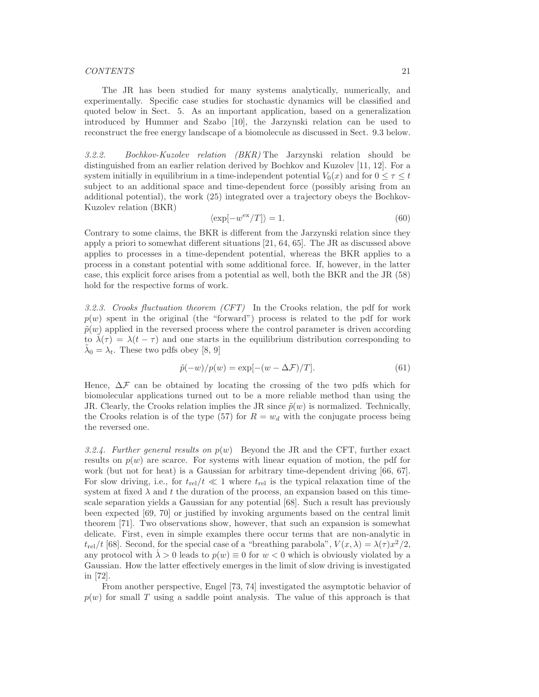The JR has been studied for many systems analytically, numerically, and experimentally. Specific case studies for stochastic dynamics will be classified and quoted below in Sect. 5. As an important application, based on a generalization introduced by Hummer and Szabo [10], the Jarzynski relation can be used to reconstruct the free energy landscape of a biomolecule as discussed in Sect. 9.3 below.

3.2.2. Bochkov-Kuzolev relation (BKR) The Jarzynski relation should be distinguished from an earlier relation derived by Bochkov and Kuzolev [11, 12]. For a system initially in equilibrium in a time-independent potential  $V_0(x)$  and for  $0 \leq \tau \leq t$ subject to an additional space and time-dependent force (possibly arising from an additional potential), the work (25) integrated over a trajectory obeys the Bochkov-Kuzolev relation (BKR)

$$
\langle \exp[-w^{\text{ex}}/T] \rangle = 1. \tag{60}
$$

Contrary to some claims, the BKR is different from the Jarzynski relation since they apply a priori to somewhat different situations [21, 64, 65]. The JR as discussed above applies to processes in a time-dependent potential, whereas the BKR applies to a process in a constant potential with some additional force. If, however, in the latter case, this explicit force arises from a potential as well, both the BKR and the JR (58) hold for the respective forms of work.

3.2.3. Crooks fluctuation theorem (CFT) In the Crooks relation, the pdf for work  $p(w)$  spent in the original (the "forward") process is related to the pdf for work  $\tilde{p}(w)$  applied in the reversed process where the control parameter is driven according to  $\lambda(\tau) = \lambda(t - \tau)$  and one starts in the equilibrium distribution corresponding to  $\tilde{\lambda}_0 = \lambda_t$ . These two pdfs obey [8, 9]

$$
\tilde{p}(-w)/p(w) = \exp[-(w - \Delta \mathcal{F})/T]. \tag{61}
$$

Hence,  $\Delta \mathcal{F}$  can be obtained by locating the crossing of the two pdfs which for biomolecular applications turned out to be a more reliable method than using the JR. Clearly, the Crooks relation implies the JR since  $\tilde{p}(w)$  is normalized. Technically, the Crooks relation is of the type (57) for  $R = w_d$  with the conjugate process being the reversed one.

3.2.4. Further general results on  $p(w)$  Beyond the JR and the CFT, further exact results on  $p(w)$  are scarce. For systems with linear equation of motion, the pdf for work (but not for heat) is a Gaussian for arbitrary time-dependent driving [66, 67]. For slow driving, i.e., for  $t_{\text{rel}}/t \ll 1$  where  $t_{\text{rel}}$  is the typical relaxation time of the system at fixed  $\lambda$  and t the duration of the process, an expansion based on this timescale separation yields a Gaussian for any potential [68]. Such a result has previously been expected [69, 70] or justified by invoking arguments based on the central limit theorem [71]. Two observations show, however, that such an expansion is somewhat delicate. First, even in simple examples there occur terms that are non-analytic in  $t_{\text{rel}}/t$  [68]. Second, for the special case of a "breathing parabola",  $V(x, \lambda) = \lambda(\tau)x^2/2$ , any protocol with  $\lambda > 0$  leads to  $p(w) \equiv 0$  for  $w < 0$  which is obviously violated by a Gaussian. How the latter effectively emerges in the limit of slow driving is investigated in [72].

From another perspective, Engel [73, 74] investigated the asymptotic behavior of  $p(w)$  for small T using a saddle point analysis. The value of this approach is that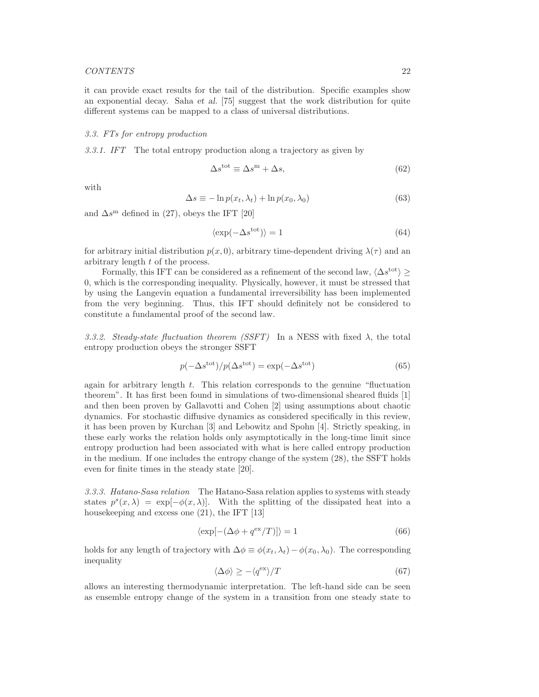it can provide exact results for the tail of the distribution. Specific examples show an exponential decay. Saha et al. [75] suggest that the work distribution for quite different systems can be mapped to a class of universal distributions.

# 3.3. FTs for entropy production

3.3.1. IFT The total entropy production along a trajectory as given by

$$
\Delta s^{\text{tot}} \equiv \Delta s^{\text{m}} + \Delta s,\tag{62}
$$

with

$$
\Delta s \equiv -\ln p(x_t, \lambda_t) + \ln p(x_0, \lambda_0) \tag{63}
$$

and  $\Delta s^{\text{m}}$  defined in (27), obeys the IFT [20]

$$
\langle \exp(-\Delta s^{\text{tot}}) \rangle = 1 \tag{64}
$$

for arbitrary initial distribution  $p(x, 0)$ , arbitrary time-dependent driving  $\lambda(\tau)$  and an arbitrary length t of the process.

Formally, this IFT can be considered as a refinement of the second law,  $\langle \Delta s^{tot} \rangle \ge$ 0, which is the corresponding inequality. Physically, however, it must be stressed that by using the Langevin equation a fundamental irreversibility has been implemented from the very beginning. Thus, this IFT should definitely not be considered to constitute a fundamental proof of the second law.

3.3.2. Steady-state fluctuation theorem (SSFT) In a NESS with fixed  $\lambda$ , the total entropy production obeys the stronger SSFT

$$
p(-\Delta s^{\text{tot}})/p(\Delta s^{\text{tot}}) = \exp(-\Delta s^{\text{tot}})
$$
\n(65)

again for arbitrary length  $t$ . This relation corresponds to the genuine "fluctuation" theorem". It has first been found in simulations of two-dimensional sheared fluids [1] and then been proven by Gallavotti and Cohen [2] using assumptions about chaotic dynamics. For stochastic diffusive dynamics as considered specifically in this review, it has been proven by Kurchan [3] and Lebowitz and Spohn [4]. Strictly speaking, in these early works the relation holds only asymptotically in the long-time limit since entropy production had been associated with what is here called entropy production in the medium. If one includes the entropy change of the system (28), the SSFT holds even for finite times in the steady state [20].

3.3.3. Hatano-Sasa relation The Hatano-Sasa relation applies to systems with steady states  $p^{s}(x, \lambda) = \exp[-\phi(x, \lambda)].$  With the splitting of the dissipated heat into a housekeeping and excess one (21), the IFT [13]

$$
\langle \exp[-(\Delta \phi + q^{\text{ex}}/T)] \rangle = 1 \tag{66}
$$

holds for any length of trajectory with  $\Delta \phi \equiv \phi(x_t, \lambda_t) - \phi(x_0, \lambda_0)$ . The corresponding inequality

$$
\langle \Delta \phi \rangle \ge -\langle q^{\text{ex}} \rangle / T \tag{67}
$$

allows an interesting thermodynamic interpretation. The left-hand side can be seen as ensemble entropy change of the system in a transition from one steady state to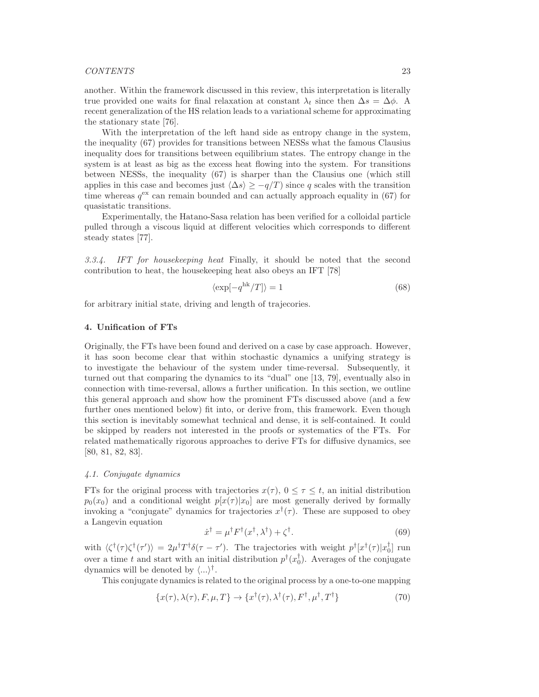another. Within the framework discussed in this review, this interpretation is literally true provided one waits for final relaxation at constant  $\lambda_t$  since then  $\Delta s = \Delta \phi$ . A recent generalization of the HS relation leads to a variational scheme for approximating the stationary state [76].

With the interpretation of the left hand side as entropy change in the system, the inequality (67) provides for transitions between NESSs what the famous Clausius inequality does for transitions between equilibrium states. The entropy change in the system is at least as big as the excess heat flowing into the system. For transitions between NESSs, the inequality (67) is sharper than the Clausius one (which still applies in this case and becomes just  $\langle \Delta s \rangle \ge -q/T$  since q scales with the transition time whereas  $q^{\text{ex}}$  can remain bounded and can actually approach equality in (67) for quasistatic transitions.

Experimentally, the Hatano-Sasa relation has been verified for a colloidal particle pulled through a viscous liquid at different velocities which corresponds to different steady states [77].

3.3.4. IFT for house keeping heat Finally, it should be noted that the second contribution to heat, the housekeeping heat also obeys an IFT [78]

$$
\langle \exp[-q^{\text{hk}}/T] \rangle = 1\tag{68}
$$

for arbitrary initial state, driving and length of trajecories.

#### 4. Unification of FTs

Originally, the FTs have been found and derived on a case by case approach. However, it has soon become clear that within stochastic dynamics a unifying strategy is to investigate the behaviour of the system under time-reversal. Subsequently, it turned out that comparing the dynamics to its "dual" one [13, 79], eventually also in connection with time-reversal, allows a further unification. In this section, we outline this general approach and show how the prominent FTs discussed above (and a few further ones mentioned below) fit into, or derive from, this framework. Even though this section is inevitably somewhat technical and dense, it is self-contained. It could be skipped by readers not interested in the proofs or systematics of the FTs. For related mathematically rigorous approaches to derive FTs for diffusive dynamics, see [80, 81, 82, 83].

#### 4.1. Conjugate dynamics

FTs for the original process with trajectories  $x(\tau)$ ,  $0 \leq \tau \leq t$ , an initial distribution  $p_0(x_0)$  and a conditional weight  $p[x(\tau)|x_0]$  are most generally derived by formally invoking a "conjugate" dynamics for trajectories  $x^{\dagger}(\tau)$ . These are supposed to obey a Langevin equation

$$
\dot{x}^{\dagger} = \mu^{\dagger} F^{\dagger} (x^{\dagger}, \lambda^{\dagger}) + \zeta^{\dagger}.
$$
 (69)

with  $\langle \zeta^{\dagger}(\tau)\zeta^{\dagger}(\tau') \rangle = 2\mu^{\dagger}T^{\dagger}\delta(\tau - \tau')$ . The trajectories with weight  $p^{\dagger}[x^{\dagger}(\tau)|x_0^{\dagger}]$  run over a time t and start with an initial distribution  $p^{\dagger}(x_0^{\dagger})$ . Averages of the conjugate dynamics will be denoted by  $\langle ... \rangle^{\dagger}$ .

This conjugate dynamics is related to the original process by a one-to-one mapping

$$
\{x(\tau), \lambda(\tau), F, \mu, T\} \to \{x^{\dagger}(\tau), \lambda^{\dagger}(\tau), F^{\dagger}, \mu^{\dagger}, T^{\dagger}\}
$$
\n(70)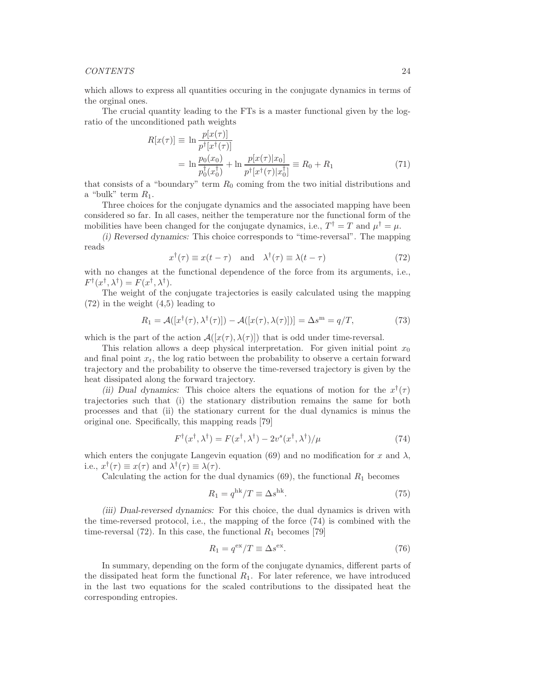which allows to express all quantities occuring in the conjugate dynamics in terms of the orginal ones.

The crucial quantity leading to the FTs is a master functional given by the logratio of the unconditioned path weights

$$
R[x(\tau)] \equiv \ln \frac{p[x(\tau)]}{p^{\dagger}[x^{\dagger}(\tau)]}
$$
  
= 
$$
\ln \frac{p_0(x_0)}{p_0^{\dagger}(x_0^{\dagger})} + \ln \frac{p[x(\tau)|x_0]}{p^{\dagger}[x^{\dagger}(\tau)|x_0^{\dagger}]} \equiv R_0 + R_1
$$
 (71)

that consists of a "boundary" term  $R_0$  coming from the two initial distributions and a "bulk" term  $R_1$ .

Three choices for the conjugate dynamics and the associated mapping have been considered so far. In all cases, neither the temperature nor the functional form of the mobilities have been changed for the conjugate dynamics, i.e.,  $T^{\dagger} = T$  and  $\mu^{\dagger} = \mu$ .

(i) Reversed dynamics: This choice corresponds to "time-reversal". The mapping reads

$$
x^{\dagger}(\tau) \equiv x(t - \tau) \quad \text{and} \quad \lambda^{\dagger}(\tau) \equiv \lambda(t - \tau) \tag{72}
$$

with no changes at the functional dependence of the force from its arguments, i.e.,  $F^{\dagger}(x^{\dagger}, \lambda^{\dagger}) = F(x^{\dagger}, \lambda^{\dagger}).$ 

The weight of the conjugate trajectories is easily calculated using the mapping (72) in the weight (4,5) leading to

$$
R_1 = \mathcal{A}([x^{\dagger}(\tau), \lambda^{\dagger}(\tau)]) - \mathcal{A}([x(\tau), \lambda(\tau)]) = \Delta s^{\mathbf{m}} = q/T,
$$
\n(73)

which is the part of the action  $\mathcal{A}([x(\tau), \lambda(\tau)])$  that is odd under time-reversal.

This relation allows a deep physical interpretation. For given initial point  $x_0$ and final point  $x_t$ , the log ratio between the probability to observe a certain forward trajectory and the probability to observe the time-reversed trajectory is given by the heat dissipated along the forward trajectory.

(ii) Dual dynamics: This choice alters the equations of motion for the  $x^{\dagger}(\tau)$ trajectories such that (i) the stationary distribution remains the same for both processes and that (ii) the stationary current for the dual dynamics is minus the original one. Specifically, this mapping reads [79]

$$
F^{\dagger}(x^{\dagger}, \lambda^{\dagger}) = F(x^{\dagger}, \lambda^{\dagger}) - 2v^{s}(x^{\dagger}, \lambda^{\dagger})/\mu \tag{74}
$$

which enters the conjugate Langevin equation (69) and no modification for x and  $\lambda$ , i.e.,  $x^{\dagger}(\tau) \equiv x(\tau)$  and  $\lambda^{\dagger}(\tau) \equiv \lambda(\tau)$ .

Calculating the action for the dual dynamics  $(69)$ , the functional  $R_1$  becomes

$$
R_1 = q^{\text{hk}} / T \equiv \Delta s^{\text{hk}}.\tag{75}
$$

(iii) Dual-reversed dynamics: For this choice, the dual dynamics is driven with the time-reversed protocol, i.e., the mapping of the force (74) is combined with the time-reversal (72). In this case, the functional  $R_1$  becomes [79]

$$
R_1 = q^{\text{ex}} / T \equiv \Delta s^{\text{ex}}.
$$
\n(76)

In summary, depending on the form of the conjugate dynamics, different parts of the dissipated heat form the functional  $R_1$ . For later reference, we have introduced in the last two equations for the scaled contributions to the dissipated heat the corresponding entropies.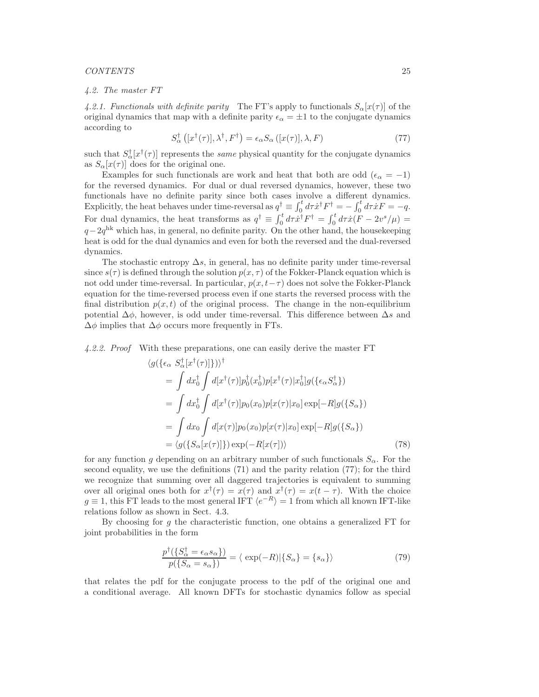# 4.2. The master FT

4.2.1. Functionals with definite parity The FT's apply to functionals  $S_{\alpha}[x(\tau)]$  of the original dynamics that map with a definite parity  $\epsilon_{\alpha} = \pm 1$  to the conjugate dynamics according to

$$
S_{\alpha}^{\dagger}([x^{\dagger}(\tau)],\lambda^{\dagger},F^{\dagger}) = \epsilon_{\alpha}S_{\alpha}([x(\tau)],\lambda,F)
$$
\n(77)

such that  $S_{\alpha}^{\dagger}[x^{\dagger}(\tau)]$  represents the *same* physical quantity for the conjugate dynamics as  $S_{\alpha}[x(\tau)]$  does for the original one.

Examples for such functionals are work and heat that both are odd ( $\epsilon_{\alpha} = -1$ ) for the reversed dynamics. For dual or dual reversed dynamics, however, these two functionals have no definite parity since both cases involve a different dynamics. Explicitly, the heat behaves under time-reversal as  $q^{\dagger} \equiv \int_0^t d\tau \dot{x}^{\dagger} F^{\dagger} = -\int_0^t d\tau \dot{x} F = -q$ . For dual dynamics, the heat transforms as  $q^{\dagger} \equiv \int_0^t d\tau \dot{x}^{\dagger} F^{\dagger} = \int_0^t d\tau \dot{x} (F - 2v^s/\mu) =$  $q-2q<sup>hk</sup>$  which has, in general, no definite parity. On the other hand, the housekeeping heat is odd for the dual dynamics and even for both the reversed and the dual-reversed dynamics.

The stochastic entropy  $\Delta s$ , in general, has no definite parity under time-reversal since  $s(\tau)$  is defined through the solution  $p(x, \tau)$  of the Fokker-Planck equation which is not odd under time-reversal. In particular,  $p(x, t-\tau)$  does not solve the Fokker-Planck equation for the time-reversed process even if one starts the reversed process with the final distribution  $p(x, t)$  of the original process. The change in the non-equilibrium potential  $\Delta\phi$ , however, is odd under time-reversal. This difference between  $\Delta s$  and  $\Delta\phi$  implies that  $\Delta\phi$  occurs more frequently in FTs.

4.2.2. Proof With these preparations, one can easily derive the master FT

$$
\langle g(\{\epsilon_{\alpha} S_{\alpha}^{\dagger}[x^{\dagger}(\tau)]\})\rangle^{\dagger} \n= \int dx_0^{\dagger} \int d[x^{\dagger}(\tau)] p_0^{\dagger}(x_0^{\dagger}) p[x^{\dagger}(\tau)] x_0^{\dagger}] g(\{\epsilon_{\alpha} S_{\alpha}^{\dagger}\}) \n= \int dx_0^{\dagger} \int d[x^{\dagger}(\tau)] p_0(x_0) p[x(\tau)] x_0] \exp[-R] g(\{S_{\alpha}\}) \n= \int dx_0 \int d[x(\tau)] p_0(x_0) p[x(\tau)] x_0] \exp[-R] g(\{S_{\alpha}\}) \n= \langle g(\{S_{\alpha}[x(\tau)]\}) \exp(-R[x(\tau])\rangle
$$
\n(78)

for any function g depending on an arbitrary number of such functionals  $S_{\alpha}$ . For the second equality, we use the definitions (71) and the parity relation (77); for the third we recognize that summing over all daggered trajectories is equivalent to summing over all original ones both for  $x^{\dagger}(\tau) = x(\tau)$  and  $x^{\dagger}(\tau) = x(t - \tau)$ . With the choice  $g \equiv 1$ , this FT leads to the most general IFT  $\langle e^{-R} \rangle = 1$  from which all known IFT-like relations follow as shown in Sect. 4.3.

By choosing for  $g$  the characteristic function, one obtains a generalized  $FT$  for joint probabilities in the form

$$
\frac{p^{\dagger}(\{S_{\alpha}^{\dagger} = \epsilon_{\alpha} s_{\alpha}\})}{p(\{S_{\alpha} = s_{\alpha}\})} = \langle \exp(-R)|\{S_{\alpha}\} = \{s_{\alpha}\}\rangle
$$
\n(79)

that relates the pdf for the conjugate process to the pdf of the original one and a conditional average. All known DFTs for stochastic dynamics follow as special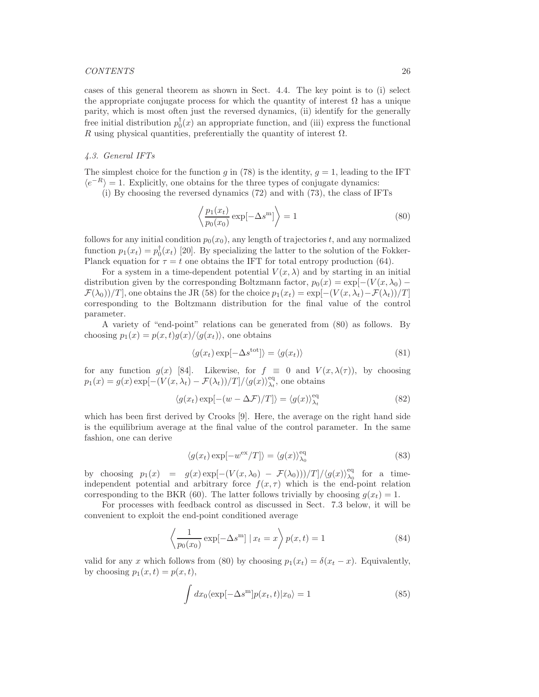cases of this general theorem as shown in Sect. 4.4. The key point is to (i) select the appropriate conjugate process for which the quantity of interest  $\Omega$  has a unique parity, which is most often just the reversed dynamics, (ii) identify for the generally free initial distribution  $p_0^{\dagger}(x)$  an appropriate function, and (iii) express the functional R using physical quantities, preferentially the quantity of interest  $\Omega$ .

# 4.3. General IFTs

The simplest choice for the function g in (78) is the identity,  $g = 1$ , leading to the IFT  $\langle e^{-R} \rangle = 1$ . Explicitly, one obtains for the three types of conjugate dynamics:

(i) By choosing the reversed dynamics (72) and with (73), the class of IFTs

$$
\left\langle \frac{p_1(x_t)}{p_0(x_0)} \exp[-\Delta s^{\text{m}}] \right\rangle = 1
$$
\n(80)

follows for any initial condition  $p_0(x_0)$ , any length of trajectories t, and any normalized function  $p_1(x_t) = p_0^{\dagger}(x_t)$  [20]. By specializing the latter to the solution of the Fokker-Planck equation for  $\tau = t$  one obtains the IFT for total entropy production (64).

For a system in a time-dependent potential  $V(x, \lambda)$  and by starting in an initial distribution given by the corresponding Boltzmann factor,  $p_0(x) = \exp[-(V(x, \lambda_0) \mathcal{F}(\lambda_0)/T$ , one obtains the JR (58) for the choice  $p_1(x_t) = \exp[-(V(x, \lambda_t) - \mathcal{F}(\lambda_t))/T]$ corresponding to the Boltzmann distribution for the final value of the control parameter.

A variety of "end-point" relations can be generated from (80) as follows. By choosing  $p_1(x) = p(x,t)g(x)/\langle g(x_t) \rangle$ , one obtains

$$
\langle g(x_t) \exp[-\Delta s^{\text{tot}}] \rangle = \langle g(x_t) \rangle \tag{81}
$$

for any function  $g(x)$  [84]. Likewise, for  $f \equiv 0$  and  $V(x, \lambda(\tau))$ , by choosing  $p_1(x) = g(x) \exp[-(V(x, \lambda_t) - \mathcal{F}(\lambda_t))/T]/\langle g(x) \rangle^{\text{eq}}_{\lambda_t}$ , one obtains

$$
\langle g(x_t) \exp[-(w - \Delta \mathcal{F})/T] \rangle = \langle g(x) \rangle_{\lambda_t}^{\text{eq}} \tag{82}
$$

which has been first derived by Crooks [9]. Here, the average on the right hand side is the equilibrium average at the final value of the control parameter. In the same fashion, one can derive

$$
\langle g(x_t) \exp[-w^{\text{ex}}/T] \rangle = \langle g(x) \rangle_{\lambda_0}^{\text{eq}} \tag{83}
$$

by choosing  $p_1(x) = g(x) \exp[-(V(x,\lambda_0) - \mathcal{F}(\lambda_0)))/T]/\langle g(x) \rangle_{\lambda_0}^{\text{eq}}$  for a timeindependent potential and arbitrary force  $f(x, \tau)$  which is the end-point relation corresponding to the BKR (60). The latter follows trivially by choosing  $q(x_t) = 1$ .

For processes with feedback control as discussed in Sect. 7.3 below, it will be convenient to exploit the end-point conditioned average

$$
\left\langle \frac{1}{p_0(x_0)} \exp[-\Delta s^m] \mid x_t = x \right\rangle p(x, t) = 1 \tag{84}
$$

valid for any x which follows from (80) by choosing  $p_1(x_t) = \delta(x_t - x)$ . Equivalently, by choosing  $p_1(x,t) = p(x,t)$ ,

$$
\int dx_0 \langle \exp[-\Delta s^{\rm m}] p(x_t, t) | x_0 \rangle = 1 \tag{85}
$$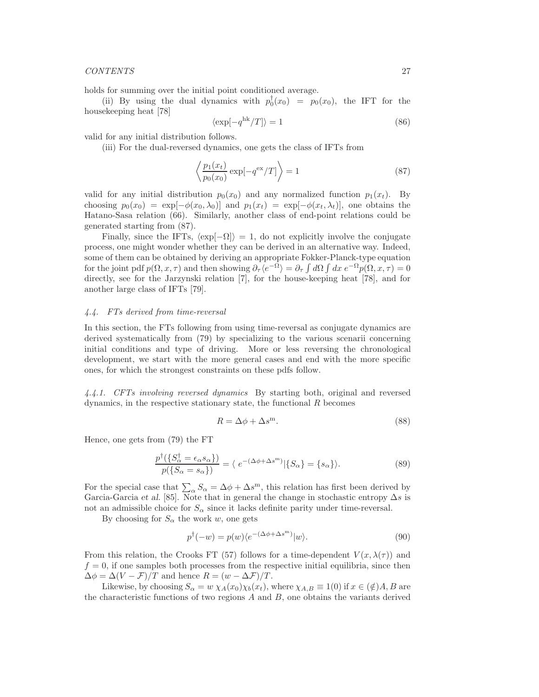holds for summing over the initial point conditioned average.

(ii) By using the dual dynamics with  $p_0^{\dagger}(x_0) = p_0(x_0)$ , the IFT for the housekeeping heat [78]

$$
\langle \exp[-q^{\text{hk}}/T] \rangle = 1 \tag{86}
$$

valid for any initial distribution follows.

(iii) For the dual-reversed dynamics, one gets the class of IFTs from

$$
\left\langle \frac{p_1(x_t)}{p_0(x_0)} \exp[-q^{\text{ex}}/T] \right\rangle = 1
$$
\n(87)

valid for any initial distribution  $p_0(x_0)$  and any normalized function  $p_1(x_t)$ . By choosing  $p_0(x_0) = \exp[-\phi(x_0, \lambda_0)]$  and  $p_1(x_t) = \exp[-\phi(x_t, \lambda_t)]$ , one obtains the Hatano-Sasa relation (66). Similarly, another class of end-point relations could be generated starting from (87).

Finally, since the IFTs,  $\langle \exp[-\Omega] \rangle = 1$ , do not explicitly involve the conjugate process, one might wonder whether they can be derived in an alternative way. Indeed, some of them can be obtained by deriving an appropriate Fokker-Planck-type equation for the joint pdf  $p(\Omega, x, \tau)$  and then showing  $\partial_{\tau} \langle e^{-\Omega} \rangle = \partial_{\tau} \int d\Omega \int dx \ e^{-\Omega} p(\Omega, x, \tau) = 0$ directly, see for the Jarzynski relation [7], for the house-keeping heat [78], and for another large class of IFTs [79].

# 4.4. FTs derived from time-reversal

In this section, the FTs following from using time-reversal as conjugate dynamics are derived systematically from (79) by specializing to the various scenarii concerning initial conditions and type of driving. More or less reversing the chronological development, we start with the more general cases and end with the more specific ones, for which the strongest constraints on these pdfs follow.

4.4.1. CFTs involving reversed dynamics By starting both, original and reversed dynamics, in the respective stationary state, the functional  $R$  becomes

$$
R = \Delta \phi + \Delta s^{\mathbf{m}}.\tag{88}
$$

Hence, one gets from (79) the FT

$$
\frac{p^{\dagger}(\{S_{\alpha}^{\dagger} = \epsilon_{\alpha} s_{\alpha}\})}{p(\{S_{\alpha} = s_{\alpha}\})} = \langle e^{-(\Delta \phi + \Delta s^{\text{m}})}|\{S_{\alpha}\} = \{s_{\alpha}\}\rangle. \tag{89}
$$

For the special case that  $\sum_{\alpha} S_{\alpha} = \Delta \phi + \Delta s^{\text{m}}$ , this relation has first been derived by Garcia-Garcia et al. [85]. Note that in general the change in stochastic entropy  $\Delta s$  is not an admissible choice for  $S_{\alpha}$  since it lacks definite parity under time-reversal.

By choosing for  $S_{\alpha}$  the work w, one gets

$$
p^{\dagger}(-w) = p(w) \langle e^{-(\Delta \phi + \Delta s^m)} | w \rangle.
$$
\n(90)

From this relation, the Crooks FT (57) follows for a time-dependent  $V(x, \lambda(\tau))$  and  $f = 0$ , if one samples both processes from the respective initial equilibria, since then  $\Delta \phi = \Delta (V - \mathcal{F})/T$  and hence  $R = (w - \Delta \mathcal{F})/T$ .

Likewise, by choosing  $S_{\alpha} = w \chi_A(x_0) \chi_b(x_t)$ , where  $\chi_{A,B} \equiv 1(0)$  if  $x \in (\notin)A$ , B are the characteristic functions of two regions  $A$  and  $B$ , one obtains the variants derived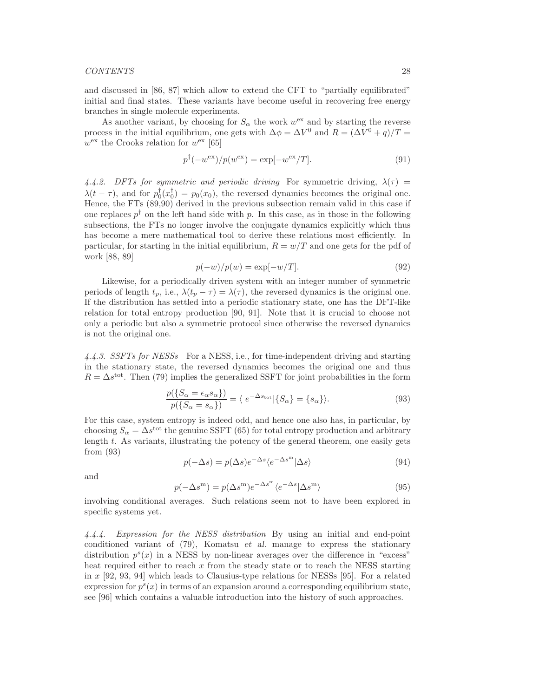and discussed in [86, 87] which allow to extend the CFT to "partially equilibrated" initial and final states. These variants have become useful in recovering free energy branches in single molecule experiments.

As another variant, by choosing for  $S_{\alpha}$  the work  $w^{\text{ex}}$  and by starting the reverse process in the initial equilibrium, one gets with  $\Delta \phi = \Delta V^0$  and  $R = (\Delta V^0 + q)/T =$  $w^{\text{ex}}$  the Crooks relation for  $w^{\text{ex}}$  [65]

$$
p†(-wex)/p(wex) = \exp[-wex/T].
$$
\n(91)

4.4.2. DFTs for symmetric and periodic driving For symmetric driving,  $\lambda(\tau)$  =  $\lambda(t-\tau)$ , and for  $p_0^{\dagger}(x_0^{\dagger}) = p_0(x_0)$ , the reversed dynamics becomes the original one. Hence, the FTs (89,90) derived in the previous subsection remain valid in this case if one replaces  $p^{\dagger}$  on the left hand side with p. In this case, as in those in the following subsections, the FTs no longer involve the conjugate dynamics explicitly which thus has become a mere mathematical tool to derive these relations most efficiently. In particular, for starting in the initial equilibrium,  $R = w/T$  and one gets for the pdf of work [88, 89]

$$
p(-w)/p(w) = \exp[-w/T].\tag{92}
$$

Likewise, for a periodically driven system with an integer number of symmetric periods of length  $t_p$ , i.e.,  $\lambda(t_p - \tau) = \lambda(\tau)$ , the reversed dynamics is the original one. If the distribution has settled into a periodic stationary state, one has the DFT-like relation for total entropy production [90, 91]. Note that it is crucial to choose not only a periodic but also a symmetric protocol since otherwise the reversed dynamics is not the original one.

4.4.3. SSFTs for NESSs For a NESS, i.e., for time-independent driving and starting in the stationary state, the reversed dynamics becomes the original one and thus  $R = \Delta s^{\text{tot}}$ . Then (79) implies the generalized SSFT for joint probabilities in the form

$$
\frac{p(\{S_{\alpha} = \epsilon_{\alpha} s_{\alpha}\})}{p(\{S_{\alpha} = s_{\alpha}\})} = \langle e^{-\Delta s_{\text{tot}}} | \{S_{\alpha}\} = \{s_{\alpha}\} \rangle.
$$
\n(93)

For this case, system entropy is indeed odd, and hence one also has, in particular, by choosing  $S_{\alpha} = \Delta s^{\text{tot}}$  the genuine SSFT (65) for total entropy production and arbitrary length  $t$ . As variants, illustrating the potency of the general theorem, one easily gets from (93)

$$
p(-\Delta s) = p(\Delta s)e^{-\Delta s} \langle e^{-\Delta s^m} | \Delta s \rangle \tag{94}
$$

and

$$
p(-\Delta s^{\mathbf{m}}) = p(\Delta s^{\mathbf{m}})e^{-\Delta s^{\mathbf{m}}} \langle e^{-\Delta s} | \Delta s^{\mathbf{m}} \rangle \tag{95}
$$

involving conditional averages. Such relations seem not to have been explored in specific systems yet.

4.4.4. Expression for the NESS distribution By using an initial and end-point conditioned variant of (79), Komatsu et al. manage to express the stationary distribution  $p^{s}(x)$  in a NESS by non-linear averages over the difference in "excess" heat required either to reach  $x$  from the steady state or to reach the NESS starting in  $x$  [92, 93, 94] which leads to Clausius-type relations for NESSs [95]. For a related expression for  $p<sup>s</sup>(x)$  in terms of an expansion around a corresponding equilibrium state, see [96] which contains a valuable introduction into the history of such approaches.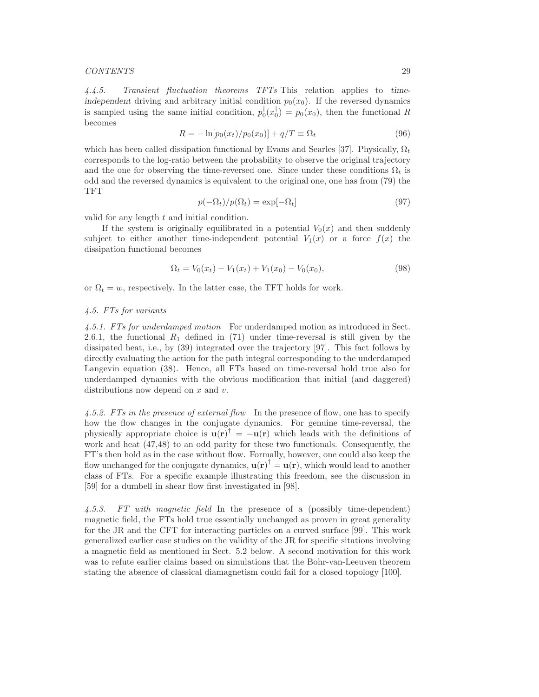4.4.5. Transient fluctuation theorems TFTs This relation applies to timeindependent driving and arbitrary initial condition  $p_0(x_0)$ . If the reversed dynamics is sampled using the same initial condition,  $p_0^{\dagger}(x_0^{\dagger}) = p_0(x_0)$ , then the functional R becomes

$$
R = -\ln[p_0(x_t)/p_0(x_0)] + q/T \equiv \Omega_t \tag{96}
$$

which has been called dissipation functional by Evans and Searles [37]. Physically,  $\Omega_t$ corresponds to the log-ratio between the probability to observe the original trajectory and the one for observing the time-reversed one. Since under these conditions  $\Omega_t$  is odd and the reversed dynamics is equivalent to the original one, one has from (79) the TFT

$$
p(-\Omega_t)/p(\Omega_t) = \exp[-\Omega_t]
$$
\n(97)

valid for any length  $t$  and initial condition.

If the system is originally equilibrated in a potential  $V_0(x)$  and then suddenly subject to either another time-independent potential  $V_1(x)$  or a force  $f(x)$  the dissipation functional becomes

$$
\Omega_t = V_0(x_t) - V_1(x_t) + V_1(x_0) - V_0(x_0), \tag{98}
$$

or  $\Omega_t = w$ , respectively. In the latter case, the TFT holds for work.

# 4.5. FTs for variants

4.5.1. FTs for underdamped motion For underdamped motion as introduced in Sect. 2.6.1, the functional  $R_1$  defined in (71) under time-reversal is still given by the dissipated heat, i.e., by (39) integrated over the trajectory [97]. This fact follows by directly evaluating the action for the path integral corresponding to the underdamped Langevin equation (38). Hence, all FTs based on time-reversal hold true also for underdamped dynamics with the obvious modification that initial (and daggered) distributions now depend on  $x$  and  $v$ .

4.5.2. FTs in the presence of external flow In the presence of flow, one has to specify how the flow changes in the conjugate dynamics. For genuine time-reversal, the physically appropriate choice is  $\mathbf{u}(\mathbf{r})^{\dagger} = -\mathbf{u}(\mathbf{r})$  which leads with the definitions of work and heat (47,48) to an odd parity for these two functionals. Consequently, the FT's then hold as in the case without flow. Formally, however, one could also keep the flow unchanged for the conjugate dynamics,  $\mathbf{u}(\mathbf{r})^{\dagger} = \mathbf{u}(\mathbf{r})$ , which would lead to another class of FTs. For a specific example illustrating this freedom, see the discussion in [59] for a dumbell in shear flow first investigated in [98].

4.5.3. FT with magnetic field In the presence of a (possibly time-dependent) magnetic field, the FTs hold true essentially unchanged as proven in great generality for the JR and the CFT for interacting particles on a curved surface [99]. This work generalized earlier case studies on the validity of the JR for specific sitations involving a magnetic field as mentioned in Sect. 5.2 below. A second motivation for this work was to refute earlier claims based on simulations that the Bohr-van-Leeuven theorem stating the absence of classical diamagnetism could fail for a closed topology [100].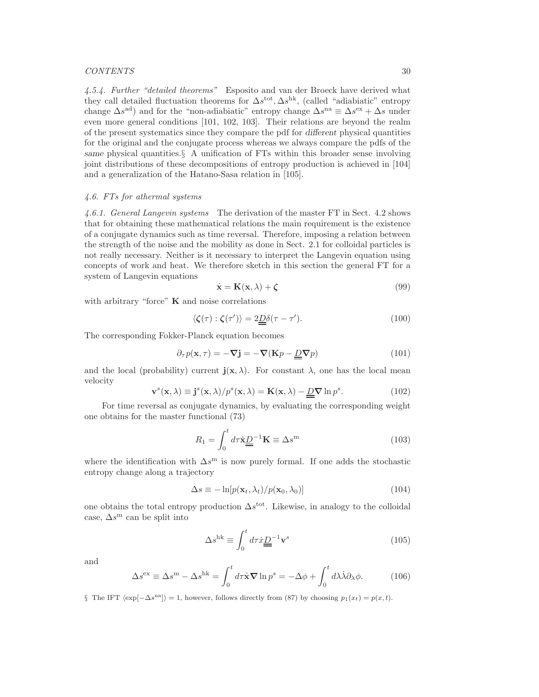4.5.4. Further "detailed theorems" Esposito and van der Broeck have derived what they call detailed fluctuation theorems for  $\Delta s^{\text{tot}}, \Delta s^{\text{hk}},$  (called "adiabiatic" entropy change  $\Delta s^{\text{ad}}$ ) and for the "non-adiabiatic" entropy change  $\Delta s^{\text{na}} \equiv \Delta s^{\text{ex}} + \Delta s$  under even more general conditions [101, 102, 103]. Their relations are beyond the realm of the present systematics since they compare the pdf for different physical quantities for the original and the conjugate process whereas we always compare the pdfs of the same physical quantities.§ A unification of FTs within this broader sense involving joint distributions of these decompositions of entropy production is achieved in [104] and a generalization of the Hatano-Sasa relation in [105].

# 4.6. FTs for athermal systems

4.6.1. General Langevin systems The derivation of the master FT in Sect. 4.2 shows that for obtaining these mathematical relations the main requirement is the existence of a conjugate dynamics such as time reversal. Therefore, imposing a relation between the strength of the noise and the mobility as done in Sect. 2.1 for colloidal particles is not really necessary. Neither is it necessary to interpret the Langevin equation using concepts of work and heat. We therefore sketch in this section the general FT for a system of Langevin equations

$$
\dot{\mathbf{x}} = \mathbf{K}(\mathbf{x}, \lambda) + \boldsymbol{\zeta} \tag{99}
$$

with arbitrary "force"  $\bf{K}$  and noise correlations

$$
\langle \zeta(\tau) : \zeta(\tau') \rangle = 2\underline{D}\delta(\tau - \tau'). \tag{100}
$$

The corresponding Fokker-Planck equation becomes

$$
\partial_{\tau} p(\mathbf{x}, \tau) = -\nabla \mathbf{j} = -\nabla (\mathbf{K} p - \underline{D} \nabla p) \tag{101}
$$

and the local (probability) current  $\mathbf{j}(\mathbf{x},\lambda)$ . For constant  $\lambda$ , one has the local mean velocity

$$
\mathbf{v}^{s}(\mathbf{x}, \lambda) \equiv \mathbf{j}^{s}(\mathbf{x}, \lambda) / p^{s}(\mathbf{x}, \lambda) = \mathbf{K}(\mathbf{x}, \lambda) - \underline{D} \nabla \ln p^{s}.
$$
 (102)

For time reversal as conjugate dynamics, by evaluating the corresponding weight one obtains for the master functional (73)

$$
R_1 = \int_0^t d\tau \dot{\mathbf{x}} \underline{D}^{-1} \mathbf{K} \equiv \Delta s^{\mathbf{m}} \tag{103}
$$

where the identification with  $\Delta s^{\text{m}}$  is now purely formal. If one adds the stochastic entropy change along a trajectory

$$
\Delta s \equiv -\ln[p(\mathbf{x}_t, \lambda_t)/p(\mathbf{x}_0, \lambda_0)] \tag{104}
$$

one obtains the total entropy production  $\Delta s^{\text{tot}}$ . Likewise, in analogy to the colloidal case,  $\Delta s^{\text{m}}$  can be split into

$$
\Delta s^{\text{hk}} \equiv \int_0^t d\tau \dot{x} \underline{D}^{-1} \mathbf{v}^s \tag{105}
$$

and

$$
\Delta s^{\text{ex}} \equiv \Delta s^{\text{m}} - \Delta s^{\text{hk}} = \int_0^t d\tau \dot{\mathbf{x}} \nabla \ln p^s = -\Delta \phi + \int_0^t d\lambda \dot{\lambda} \partial_\lambda \phi. \tag{106}
$$

§ The IFT  $\langle \exp[-\Delta s^{na}] \rangle = 1$ , however, follows directly from (87) by choosing  $p_1(x_t) = p(x, t)$ .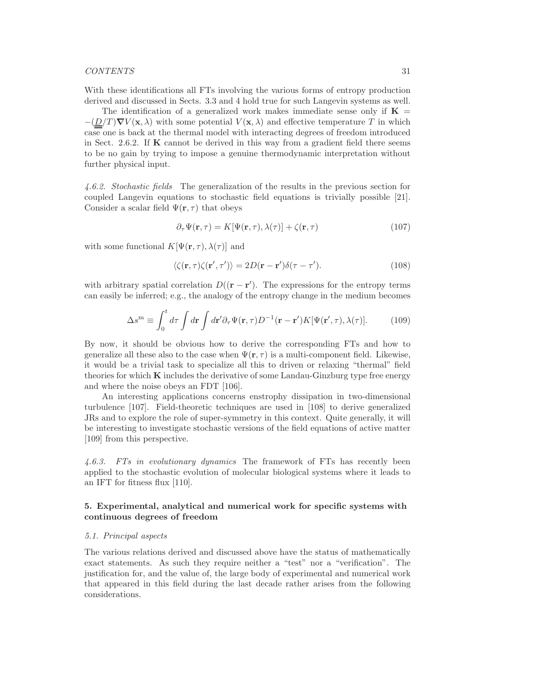With these identifications all FTs involving the various forms of entropy production derived and discussed in Sects. 3.3 and 4 hold true for such Langevin systems as well.

The identification of a generalized work makes immediate sense only if  $\mathbf{K} =$  $-(D/T)\nabla V(\mathbf{x},\lambda)$  with some potential  $V(\mathbf{x},\lambda)$  and effective temperature T in which case one is back at the thermal model with interacting degrees of freedom introduced in Sect. 2.6.2. If  $\bf{K}$  cannot be derived in this way from a gradient field there seems to be no gain by trying to impose a genuine thermodynamic interpretation without further physical input.

4.6.2. Stochastic fields The generalization of the results in the previous section for coupled Langevin equations to stochastic field equations is trivially possible [21]. Consider a scalar field  $\Psi(\mathbf{r}, \tau)$  that obeys

$$
\partial_{\tau} \Psi(\mathbf{r}, \tau) = K[\Psi(\mathbf{r}, \tau), \lambda(\tau)] + \zeta(\mathbf{r}, \tau)
$$
\n(107)

with some functional  $K[\Psi(\mathbf{r}, \tau), \lambda(\tau)]$  and

$$
\langle \zeta(\mathbf{r}, \tau) \zeta(\mathbf{r}', \tau') \rangle = 2D(\mathbf{r} - \mathbf{r}')\delta(\tau - \tau'). \tag{108}
$$

with arbitrary spatial correlation  $D((\mathbf{r} - \mathbf{r}')$ . The expressions for the entropy terms can easily be inferred; e.g., the analogy of the entropy change in the medium becomes

$$
\Delta s^{\mathbf{m}} \equiv \int_0^t d\tau \int d\mathbf{r} \int d\mathbf{r}' \partial_\tau \Psi(\mathbf{r}, \tau) D^{-1}(\mathbf{r} - \mathbf{r}') K[\Psi(\mathbf{r}', \tau), \lambda(\tau)]. \tag{109}
$$

By now, it should be obvious how to derive the corresponding FTs and how to generalize all these also to the case when  $\Psi(\mathbf{r},\tau)$  is a multi-component field. Likewise, it would be a trivial task to specialize all this to driven or relaxing "thermal" field theories for which  $\bf{K}$  includes the derivative of some Landau-Ginzburg type free energy and where the noise obeys an FDT [106].

An interesting applications concerns enstrophy dissipation in two-dimensional turbulence [107]. Field-theoretic techniques are used in [108] to derive generalized JRs and to explore the role of super-symmetry in this context. Quite generally, it will be interesting to investigate stochastic versions of the field equations of active matter [109] from this perspective.

4.6.3. FTs in evolutionary dynamics The framework of FTs has recently been applied to the stochastic evolution of molecular biological systems where it leads to an IFT for fitness flux [110].

# 5. Experimental, analytical and numerical work for specific systems with continuous degrees of freedom

# 5.1. Principal aspects

The various relations derived and discussed above have the status of mathematically exact statements. As such they require neither a "test" nor a "verification". The justification for, and the value of, the large body of experimental and numerical work that appeared in this field during the last decade rather arises from the following considerations.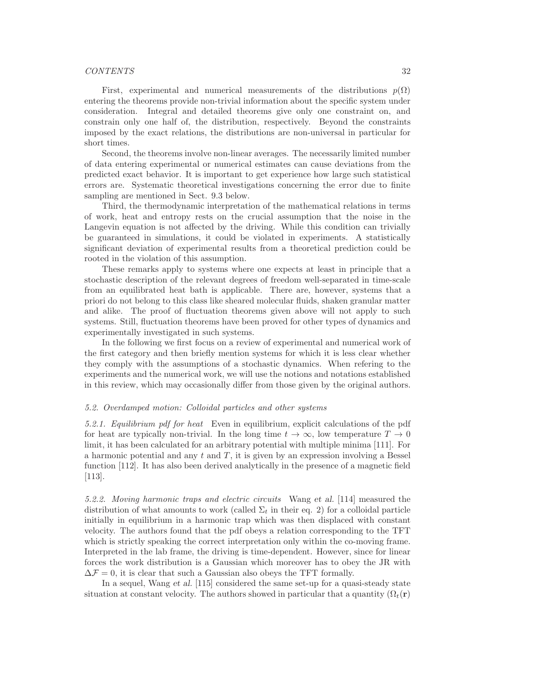First, experimental and numerical measurements of the distributions  $p(\Omega)$ entering the theorems provide non-trivial information about the specific system under consideration. Integral and detailed theorems give only one constraint on, and constrain only one half of, the distribution, respectively. Beyond the constraints imposed by the exact relations, the distributions are non-universal in particular for short times.

Second, the theorems involve non-linear averages. The necessarily limited number of data entering experimental or numerical estimates can cause deviations from the predicted exact behavior. It is important to get experience how large such statistical errors are. Systematic theoretical investigations concerning the error due to finite sampling are mentioned in Sect. 9.3 below.

Third, the thermodynamic interpretation of the mathematical relations in terms of work, heat and entropy rests on the crucial assumption that the noise in the Langevin equation is not affected by the driving. While this condition can trivially be guaranteed in simulations, it could be violated in experiments. A statistically significant deviation of experimental results from a theoretical prediction could be rooted in the violation of this assumption.

These remarks apply to systems where one expects at least in principle that a stochastic description of the relevant degrees of freedom well-separated in time-scale from an equilibrated heat bath is applicable. There are, however, systems that a priori do not belong to this class like sheared molecular fluids, shaken granular matter and alike. The proof of fluctuation theorems given above will not apply to such systems. Still, fluctuation theorems have been proved for other types of dynamics and experimentally investigated in such systems.

In the following we first focus on a review of experimental and numerical work of the first category and then briefly mention systems for which it is less clear whether they comply with the assumptions of a stochastic dynamics. When refering to the experiments and the numerical work, we will use the notions and notations established in this review, which may occasionally differ from those given by the original authors.

# 5.2. Overdamped motion: Colloidal particles and other systems

5.2.1. Equilibrium pdf for heat Even in equilibrium, explicit calculations of the pdf for heat are typically non-trivial. In the long time  $t \to \infty$ , low temperature  $T \to 0$ limit, it has been calculated for an arbitrary potential with multiple minima [111]. For a harmonic potential and any  $t$  and  $T$ , it is given by an expression involving a Bessel function [112]. It has also been derived analytically in the presence of a magnetic field [113].

5.2.2. Moving harmonic traps and electric circuits Wang et al. [114] measured the distribution of what amounts to work (called  $\Sigma_t$  in their eq. 2) for a colloidal particle initially in equilibrium in a harmonic trap which was then displaced with constant velocity. The authors found that the pdf obeys a relation corresponding to the TFT which is strictly speaking the correct interpretation only within the co-moving frame. Interpreted in the lab frame, the driving is time-dependent. However, since for linear forces the work distribution is a Gaussian which moreover has to obey the JR with  $\Delta \mathcal{F} = 0$ , it is clear that such a Gaussian also obeys the TFT formally.

In a sequel, Wang et al. [115] considered the same set-up for a quasi-steady state situation at constant velocity. The authors showed in particular that a quantity  $(\Omega_t(\mathbf{r}))$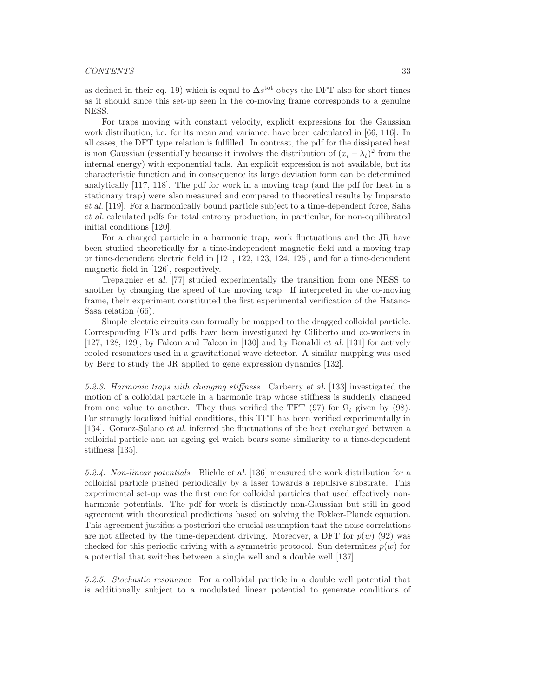as defined in their eq. 19) which is equal to  $\Delta s^{\text{tot}}$  obeys the DFT also for short times as it should since this set-up seen in the co-moving frame corresponds to a genuine NESS.

For traps moving with constant velocity, explicit expressions for the Gaussian work distribution, i.e. for its mean and variance, have been calculated in [66, 116]. In all cases, the DFT type relation is fulfilled. In contrast, the pdf for the dissipated heat is non Gaussian (essentially because it involves the distribution of  $(x_t - \lambda_t)^2$  from the internal energy) with exponential tails. An explicit expression is not available, but its characteristic function and in consequence its large deviation form can be determined analytically [117, 118]. The pdf for work in a moving trap (and the pdf for heat in a stationary trap) were also measured and compared to theoretical results by Imparato et al. [119]. For a harmonically bound particle subject to a time-dependent force, Saha et al. calculated pdfs for total entropy production, in particular, for non-equilibrated initial conditions [120].

For a charged particle in a harmonic trap, work fluctuations and the JR have been studied theoretically for a time-independent magnetic field and a moving trap or time-dependent electric field in [121, 122, 123, 124, 125], and for a time-dependent magnetic field in [126], respectively.

Trepagnier et al. [77] studied experimentally the transition from one NESS to another by changing the speed of the moving trap. If interpreted in the co-moving frame, their experiment constituted the first experimental verification of the Hatano-Sasa relation (66).

Simple electric circuits can formally be mapped to the dragged colloidal particle. Corresponding FTs and pdfs have been investigated by Ciliberto and co-workers in [127, 128, 129], by Falcon and Falcon in [130] and by Bonaldi et al. [131] for actively cooled resonators used in a gravitational wave detector. A similar mapping was used by Berg to study the JR applied to gene expression dynamics [132].

5.2.3. Harmonic traps with changing stiffness Carberry et al. [133] investigated the motion of a colloidal particle in a harmonic trap whose stiffness is suddenly changed from one value to another. They thus verified the TFT (97) for  $\Omega_t$  given by (98). For strongly localized initial conditions, this TFT has been verified experimentally in [134]. Gomez-Solano et al. inferred the fluctuations of the heat exchanged between a colloidal particle and an ageing gel which bears some similarity to a time-dependent stiffness [135].

5.2.4. Non-linear potentials Blickle et al. [136] measured the work distribution for a colloidal particle pushed periodically by a laser towards a repulsive substrate. This experimental set-up was the first one for colloidal particles that used effectively nonharmonic potentials. The pdf for work is distinctly non-Gaussian but still in good agreement with theoretical predictions based on solving the Fokker-Planck equation. This agreement justifies a posteriori the crucial assumption that the noise correlations are not affected by the time-dependent driving. Moreover, a DFT for  $p(w)$  (92) was checked for this periodic driving with a symmetric protocol. Sun determines  $p(w)$  for a potential that switches between a single well and a double well [137].

5.2.5. Stochastic resonance For a colloidal particle in a double well potential that is additionally subject to a modulated linear potential to generate conditions of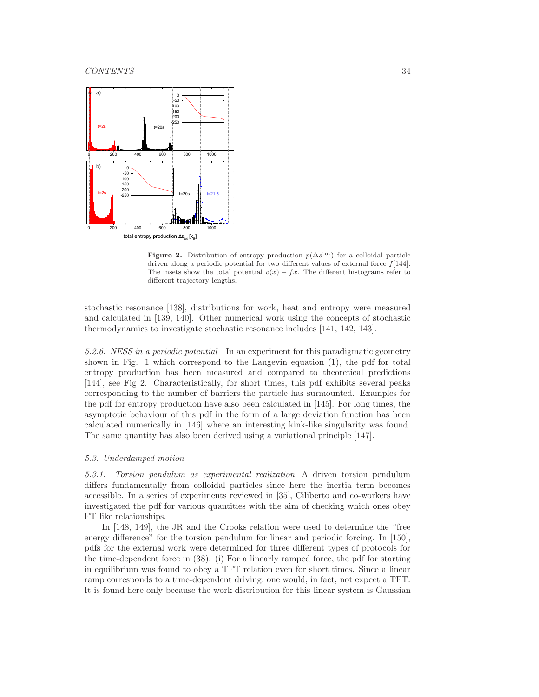

Figure 2. Distribution of entropy production  $p(\Delta s^{\text{tot}})$  for a colloidal particle driven along a periodic potential for two different values of external force  $f[144]$ . The insets show the total potential  $v(x) - fx$ . The different histograms refer to different trajectory lengths.

stochastic resonance [138], distributions for work, heat and entropy were measured and calculated in [139, 140]. Other numerical work using the concepts of stochastic thermodynamics to investigate stochastic resonance includes [141, 142, 143].

5.2.6. NESS in a periodic potential In an experiment for this paradigmatic geometry shown in Fig. 1 which correspond to the Langevin equation (1), the pdf for total entropy production has been measured and compared to theoretical predictions [144], see Fig 2. Characteristically, for short times, this pdf exhibits several peaks corresponding to the number of barriers the particle has surmounted. Examples for the pdf for entropy production have also been calculated in [145]. For long times, the asymptotic behaviour of this pdf in the form of a large deviation function has been calculated numerically in [146] where an interesting kink-like singularity was found. The same quantity has also been derived using a variational principle [147].

# 5.3. Underdamped motion

5.3.1. Torsion pendulum as experimental realization A driven torsion pendulum differs fundamentally from colloidal particles since here the inertia term becomes accessible. In a series of experiments reviewed in [35], Ciliberto and co-workers have investigated the pdf for various quantities with the aim of checking which ones obey FT like relationships.

In [148, 149], the JR and the Crooks relation were used to determine the "free energy difference" for the torsion pendulum for linear and periodic forcing. In [150], pdfs for the external work were determined for three different types of protocols for the time-dependent force in (38). (i) For a linearly ramped force, the pdf for starting in equilibrium was found to obey a TFT relation even for short times. Since a linear ramp corresponds to a time-dependent driving, one would, in fact, not expect a TFT. It is found here only because the work distribution for this linear system is Gaussian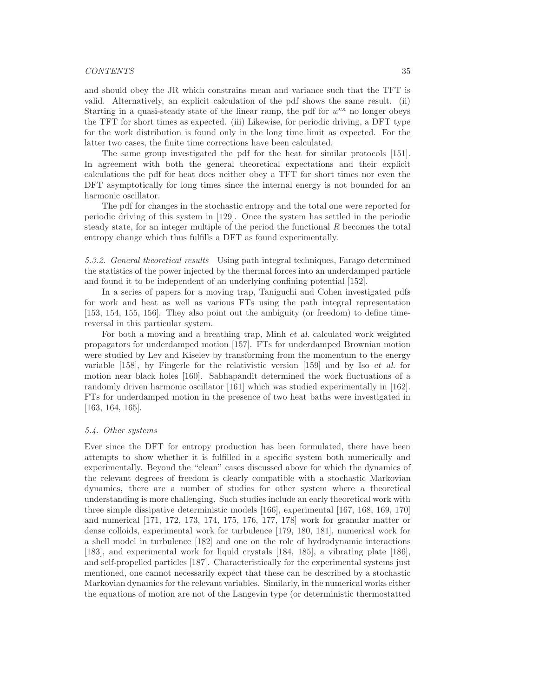and should obey the JR which constrains mean and variance such that the TFT is valid. Alternatively, an explicit calculation of the pdf shows the same result. (ii) Starting in a quasi-steady state of the linear ramp, the pdf for  $w<sup>ex</sup>$  no longer obeys the TFT for short times as expected. (iii) Likewise, for periodic driving, a DFT type for the work distribution is found only in the long time limit as expected. For the latter two cases, the finite time corrections have been calculated.

The same group investigated the pdf for the heat for similar protocols [151]. In agreement with both the general theoretical expectations and their explicit calculations the pdf for heat does neither obey a TFT for short times nor even the DFT asymptotically for long times since the internal energy is not bounded for an harmonic oscillator.

The pdf for changes in the stochastic entropy and the total one were reported for periodic driving of this system in [129]. Once the system has settled in the periodic steady state, for an integer multiple of the period the functional  $R$  becomes the total entropy change which thus fulfills a DFT as found experimentally.

5.3.2. General theoretical results Using path integral techniques, Farago determined the statistics of the power injected by the thermal forces into an underdamped particle and found it to be independent of an underlying confining potential [152].

In a series of papers for a moving trap, Taniguchi and Cohen investigated pdfs for work and heat as well as various FTs using the path integral representation [153, 154, 155, 156]. They also point out the ambiguity (or freedom) to define timereversal in this particular system.

For both a moving and a breathing trap, Minh et al. calculated work weighted propagators for underdamped motion [157]. FTs for underdamped Brownian motion were studied by Lev and Kiselev by transforming from the momentum to the energy variable [158], by Fingerle for the relativistic version [159] and by Iso et al. for motion near black holes [160]. Sabhapandit determined the work fluctuations of a randomly driven harmonic oscillator [161] which was studied experimentally in [162]. FTs for underdamped motion in the presence of two heat baths were investigated in [163, 164, 165].

# 5.4. Other systems

Ever since the DFT for entropy production has been formulated, there have been attempts to show whether it is fulfilled in a specific system both numerically and experimentally. Beyond the "clean" cases discussed above for which the dynamics of the relevant degrees of freedom is clearly compatible with a stochastic Markovian dynamics, there are a number of studies for other system where a theoretical understanding is more challenging. Such studies include an early theoretical work with three simple dissipative deterministic models [166], experimental [167, 168, 169, 170] and numerical [171, 172, 173, 174, 175, 176, 177, 178] work for granular matter or dense colloids, experimental work for turbulence [179, 180, 181], numerical work for a shell model in turbulence [182] and one on the role of hydrodynamic interactions [183], and experimental work for liquid crystals [184, 185], a vibrating plate [186], and self-propelled particles [187]. Characteristically for the experimental systems just mentioned, one cannot necessarily expect that these can be described by a stochastic Markovian dynamics for the relevant variables. Similarly, in the numerical works either the equations of motion are not of the Langevin type (or deterministic thermostatted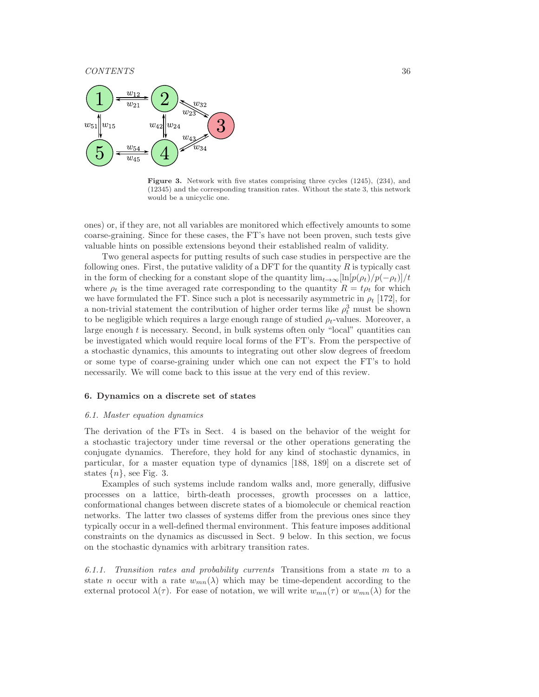

Figure 3. Network with five states comprising three cycles  $(1245)$ ,  $(234)$ , and (12345) and the corresponding transition rates. Without the state 3, this network would be a unicyclic one.

ones) or, if they are, not all variables are monitored which effectively amounts to some coarse-graining. Since for these cases, the FT's have not been proven, such tests give valuable hints on possible extensions beyond their established realm of validity.

Two general aspects for putting results of such case studies in perspective are the following ones. First, the putative validity of a DFT for the quantity  $R$  is typically cast in the form of checking for a constant slope of the quantity  $\lim_{t\to\infty} \frac{\ln(p(\rho_t)/p(-\rho_t)}{t}$ where  $\rho_t$  is the time averaged rate corresponding to the quantity  $R = t\rho_t$  for which we have formulated the FT. Since such a plot is necessarily asymmetric in  $\rho_t$  [172], for a non-trivial statement the contribution of higher order terms like  $\rho_t^3$  must be shown to be negligible which requires a large enough range of studied  $\rho_t$ -values. Moreover, a large enough  $t$  is necessary. Second, in bulk systems often only "local" quantities can be investigated which would require local forms of the FT's. From the perspective of a stochastic dynamics, this amounts to integrating out other slow degrees of freedom or some type of coarse-graining under which one can not expect the FT's to hold necessarily. We will come back to this issue at the very end of this review.

# 6. Dynamics on a discrete set of states

# 6.1. Master equation dynamics

The derivation of the FTs in Sect. 4 is based on the behavior of the weight for a stochastic trajectory under time reversal or the other operations generating the conjugate dynamics. Therefore, they hold for any kind of stochastic dynamics, in particular, for a master equation type of dynamics [188, 189] on a discrete set of states  $\{n\}$ , see Fig. 3.

Examples of such systems include random walks and, more generally, diffusive processes on a lattice, birth-death processes, growth processes on a lattice, conformational changes between discrete states of a biomolecule or chemical reaction networks. The latter two classes of systems differ from the previous ones since they typically occur in a well-defined thermal environment. This feature imposes additional constraints on the dynamics as discussed in Sect. 9 below. In this section, we focus on the stochastic dynamics with arbitrary transition rates.

6.1.1. Transition rates and probability currents Transitions from a state m to a state *n* occur with a rate  $w_{mn}(\lambda)$  which may be time-dependent according to the external protocol  $\lambda(\tau)$ . For ease of notation, we will write  $w_{mn}(\tau)$  or  $w_{mn}(\lambda)$  for the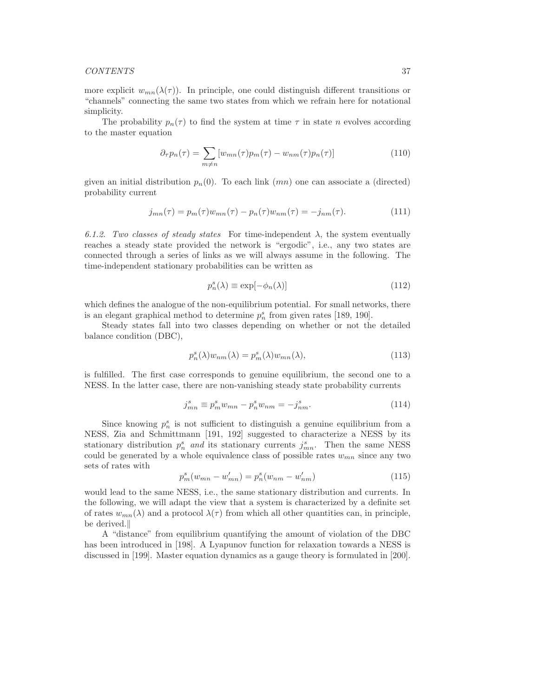more explicit  $w_{mn}(\lambda(\tau))$ . In principle, one could distinguish different transitions or "channels" connecting the same two states from which we refrain here for notational simplicity.

The probability  $p_n(\tau)$  to find the system at time  $\tau$  in state n evolves according to the master equation

$$
\partial_{\tau} p_n(\tau) = \sum_{m \neq n} [w_{mn}(\tau) p_m(\tau) - w_{nm}(\tau) p_n(\tau)] \tag{110}
$$

given an initial distribution  $p_n(0)$ . To each link  $(mn)$  one can associate a (directed) probability current

$$
j_{mn}(\tau) = p_m(\tau)w_{mn}(\tau) - p_n(\tau)w_{nm}(\tau) = -j_{nm}(\tau).
$$
 (111)

6.1.2. Two classes of steady states For time-independent  $\lambda$ , the system eventually reaches a steady state provided the network is "ergodic", i.e., any two states are connected through a series of links as we will always assume in the following. The time-independent stationary probabilities can be written as

$$
p_n^s(\lambda) \equiv \exp[-\phi_n(\lambda)]\tag{112}
$$

which defines the analogue of the non-equilibrium potential. For small networks, there is an elegant graphical method to determine  $p_n^s$  from given rates [189, 190].

Steady states fall into two classes depending on whether or not the detailed balance condition (DBC),

$$
p_n^s(\lambda)w_{nm}(\lambda) = p_m^s(\lambda)w_{mn}(\lambda),
$$
\n(113)

is fulfilled. The first case corresponds to genuine equilibrium, the second one to a NESS. In the latter case, there are non-vanishing steady state probability currents

$$
j_{mn}^s \equiv p_m^s w_{mn} - p_n^s w_{nm} = -j_{nm}^s.
$$
 (114)

Since knowing  $p_n^s$  is not sufficient to distinguish a genuine equilibrium from a NESS, Zia and Schmittmann [191, 192] suggested to characterize a NESS by its stationary distribution  $p_n^s$  and its stationary currents  $j_{mn}^s$ . Then the same NESS could be generated by a whole equivalence class of possible rates  $w_{mn}$  since any two sets of rates with

$$
p_m^s(w_{mn} - w'_{mn}) = p_n^s(w_{nm} - w'_{nm})
$$
\n(115)

would lead to the same NESS, i.e., the same stationary distribution and currents. In the following, we will adapt the view that a system is characterized by a definite set of rates  $w_{mn}(\lambda)$  and a protocol  $\lambda(\tau)$  from which all other quantities can, in principle, be derived.||

A "distance" from equilibrium quantifying the amount of violation of the DBC has been introduced in [198]. A Lyapunov function for relaxation towards a NESS is discussed in [199]. Master equation dynamics as a gauge theory is formulated in [200].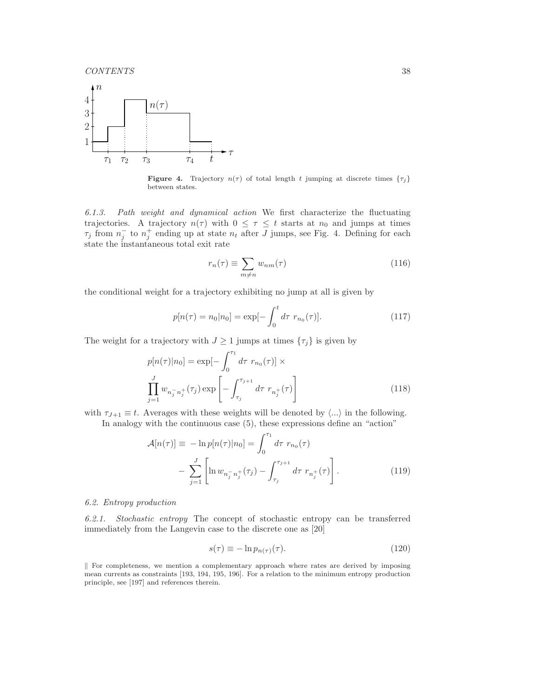

**Figure 4.** Trajectory  $n(\tau)$  of total length t jumping at discrete times  $\{\tau_j\}$ between states.

6.1.3. Path weight and dynamical action We first characterize the fluctuating trajectories. A trajectory  $n(\tau)$  with  $0 \leq \tau \leq t$  starts at  $n_0$  and jumps at times  $\tau_j$  from  $n_j^-$  to  $n_j^+$  ending up at state  $n_t$  after J jumps, see Fig. 4. Defining for each state the instantaneous total exit rate

$$
r_n(\tau) \equiv \sum_{m \neq n} w_{nm}(\tau) \tag{116}
$$

the conditional weight for a trajectory exhibiting no jump at all is given by

$$
p[n(\tau) = n_0 | n_0] = \exp[-\int_0^t d\tau \ r_{n_0}(\tau)]. \tag{117}
$$

The weight for a trajectory with  $J \geq 1$  jumps at times  $\{\tau_j\}$  is given by

$$
p[n(\tau)|n_0] = \exp[-\int_0^{\tau_1} d\tau \ r_{n_0}(\tau)] \times \n\prod_{j=1}^J w_{n_j^- n_j^+}(\tau_j) \exp\left[-\int_{\tau_j}^{\tau_{j+1}} d\tau \ r_{n_j^+}(\tau)\right]
$$
\n(118)

with  $\tau_{J+1} \equiv t$ . Averages with these weights will be denoted by  $\langle ... \rangle$  in the following. In analogy with the continuous case (5), these expressions define an "action"

$$
\mathcal{A}[n(\tau)] \equiv -\ln p[n(\tau)|n_0] = \int_0^{\tau_1} d\tau \ r_{n_0}(\tau) \n- \sum_{j=1}^J \left[ \ln w_{n_j^- n_j^+}(\tau_j) - \int_{\tau_j}^{\tau_{j+1}} d\tau \ r_{n_j^+}(\tau) \right].
$$
\n(119)

#### 6.2. Entropy production

6.2.1. Stochastic entropy The concept of stochastic entropy can be transferred immediately from the Langevin case to the discrete one as [20]

$$
s(\tau) \equiv -\ln p_{n(\tau)}(\tau). \tag{120}
$$

k For completeness, we mention a complementary approach where rates are derived by imposing mean currents as constraints [193, 194, 195, 196]. For a relation to the minimum entropy production principle, see [197] and references therein.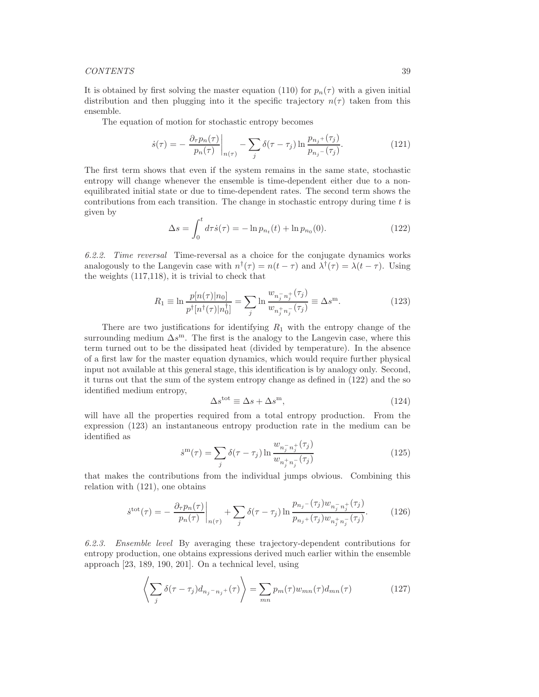It is obtained by first solving the master equation (110) for  $p_n(\tau)$  with a given initial distribution and then plugging into it the specific trajectory  $n(\tau)$  taken from this ensemble.

The equation of motion for stochastic entropy becomes

$$
\dot{s}(\tau) = -\left. \frac{\partial_\tau p_n(\tau)}{p_n(\tau)} \right|_{n(\tau)} - \sum_j \delta(\tau - \tau_j) \ln \frac{p_{n_j +}(\tau_j)}{p_{n_j -}(\tau_j)}.\tag{121}
$$

The first term shows that even if the system remains in the same state, stochastic entropy will change whenever the ensemble is time-dependent either due to a nonequilibrated initial state or due to time-dependent rates. The second term shows the contributions from each transition. The change in stochastic entropy during time  $t$  is given by

$$
\Delta s = \int_0^t d\tau \dot{s}(\tau) = -\ln p_{n_t}(t) + \ln p_{n_0}(0). \tag{122}
$$

6.2.2. Time reversal Time-reversal as a choice for the conjugate dynamics works analogously to the Langevin case with  $n^{\dagger}(\tau) = n(t - \tau)$  and  $\lambda^{\dagger}(\tau) = \lambda(t - \tau)$ . Using the weights (117,118), it is trivial to check that

$$
R_1 \equiv \ln \frac{p[n(\tau)|n_0]}{p^{\dagger}[n^{\dagger}(\tau)|n_0^{\dagger}]} = \sum_j \ln \frac{w_{n_j^- n_j^+}(\tau_j)}{w_{n_j^+ n_j^-}(\tau_j)} \equiv \Delta s^{\rm m}.
$$
 (123)

There are two justifications for identifying  $R_1$  with the entropy change of the surrounding medium  $\Delta s^{\text{m}}$ . The first is the analogy to the Langevin case, where this term turned out to be the dissipated heat (divided by temperature). In the absence of a first law for the master equation dynamics, which would require further physical input not available at this general stage, this identification is by analogy only. Second, it turns out that the sum of the system entropy change as defined in (122) and the so identified medium entropy,

$$
\Delta s^{\text{tot}} \equiv \Delta s + \Delta s^{\text{m}},\tag{124}
$$

will have all the properties required from a total entropy production. From the expression (123) an instantaneous entropy production rate in the medium can be identified as

$$
\dot{s}^{\rm m}(\tau) = \sum_{j} \delta(\tau - \tau_j) \ln \frac{w_{n_j^- n_j^+}(\tau_j)}{w_{n_j^+ n_j^-}(\tau_j)}
$$
(125)

that makes the contributions from the individual jumps obvious. Combining this relation with (121), one obtains

$$
\dot{s}^{\rm tot}(\tau) = -\frac{\partial_{\tau} p_n(\tau)}{p_n(\tau)} \bigg|_{n(\tau)} + \sum_{j} \delta(\tau - \tau_j) \ln \frac{p_{n_j} - (\tau_j) w_{n_j - n_j^{+}}(\tau_j)}{p_{n_j +}(\tau_j) w_{n_j + n_j^{-}}(\tau_j)}.
$$
(126)

6.2.3. Ensemble level By averaging these trajectory-dependent contributions for entropy production, one obtains expressions derived much earlier within the ensemble approach [23, 189, 190, 201]. On a technical level, using

$$
\left\langle \sum_{j} \delta(\tau - \tau_j) d_{n_j - n_j +}(\tau) \right\rangle = \sum_{mn} p_m(\tau) w_{mn}(\tau) d_{mn}(\tau) \tag{127}
$$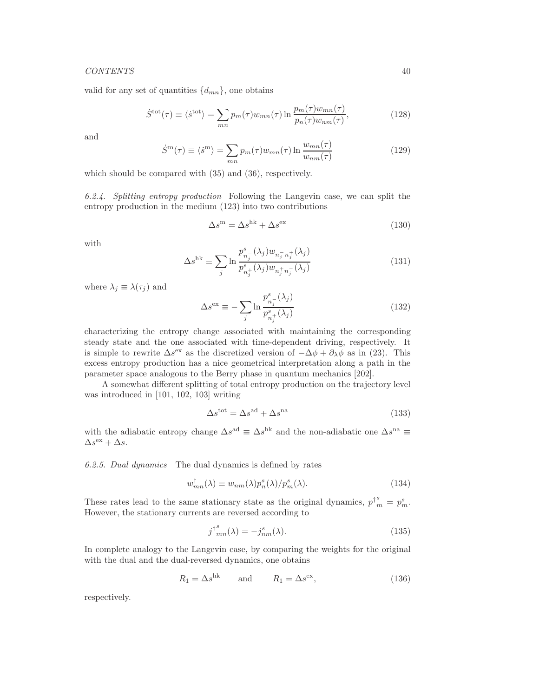valid for any set of quantities  $\{d_{mn}\}\$ , one obtains

$$
\dot{S}^{\text{tot}}(\tau) \equiv \langle \dot{s}^{\text{tot}} \rangle = \sum_{mn} p_m(\tau) w_{mn}(\tau) \ln \frac{p_m(\tau) w_{mn}(\tau)}{p_n(\tau) w_{nm}(\tau)},
$$
(128)

and

$$
\dot{S}^{\rm m}(\tau) \equiv \langle \dot{s}^{\rm m} \rangle = \sum_{mn} p_m(\tau) w_{mn}(\tau) \ln \frac{w_{mn}(\tau)}{w_{nm}(\tau)}
$$
(129)

which should be compared with (35) and (36), respectively.

6.2.4. Splitting entropy production Following the Langevin case, we can split the entropy production in the medium (123) into two contributions

$$
\Delta s^{\mathbf{m}} = \Delta s^{\mathbf{h}\mathbf{k}} + \Delta s^{\mathbf{e}\mathbf{x}} \tag{130}
$$

with

$$
\Delta s^{\text{hk}} \equiv \sum_{j} \ln \frac{p_{n_j}^s(\lambda_j) w_{n_j - n_j^+}(\lambda_j)}{p_{n_j^+}^s(\lambda_j) w_{n_j^+ n_j^-}(\lambda_j)}
$$
(131)

where  $\lambda_j \equiv \lambda(\tau_j)$  and

$$
\Delta s^{\text{ex}} \equiv -\sum_{j} \ln \frac{p_{n_j}^s(\lambda_j)}{p_{n_j}^s(\lambda_j)}
$$
(132)

characterizing the entropy change associated with maintaining the corresponding steady state and the one associated with time-dependent driving, respectively. It is simple to rewrite  $\Delta s^{\text{ex}}$  as the discretized version of  $-\Delta \phi + \partial_{\lambda} \phi$  as in (23). This excess entropy production has a nice geometrical interpretation along a path in the parameter space analogous to the Berry phase in quantum mechanics [202].

A somewhat different splitting of total entropy production on the trajectory level was introduced in [101, 102, 103] writing

$$
\Delta s^{\text{tot}} = \Delta s^{\text{ad}} + \Delta s^{\text{na}} \tag{133}
$$

with the adiabatic entropy change  $\Delta s^{\text{ad}} \equiv \Delta s^{\text{hk}}$  and the non-adiabatic one  $\Delta s^{\text{na}} \equiv$  $\Delta s^{\text{ex}} + \Delta s.$ 

6.2.5. Dual dynamics The dual dynamics is defined by rates

$$
w_{mn}^{\dagger}(\lambda) \equiv w_{nm}(\lambda) p_n^s(\lambda) / p_m^s(\lambda). \tag{134}
$$

These rates lead to the same stationary state as the original dynamics,  $p^{\dagger}_{m} = p_{m}^{s}$ . However, the stationary currents are reversed according to

$$
j^{\dagger}_{mn}^{s}(\lambda) = -j_{nm}^{s}(\lambda). \tag{135}
$$

In complete analogy to the Langevin case, by comparing the weights for the original with the dual and the dual-reversed dynamics, one obtains

$$
R_1 = \Delta s^{\text{hk}} \qquad \text{and} \qquad R_1 = \Delta s^{\text{ex}}, \tag{136}
$$

respectively.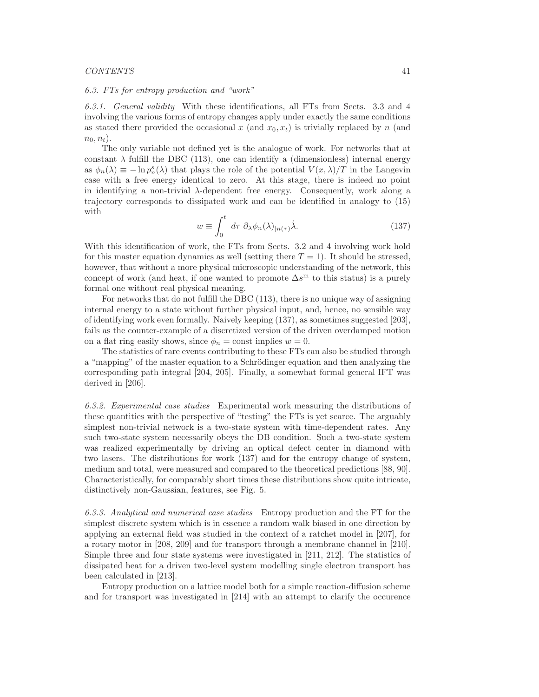#### 6.3. FTs for entropy production and "work"

6.3.1. General validity With these identifications, all FTs from Sects. 3.3 and 4 involving the various forms of entropy changes apply under exactly the same conditions as stated there provided the occasional x (and  $x_0, x_t$ ) is trivially replaced by n (and  $n_0, n_t$ ).

The only variable not defined yet is the analogue of work. For networks that at constant  $\lambda$  fulfill the DBC (113), one can identify a (dimensionless) internal energy as  $\phi_n(\lambda) \equiv -\ln p_n^s(\lambda)$  that plays the role of the potential  $V(x,\lambda)/T$  in the Langevin case with a free energy identical to zero. At this stage, there is indeed no point in identifying a non-trivial  $\lambda$ -dependent free energy. Consequently, work along a trajectory corresponds to dissipated work and can be identified in analogy to (15) with

$$
w \equiv \int_0^t d\tau \ \partial_\lambda \phi_n(\lambda)_{|n(\tau)} \dot{\lambda}.\tag{137}
$$

With this identification of work, the FTs from Sects. 3.2 and 4 involving work hold for this master equation dynamics as well (setting there  $T = 1$ ). It should be stressed, however, that without a more physical microscopic understanding of the network, this concept of work (and heat, if one wanted to promote  $\Delta s^{\text{m}}$  to this status) is a purely formal one without real physical meaning.

For networks that do not fulfill the DBC (113), there is no unique way of assigning internal energy to a state without further physical input, and, hence, no sensible way of identifying work even formally. Naively keeping (137), as sometimes suggested [203], fails as the counter-example of a discretized version of the driven overdamped motion on a flat ring easily shows, since  $\phi_n = \text{const}$  implies  $w = 0$ .

The statistics of rare events contributing to these FTs can also be studied through a "mapping" of the master equation to a Schrödinger equation and then analyzing the corresponding path integral [204, 205]. Finally, a somewhat formal general IFT was derived in [206].

6.3.2. Experimental case studies Experimental work measuring the distributions of these quantities with the perspective of "testing" the FTs is yet scarce. The arguably simplest non-trivial network is a two-state system with time-dependent rates. Any such two-state system necessarily obeys the DB condition. Such a two-state system was realized experimentally by driving an optical defect center in diamond with two lasers. The distributions for work (137) and for the entropy change of system, medium and total, were measured and compared to the theoretical predictions [88, 90]. Characteristically, for comparably short times these distributions show quite intricate, distinctively non-Gaussian, features, see Fig. 5.

6.3.3. Analytical and numerical case studies Entropy production and the FT for the simplest discrete system which is in essence a random walk biased in one direction by applying an external field was studied in the context of a ratchet model in [207], for a rotary motor in [208, 209] and for transport through a membrane channel in [210]. Simple three and four state systems were investigated in [211, 212]. The statistics of dissipated heat for a driven two-level system modelling single electron transport has been calculated in [213].

Entropy production on a lattice model both for a simple reaction-diffusion scheme and for transport was investigated in [214] with an attempt to clarify the occurence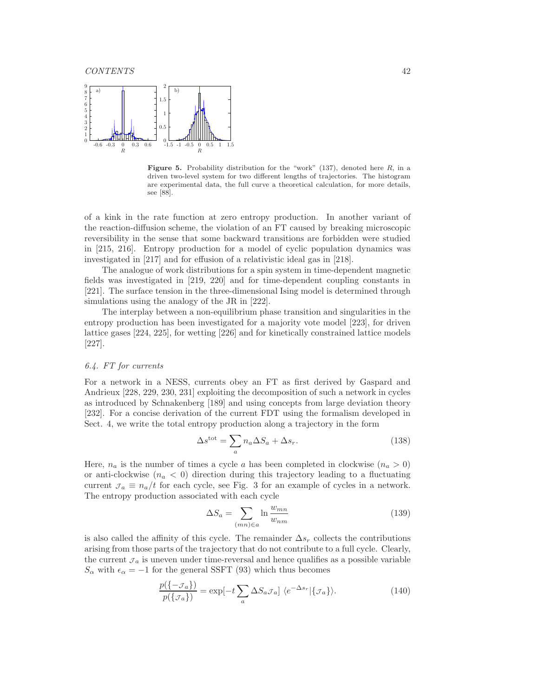

**Figure 5.** Probability distribution for the "work" (137), denoted here  $R$ , in a driven two-level system for two different lengths of trajectories. The histogram are experimental data, the full curve a theoretical calculation, for more details, see [88].

of a kink in the rate function at zero entropy production. In another variant of the reaction-diffusion scheme, the violation of an FT caused by breaking microscopic reversibility in the sense that some backward transitions are forbidden were studied in [215, 216]. Entropy production for a model of cyclic population dynamics was investigated in [217] and for effusion of a relativistic ideal gas in [218].

The analogue of work distributions for a spin system in time-dependent magnetic fields was investigated in [219, 220] and for time-dependent coupling constants in [221]. The surface tension in the three-dimensional Ising model is determined through simulations using the analogy of the JR in [222].

The interplay between a non-equilibrium phase transition and singularities in the entropy production has been investigated for a majority vote model [223], for driven lattice gases [224, 225], for wetting [226] and for kinetically constrained lattice models [227].

# 6.4. FT for currents

For a network in a NESS, currents obey an FT as first derived by Gaspard and Andrieux [228, 229, 230, 231] exploiting the decomposition of such a network in cycles as introduced by Schnakenberg [189] and using concepts from large deviation theory [232]. For a concise derivation of the current FDT using the formalism developed in Sect. 4, we write the total entropy production along a trajectory in the form

$$
\Delta s^{\text{tot}} = \sum_{a} n_a \Delta S_a + \Delta s_r. \tag{138}
$$

Here,  $n_a$  is the number of times a cycle a has been completed in clockwise  $(n_a > 0)$ or anti-clockwise  $(n_a < 0)$  direction during this trajectory leading to a fluctuating current  $\mathcal{J}_a \equiv n_a/t$  for each cycle, see Fig. 3 for an example of cycles in a network. The entropy production associated with each cycle

$$
\Delta S_a = \sum_{(mn)\in a} \ln \frac{w_{mn}}{w_{nm}} \tag{139}
$$

is also called the affinity of this cycle. The remainder  $\Delta s_r$  collects the contributions arising from those parts of the trajectory that do not contribute to a full cycle. Clearly, the current  $\mathcal{J}_a$  is uneven under time-reversal and hence qualifies as a possible variable  $S_{\alpha}$  with  $\epsilon_{\alpha} = -1$  for the general SSFT (93) which thus becomes

$$
\frac{p(\{-\sigma_a\})}{p(\{\sigma_a\})} = \exp[-t \sum_a \Delta S_a \sigma_a] \langle e^{-\Delta s_r} | \{\sigma_a\} \rangle. \tag{140}
$$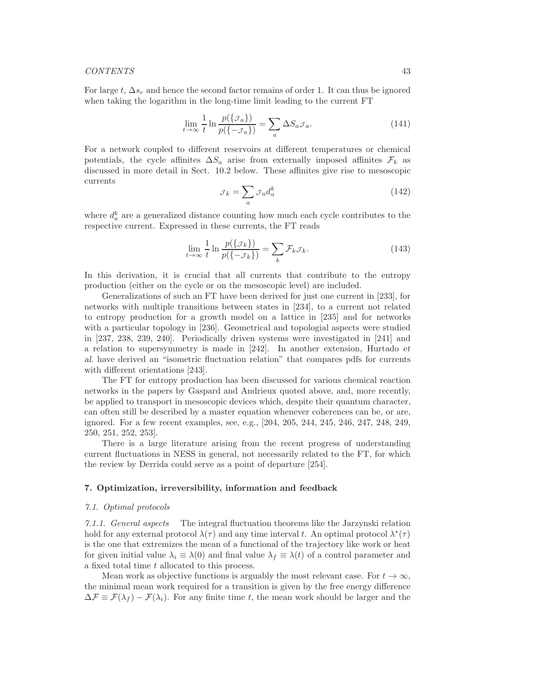For large t,  $\Delta s_r$  and hence the second factor remains of order 1. It can thus be ignored when taking the logarithm in the long-time limit leading to the current FT

$$
\lim_{t \to \infty} \frac{1}{t} \ln \frac{p(\{\mathcal{I}_a\})}{p(\{-\mathcal{I}_a\})} = \sum_a \Delta S_a \mathcal{I}_a. \tag{141}
$$

For a network coupled to different reservoirs at different temperatures or chemical potentials, the cycle affinites  $\Delta S_a$  arise from externally imposed affinites  $\mathcal{F}_k$  as discussed in more detail in Sect. 10.2 below. These affinites give rise to mesoscopic currents

$$
\mathcal{J}_k = \sum_a \mathcal{J}_a d_a^k \tag{142}
$$

where  $d_a^k$  are a generalized distance counting how much each cycle contributes to the respective current. Expressed in these currents, the FT reads

$$
\lim_{t \to \infty} \frac{1}{t} \ln \frac{p(\{\mathcal{I}_k\})}{p(\{-\mathcal{I}_k\})} = \sum_k \mathcal{F}_k \mathcal{I}_k. \tag{143}
$$

In this derivation, it is crucial that all currents that contribute to the entropy production (either on the cycle or on the mesoscopic level) are included.

Generalizations of such an FT have been derived for just one current in [233], for networks with multiple transitions between states in [234], to a current not related to entropy production for a growth model on a lattice in [235] and for networks with a particular topology in [236]. Geometrical and topologial aspects were studied in [237, 238, 239, 240]. Periodically driven systems were investigated in [241] and a relation to supersymmetry is made in [242]. In another extension, Hurtado et al. have derived an "isometric fluctuation relation" that compares pdfs for currents with different orientations [243].

The FT for entropy production has been discussed for various chemical reaction networks in the papers by Gaspard and Andrieux quoted above, and, more recently, be applied to transport in mesoscopic devices which, despite their quantum character, can often still be described by a master equation whenever coherences can be, or are, ignored. For a few recent examples, see, e.g., [204, 205, 244, 245, 246, 247, 248, 249, 250, 251, 252, 253].

There is a large literature arising from the recent progress of understanding current fluctuations in NESS in general, not necessarily related to the FT, for which the review by Derrida could serve as a point of departure [254].

## 7. Optimization, irreversibility, information and feedback

## 7.1. Optimal protocols

7.1.1. General aspects The integral fluctuation theorems like the Jarzynski relation hold for any external protocol  $\lambda(\tau)$  and any time interval t. An optimal protocol  $\lambda^*(\tau)$ is the one that extremizes the mean of a functional of the trajectory like work or heat for given initial value  $\lambda_i \equiv \lambda(0)$  and final value  $\lambda_f \equiv \lambda(t)$  of a control parameter and a fixed total time t allocated to this process.

Mean work as objective functions is arguably the most relevant case. For  $t \to \infty$ , the minimal mean work required for a transition is given by the free energy difference  $\Delta \mathcal{F} \equiv \mathcal{F}(\lambda_f) - \mathcal{F}(\lambda_i)$ . For any finite time t, the mean work should be larger and the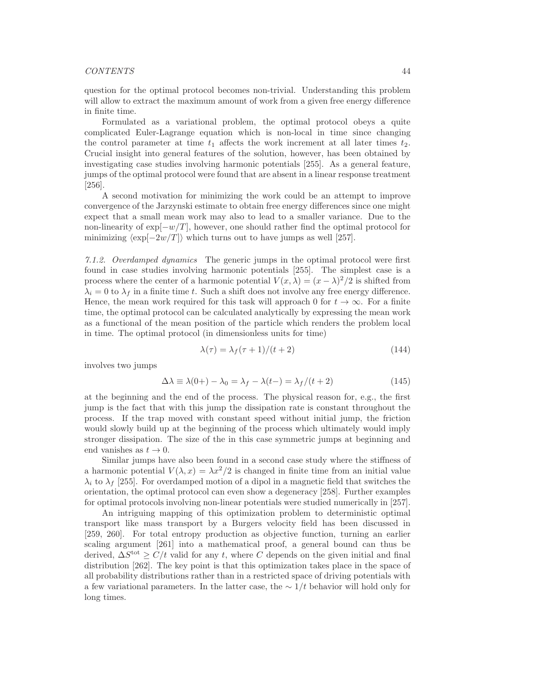question for the optimal protocol becomes non-trivial. Understanding this problem will allow to extract the maximum amount of work from a given free energy difference in finite time.

Formulated as a variational problem, the optimal protocol obeys a quite complicated Euler-Lagrange equation which is non-local in time since changing the control parameter at time  $t_1$  affects the work increment at all later times  $t_2$ . Crucial insight into general features of the solution, however, has been obtained by investigating case studies involving harmonic potentials [255]. As a general feature, jumps of the optimal protocol were found that are absent in a linear response treatment [256].

A second motivation for minimizing the work could be an attempt to improve convergence of the Jarzynski estimate to obtain free energy differences since one might expect that a small mean work may also to lead to a smaller variance. Due to the non-linearity of  $\exp[-w/T]$ , however, one should rather find the optimal protocol for minimizing  $\langle \exp[-2w/T] \rangle$  which turns out to have jumps as well [257].

7.1.2. Overdamped dynamics The generic jumps in the optimal protocol were first found in case studies involving harmonic potentials [255]. The simplest case is a process where the center of a harmonic potential  $V(x, \lambda) = (x - \lambda)^2/2$  is shifted from  $\lambda_i = 0$  to  $\lambda_f$  in a finite time t. Such a shift does not involve any free energy difference. Hence, the mean work required for this task will approach 0 for  $t \to \infty$ . For a finite time, the optimal protocol can be calculated analytically by expressing the mean work as a functional of the mean position of the particle which renders the problem local in time. The optimal protocol (in dimensionless units for time)

$$
\lambda(\tau) = \lambda_f(\tau + 1)/(t + 2) \tag{144}
$$

involves two jumps

$$
\Delta\lambda \equiv \lambda(0+) - \lambda_0 = \lambda_f - \lambda(t-) = \lambda_f/(t+2) \tag{145}
$$

at the beginning and the end of the process. The physical reason for, e.g., the first jump is the fact that with this jump the dissipation rate is constant throughout the process. If the trap moved with constant speed without initial jump, the friction would slowly build up at the beginning of the process which ultimately would imply stronger dissipation. The size of the in this case symmetric jumps at beginning and end vanishes as  $t \to 0$ .

Similar jumps have also been found in a second case study where the stiffness of a harmonic potential  $V(\lambda, x) = \lambda x^2/2$  is changed in finite time from an initial value  $\lambda_i$  to  $\lambda_f$  [255]. For overdamped motion of a dipol in a magnetic field that switches the orientation, the optimal protocol can even show a degeneracy [258]. Further examples for optimal protocols involving non-linear potentials were studied numerically in [257].

An intriguing mapping of this optimization problem to deterministic optimal transport like mass transport by a Burgers velocity field has been discussed in [259, 260]. For total entropy production as objective function, turning an earlier scaling argument [261] into a mathematical proof, a general bound can thus be derived,  $\Delta S^{\text{tot}} \geq C/t$  valid for any t, where C depends on the given initial and final distribution [262]. The key point is that this optimization takes place in the space of all probability distributions rather than in a restricted space of driving potentials with a few variational parameters. In the latter case, the  $\sim 1/t$  behavior will hold only for long times.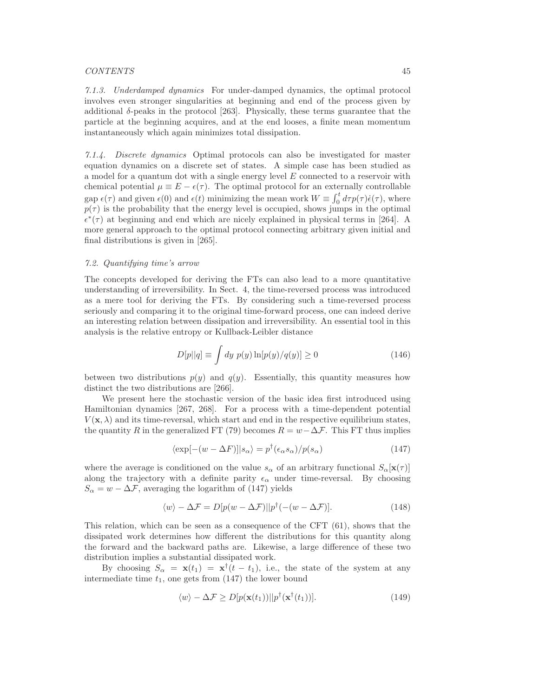7.1.3. Underdamped dynamics For under-damped dynamics, the optimal protocol involves even stronger singularities at beginning and end of the process given by additional  $\delta$ -peaks in the protocol [263]. Physically, these terms guarantee that the particle at the beginning acquires, and at the end looses, a finite mean momentum instantaneously which again minimizes total dissipation.

7.1.4. Discrete dynamics Optimal protocols can also be investigated for master equation dynamics on a discrete set of states. A simple case has been studied as a model for a quantum dot with a single energy level E connected to a reservoir with chemical potential  $\mu \equiv E - \epsilon(\tau)$ . The optimal protocol for an externally controllable gap  $\epsilon(\tau)$  and given  $\epsilon(0)$  and  $\epsilon(t)$  minimizing the mean work  $W \equiv \int_0^t d\tau p(\tau) \dot{\epsilon}(\tau)$ , where  $p(\tau)$  is the probability that the energy level is occupied, shows jumps in the optimal  $\epsilon^*(\tau)$  at beginning and end which are nicely explained in physical terms in [264]. A more general approach to the optimal protocol connecting arbitrary given initial and final distributions is given in [265].

## 7.2. Quantifying time's arrow

The concepts developed for deriving the FTs can also lead to a more quantitative understanding of irreversibility. In Sect. 4, the time-reversed process was introduced as a mere tool for deriving the FTs. By considering such a time-reversed process seriously and comparing it to the original time-forward process, one can indeed derive an interesting relation between dissipation and irreversibility. An essential tool in this analysis is the relative entropy or Kullback-Leibler distance

$$
D[p||q] \equiv \int dy \ p(y) \ln[p(y)/q(y)] \ge 0 \qquad (146)
$$

between two distributions  $p(y)$  and  $q(y)$ . Essentially, this quantity measures how distinct the two distributions are [266].

We present here the stochastic version of the basic idea first introduced using Hamiltonian dynamics [267, 268]. For a process with a time-dependent potential  $V(\mathbf{x},\lambda)$  and its time-reversal, which start and end in the respective equilibrium states, the quantity R in the generalized FT (79) becomes  $R = w - \Delta \mathcal{F}$ . This FT thus implies

$$
\langle \exp[-(w - \Delta F)] | s_{\alpha} \rangle = p^{\dagger}(\epsilon_{\alpha} s_{\alpha}) / p(s_{\alpha}) \tag{147}
$$

where the average is conditioned on the value  $s_{\alpha}$  of an arbitrary functional  $S_{\alpha}[\mathbf{x}(\tau)]$ along the trajectory with a definite parity  $\epsilon_{\alpha}$  under time-reversal. By choosing  $S_{\alpha} = w - \Delta \mathcal{F}$ , averaging the logarithm of (147) yields

$$
\langle w \rangle - \Delta \mathcal{F} = D[p(w - \Delta \mathcal{F}) || p^{\dagger} (-(w - \Delta \mathcal{F})]. \tag{148}
$$

This relation, which can be seen as a consequence of the CFT (61), shows that the dissipated work determines how different the distributions for this quantity along the forward and the backward paths are. Likewise, a large difference of these two distribution implies a substantial dissipated work.

By choosing  $S_{\alpha} = \mathbf{x}(t_1) = \mathbf{x}^{\dagger}(t - t_1)$ , i.e., the state of the system at any intermediate time  $t_1$ , one gets from  $(147)$  the lower bound

$$
\langle w \rangle - \Delta \mathcal{F} \ge D[p(\mathbf{x}(t_1))||p^\dagger(\mathbf{x}^\dagger(t_1))]. \tag{149}
$$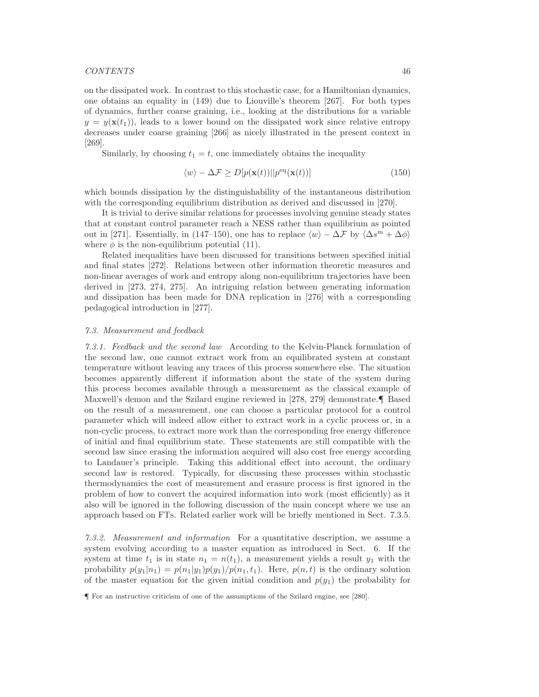on the dissipated work. In contrast to this stochastic case, for a Hamiltonian dynamics, one obtains an equality in (149) due to Liouville's theorem [267]. For both types of dynamics, further coarse graining, i.e., looking at the distributions for a variable  $y = y(\mathbf{x}(t_1))$ , leads to a lower bound on the dissipated work since relative entropy decreases under coarse graining [266] as nicely illustrated in the present context in [269].

Similarly, by choosing  $t_1 = t$ , one immediately obtains the inequality

$$
\langle w \rangle - \Delta \mathcal{F} \ge D[p(\mathbf{x}(t))||p^{\text{eq}}(\mathbf{x}(t))]
$$
\n(150)

which bounds dissipation by the distinguishability of the instantaneous distribution with the corresponding equilibrium distribution as derived and discussed in [270].

It is trivial to derive similar relations for processes involving genuine steady states that at constant control parameter reach a NESS rather than equilibrium as pointed out in [271]. Essentially, in (147–150), one has to replace  $\langle w \rangle - \Delta \mathcal{F}$  by  $\langle \Delta s^m + \Delta \phi \rangle$ where  $\phi$  is the non-equilibrium potential (11).

Related inequalities have been discussed for transitions between specified initial and final states [272]. Relations between other information theoretic measures and non-linear averages of work and entropy along non-equilibrium trajectories have been derived in [273, 274, 275]. An intriguing relation between generating information and dissipation has been made for DNA replication in [276] with a corresponding pedagogical introduction in [277].

#### 7.3. Measurement and feedback

7.3.1. Feedback and the second law According to the Kelvin-Planck formulation of the second law, one cannot extract work from an equilibrated system at constant temperature without leaving any traces of this process somewhere else. The situation becomes apparently different if information about the state of the system during this process becomes available through a measurement as the classical example of Maxwell's demon and the Szilard engine reviewed in [278, 279] demonstrate.¶ Based on the result of a measurement, one can choose a particular protocol for a control parameter which will indeed allow either to extract work in a cyclic process or, in a non-cyclic process, to extract more work than the corresponding free energy difference of initial and final equilibrium state. These statements are still compatible with the second law since erasing the information acquired will also cost free energy according to Landauer's principle. Taking this additional effect into account, the ordinary second law is restored. Typically, for discussing these processes within stochastic thermodynamics the cost of measurement and erasure process is first ignored in the problem of how to convert the acquired information into work (most efficiently) as it also will be ignored in the following discussion of the main concept where we use an approach based on FTs. Related earlier work will be briefly mentioned in Sect. 7.3.5.

7.3.2. Measurement and information For a quantitative description, we assume a system evolving according to a master equation as introduced in Sect. 6. If the system at time  $t_1$  is in state  $n_1 = n(t_1)$ , a measurement yields a result  $y_1$  with the probability  $p(y_1|n_1) = p(n_1|y_1)p(y_1)/p(n_1, t_1)$ . Here,  $p(n, t)$  is the ordinary solution of the master equation for the given initial condition and  $p(y_1)$  the probability for

¶ For an instructive criticism of one of the assumptions of the Szilard engine, see [280].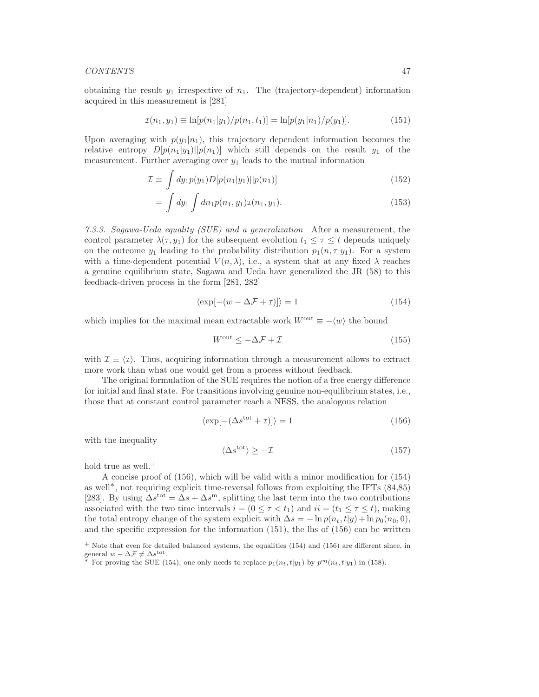obtaining the result  $y_1$  irrespective of  $n_1$ . The (trajectory-dependent) information acquired in this measurement is [281]

$$
\tau(n_1, y_1) \equiv \ln[p(n_1|y_1)/p(n_1, t_1)] = \ln[p(y_1|n_1)/p(y_1)]. \tag{151}
$$

Upon averaging with  $p(y_1|n_1)$ , this trajectory dependent information becomes the relative entropy  $D[p(n_1|y_1)||p(n_1)]$  which still depends on the result  $y_1$  of the measurement. Further averaging over  $y_1$  leads to the mutual information

$$
\mathcal{I} \equiv \int dy_1 p(y_1) D[p(n_1|y_1)||p(n_1)] \tag{152}
$$

$$
= \int dy_1 \int dn_1 p(n_1, y_1) \mathcal{I}(n_1, y_1). \tag{153}
$$

7.3.3. Sagawa-Ueda equality (SUE) and a generalization After a measurement, the control parameter  $\lambda(\tau, y_1)$  for the subsequent evolution  $t_1 \leq \tau \leq t$  depends uniquely on the outcome  $y_1$  leading to the probability distribution  $p_1(n, \tau | y_1)$ . For a system with a time-dependent potential  $V(n, \lambda)$ , i.e., a system that at any fixed  $\lambda$  reaches a genuine equilibrium state, Sagawa and Ueda have generalized the JR (58) to this feedback-driven process in the form [281, 282]

$$
\langle \exp[-(w - \Delta \mathcal{F} + \tau)] \rangle = 1 \tag{154}
$$

which implies for the maximal mean extractable work  $W^{\text{out}} \equiv -\langle w \rangle$  the bound

$$
W^{\text{out}} \le -\Delta \mathcal{F} + \mathcal{I} \tag{155}
$$

with  $\mathcal{I} \equiv \langle \mathcal{I} \rangle$ . Thus, acquiring information through a measurement allows to extract more work than what one would get from a process without feedback.

The original formulation of the SUE requires the notion of a free energy difference for initial and final state. For transitions involving genuine non-equilibrium states, i.e., those that at constant control parameter reach a NESS, the analogous relation

$$
\langle \exp[-(\Delta s^{\text{tot}} + \tau)] \rangle = 1 \tag{156}
$$

with the inequality

$$
\langle \Delta s^{\text{tot}} \rangle \ge -\mathcal{I} \tag{157}
$$

hold true as well.<sup>+</sup>

A concise proof of (156), which will be valid with a minor modification for (154) as well∗, not requiring explicit time-reversal follows from exploiting the IFTs (84,85) [283]. By using  $\Delta s^{\text{tot}} = \Delta s + \Delta s^{\text{m}}$ , splitting the last term into the two contributions associated with the two time intervals  $i = (0 \leq \tau < t_1)$  and  $ii = (t_1 \leq \tau \leq t)$ , making the total entropy change of the system explicit with  $\Delta s = -\ln p(n_t, t|y) + \ln p_0(n_0, 0)$ , and the specific expression for the information (151), the lhs of (156) can be written

<sup>+</sup> Note that even for detailed balanced systems, the equalities (154) and (156) are different since, in general  $w - \Delta \mathcal{F} \neq \Delta s^{\text{tot}}$ .

<sup>\*</sup> For proving the SUE (154), one only needs to replace  $p_1(n_t, t|y_1)$  by  $p^{eq}(n_t, t|y_1)$  in (158).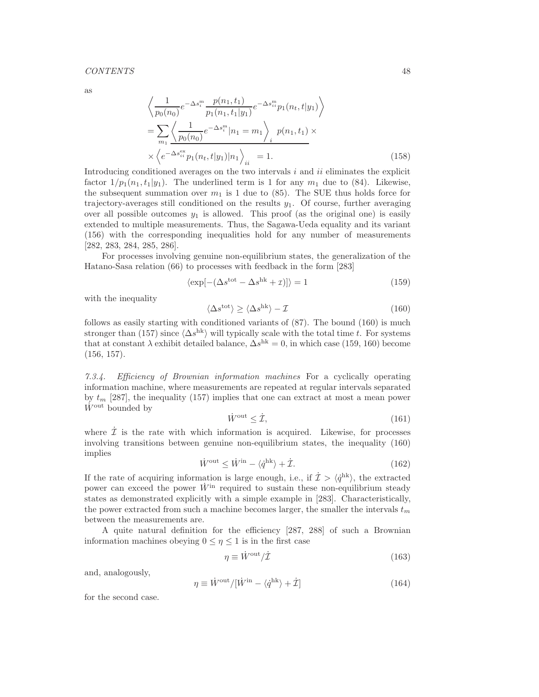$$
\quad \text{as} \quad
$$

$$
\left\langle \frac{1}{p_0(n_0)} e^{-\Delta s_i^m} \frac{p(n_1, t_1)}{p_1(n_1, t_1|y_1)} e^{-\Delta s_{ii}^m} p_1(n_t, t|y_1) \right\rangle
$$
  
= 
$$
\sum_{m_1} \left\langle \frac{1}{p_0(n_0)} e^{-\Delta s_i^m} |n_1 = m_1 \right\rangle_i p(n_1, t_1) \times
$$
  

$$
\times \left\langle e^{-\Delta s_{ii}^{ex}} p_1(n_t, t|y_1) |n_1 \right\rangle_{ii} = 1.
$$
 (158)

Introducing conditioned averages on the two intervals  $i$  and  $ii$  eliminates the explicit factor  $1/p_1(n_1, t_1|y_1)$ . The underlined term is 1 for any  $m_1$  due to (84). Likewise, the subsequent summation over  $m_1$  is 1 due to (85). The SUE thus holds force for trajectory-averages still conditioned on the results  $y_1$ . Of course, further averaging over all possible outcomes  $y_1$  is allowed. This proof (as the original one) is easily extended to multiple measurements. Thus, the Sagawa-Ueda equality and its variant (156) with the corresponding inequalities hold for any number of measurements [282, 283, 284, 285, 286].

For processes involving genuine non-equilibrium states, the generalization of the Hatano-Sasa relation (66) to processes with feedback in the form [283]

$$
\langle \exp[-(\Delta s^{\text{tot}} - \Delta s^{\text{hk}} + \tau)] \rangle = 1 \tag{159}
$$

with the inequality

$$
\langle \Delta s^{\text{tot}} \rangle \ge \langle \Delta s^{\text{hk}} \rangle - \mathcal{I}
$$
\n(160)

follows as easily starting with conditioned variants of (87). The bound (160) is much stronger than (157) since  $\langle \Delta s^{\text{hk}} \rangle$  will typically scale with the total time t. For systems that at constant  $\lambda$  exhibit detailed balance,  $\Delta s^{\text{hk}} = 0$ , in which case (159, 160) become (156, 157).

7.3.4. Efficiency of Brownian information machines For a cyclically operating information machine, where measurements are repeated at regular intervals separated by  $t_m$  [287], the inequality (157) implies that one can extract at most a mean power  $\dot{W}^{\text{out}}$  bounded by

$$
\dot{W}^{\text{out}} \leq \dot{\mathcal{I}},\tag{161}
$$

where  $\dot{\mathcal{I}}$  is the rate with which information is acquired. Likewise, for processes involving transitions between genuine non-equilibrium states, the inequality (160) implies

$$
\dot{W}^{\text{out}} \le \dot{W}^{\text{in}} - \langle \dot{q}^{\text{hk}} \rangle + \dot{\mathcal{I}}.\tag{162}
$$

If the rate of acquiring information is large enough, i.e., if  $\dot{\mathcal{I}} > \langle \dot{q}^{hk} \rangle$ , the extracted power can exceed the power  $\dot{W}^{\text{in}}$  required to sustain these non-equilibrium steady states as demonstrated explicitly with a simple example in [283]. Characteristically, the power extracted from such a machine becomes larger, the smaller the intervals  $t_m$ between the measurements are.

A quite natural definition for the efficiency [287, 288] of such a Brownian information machines obeying  $0 \leq \eta \leq 1$  is in the first case

$$
\eta \equiv \dot{W}^{\text{out}}/\dot{\mathcal{I}} \tag{163}
$$

and, analogously,

$$
\eta \equiv \dot{W}^{\text{out}}/[\dot{W}^{\text{in}} - \langle \dot{q}^{\text{hk}} \rangle + \dot{\mathcal{I}}] \tag{164}
$$

for the second case.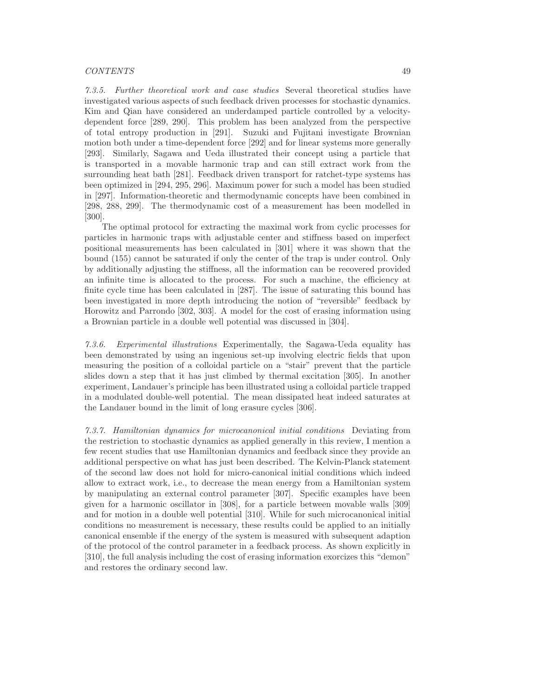7.3.5. Further theoretical work and case studies Several theoretical studies have investigated various aspects of such feedback driven processes for stochastic dynamics. Kim and Qian have considered an underdamped particle controlled by a velocitydependent force [289, 290]. This problem has been analyzed from the perspective of total entropy production in [291]. Suzuki and Fujitani investigate Brownian motion both under a time-dependent force [292] and for linear systems more generally [293]. Similarly, Sagawa and Ueda illustrated their concept using a particle that is transported in a movable harmonic trap and can still extract work from the surrounding heat bath [281]. Feedback driven transport for ratchet-type systems has been optimized in [294, 295, 296]. Maximum power for such a model has been studied in [297]. Information-theoretic and thermodynamic concepts have been combined in [298, 288, 299]. The thermodynamic cost of a measurement has been modelled in [300].

The optimal protocol for extracting the maximal work from cyclic processes for particles in harmonic traps with adjustable center and stiffness based on imperfect positional measurements has been calculated in [301] where it was shown that the bound (155) cannot be saturated if only the center of the trap is under control. Only by additionally adjusting the stiffness, all the information can be recovered provided an infinite time is allocated to the process. For such a machine, the efficiency at finite cycle time has been calculated in [287]. The issue of saturating this bound has been investigated in more depth introducing the notion of "reversible" feedback by Horowitz and Parrondo [302, 303]. A model for the cost of erasing information using a Brownian particle in a double well potential was discussed in [304].

7.3.6. Experimental illustrations Experimentally, the Sagawa-Ueda equality has been demonstrated by using an ingenious set-up involving electric fields that upon measuring the position of a colloidal particle on a "stair" prevent that the particle slides down a step that it has just climbed by thermal excitation [305]. In another experiment, Landauer's principle has been illustrated using a colloidal particle trapped in a modulated double-well potential. The mean dissipated heat indeed saturates at the Landauer bound in the limit of long erasure cycles [306].

7.3.7. Hamiltonian dynamics for microcanonical initial conditions Deviating from the restriction to stochastic dynamics as applied generally in this review, I mention a few recent studies that use Hamiltonian dynamics and feedback since they provide an additional perspective on what has just been described. The Kelvin-Planck statement of the second law does not hold for micro-canonical initial conditions which indeed allow to extract work, i.e., to decrease the mean energy from a Hamiltonian system by manipulating an external control parameter [307]. Specific examples have been given for a harmonic oscillator in [308], for a particle between movable walls [309] and for motion in a double well potential [310]. While for such microcanonical initial conditions no measurement is necessary, these results could be applied to an initially canonical ensemble if the energy of the system is measured with subsequent adaption of the protocol of the control parameter in a feedback process. As shown explicitly in [310], the full analysis including the cost of erasing information exorcizes this "demon" and restores the ordinary second law.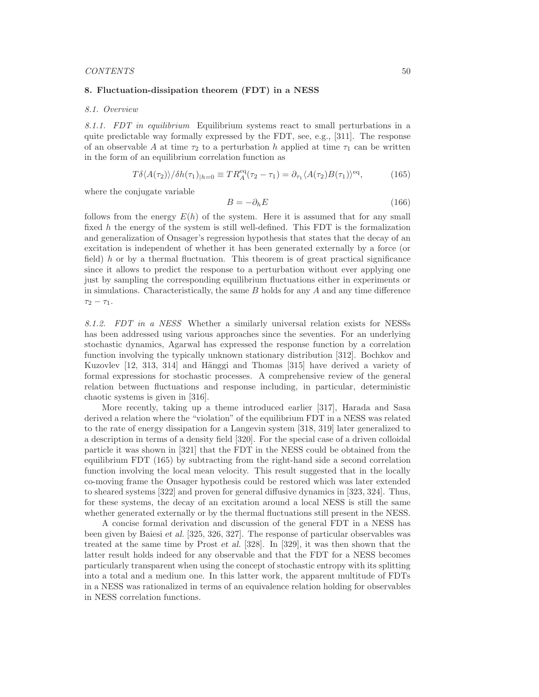## 8. Fluctuation-dissipation theorem (FDT) in a NESS

#### 8.1. Overview

8.1.1. FDT in equilibrium Equilibrium systems react to small perturbations in a quite predictable way formally expressed by the FDT, see, e.g., [311]. The response of an observable A at time  $\tau_2$  to a perturbation h applied at time  $\tau_1$  can be written in the form of an equilibrium correlation function as

$$
T\delta\langle A(\tau_2)\rangle/\delta h(\tau_1)|_{h=0} \equiv TR_A^{\text{eq}}(\tau_2 - \tau_1) = \partial_{\tau_1} \langle A(\tau_2)B(\tau_1)\rangle^{\text{eq}},\tag{165}
$$

where the conjugate variable

$$
B = -\partial_h E \tag{166}
$$

follows from the energy  $E(h)$  of the system. Here it is assumed that for any small fixed  $h$  the energy of the system is still well-defined. This FDT is the formalization and generalization of Onsager's regression hypothesis that states that the decay of an excitation is independent of whether it has been generated externally by a force (or field) h or by a thermal fluctuation. This theorem is of great practical significance since it allows to predict the response to a perturbation without ever applying one just by sampling the corresponding equilibrium fluctuations either in experiments or in simulations. Characteristically, the same  $B$  holds for any  $A$  and any time difference  $\tau_2 - \tau_1$ .

8.1.2. FDT in a NESS Whether a similarly universal relation exists for NESSs has been addressed using various approaches since the seventies. For an underlying stochastic dynamics, Agarwal has expressed the response function by a correlation function involving the typically unknown stationary distribution [312]. Bochkov and Kuzovlev [12, 313, 314] and Hänggi and Thomas [315] have derived a variety of formal expressions for stochastic processes. A comprehensive review of the general relation between fluctuations and response including, in particular, deterministic chaotic systems is given in [316].

More recently, taking up a theme introduced earlier [317], Harada and Sasa derived a relation where the "violation" of the equilibrium FDT in a NESS was related to the rate of energy dissipation for a Langevin system [318, 319] later generalized to a description in terms of a density field [320]. For the special case of a driven colloidal particle it was shown in [321] that the FDT in the NESS could be obtained from the equilibrium FDT (165) by subtracting from the right-hand side a second correlation function involving the local mean velocity. This result suggested that in the locally co-moving frame the Onsager hypothesis could be restored which was later extended to sheared systems [322] and proven for general diffusive dynamics in [323, 324]. Thus, for these systems, the decay of an excitation around a local NESS is still the same whether generated externally or by the thermal fluctuations still present in the NESS.

A concise formal derivation and discussion of the general FDT in a NESS has been given by Baiesi et al. [325, 326, 327]. The response of particular observables was treated at the same time by Prost et al. [328]. In [329], it was then shown that the latter result holds indeed for any observable and that the FDT for a NESS becomes particularly transparent when using the concept of stochastic entropy with its splitting into a total and a medium one. In this latter work, the apparent multitude of FDTs in a NESS was rationalized in terms of an equivalence relation holding for observables in NESS correlation functions.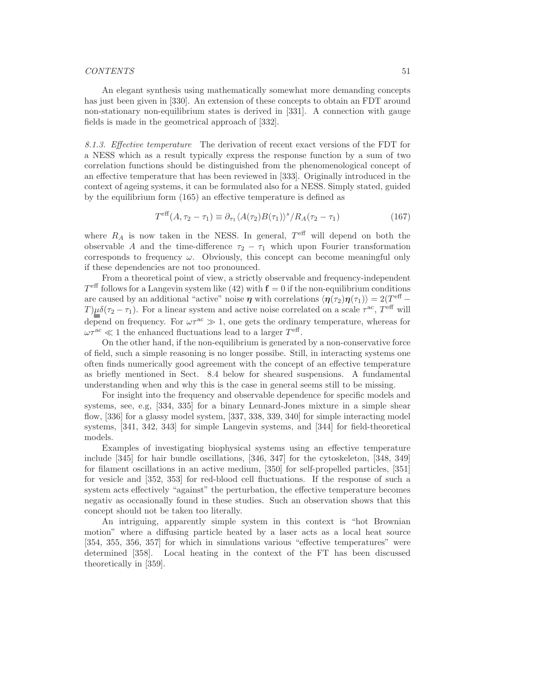An elegant synthesis using mathematically somewhat more demanding concepts has just been given in [330]. An extension of these concepts to obtain an FDT around non-stationary non-equilibrium states is derived in [331]. A connection with gauge fields is made in the geometrical approach of [332].

8.1.3. Effective temperature The derivation of recent exact versions of the FDT for a NESS which as a result typically express the response function by a sum of two correlation functions should be distinguished from the phenomenological concept of an effective temperature that has been reviewed in [333]. Originally introduced in the context of ageing systems, it can be formulated also for a NESS. Simply stated, guided by the equilibrium form (165) an effective temperature is defined as

$$
T^{\text{eff}}(A,\tau_2-\tau_1) \equiv \partial_{\tau_1} \langle A(\tau_2)B(\tau_1) \rangle^s / R_A(\tau_2-\tau_1)
$$
\n(167)

where  $R_A$  is now taken in the NESS. In general,  $T^{\text{eff}}$  will depend on both the observable A and the time-difference  $\tau_2 - \tau_1$  which upon Fourier transformation corresponds to frequency  $\omega$ . Obviously, this concept can become meaningful only if these dependencies are not too pronounced.

From a theoretical point of view, a strictly observable and frequency-independent  $T<sup>eff</sup>$  follows for a Langevin system like (42) with  $\mathbf{f} = 0$  if the non-equilibrium conditions are caused by an additional "active" noise  $\eta$  with correlations  $\langle \eta(\tau_2)\eta(\tau_1)\rangle = 2(T<sup>eff</sup> T\mu\delta(\tau_2-\tau_1)$ . For a linear system and active noise correlated on a scale  $\tau^{\rm ac}$ ,  $T^{\rm eff}$  will depend on frequency. For  $\omega \tau^{ac} \gg 1$ , one gets the ordinary temperature, whereas for  $\omega \tau^{\text{ac}} \ll 1$  the enhanced fluctuations lead to a larger  $T^{\text{eff}}$ .

On the other hand, if the non-equilibrium is generated by a non-conservative force of field, such a simple reasoning is no longer possibe. Still, in interacting systems one often finds numerically good agreement with the concept of an effective temperature as briefly mentioned in Sect. 8.4 below for sheared suspensions. A fundamental understanding when and why this is the case in general seems still to be missing.

For insight into the frequency and observable dependence for specific models and systems, see, e.g, [334, 335] for a binary Lennard-Jones mixture in a simple shear flow, [336] for a glassy model system, [337, 338, 339, 340] for simple interacting model systems, [341, 342, 343] for simple Langevin systems, and [344] for field-theoretical models.

Examples of investigating biophysical systems using an effective temperature include [345] for hair bundle oscillations, [346, 347] for the cytoskeleton, [348, 349] for filament oscillations in an active medium, [350] for self-propelled particles, [351] for vesicle and [352, 353] for red-blood cell fluctuations. If the response of such a system acts effectively "against" the perturbation, the effective temperature becomes negativ as occasionally found in these studies. Such an observation shows that this concept should not be taken too literally.

An intriguing, apparently simple system in this context is "hot Brownian motion" where a diffusing particle heated by a laser acts as a local heat source [354, 355, 356, 357] for which in simulations various "effective temperatures" were determined [358]. Local heating in the context of the FT has been discussed theoretically in [359].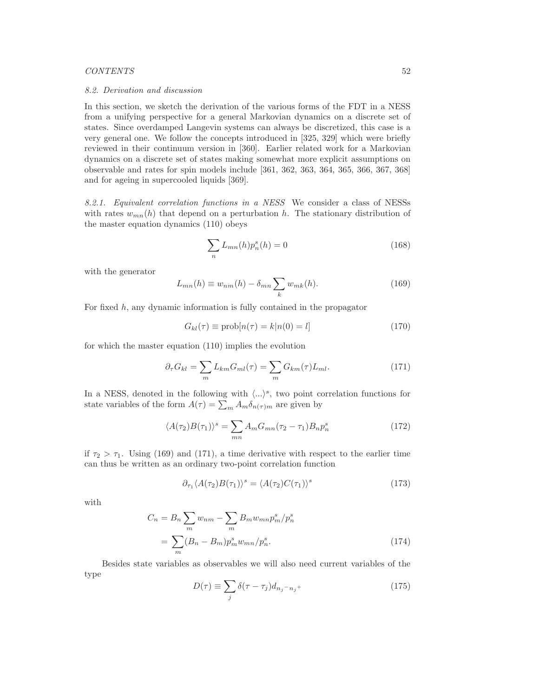## 8.2. Derivation and discussion

In this section, we sketch the derivation of the various forms of the FDT in a NESS from a unifying perspective for a general Markovian dynamics on a discrete set of states. Since overdamped Langevin systems can always be discretized, this case is a very general one. We follow the concepts introduced in [325, 329] which were briefly reviewed in their continuum version in [360]. Earlier related work for a Markovian dynamics on a discrete set of states making somewhat more explicit assumptions on observable and rates for spin models include [361, 362, 363, 364, 365, 366, 367, 368] and for ageing in supercooled liquids [369].

8.2.1. Equivalent correlation functions in a NESS We consider a class of NESSs with rates  $w_{mn}(h)$  that depend on a perturbation h. The stationary distribution of the master equation dynamics (110) obeys

$$
\sum_{n} L_{mn}(h) p_n^s(h) = 0 \tag{168}
$$

with the generator

$$
L_{mn}(h) \equiv w_{nm}(h) - \delta_{mn} \sum_{k} w_{mk}(h).
$$
 (169)

For fixed  $h$ , any dynamic information is fully contained in the propagator

$$
G_{kl}(\tau) \equiv \text{prob}[n(\tau) = k | n(0) = l] \tag{170}
$$

for which the master equation (110) implies the evolution

$$
\partial_{\tau} G_{kl} = \sum_{m} L_{km} G_{ml}(\tau) = \sum_{m} G_{km}(\tau) L_{ml}.
$$
 (171)

In a NESS, denoted in the following with  $\langle ... \rangle^s$ , two point correlation functions for state variables of the form  $A(\tau) = \sum_m A_m \delta_{n(\tau)m}$  are given by

$$
\langle A(\tau_2)B(\tau_1)\rangle^s = \sum_{mn} A_m G_{mn}(\tau_2 - \tau_1) B_n p_n^s \tag{172}
$$

if  $\tau_2 > \tau_1$ . Using (169) and (171), a time derivative with respect to the earlier time can thus be written as an ordinary two-point correlation function

$$
\partial_{\tau_1} \langle A(\tau_2) B(\tau_1) \rangle^s = \langle A(\tau_2) C(\tau_1) \rangle^s \tag{173}
$$

with

$$
C_n = B_n \sum_m w_{nm} - \sum_m B_m w_{mn} p_m^s / p_n^s
$$
  
= 
$$
\sum_m (B_n - B_m) p_m^s w_{mn} / p_n^s.
$$
 (174)

Besides state variables as observables we will also need current variables of the type

$$
D(\tau) \equiv \sum_{j} \delta(\tau - \tau_j) d_{n_j - n_j +}
$$
\n(175)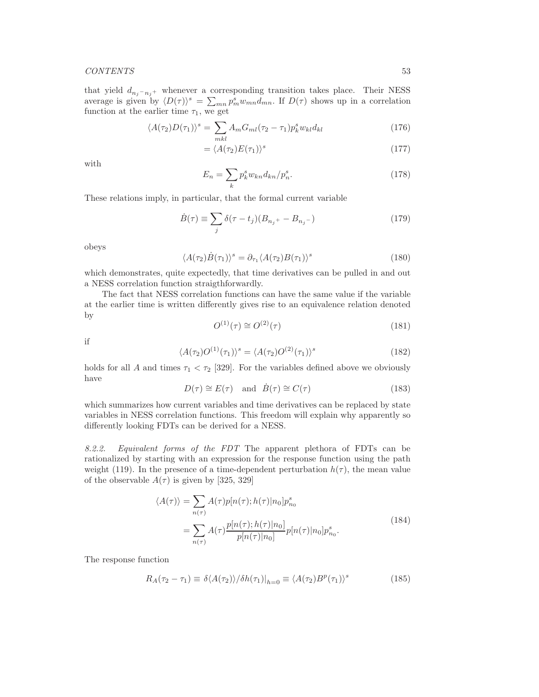that yield  $d_{n_j - n_j +}$  whenever a corresponding transition takes place. Their NESS average is given by  $\langle D(\tau)\rangle^s = \sum_{mn} p_m^s w_{mn} d_{mn}$ . If  $D(\tau)$  shows up in a correlation function at the earlier time  $\tau_1$ , we get

$$
\langle A(\tau_2)D(\tau_1)\rangle^s = \sum_{mkl} A_m G_{ml}(\tau_2 - \tau_1)p_k^s w_{kl} d_{kl}
$$
\n(176)

$$
= \langle A(\tau_2)E(\tau_1)\rangle^s \tag{177}
$$

with

$$
E_n = \sum_k p_k^s w_{kn} d_{kn} / p_n^s. \tag{178}
$$

These relations imply, in particular, that the formal current variable

$$
\dot{B}(\tau) \equiv \sum_{j} \delta(\tau - t_j)(B_{n_j^+} - B_{n_j^-})
$$
\n(179)

obeys

$$
\langle A(\tau_2)\dot{B}(\tau_1)\rangle^s = \partial_{\tau_1} \langle A(\tau_2)B(\tau_1)\rangle^s \tag{180}
$$

which demonstrates, quite expectedly, that time derivatives can be pulled in and out a NESS correlation function straigthforwardly.

The fact that NESS correlation functions can have the same value if the variable at the earlier time is written differently gives rise to an equivalence relation denoted by

$$
O^{(1)}(\tau) \cong O^{(2)}(\tau) \tag{181}
$$

if

$$
\langle A(\tau_2)O^{(1)}(\tau_1)\rangle^s = \langle A(\tau_2)O^{(2)}(\tau_1)\rangle^s \tag{182}
$$

holds for all A and times  $\tau_1 < \tau_2$  [329]. For the variables defined above we obviously have

$$
D(\tau) \cong E(\tau) \quad \text{and} \quad \dot{B}(\tau) \cong C(\tau) \tag{183}
$$

which summarizes how current variables and time derivatives can be replaced by state variables in NESS correlation functions. This freedom will explain why apparently so differently looking FDTs can be derived for a NESS.

8.2.2. Equivalent forms of the FDT The apparent plethora of FDTs can be rationalized by starting with an expression for the response function using the path weight (119). In the presence of a time-dependent perturbation  $h(\tau)$ , the mean value of the observable  $A(\tau)$  is given by [325, 329]

$$
\langle A(\tau) \rangle = \sum_{n(\tau)} A(\tau) p[n(\tau); h(\tau) | n_0] p_{n_0}^s
$$
  
= 
$$
\sum_{n(\tau)} A(\tau) \frac{p[n(\tau); h(\tau) | n_0]}{p[n(\tau) | n_0]} p[n(\tau) | n_0] p_{n_0}^s.
$$
 (184)

The response function

$$
R_A(\tau_2 - \tau_1) \equiv \delta \langle A(\tau_2) \rangle / \delta h(\tau_1)|_{h=0} \equiv \langle A(\tau_2) B^p(\tau_1) \rangle^s \tag{185}
$$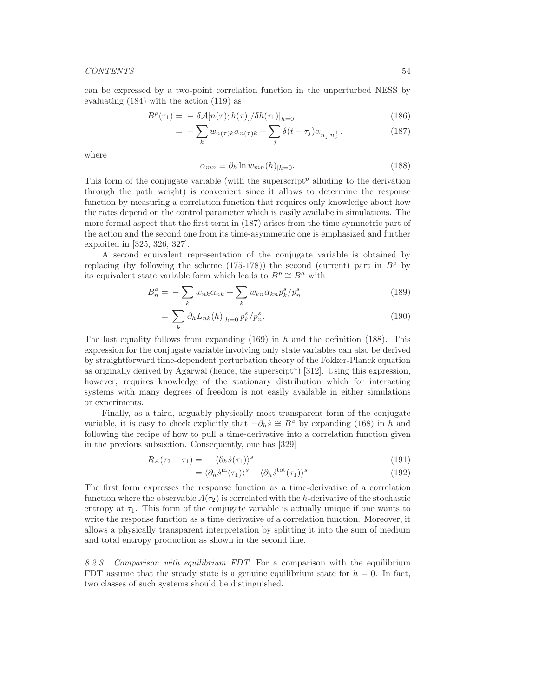can be expressed by a two-point correlation function in the unperturbed NESS by evaluating (184) with the action (119) as

$$
B^{p}(\tau_1) = -\delta \mathcal{A}[n(\tau); h(\tau)] / \delta h(\tau_1)|_{h=0}
$$
\n(186)

$$
= -\sum_{k} w_{n(\tau)k} \alpha_{n(\tau)k} + \sum_{j} \delta(t - \tau_j) \alpha_{n_j - n_j + \cdot}.
$$
 (187)

where

$$
\alpha_{mn} \equiv \partial_h \ln w_{mn}(h)|_{h=0}.\tag{188}
$$

This form of the conjugate variable (with the superscript<sup>p</sup> alluding to the derivation through the path weight) is convenient since it allows to determine the response function by measuring a correlation function that requires only knowledge about how the rates depend on the control parameter which is easily availabe in simulations. The more formal aspect that the first term in (187) arises from the time-symmetric part of the action and the second one from its time-asymmetric one is emphasized and further exploited in [325, 326, 327].

A second equivalent representation of the conjugate variable is obtained by replacing (by following the scheme (175-178)) the second (current) part in  $B<sup>p</sup>$  by its equivalent state variable form which leads to  $B^p \cong B^a$  with

$$
B_n^a = -\sum_k w_{nk} \alpha_{nk} + \sum_k w_{kn} \alpha_{kn} p_k^s / p_n^s \qquad (189)
$$

$$
=\sum_{k}\partial_{h}L_{nk}(h)|_{h=0}p_{k}^{s}/p_{n}^{s}.\tag{190}
$$

The last equality follows from expanding  $(169)$  in h and the definition  $(188)$ . This expression for the conjugate variable involving only state variables can also be derived by straightforward time-dependent perturbation theory of the Fokker-Planck equation as originally derived by Agarwal (hence, the superscipt<sup> $a$ </sup>) [312]. Using this expression, however, requires knowledge of the stationary distribution which for interacting systems with many degrees of freedom is not easily available in either simulations or experiments.

Finally, as a third, arguably physically most transparent form of the conjugate variable, it is easy to check explicitly that  $-\partial_h \dot{s} \cong B^a$  by expanding (168) in h and following the recipe of how to pull a time-derivative into a correlation function given in the previous subsection. Consequently, one has [329]

$$
R_A(\tau_2 - \tau_1) = -\langle \partial_h \dot{s}(\tau_1) \rangle^s \tag{191}
$$

$$
= \langle \partial_h \dot{s}^{\mathbf{m}}(\tau_1) \rangle^s - \langle \partial_h \dot{s}^{\text{tot}}(\tau_1) \rangle^s. \tag{192}
$$

The first form expresses the response function as a time-derivative of a correlation function where the observable  $A(\tau_2)$  is correlated with the h-derivative of the stochastic entropy at  $\tau_1$ . This form of the conjugate variable is actually unique if one wants to write the response function as a time derivative of a correlation function. Moreover, it allows a physically transparent interpretation by splitting it into the sum of medium and total entropy production as shown in the second line.

8.2.3. Comparison with equilibrium FDT For a comparison with the equilibrium FDT assume that the steady state is a genuine equilibrium state for  $h = 0$ . In fact, two classes of such systems should be distinguished.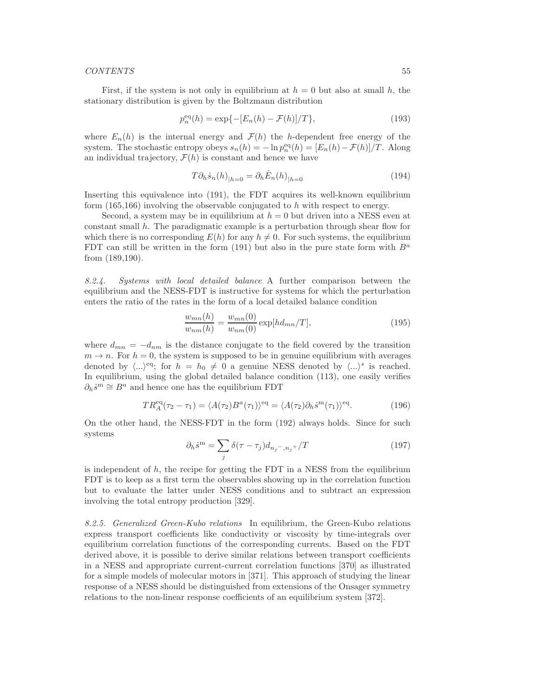First, if the system is not only in equilibrium at  $h = 0$  but also at small h, the stationary distribution is given by the Boltzmann distribution

$$
p_n^{\text{eq}}(h) = \exp\{-[E_n(h) - \mathcal{F}(h)]/T\},\tag{193}
$$

where  $E_n(h)$  is the internal energy and  $\mathcal{F}(h)$  the h-dependent free energy of the system. The stochastic entropy obeys  $s_n(h) = -\ln p_n^{\text{eq}}(h) = [E_n(h) - \mathcal{F}(h)]/T$ . Along an individual trajectory,  $\mathcal{F}(h)$  is constant and hence we have

$$
T\partial_h \dot{s}_n(h)|_{h=0} = \partial_h \dot{E}_n(h)|_{h=0}
$$
\n(194)

Inserting this equivalence into (191), the FDT acquires its well-known equilibrium form  $(165,166)$  involving the observable conjugated to h with respect to energy.

Second, a system may be in equilibrium at  $h = 0$  but driven into a NESS even at constant small  $h$ . The paradigmatic example is a perturbation through shear flow for which there is no corresponding  $E(h)$  for any  $h \neq 0$ . For such systems, the equilibrium FDT can still be written in the form (191) but also in the pure state form with  $B^a$ from (189,190).

8.2.4. Systems with local detailed balance A further comparison between the equilibrium and the NESS-FDT is instructive for systems for which the perturbation enters the ratio of the rates in the form of a local detailed balance condition

$$
\frac{w_{mn}(h)}{w_{nm}(h)} = \frac{w_{mn}(0)}{w_{nm}(0)} \exp[hd_{mn}/T],
$$
\n(195)

where  $d_{mn} = -d_{nm}$  is the distance conjugate to the field covered by the transition  $m \to n$ . For  $h = 0$ , the system is supposed to be in genuine equilibrium with averages denoted by  $\langle ... \rangle^{\text{eq}}$ ; for  $h = h_0 \neq 0$  a genuine NESS denoted by  $\langle ... \rangle^s$  is reached. In equilibrium, using the global detailed balance condition (113), one easily verifies  $\partial_h \dot{s}^{\mathbf{m}} \cong B^a$  and hence one has the equilibrium FDT

$$
TR_A^{\text{eq}}(\tau_2 - \tau_1) = \langle A(\tau_2)B^a(\tau_1) \rangle^{\text{eq}} = \langle A(\tau_2)\partial_h \dot{s}^{\text{m}}(\tau_1) \rangle^{\text{eq}}.
$$
 (196)

On the other hand, the NESS-FDT in the form (192) always holds. Since for such systems

$$
\partial_h \dot{s}^{\text{m}} = \sum_j \delta(\tau - \tau_j) d_{n_j - n_j +}/T \tag{197}
$$

is independent of  $h$ , the recipe for getting the FDT in a NESS from the equilibrium FDT is to keep as a first term the observables showing up in the correlation function but to evaluate the latter under NESS conditions and to subtract an expression involving the total entropy production [329].

8.2.5. Generalized Green-Kubo relations In equilibrium, the Green-Kubo relations express transport coefficients like conductivity or viscosity by time-integrals over equilibrium correlation functions of the corresponding currents. Based on the FDT derived above, it is possible to derive similar relations between transport coefficients in a NESS and appropriate current-current correlation functions [370] as illustrated for a simple models of molecular motors in [371]. This approach of studying the linear response of a NESS should be distinguished from extensions of the Onsager symmetry relations to the non-linear response coefficients of an equilibrium system [372].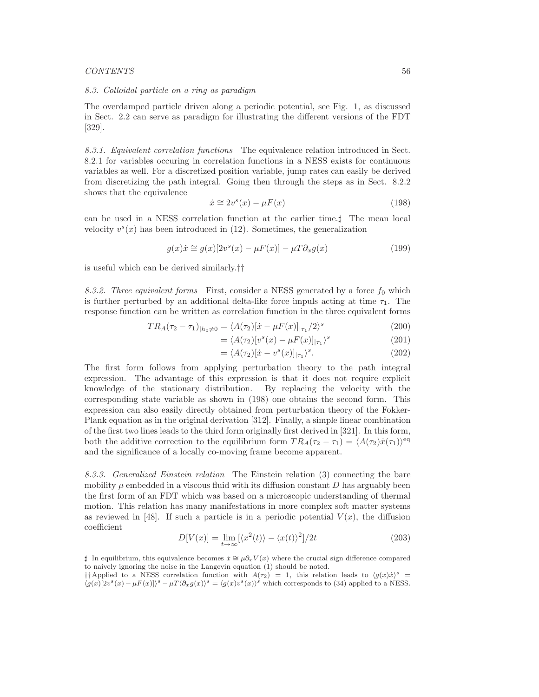#### 8.3. Colloidal particle on a ring as paradigm

The overdamped particle driven along a periodic potential, see Fig. 1, as discussed in Sect. 2.2 can serve as paradigm for illustrating the different versions of the FDT [329].

8.3.1. Equivalent correlation functions The equivalence relation introduced in Sect. 8.2.1 for variables occuring in correlation functions in a NESS exists for continuous variables as well. For a discretized position variable, jump rates can easily be derived from discretizing the path integral. Going then through the steps as in Sect. 8.2.2 shows that the equivalence

$$
\dot{x} \cong 2v^s(x) - \mu F(x) \tag{198}
$$

can be used in a NESS correlation function at the earlier time.♯ The mean local velocity  $v^s(x)$  has been introduced in (12). Sometimes, the generalization

$$
g(x)\dot{x} \cong g(x)[2v^s(x) - \mu F(x)] - \mu T \partial_x g(x) \tag{199}
$$

is useful which can be derived similarly.††

8.3.2. Three equivalent forms First, consider a NESS generated by a force  $f_0$  which is further perturbed by an additional delta-like force impuls acting at time  $\tau_1$ . The response function can be written as correlation function in the three equivalent forms

$$
TR_A(\tau_2 - \tau_1)|_{h_0 \neq 0} = \langle A(\tau_2)[\dot{x} - \mu F(x)]_{|\tau_1}/2 \rangle^s
$$
\n(200)

$$
= \langle A(\tau_2)[v^s(x) - \mu F(x)]_{|\tau_1}\rangle^s \tag{201}
$$

$$
= \langle A(\tau_2)[\dot{x} - v^s(x)]_{|\tau_1}\rangle^s. \tag{202}
$$

The first form follows from applying perturbation theory to the path integral expression. The advantage of this expression is that it does not require explicit knowledge of the stationary distribution. By replacing the velocity with the corresponding state variable as shown in (198) one obtains the second form. This expression can also easily directly obtained from perturbation theory of the Fokker-Plank equation as in the original derivation [312]. Finally, a simple linear combination of the first two lines leads to the third form originally first derived in [321]. In this form, both the additive correction to the equilibrium form  $TR_A(\tau_2 - \tau_1) = \langle A(\tau_2) \dot{x}(\tau_1) \rangle^{\text{eq}}$ and the significance of a locally co-moving frame become apparent.

8.3.3. Generalized Einstein relation The Einstein relation (3) connecting the bare mobility  $\mu$  embedded in a viscous fluid with its diffusion constant D has arguably been the first form of an FDT which was based on a microscopic understanding of thermal motion. This relation has many manifestations in more complex soft matter systems as reviewed in [48]. If such a particle is in a periodic potential  $V(x)$ , the diffusion coefficient

$$
D[V(x)] = \lim_{t \to \infty} [\langle x^2(t) \rangle - \langle x(t) \rangle^2]/2t \tag{203}
$$

 $\sharp$  In equilibrium, this equivalence becomes  $\dot{x} \cong \mu \partial_x V(x)$  where the crucial sign difference compared to naively ignoring the noise in the Langevin equation (1) should be noted.

|†Applied to a NESS correlation function with  $A(\tau_2) = 1$ , this relation leads to  $\langle g(x)\dot{x}\rangle^s =$  $\langle g(x)[2v^s(x) - \mu F(x)]\rangle^s - \mu T \langle \partial_x g(x)\rangle^s = \langle g(x)v^s(x)\rangle^s$  which corresponds to (34) applied to a NESS.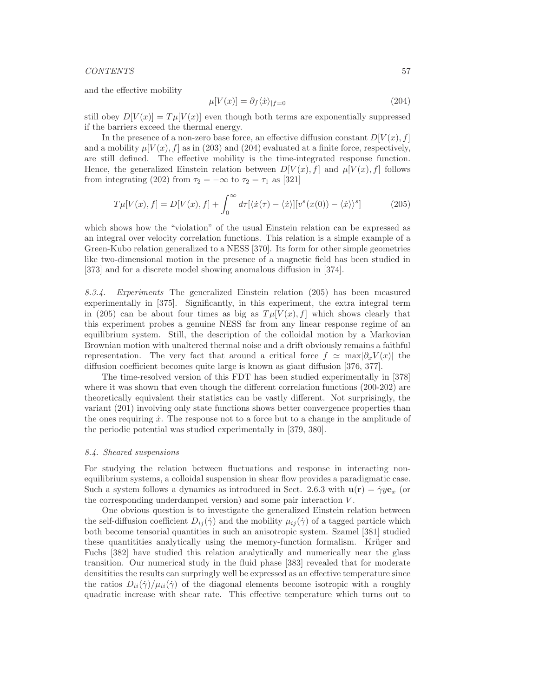and the effective mobility

$$
\mu[V(x)] = \partial_f \langle \dot{x} \rangle_{|f=0} \tag{204}
$$

still obey  $D[V(x)] = T\mu[V(x)]$  even though both terms are exponentially suppressed if the barriers exceed the thermal energy.

In the presence of a non-zero base force, an effective diffusion constant  $D[V(x), f]$ and a mobility  $\mu[V(x), f]$  as in (203) and (204) evaluated at a finite force, respectively, are still defined. The effective mobility is the time-integrated response function. Hence, the generalized Einstein relation between  $D[V(x), f]$  and  $\mu[V(x), f]$  follows from integrating (202) from  $\tau_2 = -\infty$  to  $\tau_2 = \tau_1$  as [321]

$$
T\mu[V(x),f] = D[V(x),f] + \int_0^\infty d\tau[\langle \dot{x}(\tau) - \langle \dot{x} \rangle][v^s(x(0)) - \langle \dot{x} \rangle)^s]
$$
(205)

which shows how the "violation" of the usual Einstein relation can be expressed as an integral over velocity correlation functions. This relation is a simple example of a Green-Kubo relation generalized to a NESS [370]. Its form for other simple geometries like two-dimensional motion in the presence of a magnetic field has been studied in [373] and for a discrete model showing anomalous diffusion in [374].

8.3.4. Experiments The generalized Einstein relation (205) has been measured experimentally in [375]. Significantly, in this experiment, the extra integral term in (205) can be about four times as big as  $T\mu[V(x), f]$  which shows clearly that this experiment probes a genuine NESS far from any linear response regime of an equilibrium system. Still, the description of the colloidal motion by a Markovian Brownian motion with unaltered thermal noise and a drift obviously remains a faithful representation. The very fact that around a critical force  $f \simeq \max[\partial_x V(x)]$  the diffusion coefficient becomes quite large is known as giant diffusion [376, 377].

The time-resolved version of this FDT has been studied experimentally in [378] where it was shown that even though the different correlation functions (200-202) are theoretically equivalent their statistics can be vastly different. Not surprisingly, the variant (201) involving only state functions shows better convergence properties than the ones requiring  $\dot{x}$ . The response not to a force but to a change in the amplitude of the periodic potential was studied experimentally in [379, 380].

#### 8.4. Sheared suspensions

For studying the relation between fluctuations and response in interacting nonequilibrium systems, a colloidal suspension in shear flow provides a paradigmatic case. Such a system follows a dynamics as introduced in Sect. 2.6.3 with  $\mathbf{u}(\mathbf{r}) = \gamma y \mathbf{e}_x$  (or the corresponding underdamped version) and some pair interaction V .

One obvious question is to investigate the generalized Einstein relation between the self-diffusion coefficient  $D_{ij}(\dot{\gamma})$  and the mobility  $\mu_{ij}(\dot{\gamma})$  of a tagged particle which both become tensorial quantities in such an anisotropic system. Szamel [381] studied these quantitities analytically using the memory-function formalism. Krüger and Fuchs [382] have studied this relation analytically and numerically near the glass transition. Our numerical study in the fluid phase [383] revealed that for moderate densitities the results can surpringly well be expressed as an effective temperature since the ratios  $D_{ii}(\dot{\gamma})/\mu_{ii}(\dot{\gamma})$  of the diagonal elements become isotropic with a roughly quadratic increase with shear rate. This effective temperature which turns out to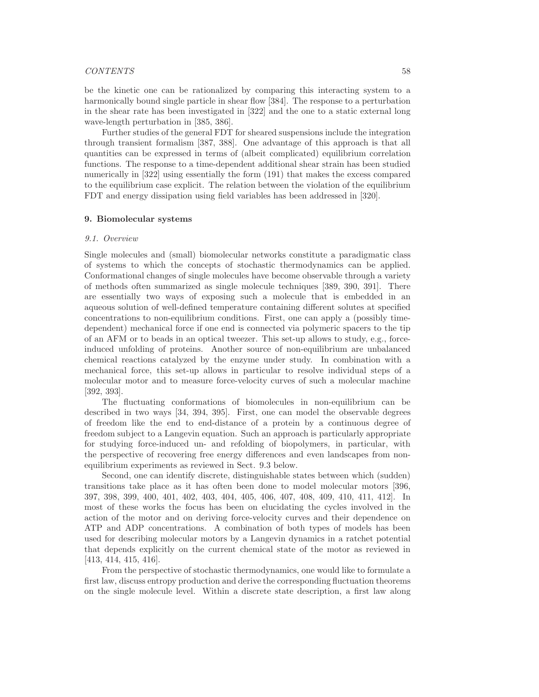be the kinetic one can be rationalized by comparing this interacting system to a harmonically bound single particle in shear flow [384]. The response to a perturbation in the shear rate has been investigated in [322] and the one to a static external long wave-length perturbation in [385, 386].

Further studies of the general FDT for sheared suspensions include the integration through transient formalism [387, 388]. One advantage of this approach is that all quantities can be expressed in terms of (albeit complicated) equilibrium correlation functions. The response to a time-dependent additional shear strain has been studied numerically in [322] using essentially the form (191) that makes the excess compared to the equilibrium case explicit. The relation between the violation of the equilibrium FDT and energy dissipation using field variables has been addressed in [320].

## 9. Biomolecular systems

#### 9.1. Overview

Single molecules and (small) biomolecular networks constitute a paradigmatic class of systems to which the concepts of stochastic thermodynamics can be applied. Conformational changes of single molecules have become observable through a variety of methods often summarized as single molecule techniques [389, 390, 391]. There are essentially two ways of exposing such a molecule that is embedded in an aqueous solution of well-defined temperature containing different solutes at specified concentrations to non-equilibrium conditions. First, one can apply a (possibly timedependent) mechanical force if one end is connected via polymeric spacers to the tip of an AFM or to beads in an optical tweezer. This set-up allows to study, e.g., forceinduced unfolding of proteins. Another source of non-equilibrium are unbalanced chemical reactions catalyzed by the enzyme under study. In combination with a mechanical force, this set-up allows in particular to resolve individual steps of a molecular motor and to measure force-velocity curves of such a molecular machine [392, 393].

The fluctuating conformations of biomolecules in non-equilibrium can be described in two ways [34, 394, 395]. First, one can model the observable degrees of freedom like the end to end-distance of a protein by a continuous degree of freedom subject to a Langevin equation. Such an approach is particularly appropriate for studying force-induced un- and refolding of biopolymers, in particular, with the perspective of recovering free energy differences and even landscapes from nonequilibrium experiments as reviewed in Sect. 9.3 below.

Second, one can identify discrete, distinguishable states between which (sudden) transitions take place as it has often been done to model molecular motors [396, 397, 398, 399, 400, 401, 402, 403, 404, 405, 406, 407, 408, 409, 410, 411, 412]. In most of these works the focus has been on elucidating the cycles involved in the action of the motor and on deriving force-velocity curves and their dependence on ATP and ADP concentrations. A combination of both types of models has been used for describing molecular motors by a Langevin dynamics in a ratchet potential that depends explicitly on the current chemical state of the motor as reviewed in [413, 414, 415, 416].

From the perspective of stochastic thermodynamics, one would like to formulate a first law, discuss entropy production and derive the corresponding fluctuation theorems on the single molecule level. Within a discrete state description, a first law along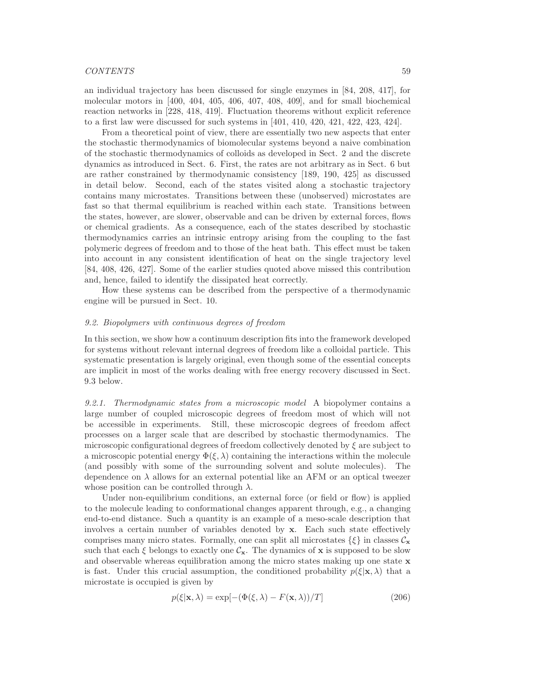an individual trajectory has been discussed for single enzymes in [84, 208, 417], for molecular motors in [400, 404, 405, 406, 407, 408, 409], and for small biochemical reaction networks in [228, 418, 419]. Fluctuation theorems without explicit reference to a first law were discussed for such systems in [401, 410, 420, 421, 422, 423, 424].

From a theoretical point of view, there are essentially two new aspects that enter the stochastic thermodynamics of biomolecular systems beyond a naive combination of the stochastic thermodynamics of colloids as developed in Sect. 2 and the discrete dynamics as introduced in Sect. 6. First, the rates are not arbitrary as in Sect. 6 but are rather constrained by thermodynamic consistency [189, 190, 425] as discussed in detail below. Second, each of the states visited along a stochastic trajectory contains many microstates. Transitions between these (unobserved) microstates are fast so that thermal equilibrium is reached within each state. Transitions between the states, however, are slower, observable and can be driven by external forces, flows or chemical gradients. As a consequence, each of the states described by stochastic thermodynamics carries an intrinsic entropy arising from the coupling to the fast polymeric degrees of freedom and to those of the heat bath. This effect must be taken into account in any consistent identification of heat on the single trajectory level [84, 408, 426, 427]. Some of the earlier studies quoted above missed this contribution and, hence, failed to identify the dissipated heat correctly.

How these systems can be described from the perspective of a thermodynamic engine will be pursued in Sect. 10.

#### 9.2. Biopolymers with continuous degrees of freedom

In this section, we show how a continuum description fits into the framework developed for systems without relevant internal degrees of freedom like a colloidal particle. This systematic presentation is largely original, even though some of the essential concepts are implicit in most of the works dealing with free energy recovery discussed in Sect. 9.3 below.

9.2.1. Thermodynamic states from a microscopic model A biopolymer contains a large number of coupled microscopic degrees of freedom most of which will not be accessible in experiments. Still, these microscopic degrees of freedom affect processes on a larger scale that are described by stochastic thermodynamics. The microscopic configurational degrees of freedom collectively denoted by  $\xi$  are subject to a microscopic potential energy  $\Phi(\xi, \lambda)$  containing the interactions within the molecule (and possibly with some of the surrounding solvent and solute molecules). The dependence on  $\lambda$  allows for an external potential like an AFM or an optical tweezer whose position can be controlled through  $\lambda$ .

Under non-equilibrium conditions, an external force (or field or flow) is applied to the molecule leading to conformational changes apparent through, e.g., a changing end-to-end distance. Such a quantity is an example of a meso-scale description that involves a certain number of variables denoted by x. Each such state effectively comprises many micro states. Formally, one can split all microstates  $\{\xi\}$  in classes  $\mathcal{C}_{\mathbf{x}}$ such that each  $\xi$  belongs to exactly one  $\mathcal{C}_{\mathbf{x}}$ . The dynamics of x is supposed to be slow and observable whereas equilibration among the micro states making up one state  $x$ is fast. Under this crucial assumption, the conditioned probability  $p(\xi|\mathbf{x},\lambda)$  that a microstate is occupied is given by

$$
p(\xi|\mathbf{x},\lambda) = \exp[-(\Phi(\xi,\lambda) - F(\mathbf{x},\lambda))/T]
$$
\n(206)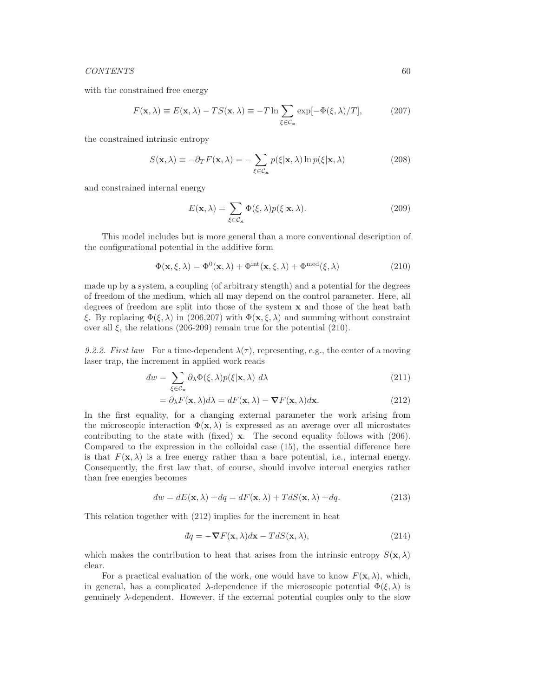with the constrained free energy

$$
F(\mathbf{x}, \lambda) \equiv E(\mathbf{x}, \lambda) - TS(\mathbf{x}, \lambda) \equiv -T \ln \sum_{\xi \in \mathcal{C}_{\mathbf{x}}} \exp[-\Phi(\xi, \lambda)/T], \tag{207}
$$

the constrained intrinsic entropy

$$
S(\mathbf{x}, \lambda) \equiv -\partial_T F(\mathbf{x}, \lambda) = -\sum_{\xi \in \mathcal{C}_{\mathbf{x}}} p(\xi | \mathbf{x}, \lambda) \ln p(\xi | \mathbf{x}, \lambda)
$$
(208)

and constrained internal energy

$$
E(\mathbf{x}, \lambda) = \sum_{\xi \in \mathcal{C}_{\mathbf{x}}} \Phi(\xi, \lambda) p(\xi | \mathbf{x}, \lambda).
$$
 (209)

This model includes but is more general than a more conventional description of the configurational potential in the additive form

$$
\Phi(\mathbf{x}, \xi, \lambda) = \Phi^0(\mathbf{x}, \lambda) + \Phi^{\text{int}}(\mathbf{x}, \xi, \lambda) + \Phi^{\text{med}}(\xi, \lambda)
$$
\n(210)

made up by a system, a coupling (of arbitrary stength) and a potential for the degrees of freedom of the medium, which all may depend on the control parameter. Here, all degrees of freedom are split into those of the system x and those of the heat bath ξ. By replacing  $\Phi(\xi, \lambda)$  in (206,207) with  $\Phi(\mathbf{x}, \xi, \lambda)$  and summing without constraint over all  $\xi$ , the relations (206-209) remain true for the potential (210).

9.2.2. First law For a time-dependent  $\lambda(\tau)$ , representing, e.g., the center of a moving laser trap, the increment in applied work reads

$$
dw = \sum_{\xi \in \mathcal{C}_{\mathbf{x}}} \partial_{\lambda} \Phi(\xi, \lambda) p(\xi | \mathbf{x}, \lambda) \ d\lambda \tag{211}
$$

$$
= \partial_{\lambda} F(\mathbf{x}, \lambda) d\lambda = dF(\mathbf{x}, \lambda) - \nabla F(\mathbf{x}, \lambda) d\mathbf{x}.
$$
 (212)

In the first equality, for a changing external parameter the work arising from the microscopic interaction  $\Phi(\mathbf{x},\lambda)$  is expressed as an average over all microstates contributing to the state with (fixed) x. The second equality follows with (206). Compared to the expression in the colloidal case (15), the essential difference here is that  $F(\mathbf{x}, \lambda)$  is a free energy rather than a bare potential, i.e., internal energy. Consequently, the first law that, of course, should involve internal energies rather than free energies becomes

$$
dw = dE(\mathbf{x}, \lambda) + dq = dF(\mathbf{x}, \lambda) + TdS(\mathbf{x}, \lambda) + dq.
$$
\n(213)

This relation together with (212) implies for the increment in heat

$$
dq = -\nabla F(\mathbf{x}, \lambda) d\mathbf{x} - T dS(\mathbf{x}, \lambda), \qquad (214)
$$

which makes the contribution to heat that arises from the intrinsic entropy  $S(\mathbf{x}, \lambda)$ clear.

For a practical evaluation of the work, one would have to know  $F(\mathbf{x}, \lambda)$ , which, in general, has a complicated  $\lambda$ -dependence if the microscopic potential  $\Phi(\xi, \lambda)$  is genuinely λ-dependent. However, if the external potential couples only to the slow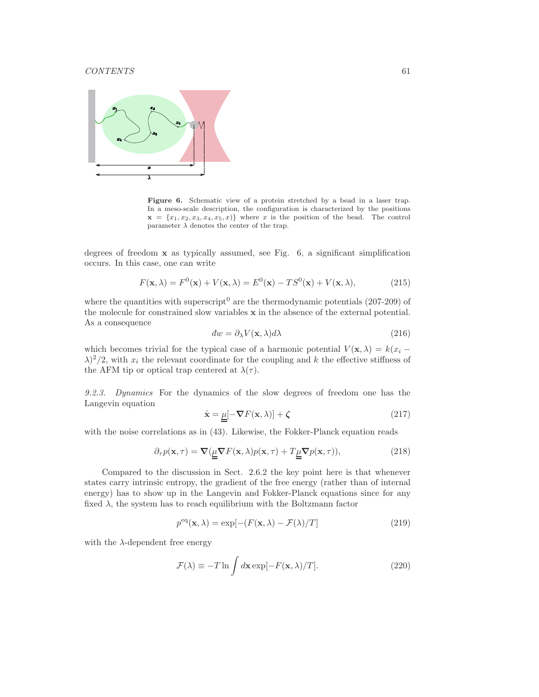

Figure 6. Schematic view of a protein stretched by a bead in a laser trap. In a meso-scale description, the configuration is characterized by the positions  $\mathbf{x} = \{x_1, x_2, x_3, x_4, x_5, x\}$  where x is the position of the bead. The control parameter  $\lambda$  denotes the center of the trap.

degrees of freedom  $x$  as typically assumed, see Fig. 6, a significant simplification occurs. In this case, one can write

$$
F(\mathbf{x}, \lambda) = F^{0}(\mathbf{x}) + V(\mathbf{x}, \lambda) = E^{0}(\mathbf{x}) - TS^{0}(\mathbf{x}) + V(\mathbf{x}, \lambda),
$$
\n(215)

where the quantities with superscript<sup>0</sup> are the thermodynamic potentials  $(207-209)$  of the molecule for constrained slow variables x in the absence of the external potential. As a consequence

$$
dw = \partial_{\lambda} V(\mathbf{x}, \lambda) d\lambda \tag{216}
$$

which becomes trivial for the typical case of a harmonic potential  $V(\mathbf{x}, \lambda) = k(x_i - \lambda)$  $\lambda$ )<sup>2</sup>/2, with  $x_i$  the relevant coordinate for the coupling and k the effective stiffness of the AFM tip or optical trap centered at  $\lambda(\tau)$ .

9.2.3. Dynamics For the dynamics of the slow degrees of freedom one has the Langevin equation

$$
\dot{\mathbf{x}} = \underline{\mu}[-\nabla F(\mathbf{x}, \lambda)] + \zeta \tag{217}
$$

with the noise correlations as in (43). Likewise, the Fokker-Planck equation reads

$$
\partial_{\tau} p(\mathbf{x}, \tau) = \nabla (\underline{\mu} \nabla F(\mathbf{x}, \lambda) p(\mathbf{x}, \tau) + T \underline{\mu} \nabla p(\mathbf{x}, \tau)), \tag{218}
$$

Compared to the discussion in Sect. 2.6.2 the key point here is that whenever states carry intrinsic entropy, the gradient of the free energy (rather than of internal energy) has to show up in the Langevin and Fokker-Planck equations since for any fixed  $\lambda$ , the system has to reach equilibrium with the Boltzmann factor

$$
p^{\text{eq}}(\mathbf{x}, \lambda) = \exp[-(F(\mathbf{x}, \lambda) - \mathcal{F}(\lambda)/T] \tag{219}
$$

with the  $\lambda$ -dependent free energy

$$
\mathcal{F}(\lambda) \equiv -T \ln \int d\mathbf{x} \exp[-F(\mathbf{x}, \lambda)/T]. \tag{220}
$$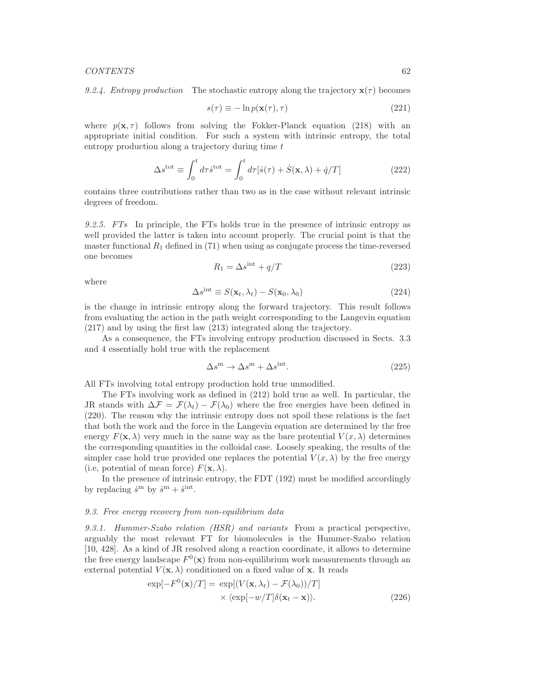9.2.4. Entropy production The stochastic entropy along the trajectory  $\mathbf{x}(\tau)$  becomes

$$
s(\tau) \equiv -\ln p(\mathbf{x}(\tau), \tau) \tag{221}
$$

where  $p(\mathbf{x}, \tau)$  follows from solving the Fokker-Planck equation (218) with an appropriate initial condition. For such a system with intrinsic entropy, the total entropy production along a trajectory during time  $t$ 

$$
\Delta s^{\text{tot}} \equiv \int_0^t d\tau \dot{s}^{\text{tot}} = \int_0^t d\tau [\dot{s}(\tau) + \dot{S}(\mathbf{x}, \lambda) + \dot{q}/T] \tag{222}
$$

contains three contributions rather than two as in the case without relevant intrinsic degrees of freedom.

9.2.5.  $FTs$  In principle, the FTs holds true in the presence of intrinsic entropy as well provided the latter is taken into account properly. The crucial point is that the master functional  $R_1$  defined in (71) when using as conjugate process the time-reversed one becomes

$$
R_1 = \Delta s^{\text{int}} + q/T \tag{223}
$$

where

$$
\Delta s^{\text{int}} \equiv S(\mathbf{x}_t, \lambda_t) - S(\mathbf{x}_0, \lambda_0) \tag{224}
$$

is the change in intrinsic entropy along the forward trajectory. This result follows from evaluating the action in the path weight corresponding to the Langevin equation (217) and by using the first law (213) integrated along the trajectory.

As a consequence, the FTs involving entropy production discussed in Sects. 3.3 and 4 essentially hold true with the replacement

$$
\Delta s^{\mathbf{m}} \to \Delta s^{\mathbf{m}} + \Delta s^{\text{int}}.\tag{225}
$$

All FTs involving total entropy production hold true unmodified.

The FTs involving work as defined in (212) hold true as well. In particular, the JR stands with  $\Delta \mathcal{F} = \mathcal{F}(\lambda_t) - \mathcal{F}(\lambda_0)$  where the free energies have been defined in (220). The reason why the intrinsic entropy does not spoil these relations is the fact that both the work and the force in the Langevin equation are determined by the free energy  $F(\mathbf{x}, \lambda)$  very much in the same way as the bare protential  $V(x, \lambda)$  determines the corresponding quantities in the colloidal case. Loosely speaking, the results of the simpler case hold true provided one replaces the potential  $V(x, \lambda)$  by the free energy (i.e, potential of mean force)  $F(\mathbf{x}, \lambda)$ .

In the presence of intrinsic entropy, the FDT (192) must be modified accordingly by replacing  $\dot{s}^{\text{m}}$  by  $\dot{s}^{\text{m}} + \dot{s}^{\text{int}}$ .

## 9.3. Free energy recovery from non-equilibrium data

9.3.1. Hummer-Szabo relation (HSR) and variants From a practical perspective, arguably the most relevant FT for biomolecules is the Hummer-Szabo relation [10, 428]. As a kind of JR resolved along a reaction coordinate, it allows to determine the free energy landscape  $F^0(\mathbf{x})$  from non-equilibrium work measurements through an external potential  $V(\mathbf{x}, \lambda)$  conditioned on a fixed value of x. It reads

$$
\exp[-F^{0}(\mathbf{x})/T] = \exp[(V(\mathbf{x}, \lambda_{t}) - \mathcal{F}(\lambda_{0}))/T] \times \langle \exp[-w/T] \delta(\mathbf{x}_{t} - \mathbf{x}) \rangle.
$$
 (226)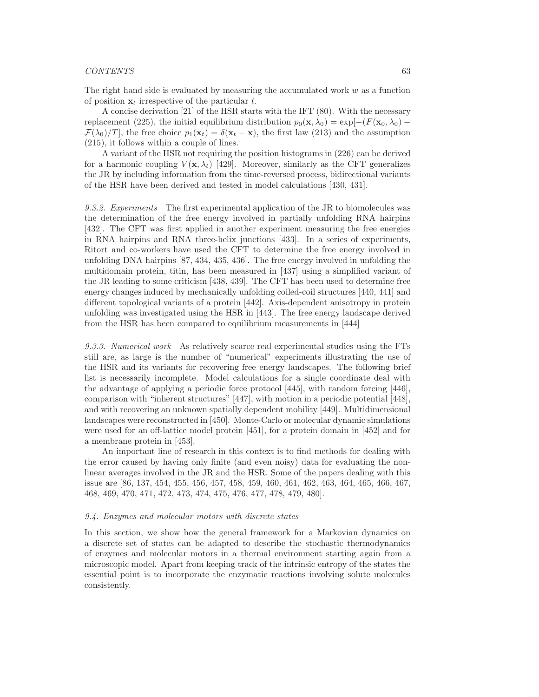The right hand side is evaluated by measuring the accumulated work  $w$  as a function of position  $x_t$  irrespective of the particular t.

A concise derivation [21] of the HSR starts with the IFT (80). With the necessary replacement (225), the initial equilibrium distribution  $p_0(\mathbf{x}, \lambda_0) = \exp[-(F(\mathbf{x}_0, \lambda_0) \mathcal{F}(\lambda_0)/T$ , the free choice  $p_1(\mathbf{x}_t) = \delta(\mathbf{x}_t - \mathbf{x})$ , the first law (213) and the assumption (215), it follows within a couple of lines.

A variant of the HSR not requiring the position histograms in (226) can be derived for a harmonic coupling  $V(\mathbf{x}, \lambda_t)$  [429]. Moreover, similarly as the CFT generalizes the JR by including information from the time-reversed process, bidirectional variants of the HSR have been derived and tested in model calculations [430, 431].

9.3.2. Experiments The first experimental application of the JR to biomolecules was the determination of the free energy involved in partially unfolding RNA hairpins [432]. The CFT was first applied in another experiment measuring the free energies in RNA hairpins and RNA three-helix junctions [433]. In a series of experiments, Ritort and co-workers have used the CFT to determine the free energy involved in unfolding DNA hairpins [87, 434, 435, 436]. The free energy involved in unfolding the multidomain protein, titin, has been measured in [437] using a simplified variant of the JR leading to some criticism [438, 439]. The CFT has been used to determine free energy changes induced by mechanically unfolding coiled-coil structures [440, 441] and different topological variants of a protein [442]. Axis-dependent anisotropy in protein unfolding was investigated using the HSR in [443]. The free energy landscape derived from the HSR has been compared to equilibrium measurements in [444]

9.3.3. Numerical work As relatively scarce real experimental studies using the FTs still are, as large is the number of "numerical" experiments illustrating the use of the HSR and its variants for recovering free energy landscapes. The following brief list is necessarily incomplete. Model calculations for a single coordinate deal with the advantage of applying a periodic force protocol [445], with random forcing [446], comparison with "inherent structures" [447], with motion in a periodic potential [448], and with recovering an unknown spatially dependent mobility [449]. Multidimensional landscapes were reconstructed in [450]. Monte-Carlo or molecular dynamic simulations were used for an off-lattice model protein [451], for a protein domain in [452] and for a membrane protein in [453].

An important line of research in this context is to find methods for dealing with the error caused by having only finite (and even noisy) data for evaluating the nonlinear averages involved in the JR and the HSR. Some of the papers dealing with this issue are [86, 137, 454, 455, 456, 457, 458, 459, 460, 461, 462, 463, 464, 465, 466, 467, 468, 469, 470, 471, 472, 473, 474, 475, 476, 477, 478, 479, 480].

### 9.4. Enzymes and molecular motors with discrete states

In this section, we show how the general framework for a Markovian dynamics on a discrete set of states can be adapted to describe the stochastic thermodynamics of enzymes and molecular motors in a thermal environment starting again from a microscopic model. Apart from keeping track of the intrinsic entropy of the states the essential point is to incorporate the enzymatic reactions involving solute molecules consistently.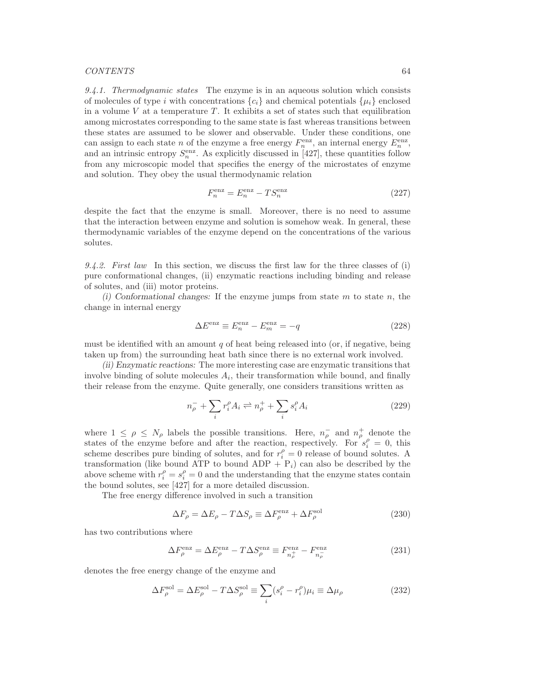9.4.1. Thermodynamic states The enzyme is in an aqueous solution which consists of molecules of type i with concentrations  ${c_i}$  and chemical potentials  ${\mu_i}$  enclosed in a volume  $V$  at a temperature  $T$ . It exhibits a set of states such that equilibration among microstates corresponding to the same state is fast whereas transitions between these states are assumed to be slower and observable. Under these conditions, one can assign to each state *n* of the enzyme a free energy  $F_n^{\text{enz}}$ , an internal energy  $E_n^{\text{enz}}$ , and an intrinsic entropy  $S_n^{\text{enz}}$ . As explicitly discussed in [427], these quantities follow from any microscopic model that specifies the energy of the microstates of enzyme and solution. They obey the usual thermodynamic relation

$$
F_n^{\text{enz}} = E_n^{\text{enz}} - TS_n^{\text{enz}} \tag{227}
$$

despite the fact that the enzyme is small. Moreover, there is no need to assume that the interaction between enzyme and solution is somehow weak. In general, these thermodynamic variables of the enzyme depend on the concentrations of the various solutes.

9.4.2. First law In this section, we discuss the first law for the three classes of (i) pure conformational changes, (ii) enzymatic reactions including binding and release of solutes, and (iii) motor proteins.

(i) Conformational changes: If the enzyme jumps from state m to state n, the change in internal energy

$$
\Delta E^{\text{enz}} \equiv E_n^{\text{enz}} - E_m^{\text{enz}} = -q \tag{228}
$$

must be identified with an amount  $q$  of heat being released into (or, if negative, being taken up from) the surrounding heat bath since there is no external work involved.

(ii) Enzymatic reactions: The more interesting case are enzymatic transitions that involve binding of solute molecules  $A_i$ , their transformation while bound, and finally their release from the enzyme. Quite generally, one considers transitions written as

$$
n_{\rho}^- + \sum_i r_i^{\rho} A_i \rightleftharpoons n_{\rho}^+ + \sum_i s_i^{\rho} A_i \tag{229}
$$

where  $1 \leq \rho \leq N_\rho$  labels the possible transitions. Here,  $n_\rho^-$  and  $n_\rho^+$  denote the states of the enzyme before and after the reaction, respectively. For  $s_i^{\rho} = 0$ , this scheme describes pure binding of solutes, and for  $r_i^{\rho} = 0$  release of bound solutes. A transformation (like bound ATP to bound ADP +  $P_i$ ) can also be described by the above scheme with  $r_i^{\rho} = s_i^{\rho} = 0$  and the understanding that the enzyme states contain the bound solutes, see [427] for a more detailed discussion.

The free energy difference involved in such a transition

$$
\Delta F_{\rho} = \Delta E_{\rho} - T \Delta S_{\rho} \equiv \Delta F_{\rho}^{\text{enz}} + \Delta F_{\rho}^{\text{sol}} \tag{230}
$$

has two contributions where

$$
\Delta F_{\rho}^{\text{enz}} = \Delta E_{\rho}^{\text{enz}} - T \Delta S_{\rho}^{\text{enz}} \equiv F_{n_{\rho}^{+}}^{\text{enz}} - F_{n_{\rho}^{-}}^{\text{enz}} \tag{231}
$$

denotes the free energy change of the enzyme and

$$
\Delta F_{\rho}^{\text{sol}} = \Delta E_{\rho}^{\text{sol}} - T \Delta S_{\rho}^{\text{sol}} \equiv \sum_{i} (s_i^{\rho} - r_i^{\rho}) \mu_i \equiv \Delta \mu_{\rho}
$$
\n(232)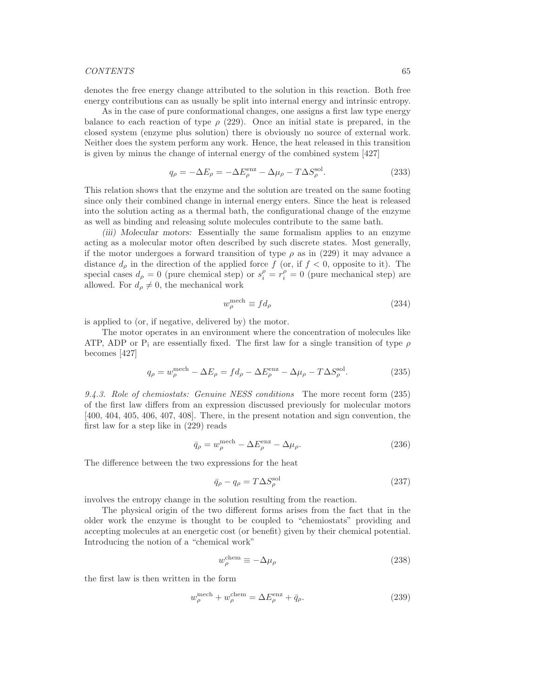denotes the free energy change attributed to the solution in this reaction. Both free energy contributions can as usually be split into internal energy and intrinsic entropy.

As in the case of pure conformational changes, one assigns a first law type energy balance to each reaction of type  $\rho$  (229). Once an initial state is prepared, in the closed system (enzyme plus solution) there is obviously no source of external work. Neither does the system perform any work. Hence, the heat released in this transition is given by minus the change of internal energy of the combined system [427]

$$
q_{\rho} = -\Delta E_{\rho} = -\Delta E_{\rho}^{\text{enz}} - \Delta \mu_{\rho} - T \Delta S_{\rho}^{\text{sol}}.
$$
\n(233)

This relation shows that the enzyme and the solution are treated on the same footing since only their combined change in internal energy enters. Since the heat is released into the solution acting as a thermal bath, the configurational change of the enzyme as well as binding and releasing solute molecules contribute to the same bath.

(iii) Molecular motors: Essentially the same formalism applies to an enzyme acting as a molecular motor often described by such discrete states. Most generally, if the motor undergoes a forward transition of type  $\rho$  as in (229) it may advance a distance  $d_{\rho}$  in the direction of the applied force f (or, if  $f < 0$ , opposite to it). The special cases  $d_{\rho} = 0$  (pure chemical step) or  $s_i^{\rho} = r_i^{\rho} = 0$  (pure mechanical step) are allowed. For  $d_{\rho} \neq 0$ , the mechanical work

$$
w_{\rho}^{\text{mech}} \equiv f d_{\rho} \tag{234}
$$

is applied to (or, if negative, delivered by) the motor.

The motor operates in an environment where the concentration of molecules like ATP, ADP or  $P_i$  are essentially fixed. The first law for a single transition of type  $\rho$ becomes [427]

$$
q_{\rho} = w_{\rho}^{\text{mech}} - \Delta E_{\rho} = f d_{\rho} - \Delta E_{\rho}^{\text{enz}} - \Delta \mu_{\rho} - T \Delta S_{\rho}^{\text{sol}}.
$$
 (235)

9.4.3. Role of chemiostats: Genuine NESS conditions The more recent form (235) of the first law differs from an expression discussed previously for molecular motors [400, 404, 405, 406, 407, 408]. There, in the present notation and sign convention, the first law for a step like in (229) reads

$$
\bar{q}_{\rho} = w_{\rho}^{\text{mech}} - \Delta E_{\rho}^{\text{enz}} - \Delta \mu_{\rho}.
$$
\n(236)

The difference between the two expressions for the heat

$$
\bar{q}_{\rho} - q_{\rho} = T \Delta S_{\rho}^{\text{sol}} \tag{237}
$$

involves the entropy change in the solution resulting from the reaction.

The physical origin of the two different forms arises from the fact that in the older work the enzyme is thought to be coupled to "chemiostats" providing and accepting molecules at an energetic cost (or benefit) given by their chemical potential. Introducing the notion of a "chemical work"

$$
w_{\rho}^{\text{chem}} \equiv -\Delta \mu_{\rho} \tag{238}
$$

the first law is then written in the form

$$
w_{\rho}^{\text{mech}} + w_{\rho}^{\text{chem}} = \Delta E_{\rho}^{\text{enz}} + \bar{q}_{\rho}.
$$
 (239)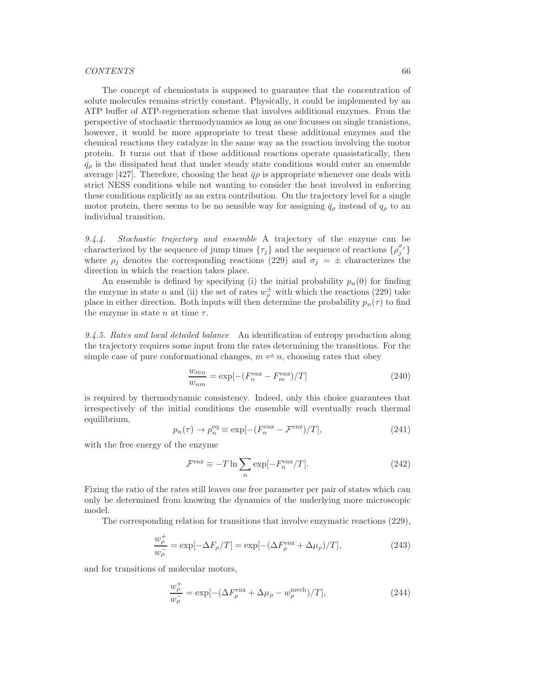The concept of chemiostats is supposed to guarantee that the concentration of solute molecules remains strictly constant. Physically, it could be implemented by an ATP buffer of ATP-regeneration scheme that involves additional enzymes. From the perspective of stochastic thermodynamics as long as one focusses on single tranistions, however, it would be more appropriate to treat these additional enzymes and the chemical reactions they catalyze in the same way as the reaction involving the motor protein. It turns out that if these additional reactions operate quasistatically, then  $\bar{q}_{\rho}$  is the dissipated heat that under steady state conditions would enter an ensemble average [427]. Therefore, choosing the heat  $\bar{q}\rho$  is appropriate whenever one deals with strict NESS conditions while not wanting to consider the heat involved in enforcing these conditions explicitly as an extra contribution. On the trajectory level for a single motor protein, there seems to be no sensible way for assigning  $\bar{q}_\rho$  instead of  $q_\rho$  to an individual transition.

9.4.4. Stochastic trajectory and ensemble A trajectory of the enzyme can be characterized by the sequence of jump times  $\{\tau_j\}$  and the sequence of reactions  $\{\rho_j^{\sigma_j}\}$ where  $\rho_j$  denotes the corresponding reactions (229) and  $\sigma_j = \pm$  characterizes the direction in which the reaction takes place.

An ensemble is defined by specifying (i) the initial probability  $p_n(0)$  for finding the enzyme in state n and (ii) the set of rates  $w_{\rho}^{\pm}$  with which the reactions (229) take place in either direction. Both inputs will then determine the probability  $p_n(\tau)$  to find the enzyme in state n at time  $\tau$ .

9.4.5. Rates and local detailed balance An identification of entropy production along the trajectory requires some input from the rates determining the transitions. For the simple case of pure conformational changes,  $m \rightleftharpoons n$ , choosing rates that obey

$$
\frac{w_{mn}}{w_{nm}} = \exp[-\left(F_n^{\text{enz}} - F_m^{\text{enz}}\right)/T] \tag{240}
$$

is required by thermodynamic consistency. Indeed, only this choice guarantees that irrespectively of the initial conditions the ensemble will eventually reach thermal equilibrium,

$$
p_n(\tau) \to p_n^{\text{eq}} \equiv \exp[-(F_n^{\text{enz}} - \mathcal{F}^{\text{enz}})/T],\tag{241}
$$

with the free energy of the enzyme

$$
\mathcal{F}^{\text{enz}} \equiv -T \ln \sum_{n} \exp[-F_n^{\text{enz}}/T]. \tag{242}
$$

Fixing the ratio of the rates still leaves one free parameter per pair of states which can only be determined from knowing the dynamics of the underlying more microscopic model.

The corresponding relation for transitions that involve enzymatic reactions (229),

$$
\frac{w_{\rho}^{+}}{w_{\rho}^{-}} = \exp[-\Delta F_{\rho}/T] = \exp[-(\Delta F_{\rho}^{\text{enz}} + \Delta \mu_{\rho})/T],
$$
\n(243)

and for transitions of molecular motors,

$$
\frac{w_{\rho}^{+}}{w_{\rho}^{-}} = \exp[-(\Delta F_{\rho}^{\text{enz}} + \Delta \mu_{\rho} - w_{\rho}^{\text{mech}})/T], \qquad (244)
$$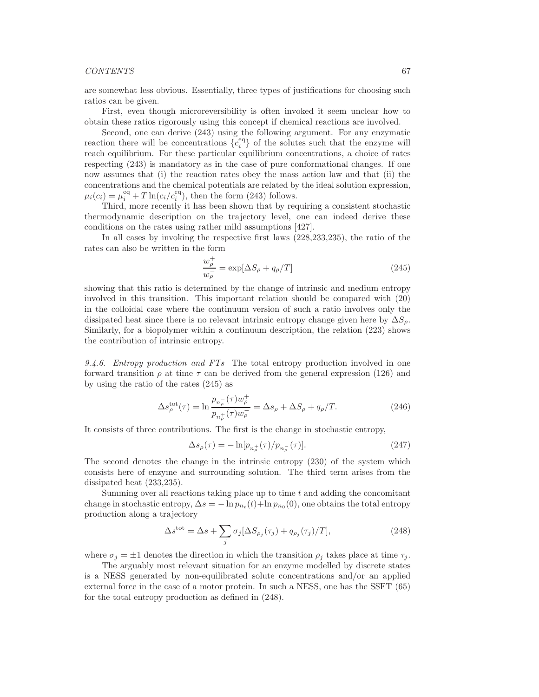are somewhat less obvious. Essentially, three types of justifications for choosing such ratios can be given.

First, even though microreversibility is often invoked it seem unclear how to obtain these ratios rigorously using this concept if chemical reactions are involved.

Second, one can derive (243) using the following argument. For any enzymatic reaction there will be concentrations  $\{c_i^{\text{eq}}\}$  of the solutes such that the enzyme will reach equilibrium. For these particular equilibrium concentrations, a choice of rates respecting (243) is mandatory as in the case of pure conformational changes. If one now assumes that (i) the reaction rates obey the mass action law and that (ii) the concentrations and the chemical potentials are related by the ideal solution expression,  $\mu_i(c_i) = \mu_i^{\text{eq}} + T \ln(c_i/c_i^{\text{eq}})$ , then the form (243) follows.

Third, more recently it has been shown that by requiring a consistent stochastic thermodynamic description on the trajectory level, one can indeed derive these conditions on the rates using rather mild assumptions [427].

In all cases by invoking the respective first laws (228,233,235), the ratio of the rates can also be written in the form

$$
\frac{w_{\rho}^{+}}{w_{\rho}^{-}} = \exp[\Delta S_{\rho} + q_{\rho}/T] \tag{245}
$$

showing that this ratio is determined by the change of intrinsic and medium entropy involved in this transition. This important relation should be compared with (20) in the colloidal case where the continuum version of such a ratio involves only the dissipated heat since there is no relevant intrinsic entropy change given here by  $\Delta S_{\rho}$ . Similarly, for a biopolymer within a continuum description, the relation (223) shows the contribution of intrinsic entropy.

9.4.6. Entropy production and FTs The total entropy production involved in one forward transition  $\rho$  at time  $\tau$  can be derived from the general expression (126) and by using the ratio of the rates (245) as

$$
\Delta s_{\rho}^{\rm tot}(\tau) = \ln \frac{p_{n_{\rho}}(\tau) w_{\rho}^{+}}{p_{n_{\rho}^{+}}(\tau) w_{\rho}^{-}} = \Delta s_{\rho} + \Delta S_{\rho} + q_{\rho}/T.
$$
\n(246)

It consists of three contributions. The first is the change in stochastic entropy,

$$
\Delta s_{\rho}(\tau) = -\ln[p_{n_{\rho}^{+}}(\tau)/p_{n_{\rho}^{-}}(\tau)].
$$
\n(247)

The second denotes the change in the intrinsic entropy (230) of the system which consists here of enzyme and surrounding solution. The third term arises from the dissipated heat (233,235).

Summing over all reactions taking place up to time  $t$  and adding the concomitant change in stochastic entropy,  $\Delta s = -\ln p_{n_t}(t) + \ln p_{n_0}(0)$ , one obtains the total entropy production along a trajectory

$$
\Delta s^{\text{tot}} = \Delta s + \sum_{j} \sigma_j [\Delta S_{\rho_j}(\tau_j) + q_{\rho_j}(\tau_j)/T], \qquad (248)
$$

where  $\sigma_j = \pm 1$  denotes the direction in which the transition  $\rho_j$  takes place at time  $\tau_j$ .

The arguably most relevant situation for an enzyme modelled by discrete states is a NESS generated by non-equilibrated solute concentrations and/or an applied external force in the case of a motor protein. In such a NESS, one has the SSFT (65) for the total entropy production as defined in (248).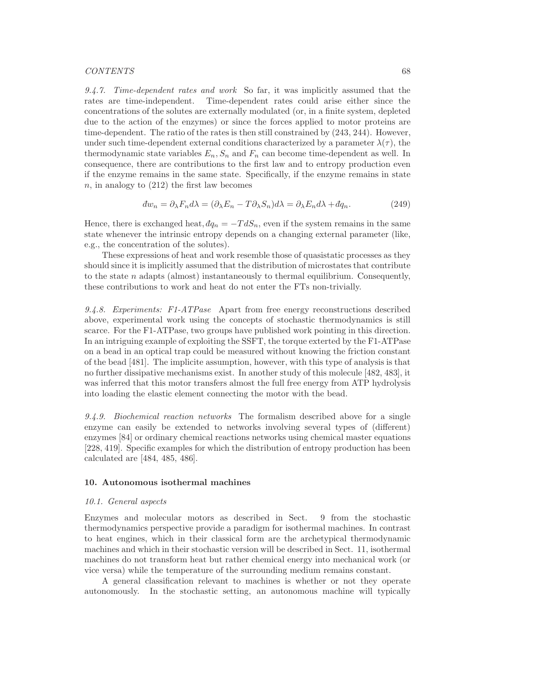9.4.7. Time-dependent rates and work So far, it was implicitly assumed that the rates are time-independent. Time-dependent rates could arise either since the concentrations of the solutes are externally modulated (or, in a finite system, depleted due to the action of the enzymes) or since the forces applied to motor proteins are time-dependent. The ratio of the rates is then still constrained by (243, 244). However, under such time-dependent external conditions characterized by a parameter  $\lambda(\tau)$ , the thermodynamic state variables  $E_n$ ,  $S_n$  and  $F_n$  can become time-dependent as well. In consequence, there are contributions to the first law and to entropy production even if the enzyme remains in the same state. Specifically, if the enzyme remains in state  $n$ , in analogy to  $(212)$  the first law becomes

$$
dw_n = \partial_{\lambda} F_n d\lambda = (\partial_{\lambda} E_n - T \partial_{\lambda} S_n) d\lambda = \partial_{\lambda} E_n d\lambda + dq_n.
$$
 (249)

Hence, there is exchanged heat,  $dq_n = -T dS_n$ , even if the system remains in the same state whenever the intrinsic entropy depends on a changing external parameter (like, e.g., the concentration of the solutes).

These expressions of heat and work resemble those of quasistatic processes as they should since it is implicitly assumed that the distribution of microstates that contribute to the state  $n$  adapts (almost) instantaneously to thermal equilibrium. Consequently, these contributions to work and heat do not enter the FTs non-trivially.

9.4.8. Experiments: F1-ATPase Apart from free energy reconstructions described above, experimental work using the concepts of stochastic thermodynamics is still scarce. For the F1-ATPase, two groups have published work pointing in this direction. In an intriguing example of exploiting the SSFT, the torque exterted by the F1-ATPase on a bead in an optical trap could be measured without knowing the friction constant of the bead [481]. The implicite assumption, however, with this type of analysis is that no further dissipative mechanisms exist. In another study of this molecule [482, 483], it was inferred that this motor transfers almost the full free energy from ATP hydrolysis into loading the elastic element connecting the motor with the bead.

9.4.9. Biochemical reaction networks The formalism described above for a single enzyme can easily be extended to networks involving several types of (different) enzymes [84] or ordinary chemical reactions networks using chemical master equations [228, 419]. Specific examples for which the distribution of entropy production has been calculated are [484, 485, 486].

#### 10. Autonomous isothermal machines

#### 10.1. General aspects

Enzymes and molecular motors as described in Sect. 9 from the stochastic thermodynamics perspective provide a paradigm for isothermal machines. In contrast to heat engines, which in their classical form are the archetypical thermodynamic machines and which in their stochastic version will be described in Sect. 11, isothermal machines do not transform heat but rather chemical energy into mechanical work (or vice versa) while the temperature of the surrounding medium remains constant.

A general classification relevant to machines is whether or not they operate autonomously. In the stochastic setting, an autonomous machine will typically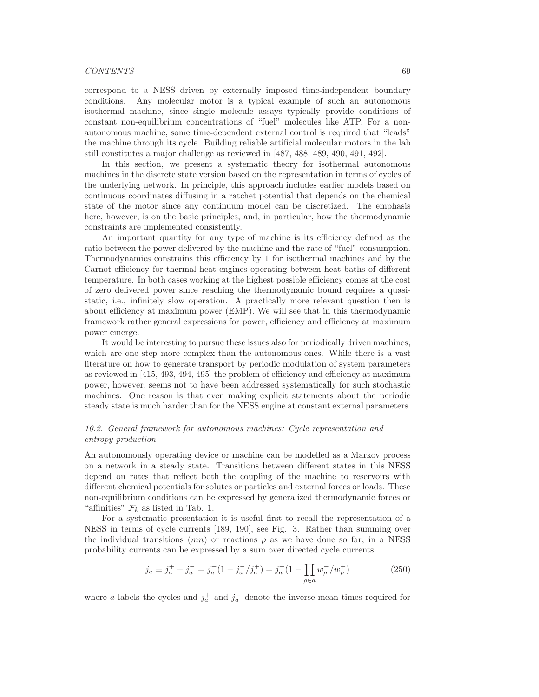correspond to a NESS driven by externally imposed time-independent boundary conditions. Any molecular motor is a typical example of such an autonomous isothermal machine, since single molecule assays typically provide conditions of constant non-equilibrium concentrations of "fuel" molecules like ATP. For a nonautonomous machine, some time-dependent external control is required that "leads" the machine through its cycle. Building reliable artificial molecular motors in the lab still constitutes a major challenge as reviewed in [487, 488, 489, 490, 491, 492].

In this section, we present a systematic theory for isothermal autonomous machines in the discrete state version based on the representation in terms of cycles of the underlying network. In principle, this approach includes earlier models based on continuous coordinates diffusing in a ratchet potential that depends on the chemical state of the motor since any continuum model can be discretized. The emphasis here, however, is on the basic principles, and, in particular, how the thermodynamic constraints are implemented consistently.

An important quantity for any type of machine is its efficiency defined as the ratio between the power delivered by the machine and the rate of "fuel" consumption. Thermodynamics constrains this efficiency by 1 for isothermal machines and by the Carnot efficiency for thermal heat engines operating between heat baths of different temperature. In both cases working at the highest possible efficiency comes at the cost of zero delivered power since reaching the thermodynamic bound requires a quasistatic, i.e., infinitely slow operation. A practically more relevant question then is about efficiency at maximum power (EMP). We will see that in this thermodynamic framework rather general expressions for power, efficiency and efficiency at maximum power emerge.

It would be interesting to pursue these issues also for periodically driven machines, which are one step more complex than the autonomous ones. While there is a vast literature on how to generate transport by periodic modulation of system parameters as reviewed in [415, 493, 494, 495] the problem of efficiency and efficiency at maximum power, however, seems not to have been addressed systematically for such stochastic machines. One reason is that even making explicit statements about the periodic steady state is much harder than for the NESS engine at constant external parameters.

# 10.2. General framework for autonomous machines: Cycle representation and entropy production

An autonomously operating device or machine can be modelled as a Markov process on a network in a steady state. Transitions between different states in this NESS depend on rates that reflect both the coupling of the machine to reservoirs with different chemical potentials for solutes or particles and external forces or loads. These non-equilibrium conditions can be expressed by generalized thermodynamic forces or "affinities"  $\mathcal{F}_k$  as listed in Tab. 1.

For a systematic presentation it is useful first to recall the representation of a NESS in terms of cycle currents [189, 190], see Fig. 3. Rather than summing over the individual transitions  $(mn)$  or reactions  $\rho$  as we have done so far, in a NESS probability currents can be expressed by a sum over directed cycle currents

$$
j_a \equiv j_a^+ - j_a^- = j_a^+ (1 - j_a^- / j_a^+) = j_a^+ (1 - \prod_{\rho \in a} w_\rho^- / w_\rho^+) \tag{250}
$$

where a labels the cycles and  $j_a^+$  and  $j_a^-$  denote the inverse mean times required for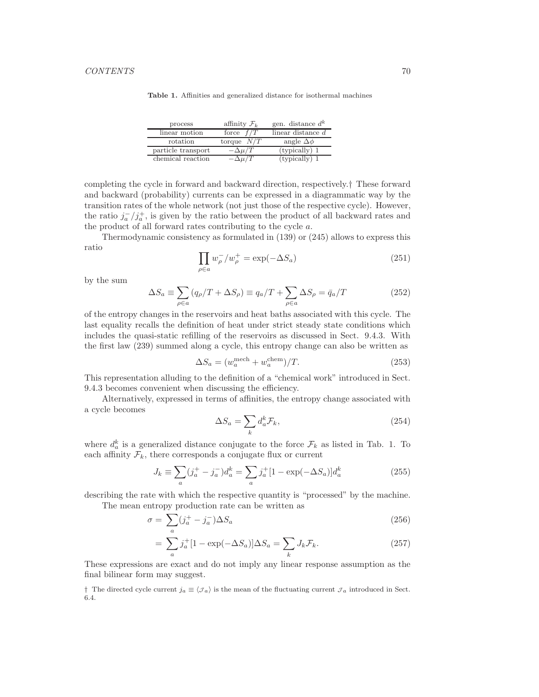| process            | affinity $\mathcal{F}_k$ | gen. distance $d^k$ |
|--------------------|--------------------------|---------------------|
| linear motion      | force $f/T$              | linear distance $d$ |
| rotation           | torque $N/T$             | angle $\Delta\phi$  |
| particle transport | $-\Delta \mu/T$          | $(typically)$ 1     |
| chemical reaction  |                          | $(typically)$ 1     |

Table 1. Affinities and generalized distance for isothermal machines

completing the cycle in forward and backward direction, respectively.† These forward and backward (probability) currents can be expressed in a diagrammatic way by the transition rates of the whole network (not just those of the respective cycle). However, the ratio  $j_a^-/j_a^+$ , is given by the ratio between the product of all backward rates and the product of all forward rates contributing to the cycle a.

Thermodynamic consistency as formulated in (139) or (245) allows to express this ratio

$$
\prod_{\rho \in a} w_{\rho}^- / w_{\rho}^+ = \exp(-\Delta S_a) \tag{251}
$$

by the sum

$$
\Delta S_a \equiv \sum_{\rho \in a} (q_\rho/T + \Delta S_\rho) \equiv q_a/T + \sum_{\rho \in a} \Delta S_\rho = \bar{q}_a/T \tag{252}
$$

of the entropy changes in the reservoirs and heat baths associated with this cycle. The last equality recalls the definition of heat under strict steady state conditions which includes the quasi-static refilling of the reservoirs as discussed in Sect. 9.4.3. With the first law (239) summed along a cycle, this entropy change can also be written as

$$
\Delta S_a = (w_a^{\text{mech}} + w_a^{\text{chem}})/T.
$$
\n(253)

This representation alluding to the definition of a "chemical work" introduced in Sect. 9.4.3 becomes convenient when discussing the efficiency.

Alternatively, expressed in terms of affinities, the entropy change associated with a cycle becomes

$$
\Delta S_a = \sum_k d_a^k \mathcal{F}_k,\tag{254}
$$

where  $d_a^k$  is a generalized distance conjugate to the force  $\mathcal{F}_k$  as listed in Tab. 1. To each affinity  $\mathcal{F}_k$ , there corresponds a conjugate flux or current

$$
J_k \equiv \sum_a (j_a^+ - j_a^-) d_a^k = \sum_a j_a^+ [1 - \exp(-\Delta S_a)] d_a^k \tag{255}
$$

describing the rate with which the respective quantity is "processed" by the machine. The mean entropy production rate can be written as

$$
\sigma = \sum_{a} (j_a^+ - j_a^-) \Delta S_a \tag{256}
$$

$$
= \sum_{a} j_a^+ [1 - \exp(-\Delta S_a)] \Delta S_a = \sum_{k} J_k \mathcal{F}_k. \tag{257}
$$

These expressions are exact and do not imply any linear response assumption as the final bilinear form may suggest.

† The directed cycle current  $j_a \equiv \langle \mathcal{J}_a \rangle$  is the mean of the fluctuating current  $\mathcal{J}_a$  introduced in Sect. 6.4.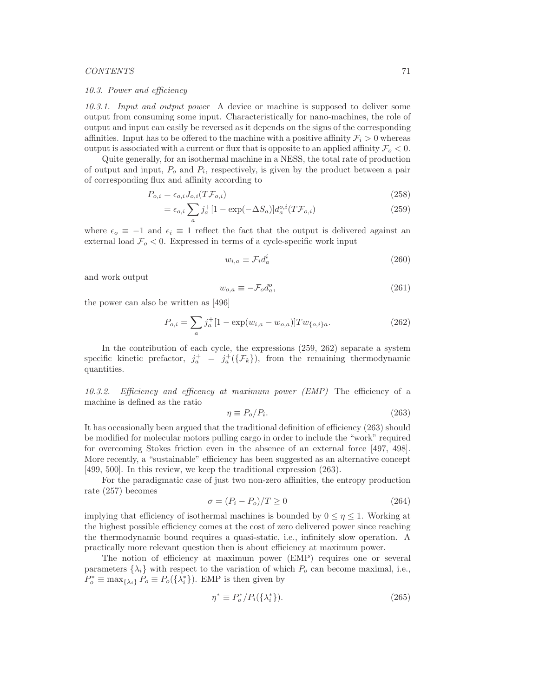## 10.3. Power and efficiency

10.3.1. Input and output power A device or machine is supposed to deliver some output from consuming some input. Characteristically for nano-machines, the role of output and input can easily be reversed as it depends on the signs of the corresponding affinities. Input has to be offered to the machine with a positive affinity  $\mathcal{F}_i > 0$  whereas output is associated with a current or flux that is opposite to an applied affinity  $\mathcal{F}_{o} < 0$ .

Quite generally, for an isothermal machine in a NESS, the total rate of production of output and input,  $P_o$  and  $P_i$ , respectively, is given by the product between a pair of corresponding flux and affinity according to

$$
P_{o,i} = \epsilon_{o,i} J_{o,i}(T\mathcal{F}_{o,i})
$$
\n
$$
(258)
$$

$$
= \epsilon_{o,i} \sum_{a} j_a^+ [1 - \exp(-\Delta S_a)] d_a^{o,i} (T \mathcal{F}_{o,i})
$$
\n(259)

where  $\epsilon_o \equiv -1$  and  $\epsilon_i \equiv 1$  reflect the fact that the output is delivered against an external load  $\mathcal{F}_o < 0$ . Expressed in terms of a cycle-specific work input

$$
w_{i,a} \equiv \mathcal{F}_i d_a^i \tag{260}
$$

and work output

$$
w_{o,a} \equiv -\mathcal{F}_o d_a^o,\tag{261}
$$

the power can also be written as [496]

$$
P_{o,i} = \sum_{a} j_a^+ [1 - \exp(w_{i,a} - w_{o,a})] T w_{\{o,i\}a}.
$$
 (262)

In the contribution of each cycle, the expressions (259, 262) separate a system specific kinetic prefactor,  $j_a^+ = j_a^+({\{\mathcal{F}_k\}})$ , from the remaining thermodynamic quantities.

10.3.2. Efficiency and efficency at maximum power (EMP) The efficiency of a machine is defined as the ratio

$$
\eta \equiv P_o/P_i. \tag{263}
$$

It has occasionally been argued that the traditional definition of efficiency (263) should be modified for molecular motors pulling cargo in order to include the "work" required for overcoming Stokes friction even in the absence of an external force [497, 498]. More recently, a "sustainable" efficiency has been suggested as an alternative concept [499, 500]. In this review, we keep the traditional expression (263).

For the paradigmatic case of just two non-zero affinities, the entropy production rate (257) becomes

$$
\sigma = (P_i - P_o)/T \ge 0\tag{264}
$$

implying that efficiency of isothermal machines is bounded by  $0 \leq \eta \leq 1$ . Working at the highest possible efficiency comes at the cost of zero delivered power since reaching the thermodynamic bound requires a quasi-static, i.e., infinitely slow operation. A practically more relevant question then is about efficiency at maximum power.

The notion of efficiency at maximum power (EMP) requires one or several parameters  $\{\lambda_i\}$  with respect to the variation of which  $P_o$  can become maximal, i.e.,  $P_o^* \equiv \max_{\{\lambda_i\}} P_o \equiv P_o(\{\lambda_i^*\})$ . EMP is then given by

$$
\eta^* \equiv P_o^* / P_i(\{\lambda_i^*\}).\tag{265}
$$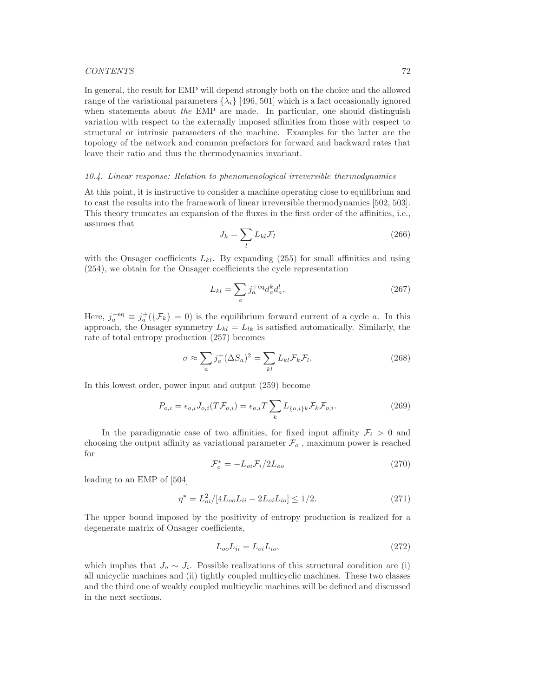In general, the result for EMP will depend strongly both on the choice and the allowed range of the variational parameters  $\{\lambda_i\}$  [496, 501] which is a fact occasionally ignored when statements about the EMP are made. In particular, one should distinguish variation with respect to the externally imposed affinities from those with respect to structural or intrinsic parameters of the machine. Examples for the latter are the topology of the network and common prefactors for forward and backward rates that leave their ratio and thus the thermodynamics invariant.

#### 10.4. Linear response: Relation to phenomenological irreversible thermodynamics

At this point, it is instructive to consider a machine operating close to equilibrium and to cast the results into the framework of linear irreversible thermodynamics [502, 503]. This theory truncates an expansion of the fluxes in the first order of the affinities, i.e., assumes that

$$
J_k = \sum_l L_{kl} \mathcal{F}_l \tag{266}
$$

with the Onsager coefficients  $L_{kl}$ . By expanding (255) for small affinities and using (254), we obtain for the Onsager coefficients the cycle representation

$$
L_{kl} = \sum_{a} j_a^{+eq} d_a^k d_a^l. \tag{267}
$$

Here,  $j_a^{+eq} \equiv j_a^{+}(\lbrace \mathcal{F}_k \rbrace = 0)$  is the equilibrium forward current of a cycle a. In this approach, the Onsager symmetry  $L_{kl} = L_{lk}$  is satisfied automatically. Similarly, the rate of total entropy production (257) becomes

$$
\sigma \approx \sum_{a} j_a^+ (\Delta S_a)^2 = \sum_{kl} L_{kl} \mathcal{F}_k \mathcal{F}_l.
$$
 (268)

In this lowest order, power input and output (259) become

$$
P_{o,i} = \epsilon_{o,i} J_{o,i}(T\mathcal{F}_{o,i}) = \epsilon_{o,i} T \sum_{k} L_{\{o,i\}k} \mathcal{F}_k \mathcal{F}_{o,i}.
$$
 (269)

In the paradigmatic case of two affinities, for fixed input affinity  $\mathcal{F}_i > 0$  and choosing the output affinity as variational parameter  $\mathcal{F}_o$ , maximum power is reached for

$$
\mathcal{F}_o^* = -L_{oi}\mathcal{F}_i/2L_{oo} \tag{270}
$$

leading to an EMP of [504]

$$
\eta^* = L_{oi}^2 / [4L_{oo}L_{ii} - 2L_{oi}L_{io}] \le 1/2. \tag{271}
$$

The upper bound imposed by the positivity of entropy production is realized for a degenerate matrix of Onsager coefficients,

$$
L_{oo}L_{ii} = L_{oi}L_{io},\tag{272}
$$

which implies that  $J_0 \sim J_i$ . Possible realizations of this structural condition are (i) all unicyclic machines and (ii) tightly coupled multicyclic machines. These two classes and the third one of weakly coupled multicyclic machines will be defined and discussed in the next sections.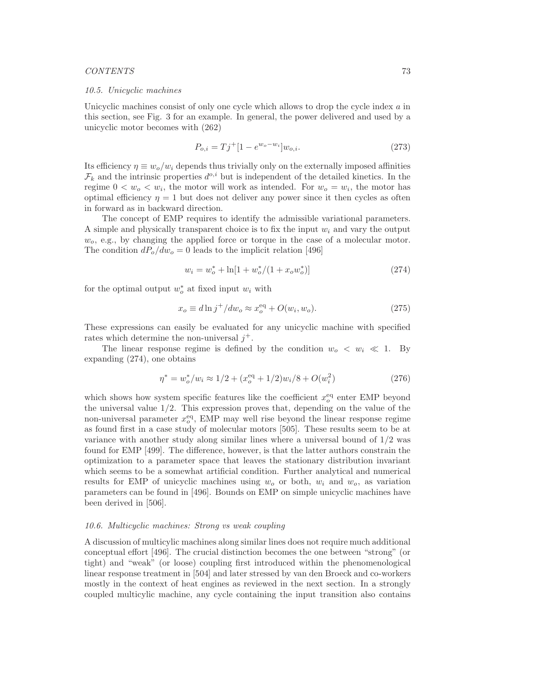### 10.5. Unicyclic machines

Unicyclic machines consist of only one cycle which allows to drop the cycle index a in this section, see Fig. 3 for an example. In general, the power delivered and used by a unicyclic motor becomes with (262)

$$
P_{o,i} = Tj^+[1 - e^{w_o - w_i}]w_{o,i}.
$$
\n(273)

Its efficiency  $\eta \equiv w_o/w_i$  depends thus trivially only on the externally imposed affinities  $\mathcal{F}_k$  and the intrinsic properties  $d^{o,i}$  but is independent of the detailed kinetics. In the regime  $0 < w_o < w_i$ , the motor will work as intended. For  $w_o = w_i$ , the motor has optimal efficiency  $\eta = 1$  but does not deliver any power since it then cycles as often in forward as in backward direction.

The concept of EMP requires to identify the admissible variational parameters. A simple and physically transparent choice is to fix the input  $w_i$  and vary the output  $w<sub>o</sub>$ , e.g., by changing the applied force or torque in the case of a molecular motor. The condition  $dP_o/dw_o = 0$  leads to the implicit relation [496]

$$
w_i = w_o^* + \ln[1 + w_o^*/(1 + x_o w_o^*)]
$$
\n(274)

for the optimal output  $w_o^*$  at fixed input  $w_i$  with

$$
x_o \equiv d \ln j^+ / dw_o \approx x_o^{\text{eq}} + O(w_i, w_o). \tag{275}
$$

These expressions can easily be evaluated for any unicyclic machine with specified rates which determine the non-universal  $j^+$ .

The linear response regime is defined by the condition  $w_0 < w_i \ll 1$ . By expanding (274), one obtains

$$
\eta^* = w_o^* / w_i \approx 1/2 + (x_o^{\text{eq}} + 1/2) w_i / 8 + O(w_i^2)
$$
\n(276)

which shows how system specific features like the coefficient  $x_o^{\text{eq}}$  enter EMP beyond the universal value 1/2. This expression proves that, depending on the value of the non-universal parameter  $x_o^{\text{eq}}$ , EMP may well rise beyond the linear response regime as found first in a case study of molecular motors [505]. These results seem to be at variance with another study along similar lines where a universal bound of 1/2 was found for EMP [499]. The difference, however, is that the latter authors constrain the optimization to a parameter space that leaves the stationary distribution invariant which seems to be a somewhat artificial condition. Further analytical and numerical results for EMP of unicyclic machines using  $w<sub>o</sub>$  or both,  $w<sub>i</sub>$  and  $w<sub>o</sub>$ , as variation parameters can be found in [496]. Bounds on EMP on simple unicyclic machines have been derived in [506].

### 10.6. Multicyclic machines: Strong vs weak coupling

A discussion of multicylic machines along similar lines does not require much additional conceptual effort [496]. The crucial distinction becomes the one between "strong" (or tight) and "weak" (or loose) coupling first introduced within the phenomenological linear response treatment in [504] and later stressed by van den Broeck and co-workers mostly in the context of heat engines as reviewed in the next section. In a strongly coupled multicylic machine, any cycle containing the input transition also contains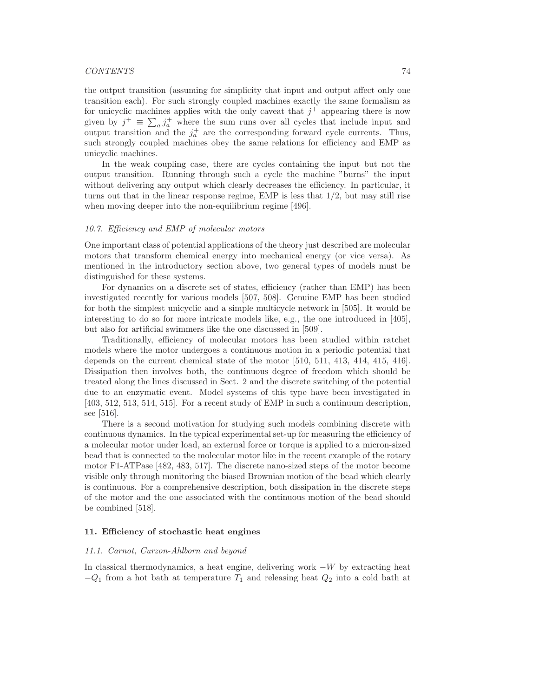the output transition (assuming for simplicity that input and output affect only one transition each). For such strongly coupled machines exactly the same formalism as for unicyclic machines applies with the only caveat that  $j^+$  appearing there is now given by  $j^+ \equiv \sum_a j_a^+$  where the sum runs over all cycles that include input and output transition and the  $j_a^+$  are the corresponding forward cycle currents. Thus, such strongly coupled machines obey the same relations for efficiency and EMP as unicyclic machines.

In the weak coupling case, there are cycles containing the input but not the output transition. Running through such a cycle the machine "burns" the input without delivering any output which clearly decreases the efficiency. In particular, it turns out that in the linear response regime, EMP is less that  $1/2$ , but may still rise when moving deeper into the non-equilibrium regime [496].

## 10.7. Efficiency and EMP of molecular motors

One important class of potential applications of the theory just described are molecular motors that transform chemical energy into mechanical energy (or vice versa). As mentioned in the introductory section above, two general types of models must be distinguished for these systems.

For dynamics on a discrete set of states, efficiency (rather than EMP) has been investigated recently for various models [507, 508]. Genuine EMP has been studied for both the simplest unicyclic and a simple multicycle network in [505]. It would be interesting to do so for more intricate models like, e.g., the one introduced in [405], but also for artificial swimmers like the one discussed in [509].

Traditionally, efficiency of molecular motors has been studied within ratchet models where the motor undergoes a continuous motion in a periodic potential that depends on the current chemical state of the motor [510, 511, 413, 414, 415, 416]. Dissipation then involves both, the continuous degree of freedom which should be treated along the lines discussed in Sect. 2 and the discrete switching of the potential due to an enzymatic event. Model systems of this type have been investigated in [403, 512, 513, 514, 515]. For a recent study of EMP in such a continuum description, see [516].

There is a second motivation for studying such models combining discrete with continuous dynamics. In the typical experimental set-up for measuring the efficiency of a molecular motor under load, an external force or torque is applied to a micron-sized bead that is connected to the molecular motor like in the recent example of the rotary motor F1-ATPase [482, 483, 517]. The discrete nano-sized steps of the motor become visible only through monitoring the biased Brownian motion of the bead which clearly is continuous. For a comprehensive description, both dissipation in the discrete steps of the motor and the one associated with the continuous motion of the bead should be combined [518].

## 11. Efficiency of stochastic heat engines

# 11.1. Carnot, Curzon-Ahlborn and beyond

In classical thermodynamics, a heat engine, delivering work  $-W$  by extracting heat  $-Q_1$  from a hot bath at temperature  $T_1$  and releasing heat  $Q_2$  into a cold bath at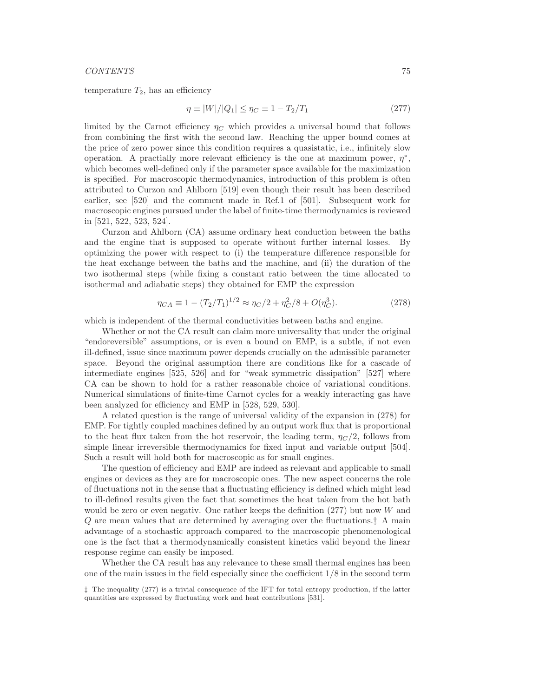## CONTENTS TO THE SERVICE OF THE SERVICE OF THE SERVICE OF THE SERVICE OF THE SERVICE OF THE SERVICE OF THE SERVICE OF THE SERVICE OF THE SERVICE OF THE SERVICE OF THE SERVICE OF THE SERVICE OF THE SERVICE OF THE SERVICE OF

temperature  $T_2$ , has an efficiency

$$
\eta \equiv |W|/|Q_1| \le \eta_C \equiv 1 - T_2/T_1 \tag{277}
$$

limited by the Carnot efficiency  $\eta_C$  which provides a universal bound that follows from combining the first with the second law. Reaching the upper bound comes at the price of zero power since this condition requires a quasistatic, i.e., infinitely slow operation. A practially more relevant efficiency is the one at maximum power,  $\eta^*$ , which becomes well-defined only if the parameter space available for the maximization is specified. For macroscopic thermodynamics, introduction of this problem is often attributed to Curzon and Ahlborn [519] even though their result has been described earlier, see [520] and the comment made in Ref.1 of [501]. Subsequent work for macroscopic engines pursued under the label of finite-time thermodynamics is reviewed in [521, 522, 523, 524].

Curzon and Ahlborn (CA) assume ordinary heat conduction between the baths and the engine that is supposed to operate without further internal losses. By optimizing the power with respect to (i) the temperature difference responsible for the heat exchange between the baths and the machine, and (ii) the duration of the two isothermal steps (while fixing a constant ratio between the time allocated to isothermal and adiabatic steps) they obtained for EMP the expression

$$
\eta_{CA} \equiv 1 - (T_2/T_1)^{1/2} \approx \eta_C/2 + \eta_C^2/8 + O(\eta_C^3). \tag{278}
$$

which is independent of the thermal conductivities between baths and engine.

Whether or not the CA result can claim more universality that under the original "endoreversible" assumptions, or is even a bound on EMP, is a subtle, if not even ill-defined, issue since maximum power depends crucially on the admissible parameter space. Beyond the original assumption there are conditions like for a cascade of intermediate engines [525, 526] and for "weak symmetric dissipation" [527] where CA can be shown to hold for a rather reasonable choice of variational conditions. Numerical simulations of finite-time Carnot cycles for a weakly interacting gas have been analyzed for efficiency and EMP in [528, 529, 530].

A related question is the range of universal validity of the expansion in (278) for EMP. For tightly coupled machines defined by an output work flux that is proportional to the heat flux taken from the hot reservoir, the leading term,  $\eta_C/2$ , follows from simple linear irreversible thermodynamics for fixed input and variable output [504]. Such a result will hold both for macroscopic as for small engines.

The question of efficiency and EMP are indeed as relevant and applicable to small engines or devices as they are for macroscopic ones. The new aspect concerns the role of fluctuations not in the sense that a fluctuating efficiency is defined which might lead to ill-defined results given the fact that sometimes the heat taken from the hot bath would be zero or even negativ. One rather keeps the definition  $(277)$  but now W and Q are mean values that are determined by averaging over the fluctuations.‡ A main advantage of a stochastic approach compared to the macroscopic phenomenological one is the fact that a thermodynamically consistent kinetics valid beyond the linear response regime can easily be imposed.

Whether the CA result has any relevance to these small thermal engines has been one of the main issues in the field especially since the coefficient 1/8 in the second term

<sup>‡</sup> The inequality (277) is a trivial consequence of the IFT for total entropy production, if the latter quantities are expressed by fluctuating work and heat contributions [531].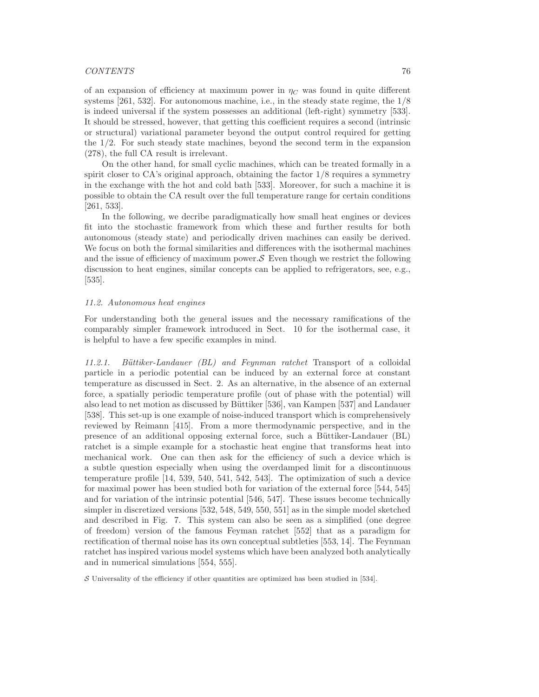of an expansion of efficiency at maximum power in  $\eta_C$  was found in quite different systems [261, 532]. For autonomous machine, i.e., in the steady state regime, the 1/8 is indeed universal if the system possesses an additional (left-right) symmetry [533]. It should be stressed, however, that getting this coefficient requires a second (intrinsic or structural) variational parameter beyond the output control required for getting the 1/2. For such steady state machines, beyond the second term in the expansion (278), the full CA result is irrelevant.

On the other hand, for small cyclic machines, which can be treated formally in a spirit closer to  $CA$ 's original approach, obtaining the factor  $1/8$  requires a symmetry in the exchange with the hot and cold bath [533]. Moreover, for such a machine it is possible to obtain the CA result over the full temperature range for certain conditions [261, 533].

In the following, we decribe paradigmatically how small heat engines or devices fit into the stochastic framework from which these and further results for both autonomous (steady state) and periodically driven machines can easily be derived. We focus on both the formal similarities and differences with the isothermal machines and the issue of efficiency of maximum power.  $\mathcal S$  Even though we restrict the following discussion to heat engines, similar concepts can be applied to refrigerators, see, e.g., [535].

### 11.2. Autonomous heat engines

For understanding both the general issues and the necessary ramifications of the comparably simpler framework introduced in Sect. 10 for the isothermal case, it is helpful to have a few specific examples in mind.

11.2.1. Büttiker-Landauer (BL) and Feynman ratchet Transport of a colloidal particle in a periodic potential can be induced by an external force at constant temperature as discussed in Sect. 2. As an alternative, in the absence of an external force, a spatially periodic temperature profile (out of phase with the potential) will also lead to net motion as discussed by Büttiker [536], van Kampen [537] and Landauer [538]. This set-up is one example of noise-induced transport which is comprehensively reviewed by Reimann [415]. From a more thermodynamic perspective, and in the presence of an additional opposing external force, such a Büttiker-Landauer (BL) ratchet is a simple example for a stochastic heat engine that transforms heat into mechanical work. One can then ask for the efficiency of such a device which is a subtle question especially when using the overdamped limit for a discontinuous temperature profile [14, 539, 540, 541, 542, 543]. The optimization of such a device for maximal power has been studied both for variation of the external force [544, 545] and for variation of the intrinsic potential [546, 547]. These issues become technically simpler in discretized versions [532, 548, 549, 550, 551] as in the simple model sketched and described in Fig. 7. This system can also be seen as a simplified (one degree of freedom) version of the famous Feyman ratchet [552] that as a paradigm for rectification of thermal noise has its own conceptual subtleties [553, 14]. The Feynman ratchet has inspired various model systems which have been analyzed both analytically and in numerical simulations [554, 555].

S Universality of the efficiency if other quantities are optimized has been studied in [534].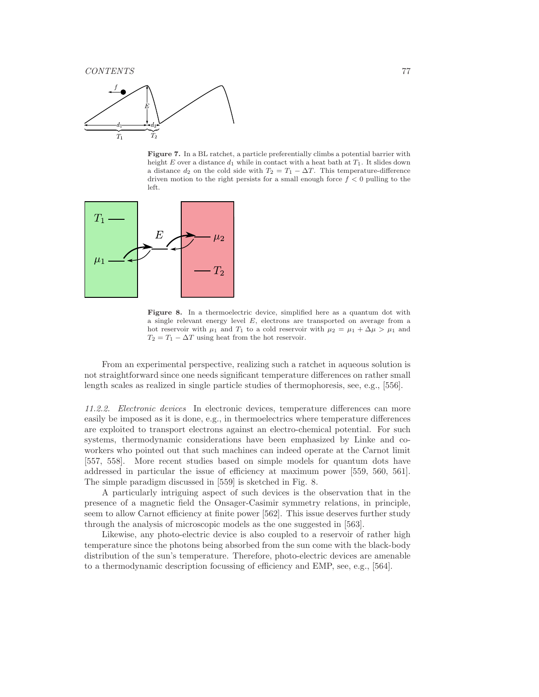

Figure 7. In a BL ratchet, a particle preferentially climbs a potential barrier with height E over a distance  $d_1$  while in contact with a heat bath at  $T_1$ . It slides down a distance  $d_2$  on the cold side with  $T_2 = T_1 - \Delta T$ . This temperature-difference driven motion to the right persists for a small enough force  $f < 0$  pulling to the left.



Figure 8. In a thermoelectric device, simplified here as a quantum dot with a single relevant energy level E, electrons are transported on average from a hot reservoir with  $\mu_1$  and  $T_1$  to a cold reservoir with  $\mu_2 = \mu_1 + \Delta \mu > \mu_1$  and  $T_2=T_1-\Delta T$  using heat from the hot reservoir.

From an experimental perspective, realizing such a ratchet in aqueous solution is not straightforward since one needs significant temperature differences on rather small length scales as realized in single particle studies of thermophoresis, see, e.g., [556].

11.2.2. Electronic devices In electronic devices, temperature differences can more easily be imposed as it is done, e.g., in thermoelectrics where temperature differences are exploited to transport electrons against an electro-chemical potential. For such systems, thermodynamic considerations have been emphasized by Linke and coworkers who pointed out that such machines can indeed operate at the Carnot limit [557, 558]. More recent studies based on simple models for quantum dots have addressed in particular the issue of efficiency at maximum power [559, 560, 561]. The simple paradigm discussed in [559] is sketched in Fig. 8.

A particularly intriguing aspect of such devices is the observation that in the presence of a magnetic field the Onsager-Casimir symmetry relations, in principle, seem to allow Carnot efficiency at finite power [562]. This issue deserves further study through the analysis of microscopic models as the one suggested in [563].

Likewise, any photo-electric device is also coupled to a reservoir of rather high temperature since the photons being absorbed from the sun come with the black-body distribution of the sun's temperature. Therefore, photo-electric devices are amenable to a thermodynamic description focussing of efficiency and EMP, see, e.g., [564].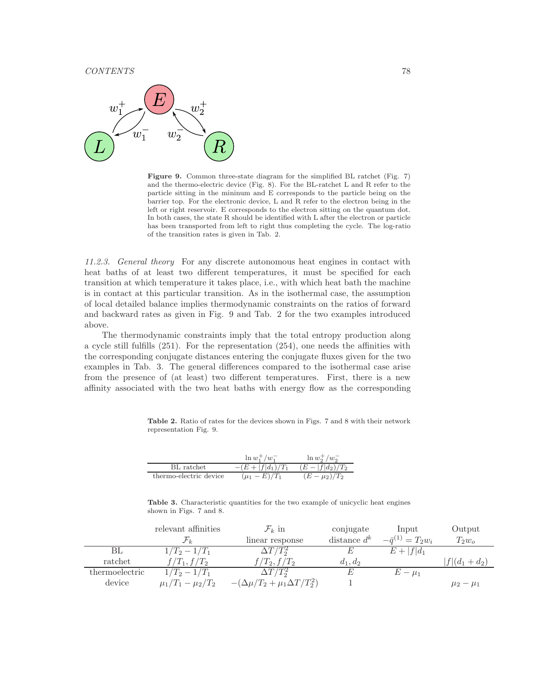

Figure 9. Common three-state diagram for the simplified BL ratchet (Fig. 7) and the thermo-electric device (Fig. 8). For the BL-ratchet L and R refer to the particle sitting in the mininum and E corresponds to the particle being on the barrier top. For the electronic device, L and R refer to the electron being in the left or right reservoir. E corresponds to the electron sitting on the quantum dot. In both cases, the state R should be identified with L after the electron or particle has been transported from left to right thus completing the cycle. The log-ratio of the transition rates is given in Tab. 2.

11.2.3. General theory For any discrete autonomous heat engines in contact with heat baths of at least two different temperatures, it must be specified for each transition at which temperature it takes place, i.e., with which heat bath the machine is in contact at this particular transition. As in the isothermal case, the assumption of local detailed balance implies thermodynamic constraints on the ratios of forward and backward rates as given in Fig. 9 and Tab. 2 for the two examples introduced above.

The thermodynamic constraints imply that the total entropy production along a cycle still fulfills (251). For the representation (254), one needs the affinities with the corresponding conjugate distances entering the conjugate fluxes given for the two examples in Tab. 3. The general differences compared to the isothermal case arise from the presence of (at least) two different temperatures. First, there is a new affinity associated with the two heat baths with energy flow as the corresponding

Table 2. Ratio of rates for the devices shown in Figs. 7 and 8 with their network representation Fig. 9.

|                        | $\ln w_1^+$           | $\ln w_2^+$<br>$w_{\alpha}$ |
|------------------------|-----------------------|-----------------------------|
| BL ratchet             | $-(E+ f d_1)/T_1$     | $(E -  f d_2)/T_2$          |
| thermo-electric device | $E)/T_1$<br>$(\mu_1)$ | $\mu_2)/T_2$<br>E           |

Table 3. Characteristic quantities for the two example of unicyclic heat engines shown in Figs. 7 and 8.

|                | relevant affinities     | $\mathcal{F}_k$ in                         | conjugate      | Input                      | Output          |
|----------------|-------------------------|--------------------------------------------|----------------|----------------------------|-----------------|
|                |                         | linear response                            | distance $d^k$ | $-\bar{q}^{(1)} = T_2 w_i$ | $T_2w_o$        |
| ВL             | $1/T_2 - 1/T_1$         | $\Delta T/T_2^2$                           |                | $E+ f d_1$                 |                 |
| ratchet        | $f/T_1, f/T_2$          | $f/T_2, f/T_2$                             | $d_1, d_2$     |                            | $f (d_1+d_2)$   |
| thermoelectric | $1/T_2 - 1/T_1$         | $\overline{\Delta T}/T_2^2$                |                | $E-\mu_1$                  |                 |
| device         | $\mu_1/T_1 - \mu_2/T_2$ | $-(\Delta \mu/T_2 + \mu_1 \Delta T/T_2^2)$ |                |                            | $\mu_2 - \mu_1$ |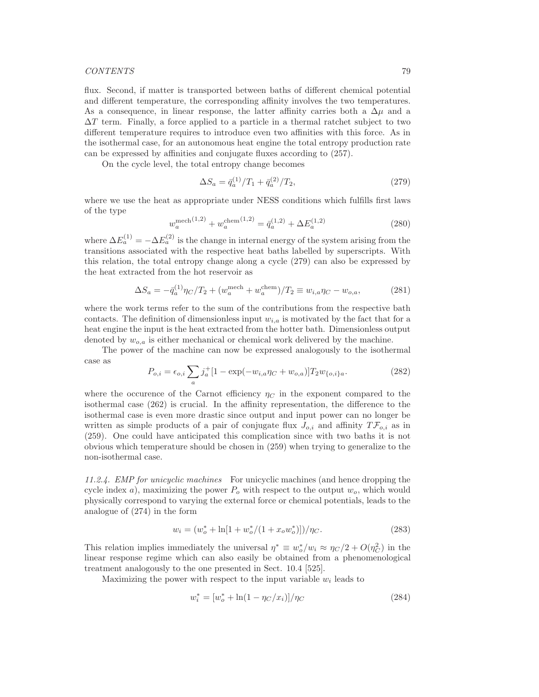flux. Second, if matter is transported between baths of different chemical potential and different temperature, the corresponding affinity involves the two temperatures. As a consequence, in linear response, the latter affinity carries both a  $\Delta \mu$  and a  $\Delta T$  term. Finally, a force applied to a particle in a thermal ratchet subject to two different temperature requires to introduce even two affinities with this force. As in the isothermal case, for an autonomous heat engine the total entropy production rate can be expressed by affinities and conjugate fluxes according to (257).

On the cycle level, the total entropy change becomes

$$
\Delta S_a = \bar{q}_a^{(1)} / T_1 + \bar{q}_a^{(2)} / T_2,\tag{279}
$$

where we use the heat as appropriate under NESS conditions which fulfills first laws of the type

$$
w_a^{\text{mech}(1,2)} + w_a^{\text{chem}(1,2)} = \bar{q}_a^{(1,2)} + \Delta E_a^{(1,2)} \tag{280}
$$

where  $\Delta E_a^{(1)} = -\Delta E_a^{(2)}$  is the change in internal energy of the system arising from the transitions associated with the respective heat baths labelled by superscripts. With this relation, the total entropy change along a cycle (279) can also be expressed by the heat extracted from the hot reservoir as

$$
\Delta S_a = -\bar{q}_a^{(1)} \eta_C / T_2 + (w_a^{\text{mech}} + w_a^{\text{chem}}) / T_2 \equiv w_{i,a} \eta_C - w_{o,a},\tag{281}
$$

where the work terms refer to the sum of the contributions from the respective bath contacts. The definition of dimensionless input  $w_{i,a}$  is motivated by the fact that for a heat engine the input is the heat extracted from the hotter bath. Dimensionless output denoted by  $w_{o,a}$  is either mechanical or chemical work delivered by the machine.

The power of the machine can now be expressed analogously to the isothermal case as

$$
P_{o,i} = \epsilon_{o,i} \sum_{a} j_a^+ [1 - \exp(-w_{i,a}\eta_C + w_{o,a})] T_2 w_{\{o,i\}a}.
$$
 (282)

where the occurence of the Carnot efficiency  $\eta_C$  in the exponent compared to the isothermal case (262) is crucial. In the affinity representation, the difference to the isothermal case is even more drastic since output and input power can no longer be written as simple products of a pair of conjugate flux  $J_{o,i}$  and affinity  $T\mathcal{F}_{o,i}$  as in (259). One could have anticipated this complication since with two baths it is not obvious which temperature should be chosen in (259) when trying to generalize to the non-isothermal case.

11.2.4. EMP for unicyclic machines For unicyclic machines (and hence dropping the cycle index a), maximizing the power  $P<sub>o</sub>$  with respect to the output  $w<sub>o</sub>$ , which would physically correspond to varying the external force or chemical potentials, leads to the analogue of (274) in the form

$$
w_i = (w_o^* + \ln[1 + w_o^*/(1 + x_o w_o^*)])/\eta_C.
$$
\n(283)

This relation implies immediately the universal  $\eta^* \equiv w_o^* / w_i \approx \eta_C / 2 + O(\eta_C^2)$  in the linear response regime which can also easily be obtained from a phenomenological treatment analogously to the one presented in Sect. 10.4 [525].

Maximizing the power with respect to the input variable  $w_i$  leads to

$$
w_i^* = [w_o^* + \ln(1 - \eta_C/x_i)]/\eta_C
$$
 (284)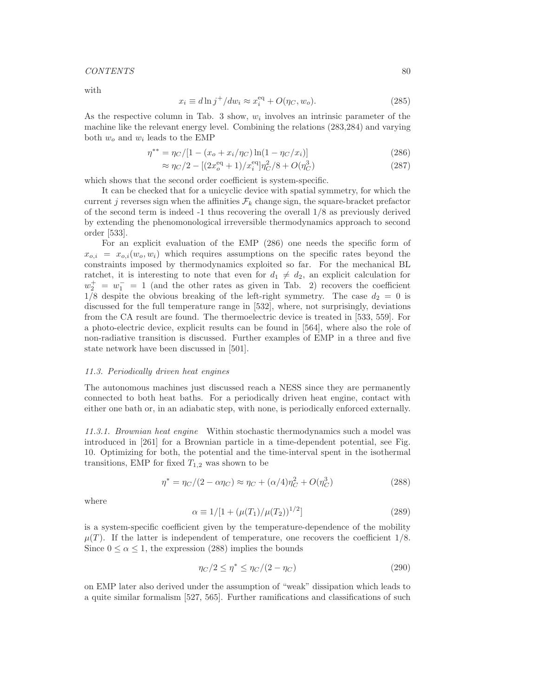with

$$
x_i \equiv d \ln j^+ / dw_i \approx x_i^{\text{eq}} + O(\eta_C, w_o). \tag{285}
$$

As the respective column in Tab.  $3 \text{ show}, w_i$  involves an intrinsic parameter of the machine like the relevant energy level. Combining the relations (283,284) and varying both  $w_o$  and  $w_i$  leads to the EMP

$$
\eta^{**} = \eta_C / [1 - (x_o + x_i / \eta_C) \ln(1 - \eta_C / x_i)] \tag{286}
$$

$$
\approx \eta_C/2 - [(2x_o^{\text{eq}} + 1)/x_i^{\text{eq}}]\eta_C^2/8 + O(\eta_C^3)
$$
\n(287)

which shows that the second order coefficient is system-specific.

It can be checked that for a unicyclic device with spatial symmetry, for which the current j reverses sign when the affinities  $\mathcal{F}_k$  change sign, the square-bracket prefactor of the second term is indeed -1 thus recovering the overall 1/8 as previously derived by extending the phenomonological irreversible thermodynamics approach to second order [533].

For an explicit evaluation of the EMP (286) one needs the specific form of  $x_{o,i} = x_{o,i}(w_o, w_i)$  which requires assumptions on the specific rates beyond the constraints imposed by thermodynamics exploited so far. For the mechanical BL ratchet, it is interesting to note that even for  $d_1 \neq d_2$ , an explicit calculation for  $w_2^+ = w_1^- = 1$  (and the other rates as given in Tab. 2) recovers the coefficient  $1/8$  despite the obvious breaking of the left-right symmetry. The case  $d_2 = 0$  is discussed for the full temperature range in [532], where, not surprisingly, deviations from the CA result are found. The thermoelectric device is treated in [533, 559]. For a photo-electric device, explicit results can be found in [564], where also the role of non-radiative transition is discussed. Further examples of EMP in a three and five state network have been discussed in [501].

## 11.3. Periodically driven heat engines

The autonomous machines just discussed reach a NESS since they are permanently connected to both heat baths. For a periodically driven heat engine, contact with either one bath or, in an adiabatic step, with none, is periodically enforced externally.

11.3.1. Brownian heat engine Within stochastic thermodynamics such a model was introduced in [261] for a Brownian particle in a time-dependent potential, see Fig. 10. Optimizing for both, the potential and the time-interval spent in the isothermal transitions, EMP for fixed  $T_{1,2}$  was shown to be

$$
\eta^* = \eta_C / (2 - \alpha \eta_C) \approx \eta_C + (\alpha/4)\eta_C^2 + O(\eta_C^3)
$$
\n(288)

where

$$
\alpha \equiv 1/[1 + (\mu(T_1)/\mu(T_2))^{1/2}] \tag{289}
$$

is a system-specific coefficient given by the temperature-dependence of the mobility  $\mu(T)$ . If the latter is independent of temperature, one recovers the coefficient 1/8. Since  $0 \le \alpha \le 1$ , the expression (288) implies the bounds

$$
\eta_C/2 \le \eta^* \le \eta_C/(2 - \eta_C) \tag{290}
$$

on EMP later also derived under the assumption of "weak" dissipation which leads to a quite similar formalism [527, 565]. Further ramifications and classifications of such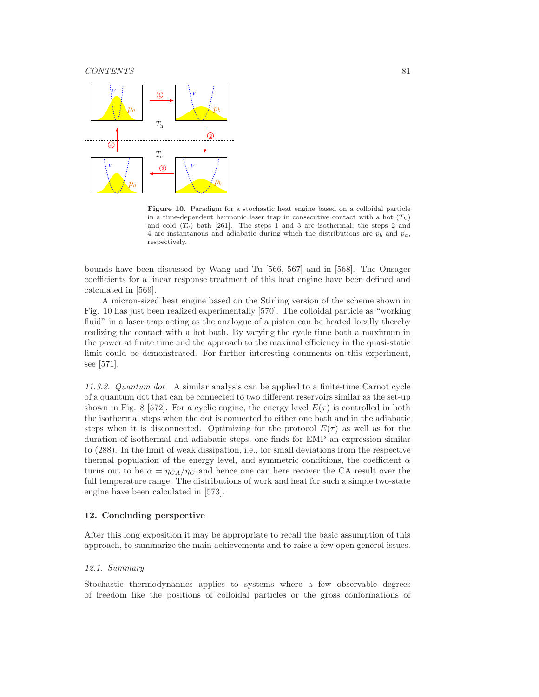

Figure 10. Paradigm for a stochastic heat engine based on a colloidal particle in a time-dependent harmonic laser trap in consecutive contact with a hot  $(T_h)$ and cold  $(T_c)$  bath [261]. The steps 1 and 3 are isothermal; the steps 2 and 4 are instantanous and adiabatic during which the distributions are  $p_b$  and  $p_a$ , respectively.

bounds have been discussed by Wang and Tu [566, 567] and in [568]. The Onsager coefficients for a linear response treatment of this heat engine have been defined and calculated in [569].

A micron-sized heat engine based on the Stirling version of the scheme shown in Fig. 10 has just been realized experimentally [570]. The colloidal particle as "working fluid" in a laser trap acting as the analogue of a piston can be heated locally thereby realizing the contact with a hot bath. By varying the cycle time both a maximum in the power at finite time and the approach to the maximal efficiency in the quasi-static limit could be demonstrated. For further interesting comments on this experiment, see [571].

11.3.2. Quantum dot A similar analysis can be applied to a finite-time Carnot cycle of a quantum dot that can be connected to two different reservoirs similar as the set-up shown in Fig. 8 [572]. For a cyclic engine, the energy level  $E(\tau)$  is controlled in both the isothermal steps when the dot is connected to either one bath and in the adiabatic steps when it is disconnected. Optimizing for the protocol  $E(\tau)$  as well as for the duration of isothermal and adiabatic steps, one finds for EMP an expression similar to (288). In the limit of weak dissipation, i.e., for small deviations from the respective thermal population of the energy level, and symmetric conditions, the coefficient  $\alpha$ turns out to be  $\alpha = \eta_{CA}/\eta_C$  and hence one can here recover the CA result over the full temperature range. The distributions of work and heat for such a simple two-state engine have been calculated in [573].

### 12. Concluding perspective

After this long exposition it may be appropriate to recall the basic assumption of this approach, to summarize the main achievements and to raise a few open general issues.

# 12.1. Summary

Stochastic thermodynamics applies to systems where a few observable degrees of freedom like the positions of colloidal particles or the gross conformations of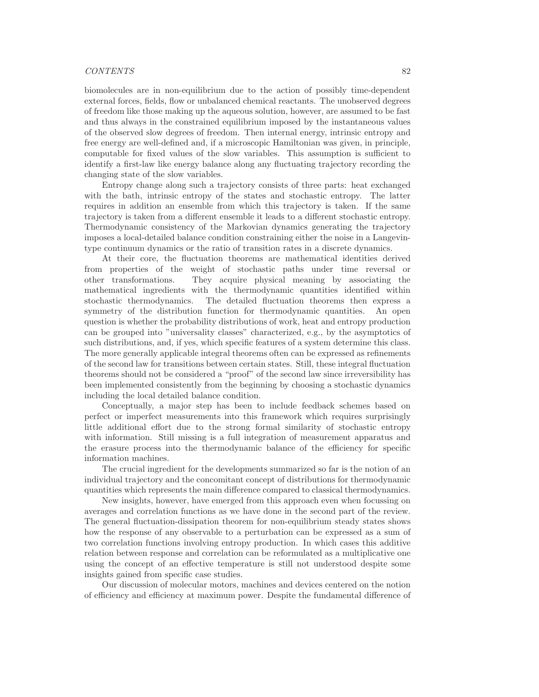biomolecules are in non-equilibrium due to the action of possibly time-dependent external forces, fields, flow or unbalanced chemical reactants. The unobserved degrees of freedom like those making up the aqueous solution, however, are assumed to be fast and thus always in the constrained equilibrium imposed by the instantaneous values of the observed slow degrees of freedom. Then internal energy, intrinsic entropy and free energy are well-defined and, if a microscopic Hamiltonian was given, in principle, computable for fixed values of the slow variables. This assumption is sufficient to identify a first-law like energy balance along any fluctuating trajectory recording the changing state of the slow variables.

Entropy change along such a trajectory consists of three parts: heat exchanged with the bath, intrinsic entropy of the states and stochastic entropy. The latter requires in addition an ensemble from which this trajectory is taken. If the same trajectory is taken from a different ensemble it leads to a different stochastic entropy. Thermodynamic consistency of the Markovian dynamics generating the trajectory imposes a local-detailed balance condition constraining either the noise in a Langevintype continuum dynamics or the ratio of transition rates in a discrete dynamics.

At their core, the fluctuation theorems are mathematical identities derived from properties of the weight of stochastic paths under time reversal or other transformations. They acquire physical meaning by associating the mathematical ingredients with the thermodynamic quantities identified within stochastic thermodynamics. The detailed fluctuation theorems then express a symmetry of the distribution function for thermodynamic quantities. An open question is whether the probability distributions of work, heat and entropy production can be grouped into "universality classes" characterized, e.g., by the asymptotics of such distributions, and, if yes, which specific features of a system determine this class. The more generally applicable integral theorems often can be expressed as refinements of the second law for transitions between certain states. Still, these integral fluctuation theorems should not be considered a "proof" of the second law since irreversibility has been implemented consistently from the beginning by choosing a stochastic dynamics including the local detailed balance condition.

Conceptually, a major step has been to include feedback schemes based on perfect or imperfect measurements into this framework which requires surprisingly little additional effort due to the strong formal similarity of stochastic entropy with information. Still missing is a full integration of measurement apparatus and the erasure process into the thermodynamic balance of the efficiency for specific information machines.

The crucial ingredient for the developments summarized so far is the notion of an individual trajectory and the concomitant concept of distributions for thermodynamic quantities which represents the main difference compared to classical thermodynamics.

New insights, however, have emerged from this approach even when focussing on averages and correlation functions as we have done in the second part of the review. The general fluctuation-dissipation theorem for non-equilibrium steady states shows how the response of any observable to a perturbation can be expressed as a sum of two correlation functions involving entropy production. In which cases this additive relation between response and correlation can be reformulated as a multiplicative one using the concept of an effective temperature is still not understood despite some insights gained from specific case studies.

Our discussion of molecular motors, machines and devices centered on the notion of efficiency and efficiency at maximum power. Despite the fundamental difference of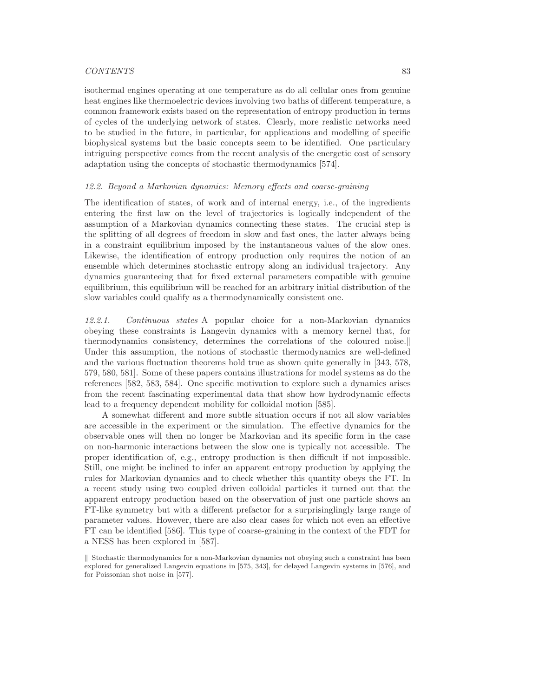isothermal engines operating at one temperature as do all cellular ones from genuine heat engines like thermoelectric devices involving two baths of different temperature, a common framework exists based on the representation of entropy production in terms of cycles of the underlying network of states. Clearly, more realistic networks need to be studied in the future, in particular, for applications and modelling of specific biophysical systems but the basic concepts seem to be identified. One particulary intriguing perspective comes from the recent analysis of the energetic cost of sensory adaptation using the concepts of stochastic thermodynamics [574].

## 12.2. Beyond a Markovian dynamics: Memory effects and coarse-graining

The identification of states, of work and of internal energy, i.e., of the ingredients entering the first law on the level of trajectories is logically independent of the assumption of a Markovian dynamics connecting these states. The crucial step is the splitting of all degrees of freedom in slow and fast ones, the latter always being in a constraint equilibrium imposed by the instantaneous values of the slow ones. Likewise, the identification of entropy production only requires the notion of an ensemble which determines stochastic entropy along an individual trajectory. Any dynamics guaranteeing that for fixed external parameters compatible with genuine equilibrium, this equilibrium will be reached for an arbitrary initial distribution of the slow variables could qualify as a thermodynamically consistent one.

12.2.1. Continuous states A popular choice for a non-Markovian dynamics obeying these constraints is Langevin dynamics with a memory kernel that, for thermodynamics consistency, determines the correlations of the coloured noise. Under this assumption, the notions of stochastic thermodynamics are well-defined and the various fluctuation theorems hold true as shown quite generally in [343, 578, 579, 580, 581]. Some of these papers contains illustrations for model systems as do the references [582, 583, 584]. One specific motivation to explore such a dynamics arises from the recent fascinating experimental data that show how hydrodynamic effects lead to a frequency dependent mobility for colloidal motion [585].

A somewhat different and more subtle situation occurs if not all slow variables are accessible in the experiment or the simulation. The effective dynamics for the observable ones will then no longer be Markovian and its specific form in the case on non-harmonic interactions between the slow one is typically not accessible. The proper identification of, e.g., entropy production is then difficult if not impossible. Still, one might be inclined to infer an apparent entropy production by applying the rules for Markovian dynamics and to check whether this quantity obeys the FT. In a recent study using two coupled driven colloidal particles it turned out that the apparent entropy production based on the observation of just one particle shows an FT-like symmetry but with a different prefactor for a surprisinglingly large range of parameter values. However, there are also clear cases for which not even an effective FT can be identified [586]. This type of coarse-graining in the context of the FDT for a NESS has been explored in [587].

k Stochastic thermodynamics for a non-Markovian dynamics not obeying such a constraint has been explored for generalized Langevin equations in [575, 343], for delayed Langevin systems in [576], and for Poissonian shot noise in [577].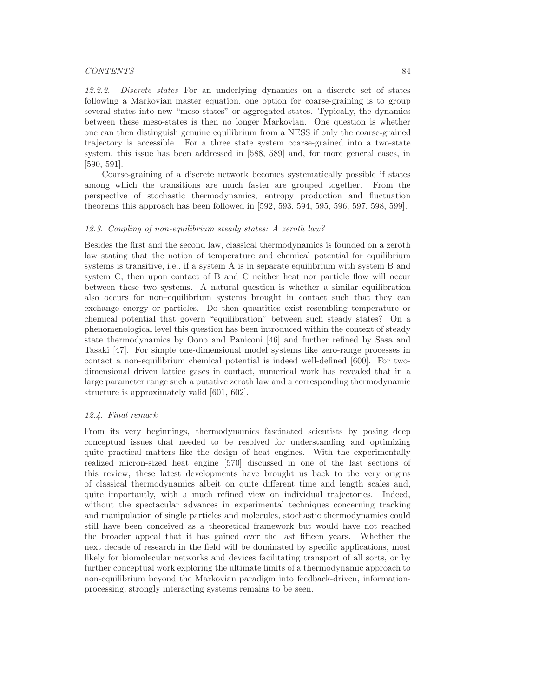12.2.2. Discrete states For an underlying dynamics on a discrete set of states following a Markovian master equation, one option for coarse-graining is to group several states into new "meso-states" or aggregated states. Typically, the dynamics between these meso-states is then no longer Markovian. One question is whether one can then distinguish genuine equilibrium from a NESS if only the coarse-grained trajectory is accessible. For a three state system coarse-grained into a two-state system, this issue has been addressed in [588, 589] and, for more general cases, in [590, 591].

Coarse-graining of a discrete network becomes systematically possible if states among which the transitions are much faster are grouped together. From the perspective of stochastic thermodynamics, entropy production and fluctuation theorems this approach has been followed in [592, 593, 594, 595, 596, 597, 598, 599].

## 12.3. Coupling of non-equilibrium steady states: A zeroth law?

Besides the first and the second law, classical thermodynamics is founded on a zeroth law stating that the notion of temperature and chemical potential for equilibrium systems is transitive, i.e., if a system A is in separate equilibrium with system B and system C, then upon contact of B and C neither heat nor particle flow will occur between these two systems. A natural question is whether a similar equilibration also occurs for non–equilibrium systems brought in contact such that they can exchange energy or particles. Do then quantities exist resembling temperature or chemical potential that govern "equilibration" between such steady states? On a phenomenological level this question has been introduced within the context of steady state thermodynamics by Oono and Paniconi [46] and further refined by Sasa and Tasaki [47]. For simple one-dimensional model systems like zero-range processes in contact a non-equilibrium chemical potential is indeed well-defined [600]. For twodimensional driven lattice gases in contact, numerical work has revealed that in a large parameter range such a putative zeroth law and a corresponding thermodynamic structure is approximately valid [601, 602].

## 12.4. Final remark

From its very beginnings, thermodynamics fascinated scientists by posing deep conceptual issues that needed to be resolved for understanding and optimizing quite practical matters like the design of heat engines. With the experimentally realized micron-sized heat engine [570] discussed in one of the last sections of this review, these latest developments have brought us back to the very origins of classical thermodynamics albeit on quite different time and length scales and, quite importantly, with a much refined view on individual trajectories. Indeed, without the spectacular advances in experimental techniques concerning tracking and manipulation of single particles and molecules, stochastic thermodynamics could still have been conceived as a theoretical framework but would have not reached the broader appeal that it has gained over the last fifteen years. Whether the next decade of research in the field will be dominated by specific applications, most likely for biomolecular networks and devices facilitating transport of all sorts, or by further conceptual work exploring the ultimate limits of a thermodynamic approach to non-equilibrium beyond the Markovian paradigm into feedback-driven, informationprocessing, strongly interacting systems remains to be seen.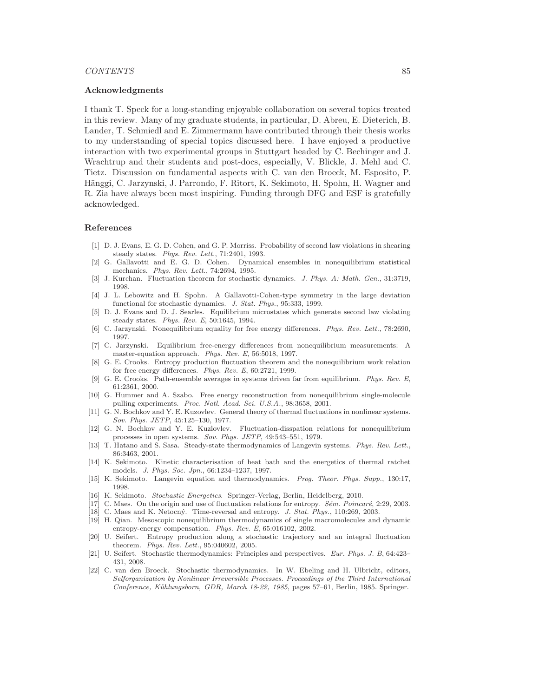# Acknowledgments

I thank T. Speck for a long-standing enjoyable collaboration on several topics treated in this review. Many of my graduate students, in particular, D. Abreu, E. Dieterich, B. Lander, T. Schmiedl and E. Zimmermann have contributed through their thesis works to my understanding of special topics discussed here. I have enjoyed a productive interaction with two experimental groups in Stuttgart headed by C. Bechinger and J. Wrachtrup and their students and post-docs, especially, V. Blickle, J. Mehl and C. Tietz. Discussion on fundamental aspects with C. van den Broeck, M. Esposito, P. Hänggi, C. Jarzynski, J. Parrondo, F. Ritort, K. Sekimoto, H. Spohn, H. Wagner and R. Zia have always been most inspiring. Funding through DFG and ESF is gratefully acknowledged.

# References

- [1] D. J. Evans, E. G. D. Cohen, and G. P. Morriss. Probability of second law violations in shearing steady states. *Phys. Rev. Lett.*, 71:2401, 1993.
- [2] G. Gallavotti and E. G. D. Cohen. Dynamical ensembles in nonequilibrium statistical mechanics. *Phys. Rev. Lett.*, 74:2694, 1995.
- [3] J. Kurchan. Fluctuation theorem for stochastic dynamics. *J. Phys. A: Math. Gen.*, 31:3719, 1998.
- [4] J. L. Lebowitz and H. Spohn. A Gallavotti-Cohen-type symmetry in the large deviation functional for stochastic dynamics. *J. Stat. Phys.*, 95:333, 1999.
- [5] D. J. Evans and D. J. Searles. Equilibrium microstates which generate second law violating steady states. *Phys. Rev. E*, 50:1645, 1994.
- [6] C. Jarzynski. Nonequilibrium equality for free energy differences. *Phys. Rev. Lett.*, 78:2690, 1997.
- [7] C. Jarzynski. Equilibrium free-energy differences from nonequilibrium measurements: A master-equation approach. *Phys. Rev. E*, 56:5018, 1997.
- [8] G. E. Crooks. Entropy production fluctuation theorem and the nonequilibrium work relation for free energy differences. *Phys. Rev. E*, 60:2721, 1999.
- [9] G. E. Crooks. Path-ensemble averages in systems driven far from equilibrium. *Phys. Rev. E*, 61:2361, 2000.
- [10] G. Hummer and A. Szabo. Free energy reconstruction from nonequilibrium single-molecule pulling experiments. *Proc. Natl. Acad. Sci. U.S.A.*, 98:3658, 2001.
- [11] G. N. Bochkov and Y. E. Kuzovlev. General theory of thermal fluctuations in nonlinear systems. *Sov. Phys. JETP*, 45:125–130, 1977.
- [12] G. N. Bochkov and Y. E. Kuzlovlev. Fluctuation-disspation relations for nonequilibrium processes in open systems. *Sov. Phys. JETP*, 49:543–551, 1979.
- [13] T. Hatano and S. Sasa. Steady-state thermodynamics of Langevin systems. *Phys. Rev. Lett.*, 86:3463, 2001.
- [14] K. Sekimoto. Kinetic characterisation of heat bath and the energetics of thermal ratchet models. *J. Phys. Soc. Jpn.*, 66:1234–1237, 1997.
- [15] K. Sekimoto. Langevin equation and thermodynamics. *Prog. Theor. Phys. Supp.*, 130:17, 1998.
- [16] K. Sekimoto. *Stochastic Energetics*. Springer-Verlag, Berlin, Heidelberg, 2010.
- [17] C. Maes. On the origin and use of fluctuation relations for entropy. *Sém. Poincaré*, 2:29, 2003.
- [18] C. Maes and K. Netocn´y. Time-reversal and entropy. *J. Stat. Phys.*, 110:269, 2003.
- [19] H. Qian. Mesoscopic nonequilibrium thermodynamics of single macromolecules and dynamic entropy-energy compensation. *Phys. Rev. E*, 65:016102, 2002.
- [20] U. Seifert. Entropy production along a stochastic trajectory and an integral fluctuation theorem. *Phys. Rev. Lett.*, 95:040602, 2005.
- [21] U. Seifert. Stochastic thermodynamics: Principles and perspectives. *Eur. Phys. J. B*, 64:423– 431, 2008.
- [22] C. van den Broeck. Stochastic thermodynamics. In W. Ebeling and H. Ulbricht, editors, *Selforganization by Nonlinear Irreversible Processes. Proceedings of the Third International Conference, K¨uhlungsborn, GDR, March 18-22, 1985*, pages 57–61, Berlin, 1985. Springer.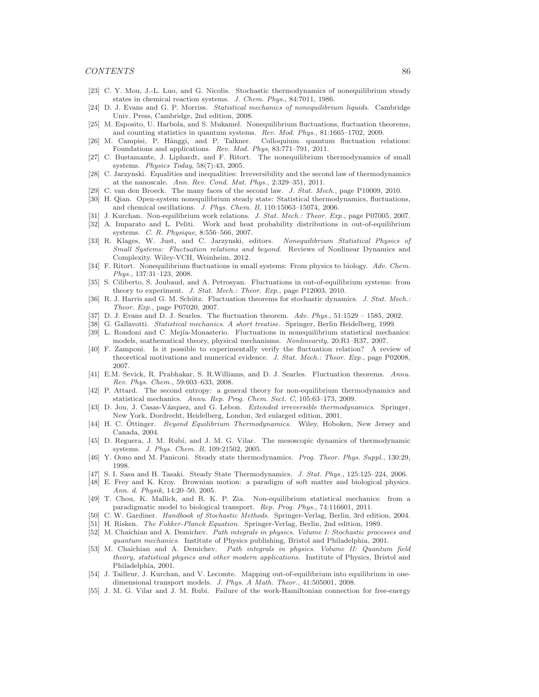- [23] C. Y. Mou, J.-L. Luo, and G. Nicolis. Stochastic thermodynamics of nonequilibrium steady states in chemical reaction systems. *J. Chem. Phys.*, 84:7011, 1986.
- [24] D. J. Evans and G. P. Morriss. *Statistical mechanics of nonequilibrium liquids*. Cambridge Univ. Press, Cambridge, 2nd edition, 2008.
- [25] M. Esposito, U. Harbola, and S. Mukamel. Nonequilibrium fluctuations, fluctuation theorems, and counting statistics in quantum systems. *Rev. Mod. Phys.*, 81:1665–1702, 2009.
- [26] M. Campisi, P. Hänggi, and P. Talkner. Colloquium. quantum fluctuation relations: Foundations and applications. *Rev. Mod. Phys*, 83:771–791, 2011.
- [27] C. Bustamante, J. Liphardt, and F. Ritort. The nonequilibrium thermodynamics of small systems. *Physics Today*, 58(7):43, 2005.
- [28] C. Jarzynski. Equalities and inequalities: Irreversibility and the second law of thermodynamics at the nanoscale. *Ann. Rev. Cond. Mat. Phys.*, 2:329–351, 2011.
- [29] C. van den Broeck. The many faces of the second law. *J. Stat. Mech.*, page P10009, 2010.
- [30] H. Qian. Open-system nonequilibrium steady state: Statistical thermodynamics, fluctuations, and chemical oscillations. *J. Phys. Chem. B*, 110:15063–15074, 2006.
- [31] J. Kurchan. Non-equilibrium work relations. *J. Stat. Mech.: Theor. Exp.*, page P07005, 2007.
- [32] A. Imparato and L. Peliti. Work and heat probability distributions in out-of-equilibrium systems. *C. R. Physique*, 8:556–566, 2007.
- [33] R. Klages, W. Just, and C. Jarzynski, editors. *Nonequilibrium Statistical Physics of Small Systems: Fluctuation relations and beyond*. Reviews of Nonlinear Dynamics and Complexity. Wiley-VCH, Weinheim, 2012.
- [34] F. Ritort. Nonequilibrium fluctuations in small systems: From physics to biology. *Adv. Chem. Phys.*, 137:31–123, 2008.
- [35] S. Ciliberto, S. Joubaud, and A. Petrosyan. Fluctuations in out-of-equilibrium systems: from theory to experiment. *J. Stat. Mech.: Theor. Exp.*, page P12003, 2010.
- [36] R. J. Harris and G. M. Schütz. Fluctuation theorems for stochastic dynamics. *J. Stat. Mech.: Theor. Exp.*, page P07020, 2007.
- [37] D. J. Evans and D. J. Searles. The fluctuation theorem. *Adv. Phys.*, 51:1529 1585, 2002.
- [38] G. Gallavotti. *Statistical mechanics. A short treatise.* Springer, Berlin Heidelberg, 1999.
- [39] L. Rondoni and C. Mejía-Monasterio. Fluctuations in nonequilibrium statistical mechanics: models, mathematical theory, physical mechanisms. *Nonlinearity*, 20:R1–R37, 2007.
- [40] F. Zamponi. Is it possible to experimentally verify the fluctuation relation? A review of theoretical motivations and numerical evidence. *J. Stat. Mech.: Theor. Exp.*, page P02008, 2007.
- [41] E.M. Sevick, R. Prabhakar, S. R.Williams, and D. J. Searles. Fluctuation theorems. *Annu. Rev. Phys. Chem.*, 59:603–633, 2008.
- [42] P. Attard. The second entropy: a general theory for non-equilibrium thermodynamics and statistical mechanics. *Annu. Rep. Prog. Chem. Sect. C*, 105:63–173, 2009.
- [43] D. Jou, J. Casas-V´azquez, and G. Lebon. *Extended irreversible thermodynamics*. Springer, New York, Dordrecht, Heidelberg, London, 3rd enlarged edition, 2001.
- [44] H. C. Ottinger. Beyond Equilibrium Thermodynamics. Wiley, Hoboken, New Jersey and Canada, 2004.
- [45] D. Reguera, J. M. Rubí, and J. M. G. Vilar. The mesoscopic dynamics of thermodynamic systems. *J. Phys. Chem. B*, 109:21502, 2005.
- [46] Y. Oono and M. Paniconi. Steady state thermodynamics. *Prog. Theor. Phys. Suppl.*, 130:29, 1998.
- [47] S. I. Sasa and H. Tasaki. Steady State Thermodynamics. *J. Stat. Phys.*, 125:125–224, 2006.
- [48] E. Frey and K. Kroy. Brownian motion: a paradigm of soft matter and biological physics. *Ann. d. Physik*, 14:20–50, 2005.
- [49] T. Chou, K. Mallick, and R. K. P. Zia. Non-equilibrium statistical mechanics: from a paradigmatic model to biological transport. *Rep. Prog. Phys.*, 74:116601, 2011.
- [50] C. W. Gardiner. *Handbook of Stochastic Methods*. Springer-Verlag, Berlin, 3rd edition, 2004. [51] H. Risken. *The Fokker-Planck Equation*. Springer-Verlag, Berlin, 2nd edition, 1989.
- [52] M. Chaichian and A. Demichev. *Path integrals in physics. Volume I: Stochastic processes and quantum mechanics*. Institute of Physics publishing, Bristol and Philadelphia, 2001.
- [53] M. Chaichian and A. Demichev. *Path integrals in physics. Volume II: Quantum field theory, statistical physics and other modern applications*. Institute of Physics, Bristol and Philadelphia, 2001.
- [54] J. Tailleur, J. Kurchan, and V. Lecomte. Mapping out-of-equilibrium into equilibrium in onedimensional transport models. *J. Phys. A Math. Theor.*, 41:505001, 2008.
- [55] J. M. G. Vilar and J. M. Rubi. Failure of the work-Hamiltonian connection for free-energy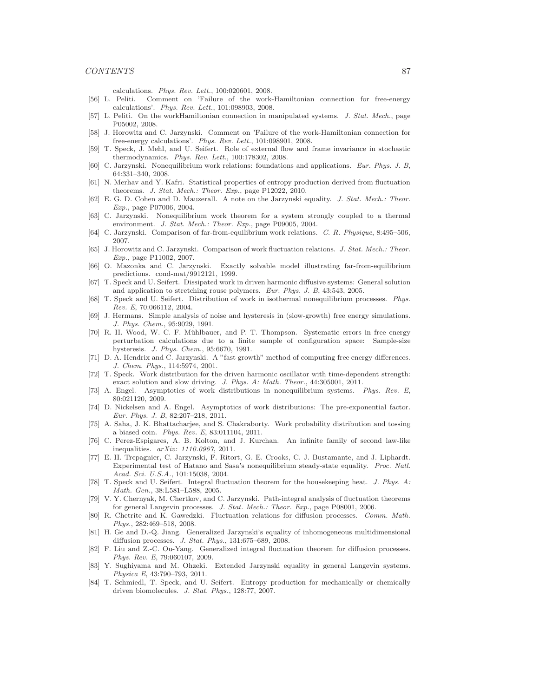calculations. *Phys. Rev. Lett.*, 100:020601, 2008.

- [56] L. Peliti. Comment on 'Failure of the work-Hamiltonian connection for free-energy calculations'. *Phys. Rev. Lett.*, 101:098903, 2008.
- [57] L. Peliti. On the workHamiltonian connection in manipulated systems. *J. Stat. Mech.*, page P05002, 2008.
- [58] J. Horowitz and C. Jarzynski. Comment on 'Failure of the work-Hamiltonian connection for free-energy calculations'. *Phys. Rev. Lett.*, 101:098901, 2008.
- [59] T. Speck, J. Mehl, and U. Seifert. Role of external flow and frame invariance in stochastic thermodynamics. *Phys. Rev. Lett.*, 100:178302, 2008.
- [60] C. Jarzynski. Nonequilibrium work relations: foundations and applications. *Eur. Phys. J. B*, 64:331–340, 2008.
- [61] N. Merhav and Y. Kafri. Statistical properties of entropy production derived from fluctuation theorems. *J. Stat. Mech.: Theor. Exp.*, page P12022, 2010.
- [62] E. G. D. Cohen and D. Mauzerall. A note on the Jarzynski equality. *J. Stat. Mech.: Theor. Exp.*, page P07006, 2004.
- [63] C. Jarzynski. Nonequilibrium work theorem for a system strongly coupled to a thermal environment. *J. Stat. Mech.: Theor. Exp.*, page P09005, 2004.
- [64] C. Jarzynski. Comparison of far-from-equilibrium work relations. *C. R. Physique*, 8:495–506, 2007.
- [65] J. Horowitz and C. Jarzynski. Comparison of work fluctuation relations. *J. Stat. Mech.: Theor. Exp.*, page P11002, 2007.
- [66] O. Mazonka and C. Jarzynski. Exactly solvable model illustrating far-from-equilibrium predictions. cond-mat/9912121, 1999.
- [67] T. Speck and U. Seifert. Dissipated work in driven harmonic diffusive systems: General solution and application to stretching rouse polymers. *Eur. Phys. J. B*, 43:543, 2005.
- [68] T. Speck and U. Seifert. Distribution of work in isothermal nonequilibrium processes. *Phys. Rev. E*, 70:066112, 2004.
- [69] J. Hermans. Simple analysis of noise and hysteresis in (slow-growth) free energy simulations. *J. Phys. Chem.*, 95:9029, 1991.
- [70] R. H. Wood, W. C. F. Mühlbauer, and P. T. Thompson. Systematic errors in free energy perturbation calculations due to a finite sample of configuration space: Sample-size hysteresis. *J. Phys. Chem.*, 95:6670, 1991.
- [71] D. A. Hendrix and C. Jarzynski. A "fast growth" method of computing free energy differences. *J. Chem. Phys.*, 114:5974, 2001.
- [72] T. Speck. Work distribution for the driven harmonic oscillator with time-dependent strength: exact solution and slow driving. *J. Phys. A: Math. Theor.*, 44:305001, 2011.
- [73] A. Engel. Asymptotics of work distributions in nonequilibrium systems. *Phys. Rev. E*, 80:021120, 2009.
- [74] D. Nickelsen and A. Engel. Asymptotics of work distributions: The pre-exponential factor. *Eur. Phys. J. B*, 82:207–218, 2011.
- [75] A. Saha, J. K. Bhattacharjee, and S. Chakraborty. Work probability distribution and tossing a biased coin. *Phys. Rev. E*, 83:011104, 2011.
- [76] C. Perez-Espigares, A. B. Kolton, and J. Kurchan. An infinite family of second law-like inequalities. *arXiv: 1110.0967*, 2011.
- [77] E. H. Trepagnier, C. Jarzynski, F. Ritort, G. E. Crooks, C. J. Bustamante, and J. Liphardt. Experimental test of Hatano and Sasa's nonequilibrium steady-state equality. *Proc. Natl. Acad. Sci. U.S.A.*, 101:15038, 2004.
- [78] T. Speck and U. Seifert. Integral fluctuation theorem for the housekeeping heat. *J. Phys. A: Math. Gen.*, 38:L581–L588, 2005.
- [79] V. Y. Chernyak, M. Chertkov, and C. Jarzynski. Path-integral analysis of fluctuation theorems for general Langevin processes. *J. Stat. Mech.: Theor. Exp.*, page P08001, 2006.
- [80] R. Chetrite and K. Gawedzki. Fluctuation relations for diffusion processes. *Comm. Math. Phys.*, 282:469–518, 2008.
- [81] H. Ge and D.-Q. Jiang. Generalized Jarzynski's equality of inhomogeneous multidimensional diffusion processes. *J. Stat. Phys.*, 131:675–689, 2008.
- [82] F. Liu and Z.-C. Ou-Yang. Generalized integral fluctuation theorem for diffusion processes. *Phys. Rev. E*, 79:060107, 2009.
- [83] Y. Sughiyama and M. Ohzeki. Extended Jarzynski equality in general Langevin systems. *Physica E*, 43:790–793, 2011.
- [84] T. Schmiedl, T. Speck, and U. Seifert. Entropy production for mechanically or chemically driven biomolecules. *J. Stat. Phys.*, 128:77, 2007.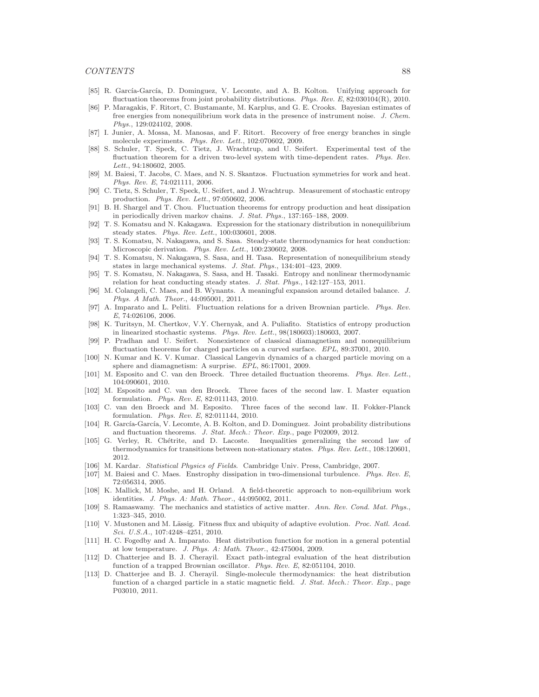- [85] R. García-García, D. Dominguez, V. Lecomte, and A. B. Kolton. Unifying approach for fluctuation theorems from joint probability distributions. *Phys. Rev. E*, 82:030104(R), 2010.
- [86] P. Maragakis, F. Ritort, C. Bustamante, M. Karplus, and G. E. Crooks. Bayesian estimates of free energies from nonequilibrium work data in the presence of instrument noise. *J. Chem. Phys.*, 129:024102, 2008.
- [87] I. Junier, A. Mossa, M. Manosas, and F. Ritort. Recovery of free energy branches in single molecule experiments. *Phys. Rev. Lett.*, 102:070602, 2009.
- [88] S. Schuler, T. Speck, C. Tietz, J. Wrachtrup, and U. Seifert. Experimental test of the fluctuation theorem for a driven two-level system with time-dependent rates. *Phys. Rev. Lett.*, 94:180602, 2005.
- [89] M. Baiesi, T. Jacobs, C. Maes, and N. S. Skantzos. Fluctuation symmetries for work and heat. *Phys. Rev. E*, 74:021111, 2006.
- [90] C. Tietz, S. Schuler, T. Speck, U. Seifert, and J. Wrachtrup. Measurement of stochastic entropy production. *Phys. Rev. Lett.*, 97:050602, 2006.
- [91] B. H. Shargel and T. Chou. Fluctuation theorems for entropy production and heat dissipation in periodically driven markov chains. *J. Stat. Phys.*, 137:165–188, 2009.
- [92] T. S. Komatsu and N. Kakagawa. Expression for the stationary distribution in nonequilibrium steady states. *Phys. Rev. Lett.*, 100:030601, 2008.
- [93] T. S. Komatsu, N. Nakagawa, and S. Sasa. Steady-state thermodynamics for heat conduction: Microscopic derivation. *Phys. Rev. Lett.*, 100:230602, 2008.
- [94] T. S. Komatsu, N. Nakagawa, S. Sasa, and H. Tasa. Representation of nonequilibrium steady states in large mechanical systems. *J. Stat. Phys.*, 134:401–423, 2009.
- [95] T. S. Komatsu, N. Nakagawa, S. Sasa, and H. Tasaki. Entropy and nonlinear thermodynamic relation for heat conducting steady states. *J. Stat. Phys.*, 142:127–153, 2011.
- [96] M. Colangeli, C. Maes, and B. Wynants. A meaningful expansion around detailed balance. *J. Phys. A Math. Theor.*, 44:095001, 2011.
- [97] A. Imparato and L. Peliti. Fluctuation relations for a driven Brownian particle. *Phys. Rev. E*, 74:026106, 2006.
- [98] K. Turitsyn, M. Chertkov, V.Y. Chernyak, and A. Puliafito. Statistics of entropy production in linearized stochastic systems. *Phys. Rev. Lett.*, 98(180603):180603, 2007.
- [99] P. Pradhan and U. Seifert. Nonexistence of classical diamagnetism and nonequilibrium fluctuation theorems for charged particles on a curved surface. *EPL*, 89:37001, 2010.
- [100] N. Kumar and K. V. Kumar. Classical Langevin dynamics of a charged particle moving on a sphere and diamagnetism: A surprise. *EPL*, 86:17001, 2009.
- [101] M. Esposito and C. van den Broeck. Three detailed fluctuation theorems. *Phys. Rev. Lett.*, 104:090601, 2010.
- [102] M. Esposito and C. van den Broeck. Three faces of the second law. I. Master equation formulation. *Phys. Rev. E*, 82:011143, 2010.
- [103] C. van den Broeck and M. Esposito. Three faces of the second law. II. Fokker-Planck formulation. *Phys. Rev. E*, 82:011144, 2010.
- [104] R. García-García, V. Lecomte, A. B. Kolton, and D. Dominguez. Joint probability distributions and fluctuation theorems. *J. Stat. Mech.: Theor. Exp.*, page P02009, 2012.
- [105] G. Verley, R. Chétrite, and D. Lacoste. Inequalities generalizing the second law of thermodynamics for transitions between non-stationary states. *Phys. Rev. Lett.*, 108:120601, 2012.
- [106] M. Kardar. *Statistical Physics of Fields*. Cambridge Univ. Press, Cambridge, 2007.
- [107] M. Baiesi and C. Maes. Enstrophy dissipation in two-dimensional turbulence. *Phys. Rev. E*, 72:056314, 2005.
- [108] K. Mallick, M. Moshe, and H. Orland. A field-theoretic approach to non-equilibrium work identities. *J. Phys. A: Math. Theor.*, 44:095002, 2011.
- [109] S. Ramaswamy. The mechanics and statistics of active matter. *Ann. Rev. Cond. Mat. Phys.*, 1:323–345, 2010.
- [110] V. Mustonen and M. Lässig. Fitness flux and ubiquity of adaptive evolution. *Proc. Natl. Acad. Sci. U.S.A.*, 107:4248–4251, 2010.
- [111] H. C. Fogedby and A. Imparato. Heat distribution function for motion in a general potential at low temperature. *J. Phys. A: Math. Theor.*, 42:475004, 2009.
- [112] D. Chatterjee and B. J. Cherayil. Exact path-integral evaluation of the heat distribution function of a trapped Brownian oscillator. *Phys. Rev. E*, 82:051104, 2010.
- [113] D. Chatterjee and B. J. Cherayil. Single-molecule thermodynamics: the heat distribution function of a charged particle in a static magnetic field. *J. Stat. Mech.: Theor. Exp.*, page P03010, 2011.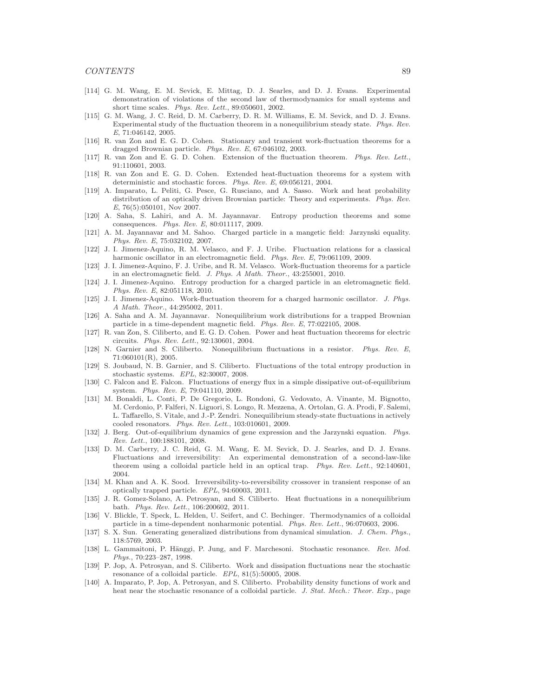- [114] G. M. Wang, E. M. Sevick, E. Mittag, D. J. Searles, and D. J. Evans. Experimental demonstration of violations of the second law of thermodynamics for small systems and short time scales. *Phys. Rev. Lett.*, 89:050601, 2002.
- [115] G. M. Wang, J. C. Reid, D. M. Carberry, D. R. M. Williams, E. M. Sevick, and D. J. Evans. Experimental study of the fluctuation theorem in a nonequilibrium steady state. *Phys. Rev. E*, 71:046142, 2005.
- [116] R. van Zon and E. G. D. Cohen. Stationary and transient work-fluctuation theorems for a dragged Brownian particle. *Phys. Rev. E*, 67:046102, 2003.
- [117] R. van Zon and E. G. D. Cohen. Extension of the fluctuation theorem. *Phys. Rev. Lett.*, 91:110601, 2003.
- [118] R. van Zon and E. G. D. Cohen. Extended heat-fluctuation theorems for a system with deterministic and stochastic forces. *Phys. Rev. E*, 69:056121, 2004.
- [119] A. Imparato, L. Peliti, G. Pesce, G. Rusciano, and A. Sasso. Work and heat probability distribution of an optically driven Brownian particle: Theory and experiments. *Phys. Rev. E*, 76(5):050101, Nov 2007.
- [120] A. Saha, S. Lahiri, and A. M. Jayannavar. Entropy production theorems and some consequences. *Phys. Rev. E*, 80:011117, 2009.
- [121] A. M. Jayannavar and M. Sahoo. Charged particle in a mangetic field: Jarzynski equality. *Phys. Rev. E*, 75:032102, 2007.
- [122] J. I. Jimenez-Aquino, R. M. Velasco, and F. J. Uribe. Fluctuation relations for a classical harmonic oscillator in an electromagnetic field. *Phys. Rev. E*, 79:061109, 2009.
- [123] J. I. Jimenez-Aquino, F. J. Uribe, and R. M. Velasco. Work-fluctuation theorems for a particle in an electromagnetic field. *J. Phys. A Math. Theor.*, 43:255001, 2010.
- [124] J. I. Jimenez-Aquino. Entropy production for a charged particle in an eletromagnetic field. *Phys. Rev. E*, 82:051118, 2010.
- [125] J. I. Jimenez-Aquino. Work-fluctuation theorem for a charged harmonic oscillator. *J. Phys. A Math. Theor.*, 44:295002, 2011.
- [126] A. Saha and A. M. Jayannavar. Nonequilibrium work distributions for a trapped Brownian particle in a time-dependent magnetic field. *Phys. Rev. E*, 77:022105, 2008.
- [127] R. van Zon, S. Ciliberto, and E. G. D. Cohen. Power and heat fluctuation theorems for electric circuits. *Phys. Rev. Lett.*, 92:130601, 2004.
- [128] N. Garnier and S. Ciliberto. Nonequilibrium fluctuations in a resistor. *Phys. Rev. E*, 71:060101(R), 2005.
- [129] S. Joubaud, N. B. Garnier, and S. Ciliberto. Fluctuations of the total entropy production in stochastic systems. *EPL*, 82:30007, 2008.
- [130] C. Falcon and E. Falcon. Fluctuations of energy flux in a simple dissipative out-of-equilibrium system. *Phys. Rev. E*, 79:041110, 2009.
- [131] M. Bonaldi, L. Conti, P. De Gregorio, L. Rondoni, G. Vedovato, A. Vinante, M. Bignotto, M. Cerdonio, P. Falferi, N. Liguori, S. Longo, R. Mezzena, A. Ortolan, G. A. Prodi, F. Salemi, L. Taffarello, S. Vitale, and J.-P. Zendri. Nonequilibrium steady-state fluctuations in actively cooled resonators. *Phys. Rev. Lett.*, 103:010601, 2009.
- [132] J. Berg. Out-of-equilibrium dynamics of gene expression and the Jarzynski equation. *Phys. Rev. Lett.*, 100:188101, 2008.
- [133] D. M. Carberry, J. C. Reid, G. M. Wang, E. M. Sevick, D. J. Searles, and D. J. Evans. Fluctuations and irreversibility: An experimental demonstration of a second-law-like theorem using a colloidal particle held in an optical trap. *Phys. Rev. Lett.*, 92:140601, 2004.
- [134] M. Khan and A. K. Sood. Irreversibility-to-reversibility crossover in transient response of an optically trapped particle. *EPL*, 94:60003, 2011.
- [135] J. R. Gomez-Solano, A. Petrosyan, and S. Ciliberto. Heat fluctuations in a nonequilibrium bath. *Phys. Rev. Lett.*, 106:200602, 2011.
- [136] V. Blickle, T. Speck, L. Helden, U. Seifert, and C. Bechinger. Thermodynamics of a colloidal particle in a time-dependent nonharmonic potential. *Phys. Rev. Lett.*, 96:070603, 2006.
- [137] S. X. Sun. Generating generalized distributions from dynamical simulation. *J. Chem. Phys.*, 118:5769, 2003.
- [138] L. Gammaitoni, P. Hänggi, P. Jung, and F. Marchesoni. Stochastic resonance. Rev. Mod. *Phys.*, 70:223–287, 1998.
- [139] P. Jop, A. Petrosyan, and S. Ciliberto. Work and dissipation fluctuations near the stochastic resonance of a colloidal particle. *EPL*, 81(5):50005, 2008.
- [140] A. Imparato, P. Jop, A. Petrosyan, and S. Ciliberto. Probability density functions of work and heat near the stochastic resonance of a colloidal particle. *J. Stat. Mech.: Theor. Exp.*, page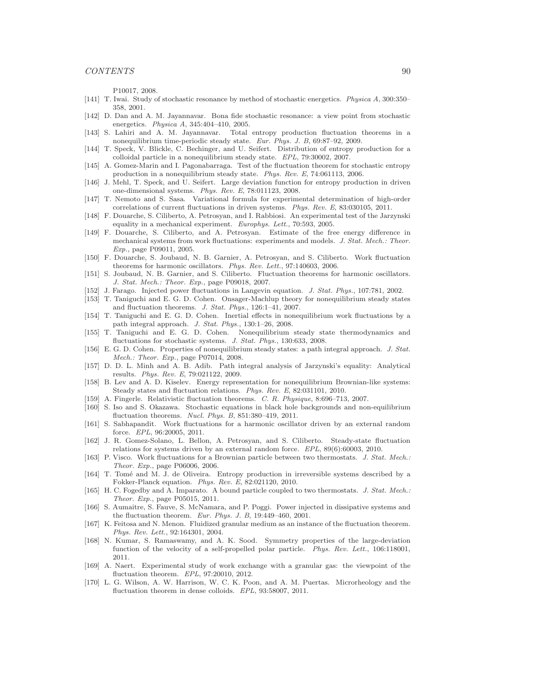P10017, 2008.

- [141] T. Iwai. Study of stochastic resonance by method of stochastic energetics. *Physica A*, 300:350– 358, 2001.
- [142] D. Dan and A. M. Jayannavar. Bona fide stochastic resonance: a view point from stochastic energetics. *Physica A*, 345:404–410, 2005.
- [143] S. Lahiri and A. M. Jayannavar. Total entropy production fluctuation theorems in a nonequilibrium time-periodic steady state. *Eur. Phys. J. B*, 69:87–92, 2009.
- [144] T. Speck, V. Blickle, C. Bechinger, and U. Seifert. Distribution of entropy production for a colloidal particle in a nonequilibrium steady state. *EPL*, 79:30002, 2007.
- [145] A. Gomez-Marin and I. Pagonabarraga. Test of the fluctuation theorem for stochastic entropy production in a nonequilibrium steady state. *Phys. Rev. E*, 74:061113, 2006.
- [146] J. Mehl, T. Speck, and U. Seifert. Large deviation function for entropy production in driven one-dimensional systems. *Phys. Rev. E*, 78:011123, 2008.
- [147] T. Nemoto and S. Sasa. Variational formula for experimental determination of high-order correlations of current fluctuations in driven systems. *Phys. Rev. E*, 83:030105, 2011.
- [148] F. Douarche, S. Ciliberto, A. Petrosyan, and I. Rabbiosi. An experimental test of the Jarzynski equality in a mechanical experiment. *Europhys. Lett.*, 70:593, 2005.
- [149] F. Douarche, S. Ciliberto, and A. Petrosyan. Estimate of the free energy difference in mechanical systems from work fluctuations: experiments and models. *J. Stat. Mech.: Theor. Exp.*, page P09011, 2005.
- [150] F. Douarche, S. Joubaud, N. B. Garnier, A. Petrosyan, and S. Ciliberto. Work fluctuation theorems for harmonic oscillators. *Phys. Rev. Lett.*, 97:140603, 2006.
- [151] S. Joubaud, N. B. Garnier, and S. Ciliberto. Fluctuation theorems for harmonic oscillators. *J. Stat. Mech.: Theor. Exp.*, page P09018, 2007.
- [152] J. Farago. Injected power fluctuations in Langevin equation. *J. Stat. Phys.*, 107:781, 2002.
- [153] T. Taniguchi and E. G. D. Cohen. Onsager-Machlup theory for nonequilibrium steady states and fluctuation theorems. *J. Stat. Phys.*, 126:1–41, 2007.
- [154] T. Taniguchi and E. G. D. Cohen. Inertial effects in nonequilibrium work fluctuations by a path integral approach. *J. Stat. Phys.*, 130:1–26, 2008.
- [155] T. Taniguchi and E. G. D. Cohen. Nonequilibrium steady state thermodynamics and fluctuations for stochastic systems. *J. Stat. Phys.*, 130:633, 2008.
- [156] E. G. D. Cohen. Properties of nonequilibrium steady states: a path integral approach. *J. Stat. Mech.: Theor. Exp.*, page P07014, 2008.
- [157] D. D. L. Minh and A. B. Adib. Path integral analysis of Jarzynski's equality: Analytical results. *Phys. Rev. E*, 79:021122, 2009.
- [158] B. Lev and A. D. Kiselev. Energy representation for nonequilibrium Brownian-like systems: Steady states and fluctuation relations. *Phys. Rev. E*, 82:031101, 2010.
- [159] A. Fingerle. Relativistic fluctuation theorems. *C. R. Physique*, 8:696–713, 2007.
- [160] S. Iso and S. Okazawa. Stochastic equations in black hole backgrounds and non-equilibrium fluctuation theorems. *Nucl. Phys. B*, 851:380–419, 2011.
- [161] S. Sabhapandit. Work fluctuations for a harmonic oscillator driven by an external random force. *EPL*, 96:20005, 2011.
- [162] J. R. Gomez-Solano, L. Bellon, A. Petrosyan, and S. Ciliberto. Steady-state fluctuation relations for systems driven by an external random force. *EPL*, 89(6):60003, 2010.
- [163] P. Visco. Work fluctuations for a Brownian particle between two thermostats. *J. Stat. Mech.: Theor. Exp.*, page P06006, 2006.
- [164] T. Tomé and M. J. de Oliveira. Entropy production in irreversible systems described by a Fokker-Planck equation. *Phys. Rev. E*, 82:021120, 2010.
- [165] H. C. Fogedby and A. Imparato. A bound particle coupled to two thermostats. *J. Stat. Mech.: Theor. Exp.*, page P05015, 2011.
- [166] S. Aumaitre, S. Fauve, S. McNamara, and P. Poggi. Power injected in dissipative systems and the fluctuation theorem. *Eur. Phys. J. B*, 19:449–460, 2001.
- [167] K. Feitosa and N. Menon. Fluidized granular medium as an instance of the fluctuation theorem. *Phys. Rev. Lett.*, 92:164301, 2004.
- [168] N. Kumar, S. Ramaswamy, and A. K. Sood. Symmetry properties of the large-deviation function of the velocity of a self-propelled polar particle. *Phys. Rev. Lett.*, 106:118001, 2011.
- [169] A. Naert. Experimental study of work exchange with a granular gas: the viewpoint of the fluctuation theorem. *EPL*, 97:20010, 2012.
- [170] L. G. Wilson, A. W. Harrison, W. C. K. Poon, and A. M. Puertas. Microrheology and the fluctuation theorem in dense colloids. *EPL*, 93:58007, 2011.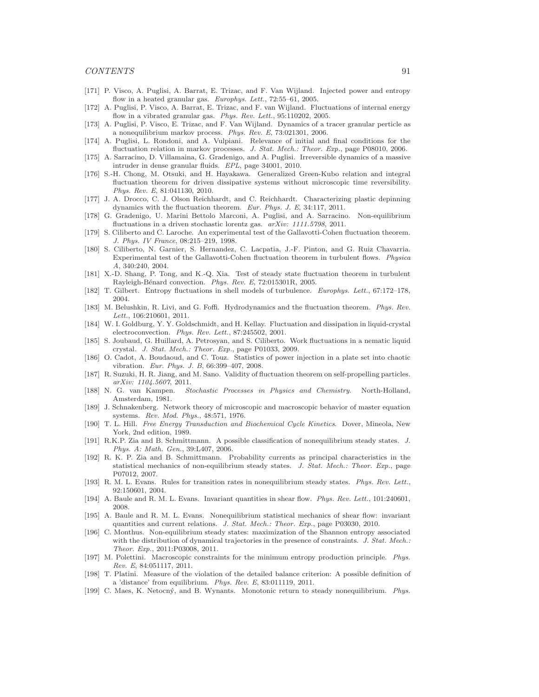- [171] P. Visco, A. Puglisi, A. Barrat, E. Trizac, and F. Van Wijland. Injected power and entropy flow in a heated granular gas. *Europhys. Lett.*, 72:55–61, 2005.
- [172] A. Puglisi, P. Visco, A. Barrat, E. Trizac, and F. van Wijland. Fluctuations of internal energy flow in a vibrated granular gas. *Phys. Rev. Lett.*, 95:110202, 2005.
- [173] A. Puglisi, P. Visco, E. Trizac, and F. Van Wijland. Dynamics of a tracer granular perticle as a nonequilibrium markov process. *Phys. Rev. E*, 73:021301, 2006.
- [174] A. Puglisi, L. Rondoni, and A. Vulpiani. Relevance of initial and final conditions for the fluctuation relation in markov processes. *J. Stat. Mech.: Theor. Exp.*, page P08010, 2006.
- [175] A. Sarracino, D. Villamaina, G. Gradenigo, and A. Puglisi. Irreversible dynamics of a massive intruder in dense granular fluids. *EPL*, page 34001, 2010.
- [176] S.-H. Chong, M. Otsuki, and H. Hayakawa. Generalized Green-Kubo relation and integral fluctuation theorem for driven dissipative systems without microscopic time reversibility. *Phys. Rev. E*, 81:041130, 2010.
- [177] J. A. Drocco, C. J. Olson Reichhardt, and C. Reichhardt. Characterizing plastic depinning dynamics with the fluctuation theorem. *Eur. Phys. J. E*, 34:117, 2011.
- [178] G. Gradenigo, U. Marini Bettolo Marconi, A. Puglisi, and A. Sarracino. Non-equilibrium fluctuations in a driven stochastic lorentz gas. *arXiv: 1111.5798*, 2011.
- [179] S. Ciliberto and C. Laroche. An experimental test of the Gallavotti-Cohen fluctuation theorem. *J. Phys. IV France*, 08:215–219, 1998.
- [180] S. Ciliberto, N. Garnier, S. Hernandez, C. Lacpatia, J.-F. Pinton, and G. Ruiz Chavarria. Experimental test of the Gallavotti-Cohen fluctuation theorem in turbulent flows. *Physica A*, 340:240, 2004.
- [181] X.-D. Shang, P. Tong, and K.-Q. Xia. Test of steady state fluctuation theorem in turbulent Rayleigh-B´enard convection. *Phys. Rev. E*, 72:015301R, 2005.
- [182] T. Gilbert. Entropy fluctuations in shell models of turbulence. *Europhys. Lett.*, 67:172–178, 2004.
- [183] M. Belushkin, R. Livi, and G. Foffi. Hydrodynamics and the fluctuation theorem. *Phys. Rev. Lett.*, 106:210601, 2011.
- [184] W. I. Goldburg, Y. Y. Goldschmidt, and H. Kellay. Fluctuation and dissipation in liquid-crystal electroconvection. *Phys. Rev. Lett.*, 87:245502, 2001.
- [185] S. Joubaud, G. Huillard, A. Petrosyan, and S. Ciliberto. Work fluctuations in a nematic liquid crystal. *J. Stat. Mech.: Theor. Exp.*, page P01033, 2009.
- [186] O. Cadot, A. Boudaoud, and C. Touz. Statistics of power injection in a plate set into chaotic vibration. *Eur. Phys. J. B*, 66:399–407, 2008.
- [187] R. Suzuki, H. R. Jiang, and M. Sano. Validity of fluctuation theorem on self-propelling particles. *arXiv: 1104.5607*, 2011.
- [188] N. G. van Kampen. *Stochastic Processes in Physics and Chemistry*. North-Holland, Amsterdam, 1981.
- [189] J. Schnakenberg. Network theory of microscopic and macroscopic behavior of master equation systems. *Rev. Mod. Phys.*, 48:571, 1976.
- [190] T. L. Hill. *Free Energy Transduction and Biochemical Cycle Kinetics*. Dover, Mineola, New York, 2nd edition, 1989.
- [191] R.K.P. Zia and B. Schmittmann. A possible classification of nonequilibrium steady states. *J. Phys. A: Math. Gen.*, 39:L407, 2006.
- [192] R. K. P. Zia and B. Schmittmann. Probability currents as principal characteristics in the statistical mechanics of non-equilibrium steady states. *J. Stat. Mech.: Theor. Exp.*, page P07012, 2007.
- [193] R. M. L. Evans. Rules for transition rates in nonequilibrium steady states. *Phys. Rev. Lett.*, 92:150601, 2004.
- [194] A. Baule and R. M. L. Evans. Invariant quantities in shear flow. *Phys. Rev. Lett.*, 101:240601, 2008.
- [195] A. Baule and R. M. L. Evans. Nonequilibrium statistical mechanics of shear flow: invariant quantities and current relations. *J. Stat. Mech.: Theor. Exp.*, page P03030, 2010.
- [196] C. Monthus. Non-equilibrium steady states: maximization of the Shannon entropy associated with the distribution of dynamical trajectories in the presence of constraints. *J. Stat. Mech.: Theor. Exp.*, 2011:P03008, 2011.
- [197] M. Polettini. Macroscopic constraints for the minimum entropy production principle. *Phys. Rev. E*, 84:051117, 2011.
- [198] T. Platini. Measure of the violation of the detailed balance criterion: A possible definition of a 'distance' from equilibrium. *Phys. Rev. E*, 83:011119, 2011.
- [199] C. Maes, K. Netocn´y, and B. Wynants. Monotonic return to steady nonequilibrium. *Phys.*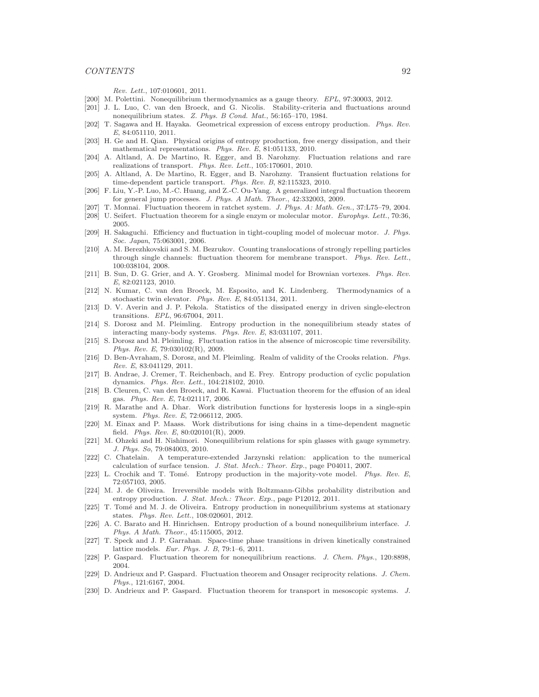*Rev. Lett.*, 107:010601, 2011.

- [200] M. Polettini. Nonequilibrium thermodynamics as a gauge theory. *EPL*, 97:30003, 2012.
- [201] J. L. Luo, C. van den Broeck, and G. Nicolis. Stability-criteria and fluctuations around nonequilibrium states. *Z. Phys. B Cond. Mat.*, 56:165–170, 1984.
- [202] T. Sagawa and H. Hayaka. Geometrical expression of excess entropy production. *Phys. Rev. E*, 84:051110, 2011.
- [203] H. Ge and H. Qian. Physical origins of entropy production, free energy dissipation, and their mathematical representations. *Phys. Rev. E*, 81:051133, 2010.
- [204] A. Altland, A. De Martino, R. Egger, and B. Narohzny. Fluctuation relations and rare realizations of transport. *Phys. Rev. Lett.*, 105:170601, 2010.
- [205] A. Altland, A. De Martino, R. Egger, and B. Narohzny. Transient fluctuation relations for time-dependent particle transport. *Phys. Rev. B*, 82:115323, 2010.
- [206] F. Liu, Y.-P. Luo, M.-C. Huang, and Z.-C. Ou-Yang. A generalized integral fluctuation theorem for general jump processes. *J. Phys. A Math. Theor.*, 42:332003, 2009.
- [207] T. Monnai. Fluctuation theorem in ratchet system. *J. Phys. A: Math. Gen.*, 37:L75–79, 2004.
- [208] U. Seifert. Fluctuation theorem for a single enzym or molecular motor. *Europhys. Lett.*, 70:36, 2005.
- [209] H. Sakaguchi. Efficiency and fluctuation in tight-coupling model of molecuar motor. *J. Phys. Soc. Japan*, 75:063001, 2006.
- [210] A. M. Berezhkovskii and S. M. Bezrukov. Counting translocations of strongly repelling particles through single channels: fluctuation theorem for membrane transport. *Phys. Rev. Lett.*, 100:038104, 2008.
- [211] B. Sun, D. G. Grier, and A. Y. Grosberg. Minimal model for Brownian vortexes. *Phys. Rev. E*, 82:021123, 2010.
- [212] N. Kumar, C. van den Broeck, M. Esposito, and K. Lindenberg. Thermodynamics of a stochastic twin elevator. *Phys. Rev. E*, 84:051134, 2011.
- [213] D. V. Averin and J. P. Pekola. Statistics of the dissipated energy in driven single-electron transitions. *EPL*, 96:67004, 2011.
- [214] S. Dorosz and M. Pleimling. Entropy production in the nonequilibrium steady states of interacting many-body systems. *Phys. Rev. E*, 83:031107, 2011.
- [215] S. Dorosz and M. Pleimling. Fluctuation ratios in the absence of microscopic time reversibility. *Phys. Rev. E*, 79:030102(R), 2009.
- [216] D. Ben-Avraham, S. Dorosz, and M. Pleimling. Realm of validity of the Crooks relation. *Phys. Rev. E*, 83:041129, 2011.
- [217] B. Andrae, J. Cremer, T. Reichenbach, and E. Frey. Entropy production of cyclic population dynamics. *Phys. Rev. Lett.*, 104:218102, 2010.
- [218] B. Cleuren, C. van den Broeck, and R. Kawai. Fluctuation theorem for the effusion of an ideal gas. *Phys. Rev. E*, 74:021117, 2006.
- [219] R. Marathe and A. Dhar. Work distribution functions for hysteresis loops in a single-spin system. *Phys. Rev. E*, 72:066112, 2005.
- [220] M. Einax and P. Maass. Work distributions for ising chains in a time-dependent magnetic field. *Phys. Rev. E*, 80:020101(R), 2009.
- [221] M. Ohzeki and H. Nishimori. Nonequilibrium relations for spin glasses with gauge symmetry. *J. Phys. So*, 79:084003, 2010.
- [222] C. Chatelain. A temperature-extended Jarzynski relation: application to the numerical calculation of surface tension. *J. Stat. Mech.: Theor. Exp.*, page P04011, 2007.
- [223] L. Crochik and T. Tomé. Entropy production in the majority-vote model. Phys. Rev. E, 72:057103, 2005.
- [224] M. J. de Oliveira. Irreversible models with Boltzmann-Gibbs probability distribution and entropy production. *J. Stat. Mech.: Theor. Exp.*, page P12012, 2011.
- [225] T. Tomé and M. J. de Oliveira. Entropy production in nonequilibrium systems at stationary states. *Phys. Rev. Lett.*, 108:020601, 2012.
- [226] A. C. Barato and H. Hinrichsen. Entropy production of a bound nonequilibrium interface. *J. Phys. A Math. Theor.*, 45:115005, 2012.
- [227] T. Speck and J. P. Garrahan. Space-time phase transitions in driven kinetically constrained lattice models. *Eur. Phys. J. B*, 79:1–6, 2011.
- [228] P. Gaspard. Fluctuation theorem for nonequilibrium reactions. *J. Chem. Phys.*, 120:8898, 2004.
- [229] D. Andrieux and P. Gaspard. Fluctuation theorem and Onsager reciprocity relations. *J. Chem. Phys.*, 121:6167, 2004.
- [230] D. Andrieux and P. Gaspard. Fluctuation theorem for transport in mesoscopic systems. *J.*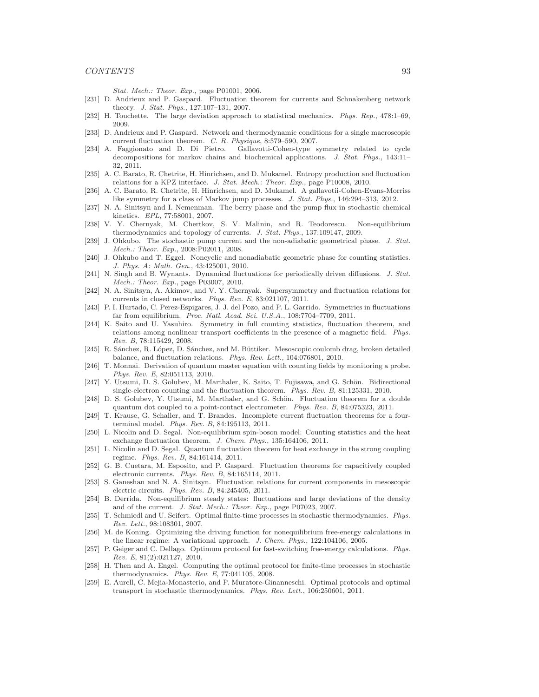*Stat. Mech.: Theor. Exp.*, page P01001, 2006.

- [231] D. Andrieux and P. Gaspard. Fluctuation theorem for currents and Schnakenberg network theory. *J. Stat. Phys.*, 127:107–131, 2007.
- [232] H. Touchette. The large deviation approach to statistical mechanics. *Phys. Rep.*, 478:1–69, 2009.
- [233] D. Andrieux and P. Gaspard. Network and thermodynamic conditions for a single macroscopic current fluctuation theorem. *C. R. Physique*, 8:579–590, 2007.
- Gallavotti-Cohen-type symmetry related to cycle decompositions for markov chains and biochemical applications. *J. Stat. Phys.*, 143:11– 32, 2011.
- [235] A. C. Barato, R. Chetrite, H. Hinrichsen, and D. Mukamel. Entropy production and fluctuation relations for a KPZ interface. *J. Stat. Mech.: Theor. Exp.*, page P10008, 2010.
- [236] A. C. Barato, R. Chetrite, H. Hinrichsen, and D. Mukamel. A gallavotii-Cohen-Evans-Morriss like symmetry for a class of Markov jump processes. *J. Stat. Phys.*, 146:294–313, 2012.
- [237] N. A. Sinitsyn and I. Nemenman. The berry phase and the pump flux in stochastic chemical kinetics. *EPL*, 77:58001, 2007.
- [238] V. Y. Chernyak, M. Chertkov, S. V. Malinin, and R. Teodorescu. Non-equilibrium thermodynamics and topology of currents. *J. Stat. Phys.*, 137:109147, 2009.
- [239] J. Ohkubo. The stochastic pump current and the non-adiabatic geometrical phase. *J. Stat. Mech.: Theor. Exp.*, 2008:P02011, 2008.
- [240] J. Ohkubo and T. Eggel. Noncyclic and nonadiabatic geometric phase for counting statistics. *J. Phys. A: Math. Gen.*, 43:425001, 2010.
- [241] N. Singh and B. Wynants. Dynamical fluctuations for periodically driven diffusions. *J. Stat. Mech.: Theor. Exp.*, page P03007, 2010.
- [242] N. A. Sinitsyn, A. Akimov, and V. Y. Chernyak. Supersymmetry and fluctuation relations for currents in closed networks. *Phys. Rev. E*, 83:021107, 2011.
- [243] P. I. Hurtado, C. Perez-Espigares, J. J. del Pozo, and P. L. Garrido. Symmetries in fluctuations far from equilibrium. *Proc. Natl. Acad. Sci. U.S.A.*, 108:7704–7709, 2011.
- [244] K. Saito and U. Yasuhiro. Symmetry in full counting statistics, fluctuation theorem, and relations among nonlinear transport coefficients in the presence of a magnetic field. *Phys. Rev. B*, 78:115429, 2008.
- [245] R. Sánchez, R. López, D. Sánchez, and M. Büttiker. Mesoscopic coulomb drag, broken detailed balance, and fluctuation relations. *Phys. Rev. Lett.*, 104:076801, 2010.
- [246] T. Monnai. Derivation of quantum master equation with counting fields by monitoring a probe. *Phys. Rev. E*, 82:051113, 2010.
- [247] Y. Utsumi, D. S. Golubev, M. Marthaler, K. Saito, T. Fujisawa, and G. Schön. Bidirectional single-electron counting and the fluctuation theorem. *Phys. Rev. B*, 81:125331, 2010.
- [248] D. S. Golubev, Y. Utsumi, M. Marthaler, and G. Schön. Fluctuation theorem for a double quantum dot coupled to a point-contact electrometer. *Phys. Rev. B*, 84:075323, 2011.
- [249] T. Krause, G. Schaller, and T. Brandes. Incomplete current fluctuation theorems for a fourterminal model. *Phys. Rev. B*, 84:195113, 2011.
- [250] L. Nicolin and D. Segal. Non-equilibrium spin-boson model: Counting statistics and the heat exchange fluctuation theorem. *J. Chem. Phys.*, 135:164106, 2011.
- [251] L. Nicolin and D. Segal. Quantum fluctuation theorem for heat exchange in the strong coupling regime. *Phys. Rev. B*, 84:161414, 2011.
- [252] G. B. Cuetara, M. Esposito, and P. Gaspard. Fluctuation theorems for capacitively coupled electronic currents. *Phys. Rev. B*, 84:165114, 2011.
- [253] S. Ganeshan and N. A. Sinitsyn. Fluctuation relations for current components in mesoscopic electric circuits. *Phys. Rev. B*, 84:245405, 2011.
- [254] B. Derrida. Non-equilibrium steady states: fluctuations and large deviations of the density and of the current. *J. Stat. Mech.: Theor. Exp.*, page P07023, 2007.
- [255] T. Schmiedl and U. Seifert. Optimal finite-time processes in stochastic thermodynamics. *Phys. Rev. Lett.*, 98:108301, 2007.
- [256] M. de Koning. Optimizing the driving function for nonequilibrium free-energy calculations in the linear regime: A variational approach. *J. Chem. Phys.*, 122:104106, 2005.
- [257] P. Geiger and C. Dellago. Optimum protocol for fast-switching free-energy calculations. *Phys. Rev. E*, 81(2):021127, 2010.
- [258] H. Then and A. Engel. Computing the optimal protocol for finite-time processes in stochastic thermodynamics. *Phys. Rev. E*, 77:041105, 2008.
- [259] E. Aurell, C. Mejia-Monasterio, and P. Muratore-Ginanneschi. Optimal protocols and optimal transport in stochastic thermodynamics. *Phys. Rev. Lett.*, 106:250601, 2011.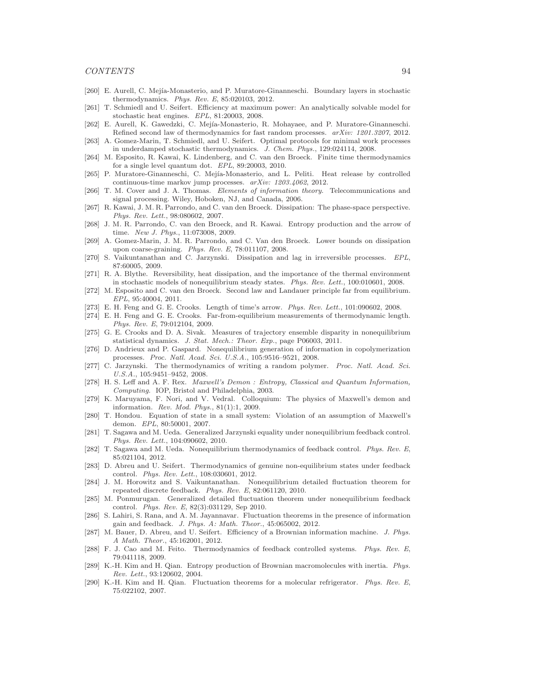- [260] E. Aurell, C. Mejía-Monasterio, and P. Muratore-Ginanneschi. Boundary layers in stochastic thermodynamics. *Phys. Rev. E*, 85:020103, 2012.
- [261] T. Schmiedl and U. Seifert. Efficiency at maximum power: An analytically solvable model for stochastic heat engines. *EPL*, 81:20003, 2008.
- [262] E. Aurell, K. Gawedzki, C. Mejía-Monasterio, R. Mohayaee, and P. Muratore-Ginanneschi. Refined second law of thermodynamics for fast random processes. *arXiv: 1201.3207*, 2012.
- [263] A. Gomez-Marin, T. Schmiedl, and U. Seifert. Optimal protocols for minimal work processes in underdamped stochastic thermodynamics. *J. Chem. Phys.*, 129:024114, 2008.
- [264] M. Esposito, R. Kawai, K. Lindenberg, and C. van den Broeck. Finite time thermodynamics for a single level quantum dot. *EPL*, 89:20003, 2010.
- [265] P. Muratore-Ginanneschi, C. Mejía-Monasterio, and L. Peliti. Heat release by controlled continuous-time markov jump processes. *arXiv: 1203.4062*, 2012.
- [266] T. M. Cover and J. A. Thomas. *Elements of information theory*. Telecommunications and signal processing. Wiley, Hoboken, NJ, and Canada, 2006.
- [267] R. Kawai, J. M. R. Parrondo, and C. van den Broeck. Dissipation: The phase-space perspective. *Phys. Rev. Lett.*, 98:080602, 2007.
- [268] J. M. R. Parrondo, C. van den Broeck, and R. Kawai. Entropy production and the arrow of time. *New J. Phys.*, 11:073008, 2009.
- [269] A. Gomez-Marin, J. M. R. Parrondo, and C. Van den Broeck. Lower bounds on dissipation upon coarse-graining. *Phys. Rev. E*, 78:011107, 2008.
- [270] S. Vaikuntanathan and C. Jarzynski. Dissipation and lag in irreversible processes. *EPL*, 87:60005, 2009.
- [271] R. A. Blythe. Reversibility, heat dissipation, and the importance of the thermal environment in stochastic models of nonequilibrium steady states. *Phys. Rev. Lett.*, 100:010601, 2008.
- [272] M. Esposito and C. van den Broeck. Second law and Landauer principle far from equilibrium. *EPL*, 95:40004, 2011.
- [273] E. H. Feng and G. E. Crooks. Length of time's arrow. *Phys. Rev. Lett.*, 101:090602, 2008.
- [274] E. H. Feng and G. E. Crooks. Far-from-equilibrium measurements of thermodynamic length. *Phys. Rev. E*, 79:012104, 2009.
- [275] G. E. Crooks and D. A. Sivak. Measures of trajectory ensemble disparity in nonequilibrium statistical dynamics. *J. Stat. Mech.: Theor. Exp.*, page P06003, 2011.
- [276] D. Andrieux and P. Gaspard. Nonequilibrium generation of information in copolymerization processes. *Proc. Natl. Acad. Sci. U.S.A.*, 105:9516–9521, 2008.
- [277] C. Jarzynski. The thermodynamics of writing a random polymer. *Proc. Natl. Acad. Sci. U.S.A.*, 105:9451–9452, 2008.
- [278] H. S. Leff and A. F. Rex. *Maxwell's Demon : Entropy, Classical and Quantum Information, Computing*. IOP, Bristol and Philadelphia, 2003.
- [279] K. Maruyama, F. Nori, and V. Vedral. Colloquium: The physics of Maxwell's demon and information. *Rev. Mod. Phys.*, 81(1):1, 2009.
- [280] T. Hondou. Equation of state in a small system: Violation of an assumption of Maxwell's demon. *EPL*, 80:50001, 2007.
- [281] T. Sagawa and M. Ueda. Generalized Jarzynski equality under nonequilibrium feedback control. *Phys. Rev. Lett.*, 104:090602, 2010.
- [282] T. Sagawa and M. Ueda. Nonequilibrium thermodynamics of feedback control. *Phys. Rev. E*, 85:021104, 2012.
- [283] D. Abreu and U. Seifert. Thermodynamics of genuine non-equilibrium states under feedback control. *Phys. Rev. Lett.*, 108:030601, 2012.
- [284] J. M. Horowitz and S. Vaikuntanathan. Nonequilibrium detailed fluctuation theorem for repeated discrete feedback. *Phys. Rev. E*, 82:061120, 2010.
- [285] M. Ponmurugan. Generalized detailed fluctuation theorem under nonequilibrium feedback control. *Phys. Rev. E*, 82(3):031129, Sep 2010.
- [286] S. Lahiri, S. Rana, and A. M. Jayannavar. Fluctuation theorems in the presence of information gain and feedback. *J. Phys. A: Math. Theor.*, 45:065002, 2012.
- [287] M. Bauer, D. Abreu, and U. Seifert. Efficiency of a Brownian information machine. *J. Phys. A Math. Theor.*, 45:162001, 2012.
- [288] F. J. Cao and M. Feito. Thermodynamics of feedback controlled systems. *Phys. Rev. E*, 79:041118, 2009.
- [289] K.-H. Kim and H. Qian. Entropy production of Brownian macromolecules with inertia. *Phys. Rev. Lett.*, 93:120602, 2004.
- [290] K.-H. Kim and H. Qian. Fluctuation theorems for a molecular refrigerator. *Phys. Rev. E*, 75:022102, 2007.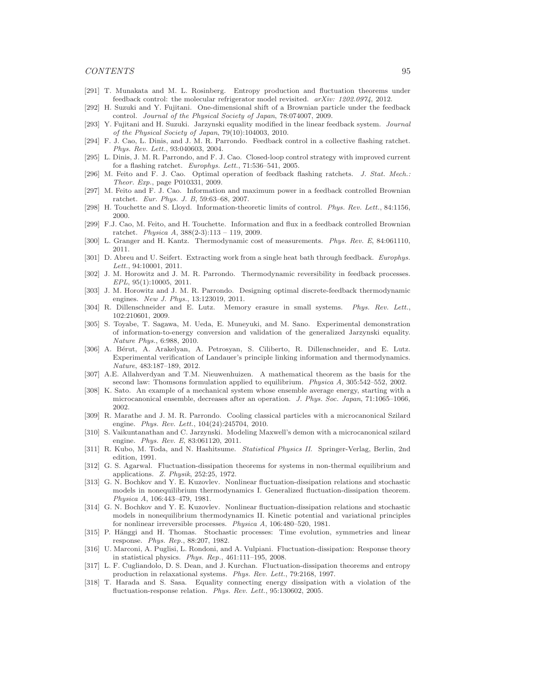- [291] T. Munakata and M. L. Rosinberg. Entropy production and fluctuation theorems under feedback control: the molecular refrigerator model revisited. *arXiv: 1202.0974*, 2012.
- [292] H. Suzuki and Y. Fujitani. One-dimensional shift of a Brownian particle under the feedback control. *Journal of the Physical Society of Japan*, 78:074007, 2009.
- [293] Y. Fujitani and H. Suzuki. Jarzynski equality modified in the linear feedback system. *Journal of the Physical Society of Japan*, 79(10):104003, 2010.
- [294] F. J. Cao, L. Dinis, and J. M. R. Parrondo. Feedback control in a collective flashing ratchet. *Phys. Rev. Lett.*, 93:040603, 2004.
- [295] L. Dinis, J. M. R. Parrondo, and F. J. Cao. Closed-loop control strategy with improved current for a flashing ratchet. *Europhys. Lett.*, 71:536–541, 2005.
- [296] M. Feito and F. J. Cao. Optimal operation of feedback flashing ratchets. *J. Stat. Mech.: Theor. Exp.*, page P010331, 2009.
- [297] M. Feito and F. J. Cao. Information and maximum power in a feedback controlled Brownian ratchet. *Eur. Phys. J. B*, 59:63–68, 2007.
- [298] H. Touchette and S. Lloyd. Information-theoretic limits of control. *Phys. Rev. Lett.*, 84:1156, 2000.
- [299] F.J. Cao, M. Feito, and H. Touchette. Information and flux in a feedback controlled Brownian ratchet. *Physica A*, 388(2-3):113 – 119, 2009.
- [300] L. Granger and H. Kantz. Thermodynamic cost of measurements. *Phys. Rev. E*, 84:061110, 2011.
- [301] D. Abreu and U. Seifert. Extracting work from a single heat bath through feedback. *Europhys. Lett.*, 94:10001, 2011.
- [302] J. M. Horowitz and J. M. R. Parrondo. Thermodynamic reversibility in feedback processes. *EPL*, 95(1):10005, 2011.
- [303] J. M. Horowitz and J. M. R. Parrondo. Designing optimal discrete-feedback thermodynamic engines. *New J. Phys.*, 13:123019, 2011.
- [304] R. Dillenschneider and E. Lutz. Memory erasure in small systems. *Phys. Rev. Lett.*, 102:210601, 2009.
- [305] S. Toyabe, T. Sagawa, M. Ueda, E. Muneyuki, and M. Sano. Experimental demonstration of information-to-energy conversion and validation of the generalized Jarzynski equality. *Nature Phys.*, 6:988, 2010.
- [306] A. Bérut, A. Arakelyan, A. Petrosyan, S. Ciliberto, R. Dillenschneider, and E. Lutz. Experimental verification of Landauer's principle linking information and thermodynamics. *Nature*, 483:187–189, 2012.
- [307] A.E. Allahverdyan and T.M. Nieuwenhuizen. A mathematical theorem as the basis for the second law: Thomsons formulation applied to equilibrium. *Physica A*, 305:542–552, 2002.
- [308] K. Sato. An example of a mechanical system whose ensemble average energy, starting with a microcanonical ensemble, decreases after an operation. *J. Phys. Soc. Japan*, 71:1065–1066, 2002.
- [309] R. Marathe and J. M. R. Parrondo. Cooling classical particles with a microcanonical Szilard engine. *Phys. Rev. Lett.*, 104(24):245704, 2010.
- [310] S. Vaikuntanathan and C. Jarzynski. Modeling Maxwell's demon with a microcanonical szilard engine. *Phys. Rev. E*, 83:061120, 2011.
- [311] R. Kubo, M. Toda, and N. Hashitsume. *Statistical Physics II*. Springer-Verlag, Berlin, 2nd edition, 1991.
- [312] G. S. Agarwal. Fluctuation-dissipation theorems for systems in non-thermal equilibrium and applications. *Z. Physik*, 252:25, 1972.
- [313] G. N. Bochkov and Y. E. Kuzovlev. Nonlinear fluctuation-dissipation relations and stochastic models in nonequilibrium thermodynamics I. Generalized fluctuation-dissipation theorem. *Physica A*, 106:443–479, 1981.
- [314] G. N. Bochkov and Y. E. Kuzovlev. Nonlinear fluctuation-dissipation relations and stochastic models in nonequilibrium thermodynamics II. Kinetic potential and variational principles for nonlinear irreversible processes. *Physica A*, 106:480–520, 1981.
- [315] P. Hänggi and H. Thomas. Stochastic processes: Time evolution, symmetries and linear response. *Phys. Rep.*, 88:207, 1982.
- [316] U. Marconi, A. Puglisi, L. Rondoni, and A. Vulpiani. Fluctuation-dissipation: Response theory in statistical physics. *Phys. Rep.*, 461:111–195, 2008.
- [317] L. F. Cugliandolo, D. S. Dean, and J. Kurchan. Fluctuation-dissipation theorems and entropy production in relaxational systems. *Phys. Rev. Lett.*, 79:2168, 1997.
- [318] T. Harada and S. Sasa. Equality connecting energy dissipation with a violation of the fluctuation-response relation. *Phys. Rev. Lett.*, 95:130602, 2005.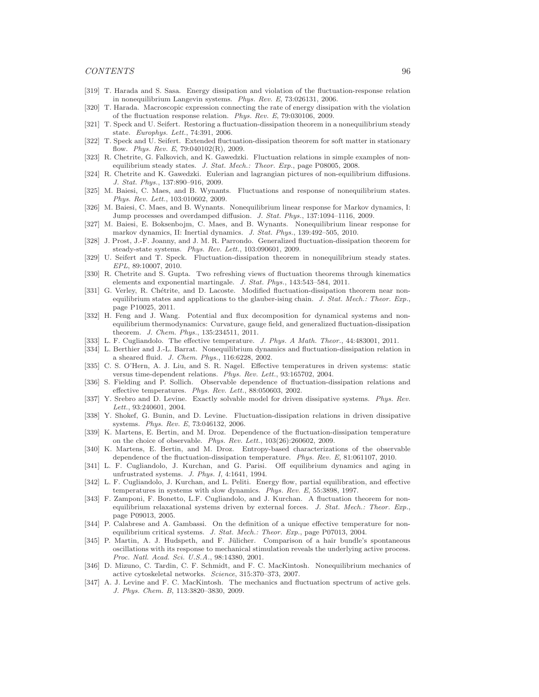- [319] T. Harada and S. Sasa. Energy dissipation and violation of the fluctuation-response relation in nonequilibrium Langevin systems. *Phys. Rev. E*, 73:026131, 2006.
- [320] T. Harada. Macroscopic expression connecting the rate of energy dissipation with the violation of the fluctuation response relation. *Phys. Rev. E*, 79:030106, 2009.
- [321] T. Speck and U. Seifert. Restoring a fluctuation-dissipation theorem in a nonequilibrium steady state. *Europhys. Lett.*, 74:391, 2006.
- [322] T. Speck and U. Seifert. Extended fluctuation-dissipation theorem for soft matter in stationary flow. *Phys. Rev. E*, 79:040102(R), 2009.
- [323] R. Chetrite, G. Falkovich, and K. Gawedzki. Fluctuation relations in simple examples of nonequilibrium steady states. *J. Stat. Mech.: Theor. Exp.*, page P08005, 2008.
- [324] R. Chetrite and K. Gawedzki. Eulerian and lagrangian pictures of non-equilibrium diffusions. *J. Stat. Phys.*, 137:890–916, 2009.
- [325] M. Baiesi, C. Maes, and B. Wynants. Fluctuations and response of nonequilibrium states. *Phys. Rev. Lett.*, 103:010602, 2009.
- [326] M. Baiesi, C. Maes, and B. Wynants. Nonequilibrium linear response for Markov dynamics, I: Jump processes and overdamped diffusion. *J. Stat. Phys.*, 137:1094–1116, 2009.
- [327] M. Baiesi, E. Boksenbojm, C. Maes, and B. Wynants. Nonequilibrium linear response for markov dynamics, II: Inertial dynamics. *J. Stat. Phys.*, 139:492–505, 2010.
- [328] J. Prost, J.-F. Joanny, and J. M. R. Parrondo. Generalized fluctuation-dissipation theorem for steady-state systems. *Phys. Rev. Lett.*, 103:090601, 2009.
- [329] U. Seifert and T. Speck. Fluctuation-dissipation theorem in nonequilibrium steady states. *EPL*, 89:10007, 2010.
- [330] R. Chetrite and S. Gupta. Two refreshing views of fluctuation theorems through kinematics elements and exponential martingale. *J. Stat. Phys.*, 143:543–584, 2011.
- [331] G. Verley, R. Chétrite, and D. Lacoste. Modified fluctuation-dissipation theorem near nonequilibrium states and applications to the glauber-ising chain. *J. Stat. Mech.: Theor. Exp.*, page P10025, 2011.
- [332] H. Feng and J. Wang. Potential and flux decomposition for dynamical systems and nonequilibrium thermodynamics: Curvature, gauge field, and generalized fluctuation-dissipation theorem. *J. Chem. Phys.*, 135:234511, 2011.
- [333] L. F. Cugliandolo. The effective temperature. *J. Phys. A Math. Theor.*, 44:483001, 2011.
- [334] L. Berthier and J.-L. Barrat. Nonequilibrium dynamics and fluctuation-dissipation relation in a sheared fluid. *J. Chem. Phys.*, 116:6228, 2002.
- [335] C. S. O'Hern, A. J. Liu, and S. R. Nagel. Effective temperatures in driven systems: static versus time-dependent relations. *Phys. Rev. Lett.*, 93:165702, 2004.
- [336] S. Fielding and P. Sollich. Observable dependence of fluctuation-dissipation relations and effective temperatures. *Phys. Rev. Lett.*, 88:050603, 2002.
- [337] Y. Srebro and D. Levine. Exactly solvable model for driven dissipative systems. *Phys. Rev. Lett.*, 93:240601, 2004.
- [338] Y. Shokef, G. Bunin, and D. Levine. Fluctuation-dissipation relations in driven dissipative systems. *Phys. Rev. E*, 73:046132, 2006.
- [339] K. Martens, E. Bertin, and M. Droz. Dependence of the fluctuation-dissipation temperature on the choice of observable. *Phys. Rev. Lett.*, 103(26):260602, 2009.
- [340] K. Martens, E. Bertin, and M. Droz. Entropy-based characterizations of the observable dependence of the fluctuation-dissipation temperature. *Phys. Rev. E*, 81:061107, 2010.
- [341] L. F. Cugliandolo, J. Kurchan, and G. Parisi. Off equilibrium dynamics and aging in unfrustrated systems. *J. Phys. I*, 4:1641, 1994.
- [342] L. F. Cugliandolo, J. Kurchan, and L. Peliti. Energy flow, partial equilibration, and effective temperatures in systems with slow dynamics. *Phys. Rev. E*, 55:3898, 1997.
- [343] F. Zamponi, F. Bonetto, L.F. Cugliandolo, and J. Kurchan. A fluctuation theorem for nonequilibrium relaxational systems driven by external forces. *J. Stat. Mech.: Theor. Exp.*, page P09013, 2005.
- [344] P. Calabrese and A. Gambassi. On the definition of a unique effective temperature for nonequilibrium critical systems. *J. Stat. Mech.: Theor. Exp.*, page P07013, 2004.
- [345] P. Martin, A. J. Hudspeth, and F. Jülicher. Comparison of a hair bundle's spontaneous oscillations with its response to mechanical stimulation reveals the underlying active process. *Proc. Natl. Acad. Sci. U.S.A.*, 98:14380, 2001.
- [346] D. Mizuno, C. Tardin, C. F. Schmidt, and F. C. MacKintosh. Nonequilibrium mechanics of active cytoskeletal networks. *Science*, 315:370–373, 2007.
- [347] A. J. Levine and F. C. MacKintosh. The mechanics and fluctuation spectrum of active gels. *J. Phys. Chem. B*, 113:3820–3830, 2009.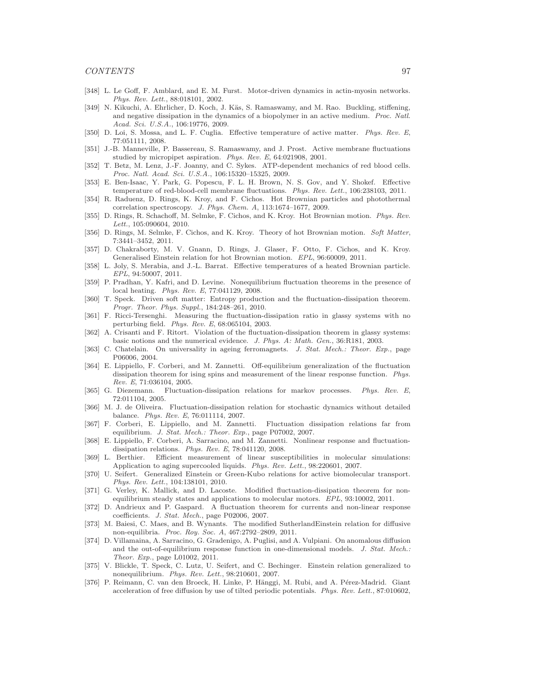- [348] L. Le Goff, F. Amblard, and E. M. Furst. Motor-driven dynamics in actin-myosin networks. *Phys. Rev. Lett.*, 88:018101, 2002.
- [349] N. Kikuchi, A. Ehrlicher, D. Koch, J. Käs, S. Ramaswamy, and M. Rao. Buckling, stiffening, and negative dissipation in the dynamics of a biopolymer in an active medium. *Proc. Natl. Acad. Sci. U.S.A.*, 106:19776, 2009.
- [350] D. Loi, S. Mossa, and L. F. Cuglia. Effective temperature of active matter. *Phys. Rev. E*, 77:051111, 2008.
- [351] J.-B. Manneville, P. Bassereau, S. Ramaswamy, and J. Prost. Active membrane fluctuations studied by micropipet aspiration. *Phys. Rev. E*, 64:021908, 2001.
- [352] T. Betz, M. Lenz, J.-F. Joanny, and C. Sykes. ATP-dependent mechanics of red blood cells. *Proc. Natl. Acad. Sci. U.S.A.*, 106:15320–15325, 2009.
- [353] E. Ben-Isaac, Y. Park, G. Popescu, F. L. H. Brown, N. S. Gov, and Y. Shokef. Effective temperature of red-blood-cell membrane fluctuations. *Phys. Rev. Lett.*, 106:238103, 2011.
- [354] R. Raduenz, D. Rings, K. Kroy, and F. Cichos. Hot Brownian particles and photothermal correlation spectroscopy. *J. Phys. Chem. A*, 113:1674–1677, 2009.
- [355] D. Rings, R. Schachoff, M. Selmke, F. Cichos, and K. Kroy. Hot Brownian motion. *Phys. Rev. Lett.*, 105:090604, 2010.
- [356] D. Rings, M. Selmke, F. Cichos, and K. Kroy. Theory of hot Brownian motion. *Soft Matter*, 7:3441–3452, 2011.
- [357] D. Chakraborty, M. V. Gnann, D. Rings, J. Glaser, F. Otto, F. Cichos, and K. Kroy. Generalised Einstein relation for hot Brownian motion. *EPL*, 96:60009, 2011.
- [358] L. Joly, S. Merabia, and J.-L. Barrat. Effective temperatures of a heated Brownian particle. *EPL*, 94:50007, 2011.
- [359] P. Pradhan, Y. Kafri, and D. Levine. Nonequilibrium fluctuation theorems in the presence of local heating. *Phys. Rev. E*, 77:041129, 2008.
- [360] T. Speck. Driven soft matter: Entropy production and the fluctuation-dissipation theorem. *Progr. Theor. Phys. Suppl.*, 184:248–261, 2010.
- [361] F. Ricci-Tersenghi. Measuring the fluctuation-dissipation ratio in glassy systems with no perturbing field. *Phys. Rev. E*, 68:065104, 2003.
- [362] A. Crisanti and F. Ritort. Violation of the fluctuation-dissipation theorem in glassy systems: basic notions and the numerical evidence. *J. Phys. A: Math. Gen.*, 36:R181, 2003.
- [363] C. Chatelain. On universality in ageing ferromagnets. *J. Stat. Mech.: Theor. Exp.*, page P06006, 2004.
- [364] E. Lippiello, F. Corberi, and M. Zannetti. Off-equilibrium generalization of the fluctuation dissipation theorem for ising spins and measurement of the linear response function. *Phys. Rev. E*, 71:036104, 2005.
- [365] G. Diezemann. Fluctuation-dissipation relations for markov processes. *Phys. Rev. E*, 72:011104, 2005.
- [366] M. J. de Oliveira. Fluctuation-dissipation relation for stochastic dynamics without detailed balance. *Phys. Rev. E*, 76:011114, 2007.
- [367] F. Corberi, E. Lippiello, and M. Zannetti. Fluctuation dissipation relations far from equilibrium. *J. Stat. Mech.: Theor. Exp.*, page P07002, 2007.
- [368] E. Lippiello, F. Corberi, A. Sarracino, and M. Zannetti. Nonlinear response and fluctuationdissipation relations. *Phys. Rev. E*, 78:041120, 2008.
- [369] L. Berthier. Efficient measurement of linear susceptibilities in molecular simulations: Application to aging supercooled liquids. *Phys. Rev. Lett.*, 98:220601, 2007.
- [370] U. Seifert. Generalized Einstein or Green-Kubo relations for active biomolecular transport. *Phys. Rev. Lett.*, 104:138101, 2010.
- [371] G. Verley, K. Mallick, and D. Lacoste. Modified fluctuation-dissipation theorem for nonequilibrium steady states and applications to molecular motors. *EPL*, 93:10002, 2011.
- [372] D. Andrieux and P. Gaspard. A fluctuation theorem for currents and non-linear response coefficients. *J. Stat. Mech.*, page P02006, 2007.
- [373] M. Baiesi, C. Maes, and B. Wynants. The modified SutherlandEinstein relation for diffusive non-equilibria. *Proc. Roy. Soc. A*, 467:2792–2809, 2011.
- [374] D. Villamaina, A. Sarracino, G. Gradenigo, A. Puglisi, and A. Vulpiani. On anomalous diffusion and the out-of-equilibrium response function in one-dimensional models. *J. Stat. Mech.: Theor. Exp.*, page L01002, 2011.
- [375] V. Blickle, T. Speck, C. Lutz, U. Seifert, and C. Bechinger. Einstein relation generalized to nonequilibrium. *Phys. Rev. Lett.*, 98:210601, 2007.
- [376] P. Reimann, C. van den Broeck, H. Linke, P. Hänggi, M. Rubi, and A. Pérez-Madrid. Giant acceleration of free diffusion by use of tilted periodic potentials. *Phys. Rev. Lett.*, 87:010602,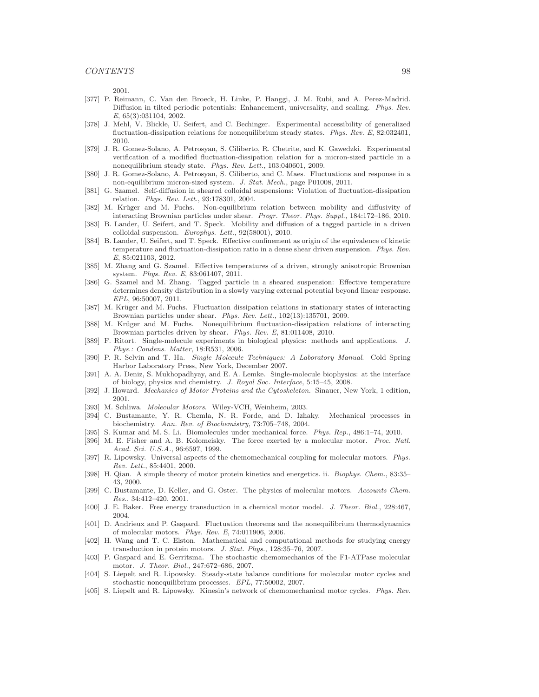2001.

- [377] P. Reimann, C. Van den Broeck, H. Linke, P. Hanggi, J. M. Rubi, and A. Perez-Madrid. Diffusion in tilted periodic potentials: Enhancement, universality, and scaling. *Phys. Rev. E*, 65(3):031104, 2002.
- [378] J. Mehl, V. Blickle, U. Seifert, and C. Bechinger. Experimental accessibility of generalized fluctuation-dissipation relations for nonequilibrium steady states. *Phys. Rev. E*, 82:032401, 2010.
- [379] J. R. Gomez-Solano, A. Petrosyan, S. Ciliberto, R. Chetrite, and K. Gawedzki. Experimental verification of a modified fluctuation-dissipation relation for a micron-sized particle in a nonequilibrium steady state. *Phys. Rev. Lett.*, 103:040601, 2009.
- [380] J. R. Gomez-Solano, A. Petrosyan, S. Ciliberto, and C. Maes. Fluctuations and response in a non-equilibrium micron-sized system. *J. Stat. Mech.*, page P01008, 2011.
- [381] G. Szamel. Self-diffusion in sheared colloidal suspensions: Violation of fluctuation-dissipation relation. *Phys. Rev. Lett.*, 93:178301, 2004.
- [382] M. Krüger and M. Fuchs. Non-equilibrium relation between mobility and diffusivity of interacting Brownian particles under shear. *Progr. Theor. Phys. Suppl.*, 184:172–186, 2010.
- [383] B. Lander, U. Seifert, and T. Speck. Mobility and diffusion of a tagged particle in a driven colloidal suspension. *Europhys. Lett.*, 92(58001), 2010.
- [384] B. Lander, U. Seifert, and T. Speck. Effective confinement as origin of the equivalence of kinetic temperature and fluctuation-dissipation ratio in a dense shear driven suspension. *Phys. Rev. E*, 85:021103, 2012.
- [385] M. Zhang and G. Szamel. Effective temperatures of a driven, strongly anisotropic Brownian system. *Phys. Rev. E*, 83:061407, 2011.
- [386] G. Szamel and M. Zhang. Tagged particle in a sheared suspension: Effective temperature determines density distribution in a slowly varying external potential beyond linear response. *EPL*, 96:50007, 2011.
- [387] M. Krüger and M. Fuchs. Fluctuation dissipation relations in stationary states of interacting Brownian particles under shear. *Phys. Rev. Lett.*, 102(13):135701, 2009.
- [388] M. Krüger and M. Fuchs. Nonequilibrium fluctuation-dissipation relations of interacting Brownian particles driven by shear. *Phys. Rev. E*, 81:011408, 2010.
- [389] F. Ritort. Single-molecule experiments in biological physics: methods and applications. *J. Phys.: Condens. Matter*, 18:R531, 2006.
- [390] P. R. Selvin and T. Ha. *Single Molecule Techniques: A Laboratory Manual*. Cold Spring Harbor Laboratory Press, New York, December 2007.
- [391] A. A. Deniz, S. Mukhopadhyay, and E. A. Lemke. Single-molecule biophysics: at the interface of biology, physics and chemistry. *J. Royal Soc. Interface*, 5:15–45, 2008.
- [392] J. Howard. *Mechanics of Motor Proteins and the Cytoskeleton*. Sinauer, New York, 1 edition, 2001.
- [393] M. Schliwa. *Molecular Motors*. Wiley-VCH, Weinheim, 2003.
- [394] C. Bustamante, Y. R. Chemla, N. R. Forde, and D. Izhaky. Mechanical processes in biochemistry. *Ann. Rev. of Biochemistry*, 73:705–748, 2004.
- [395] S. Kumar and M. S. Li. Biomolecules under mechanical force. *Phys. Rep.*, 486:1–74, 2010.
- [396] M. E. Fisher and A. B. Kolomeisky. The force exerted by a molecular motor. *Proc. Natl. Acad. Sci. U.S.A.*, 96:6597, 1999.
- [397] R. Lipowsky. Universal aspects of the chemomechanical coupling for molecular motors. *Phys. Rev. Lett.*, 85:4401, 2000.
- [398] H. Qian. A simple theory of motor protein kinetics and energetics. ii. *Biophys. Chem.*, 83:35– 43, 2000.
- [399] C. Bustamante, D. Keller, and G. Oster. The physics of molecular motors. *Accounts Chem. Res.*, 34:412–420, 2001.
- [400] J. E. Baker. Free energy transduction in a chemical motor model. *J. Theor. Biol.*, 228:467, 2004.
- [401] D. Andrieux and P. Gaspard. Fluctuation theorems and the nonequilibrium thermodynamics of molecular motors. *Phys. Rev. E*, 74:011906, 2006.
- [402] H. Wang and T. C. Elston. Mathematical and computational methods for studying energy transduction in protein motors. *J. Stat. Phys.*, 128:35–76, 2007.
- [403] P. Gaspard and E. Gerritsma. The stochastic chemomechanics of the F1-ATPase molecular motor. *J. Theor. Biol.*, 247:672–686, 2007.
- [404] S. Liepelt and R. Lipowsky. Steady-state balance conditions for molecular motor cycles and stochastic nonequilibrium processes. *EPL*, 77:50002, 2007.
- [405] S. Liepelt and R. Lipowsky. Kinesin's network of chemomechanical motor cycles. *Phys. Rev.*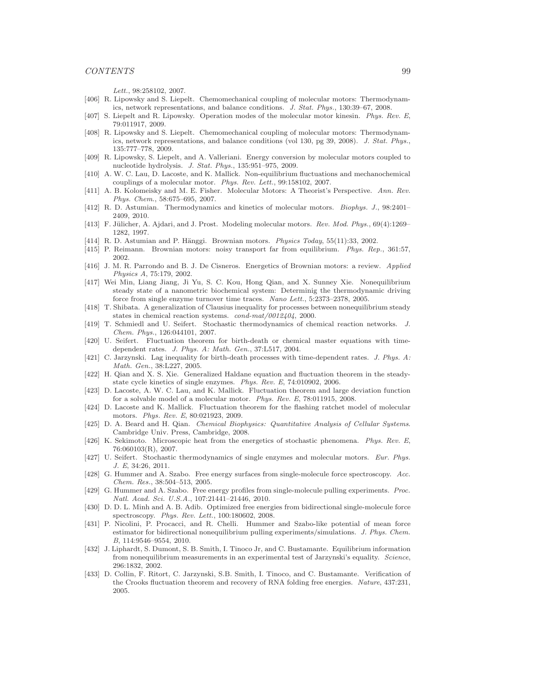*Lett.*, 98:258102, 2007.

- [406] R. Lipowsky and S. Liepelt. Chemomechanical coupling of molecular motors: Thermodynamics, network representations, and balance conditions. *J. Stat. Phys.*, 130:39–67, 2008.
- [407] S. Liepelt and R. Lipowsky. Operation modes of the molecular motor kinesin. *Phys. Rev. E*, 79:011917, 2009.
- [408] R. Lipowsky and S. Liepelt. Chemomechanical coupling of molecular motors: Thermodynamics, network representations, and balance conditions (vol 130, pg 39, 2008). *J. Stat. Phys.*, 135:777–778, 2009.
- [409] R. Lipowsky, S. Liepelt, and A. Valleriani. Energy conversion by molecular motors coupled to nucleotide hydrolysis. *J. Stat. Phys.*, 135:951–975, 2009.
- [410] A. W. C. Lau, D. Lacoste, and K. Mallick. Non-equilibrium fluctuations and mechanochemical couplings of a molecular motor. *Phys. Rev. Lett.*, 99:158102, 2007.
- [411] A. B. Kolomeisky and M. E. Fisher. Molecular Motors: A Theorist's Perspective. *Ann. Rev. Phys. Chem.*, 58:675–695, 2007.
- [412] R. D. Astumian. Thermodynamics and kinetics of molecular motors. *Biophys. J.*, 98:2401– 2409, 2010.
- [413] F. Jülicher, A. Ajdari, and J. Prost. Modeling molecular motors. *Rev. Mod. Phys.*, 69(4):1269-1282, 1997.
- [414] R. D. Astumian and P. Hänggi. Brownian motors. *Physics Today*, 55(11):33, 2002.
- [415] P. Reimann. Brownian motors: noisy transport far from equilibrium. *Phys. Rep.*, 361:57, 2002.
- [416] J. M. R. Parrondo and B. J. De Cisneros. Energetics of Brownian motors: a review. *Applied Physics A*, 75:179, 2002.
- [417] Wei Min, Liang Jiang, Ji Yu, S. C. Kou, Hong Qian, and X. Sunney Xie. Nonequilibrium steady state of a nanometric biochemical system: Determinig the thermodynamic driving force from single enzyme turnover time traces. *Nano Lett.*, 5:2373–2378, 2005.
- [418] T. Shibata. A generalization of Clausius inequality for processes between nonequilibrium steady states in chemical reaction systems. *cond-mat/0012404*, 2000.
- [419] T. Schmiedl and U. Seifert. Stochastic thermodynamics of chemical reaction networks. *J. Chem. Phys.*, 126:044101, 2007.
- [420] U. Seifert. Fluctuation theorem for birth-death or chemical master equations with timedependent rates. *J. Phys. A: Math. Gen.*, 37:L517, 2004.
- [421] C. Jarzynski. Lag inequality for birth-death processes with time-dependent rates. *J. Phys. A: Math. Gen.*, 38:L227, 2005.
- [422] H. Qian and X. S. Xie. Generalized Haldane equation and fluctuation theorem in the steadystate cycle kinetics of single enzymes. *Phys. Rev. E*, 74:010902, 2006.
- [423] D. Lacoste, A. W. C. Lau, and K. Mallick. Fluctuation theorem and large deviation function for a solvable model of a molecular motor. *Phys. Rev. E*, 78:011915, 2008.
- [424] D. Lacoste and K. Mallick. Fluctuation theorem for the flashing ratchet model of molecular motors. *Phys. Rev. E*, 80:021923, 2009.
- [425] D. A. Beard and H. Qian. *Chemical Biophysics: Quantitative Analysis of Cellular Systems*. Cambridge Univ. Press, Cambridge, 2008.
- [426] K. Sekimoto. Microscopic heat from the energetics of stochastic phenomena. *Phys. Rev. E*, 76:060103(R), 2007.
- [427] U. Seifert. Stochastic thermodynamics of single enzymes and molecular motors. *Eur. Phys. J. E*, 34:26, 2011.
- [428] G. Hummer and A. Szabo. Free energy surfaces from single-molecule force spectroscopy. *Acc. Chem. Res.*, 38:504–513, 2005.
- [429] G. Hummer and A. Szabo. Free energy profiles from single-molecule pulling experiments. *Proc. Natl. Acad. Sci. U.S.A.*, 107:21441–21446, 2010.
- [430] D. D. L. Minh and A. B. Adib. Optimized free energies from bidirectional single-molecule force spectroscopy. *Phys. Rev. Lett.*, 100:180602, 2008.
- [431] P. Nicolini, P. Procacci, and R. Chelli. Hummer and Szabo-like potential of mean force estimator for bidirectional nonequilibrium pulling experiments/simulations. *J. Phys. Chem. B*, 114:9546–9554, 2010.
- [432] J. Liphardt, S. Dumont, S. B. Smith, I. Tinoco Jr, and C. Bustamante. Equilibrium information from nonequilibrium measurements in an experimental test of Jarzynski's equality. *Science*, 296:1832, 2002.
- [433] D. Collin, F. Ritort, C. Jarzynski, S.B. Smith, I. Tinoco, and C. Bustamante. Verification of the Crooks fluctuation theorem and recovery of RNA folding free energies. *Nature*, 437:231, 2005.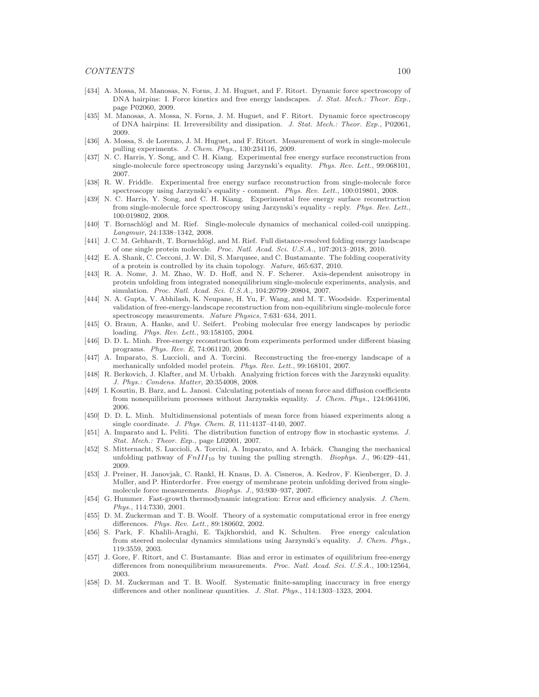- [434] A. Mossa, M. Manosas, N. Forns, J. M. Huguet, and F. Ritort. Dynamic force spectroscopy of DNA hairpins: I. Force kinetics and free energy landscapes. *J. Stat. Mech.: Theor. Exp.*, page P02060, 2009.
- [435] M. Manosas, A. Mossa, N. Forns, J. M. Huguet, and F. Ritort. Dynamic force spectroscopy of DNA hairpins: II. Irreversibility and dissipation. *J. Stat. Mech.: Theor. Exp.*, P02061, 2009.
- [436] A. Mossa, S. de Lorenzo, J. M. Huguet, and F. Ritort. Measurement of work in single-molecule pulling experiments. *J. Chem. Phys.*, 130:234116, 2009.
- [437] N. C. Harris, Y. Song, and C. H. Kiang. Experimental free energy surface reconstruction from single-molecule force spectroscopy using Jarzynski's equality. *Phys. Rev. Lett.*, 99:068101, 2007.
- [438] R. W. Friddle. Experimental free energy surface reconstruction from single-molecule force spectroscopy using Jarzynski's equality - comment. *Phys. Rev. Lett.*, 100:019801, 2008.
- [439] N. C. Harris, Y. Song, and C. H. Kiang. Experimental free energy surface reconstruction from single-molecule force spectroscopy using Jarzynski's equality - reply. *Phys. Rev. Lett.*, 100:019802, 2008.
- [440] T. Bornschlögl and M. Rief. Single-molecule dynamics of mechanical coiled-coil unzipping. *Langmuir*, 24:1338–1342, 2008.
- [441] J. C. M. Gebhardt, T. Bornschlögl, and M. Rief. Full distance-resolved folding energy landscape of one single protein molecule. *Proc. Natl. Acad. Sci. U.S.A.*, 107:2013–2018, 2010.
- [442] E. A. Shank, C. Cecconi, J. W. Dil, S. Marqusee, and C. Bustamante. The folding cooperativity of a protein is controlled by its chain topology. *Nature*, 465:637, 2010.
- [443] R. A. Nome, J. M. Zhao, W. D. Hoff, and N. F. Scherer. Axis-dependent anisotropy in protein unfolding from integrated nonequilibrium single-molecule experiments, analysis, and simulation. *Proc. Natl. Acad. Sci. U.S.A.*, 104:20799–20804, 2007.
- [444] N. A. Gupta, V. Abhilash, K. Neupane, H. Yu, F. Wang, and M. T. Woodside. Experimental validation of free-energy-landscape reconstruction from non-equilibrium single-molecule force spectroscopy measurements. *Nature Physics*, 7:631–634, 2011.
- [445] O. Braun, A. Hanke, and U. Seifert. Probing molecular free energy landscapes by periodic loading. *Phys. Rev. Lett.*, 93:158105, 2004.
- [446] D. D. L. Minh. Free-energy reconstruction from experiments performed under different biasing programs. *Phys. Rev. E*, 74:061120, 2006.
- [447] A. Imparato, S. Luccioli, and A. Torcini. Reconstructing the free-energy landscape of a mechanically unfolded model protein. *Phys. Rev. Lett.*, 99:168101, 2007.
- [448] R. Berkovich, J. Klafter, and M. Urbakh. Analyzing friction forces with the Jarzynski equality. *J. Phys.: Condens. Matter*, 20:354008, 2008.
- [449] I. Kosztin, B. Barz, and L. Janosi. Calculating potentials of mean force and diffusion coefficients from nonequilibrium processes without Jarzynskis equality. *J. Chem. Phys.*, 124:064106, 2006.
- [450] D. D. L. Minh. Multidimensional potentials of mean force from biased experiments along a single coordinate. *J. Phys. Chem. B*, 111:4137–4140, 2007.
- [451] A. Imparato and L. Peliti. The distribution function of entropy flow in stochastic systems. *J. Stat. Mech.: Theor. Exp.*, page L02001, 2007.
- [452] S. Mitternacht, S. Luccioli, A. Torcini, A. Imparato, and A. Irbäck. Changing the mechanical unfolding pathway of  $FnIII_{10}$  by tuning the pulling strength. *Biophys. J.*, 96:429-441, 2009.
- [453] J. Preiner, H. Janovjak, C. Rankl, H. Knaus, D. A. Cisneros, A. Kedrov, F. Kienberger, D. J. Muller, and P. Hinterdorfer. Free energy of membrane protein unfolding derived from singlemolecule force measurements. *Biophys. J.*, 93:930–937, 2007.
- [454] G. Hummer. Fast-growth thermodynamic integration: Error and efficiency analysis. *J. Chem. Phys.*, 114:7330, 2001.
- [455] D. M. Zuckerman and T. B. Woolf. Theory of a systematic computational error in free energy differences. *Phys. Rev. Lett.*, 89:180602, 2002.
- [456] S. Park, F. Khalili-Araghi, E. Tajkhorshid, and K. Schulten. Free energy calculation from steered molecular dynamics simulations using Jarzynski's equality. *J. Chem. Phys.*, 119:3559, 2003.
- [457] J. Gore, F. Ritort, and C. Bustamante. Bias and error in estimates of equilibrium free-energy differences from nonequilibrium measurements. *Proc. Natl. Acad. Sci. U.S.A.*, 100:12564, 2003.
- [458] D. M. Zuckerman and T. B. Woolf. Systematic finite-sampling inaccuracy in free energy differences and other nonlinear quantities. *J. Stat. Phys.*, 114:1303–1323, 2004.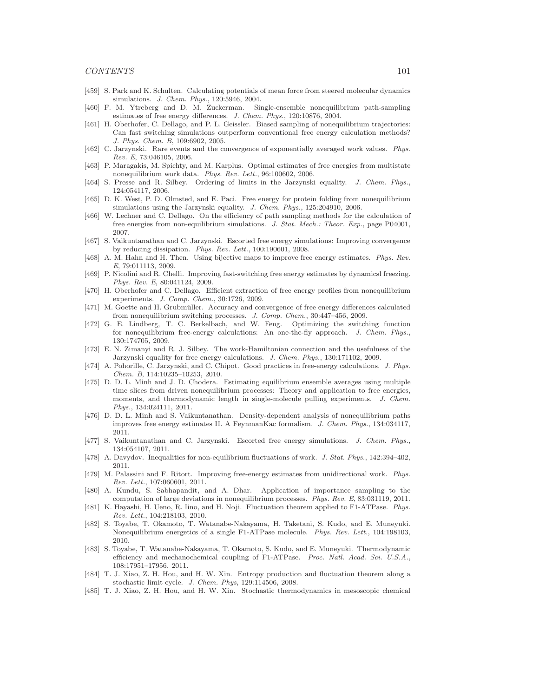- [459] S. Park and K. Schulten. Calculating potentials of mean force from steered molecular dynamics simulations. *J. Chem. Phys.*, 120:5946, 2004.
- [460] F. M. Ytreberg and D. M. Zuckerman. Single-ensemble nonequilibrium path-sampling estimates of free energy differences. *J. Chem. Phys.*, 120:10876, 2004.
- [461] H. Oberhofer, C. Dellago, and P. L. Geissler. Biased sampling of nonequilibrium trajectories: Can fast switching simulations outperform conventional free energy calculation methods? *J. Phys. Chem. B*, 109:6902, 2005.
- [462] C. Jarzynski. Rare events and the convergence of exponentially averaged work values. *Phys. Rev. E*, 73:046105, 2006.
- [463] P. Maragakis, M. Spichty, and M. Karplus. Optimal estimates of free energies from multistate nonequilibrium work data. *Phys. Rev. Lett.*, 96:100602, 2006.
- [464] S. Presse and R. Silbey. Ordering of limits in the Jarzynski equality. *J. Chem. Phys.*, 124:054117, 2006.
- [465] D. K. West, P. D. Olmsted, and E. Paci. Free energy for protein folding from nonequilibrium simulations using the Jarzynski equality. *J. Chem. Phys.*, 125:204910, 2006.
- [466] W. Lechner and C. Dellago. On the efficiency of path sampling methods for the calculation of free energies from non-equilibrium simulations. *J. Stat. Mech.: Theor. Exp.*, page P04001, 2007.
- [467] S. Vaikuntanathan and C. Jarzynski. Escorted free energy simulations: Improving convergence by reducing dissipation. *Phys. Rev. Lett.*, 100:190601, 2008.
- [468] A. M. Hahn and H. Then. Using bijective maps to improve free energy estimates. *Phys. Rev. E*, 79:011113, 2009.
- [469] P. Nicolini and R. Chelli. Improving fast-switching free energy estimates by dynamicsl freezing. *Phys. Rev. E*, 80:041124, 2009.
- [470] H. Oberhofer and C. Dellago. Efficient extraction of free energy profiles from nonequilibrium experiments. *J. Comp. Chem.*, 30:1726, 2009.
- [471] M. Goette and H. Grubmüller. Accuracy and convergence of free energy differences calculated from nonequilibrium switching processes. *J. Comp. Chem.*, 30:447–456, 2009.
- [472] G. E. Lindberg, T. C. Berkelbach, and W. Feng. Optimizing the switching function for nonequilibrium free-energy calculations: An one-the-fly approach. *J. Chem. Phys.*, 130:174705, 2009.
- [473] E. N. Zimanyi and R. J. Silbey. The work-Hamiltonian connection and the usefulness of the Jarzynski equality for free energy calculations. *J. Chem. Phys.*, 130:171102, 2009.
- [474] A. Pohorille, C. Jarzynski, and C. Chipot. Good practices in free-energy calculations. *J. Phys. Chem. B*, 114:10235–10253, 2010.
- [475] D. D. L. Minh and J. D. Chodera. Estimating equilibrium ensemble averages using multiple time slices from driven nonequilibrium processes: Theory and application to free energies, moments, and thermodynamic length in single-molecule pulling experiments. *J. Chem. Phys.*, 134:024111, 2011.
- [476] D. D. L. Minh and S. Vaikuntanathan. Density-dependent analysis of nonequilibrium paths improves free energy estimates II. A FeynmanKac formalism. *J. Chem. Phys.*, 134:034117, 2011.
- [477] S. Vaikuntanathan and C. Jarzynski. Escorted free energy simulations. *J. Chem. Phys.*, 134:054107, 2011.
- [478] A. Davydov. Inequalities for non-equilibrium fluctuations of work. *J. Stat. Phys.*, 142:394–402, 2011.
- [479] M. Palassini and F. Ritort. Improving free-energy estimates from unidirectional work. *Phys. Rev. Lett.*, 107:060601, 2011.
- [480] A. Kundu, S. Sabhapandit, and A. Dhar. Application of importance sampling to the computation of large deviations in nonequilibrium processes. *Phys. Rev. E*, 83:031119, 2011.
- [481] K. Hayashi, H. Ueno, R. Iino, and H. Noji. Fluctuation theorem applied to F1-ATPase. *Phys. Rev. Lett.*, 104:218103, 2010.
- [482] S. Toyabe, T. Okamoto, T. Watanabe-Nakayama, H. Taketani, S. Kudo, and E. Muneyuki. Nonequilibrium energetics of a single F1-ATPase molecule. *Phys. Rev. Lett.*, 104:198103, 2010.
- [483] S. Toyabe, T. Watanabe-Nakayama, T. Okamoto, S. Kudo, and E. Muneyuki. Thermodynamic efficiency and mechanochemical coupling of F1-ATPase. *Proc. Natl. Acad. Sci. U.S.A.*, 108:17951–17956, 2011.
- [484] T. J. Xiao, Z. H. Hou, and H. W. Xin. Entropy production and fluctuation theorem along a stochastic limit cycle. *J. Chem. Phys*, 129:114506, 2008.
- [485] T. J. Xiao, Z. H. Hou, and H. W. Xin. Stochastic thermodynamics in mesoscopic chemical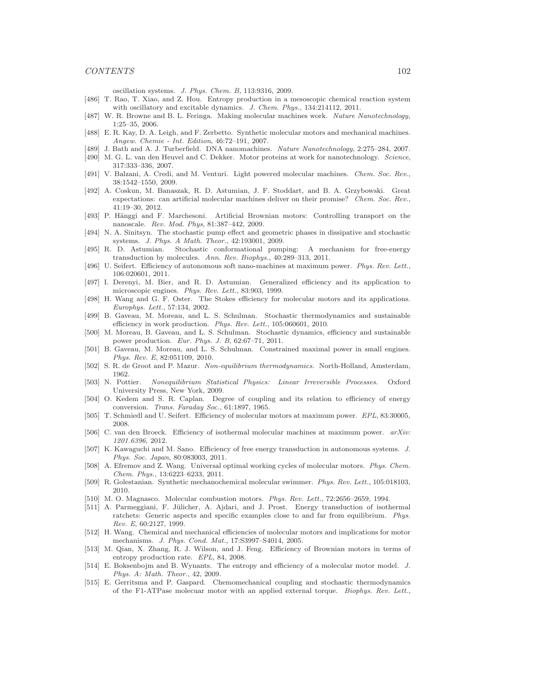oscillation systems. *J. Phys. Chem. B*, 113:9316, 2009.

- [486] T. Rao, T. Xiao, and Z. Hou. Entropy production in a mesoscopic chemical reaction system with oscillatory and excitable dynamics. *J. Chem. Phys.*, 134:214112, 2011.
- [487] W. R. Browne and B. L. Feringa. Making molecular machines work. *Nature Nanotechnology*, 1:25–35, 2006.
- [488] E. R. Kay, D. A. Leigh, and F. Zerbetto. Synthetic molecular motors and mechanical machines. *Angew. Chemie - Int. Edition*, 46:72–191, 2007.
- [489] J. Bath and A. J. Turberfield. DNA nanomachines. *Nature Nanotechnology*, 2:275–284, 2007.
- [490] M. G. L. van den Heuvel and C. Dekker. Motor proteins at work for nanotechnology. *Science*, 317:333–336, 2007.
- [491] V. Balzani, A. Credi, and M. Venturi. Light powered molecular machines. *Chem. Soc. Rev.*, 38:1542–1550, 2009.
- [492] A. Coskun, M. Banaszak, R. D. Astumian, J. F. Stoddart, and B. A. Grzybowski. Great expectations: can artificial molecular machines deliver on their promise? *Chem. Soc. Rev.*, 41:19–30, 2012.
- [493] P. Hänggi and F. Marchesoni. Artificial Brownian motors: Controlling transport on the nanoscale. *Rev. Mod. Phys*, 81:387–442, 2009.
- [494] N. A. Sinitsyn. The stochastic pump effect and geometric phases in dissipative and stochastic systems. *J. Phys. A Math. Theor.*, 42:193001, 2009.
- [495] R. D. Astumian. Stochastic conformational pumping: A mechanism for free-energy transduction by molecules. *Ann. Rev. Biophys.*, 40:289–313, 2011.
- [496] U. Seifert. Efficiency of autonomous soft nano-machines at maximum power. *Phys. Rev. Lett.*, 106:020601, 2011.
- [497] I. Derenyi, M. Bier, and R. D. Astumian. Generalized efficiency and its application to microscopic engines. *Phys. Rev. Lett.*, 83:903, 1999.
- [498] H. Wang and G. F. Oster. The Stokes efficiency for molecular motors and its applications. *Europhys. Lett.*, 57:134, 2002.
- [499] B. Gaveau, M. Moreau, and L. S. Schulman. Stochastic thermodynamics and sustainable efficiency in work production. *Phys. Rev. Lett.*, 105:060601, 2010.
- [500] M. Moreau, B. Gaveau, and L. S. Schulman. Stochastic dynamics, efficiency and sustainable power production. *Eur. Phys. J. B*, 62:67–71, 2011.
- [501] B. Gaveau, M. Moreau, and L. S. Schulman. Constrained maximal power in small engines. *Phys. Rev. E*, 82:051109, 2010.
- [502] S. R. de Groot and P. Mazur. *Non-equilibrium thermodynamics*. North-Holland, Amsterdam, 1962.
- [503] N. Pottier. *Nonequilibrium Statistical Physics: Linear Irreversible Processes*. Oxford University Press, New York, 2009.
- [504] O. Kedem and S. R. Caplan. Degree of coupling and its relation to efficiency of energy conversion. *Trans. Faraday Soc.*, 61:1897, 1965.
- [505] T. Schmiedl and U. Seifert. Efficiency of molecular motors at maximum power. *EPL*, 83:30005, 2008.
- [506] C. van den Broeck. Efficiency of isothermal molecular machines at maximum power. *arXiv: 1201.6396*, 2012.
- [507] K. Kawaguchi and M. Sano. Efficiency of free energy transduction in autonomous systems. *J. Phys. Soc. Japan*, 80:083003, 2011.
- [508] A. Efremov and Z. Wang. Universal optimal working cycles of molecular motors. *Phys. Chem. Chem. Phys.*, 13:6223–6233, 2011.
- [509] R. Golestanian. Synthetic mechanochemical molecular swimmer. *Phys. Rev. Lett.*, 105:018103, 2010.
- [510] M. O. Magnasco. Molecular combustion motors. *Phys. Rev. Lett.*, 72:2656–2659, 1994.
- [511] A. Parmeggiani, F. Jülicher, A. Ajdari, and J. Prost. Energy transduction of isothermal ratchets: Generic aspects and specific examples close to and far from equilibrium. *Phys. Rev. E*, 60:2127, 1999.
- [512] H. Wang. Chemical and mechanical efficiencies of molecular motors and implications for motor mechanisms. *J. Phys. Cond. Mat.*, 17:S3997–S4014, 2005.
- [513] M. Qian, X. Zhang, R. J. Wilson, and J. Feng. Efficiency of Brownian motors in terms of entropy production rate. *EPL*, 84, 2008.
- [514] E. Boksenbojm and B. Wynants. The entropy and efficiency of a molecular motor model. *J. Phys. A: Math. Theor.*, 42, 2009.
- [515] E. Gerritsma and P. Gaspard. Chemomechanical coupling and stochastic thermodynamics of the F1-ATPase molecuar motor with an applied external torque. *Biophys. Rev. Lett.*,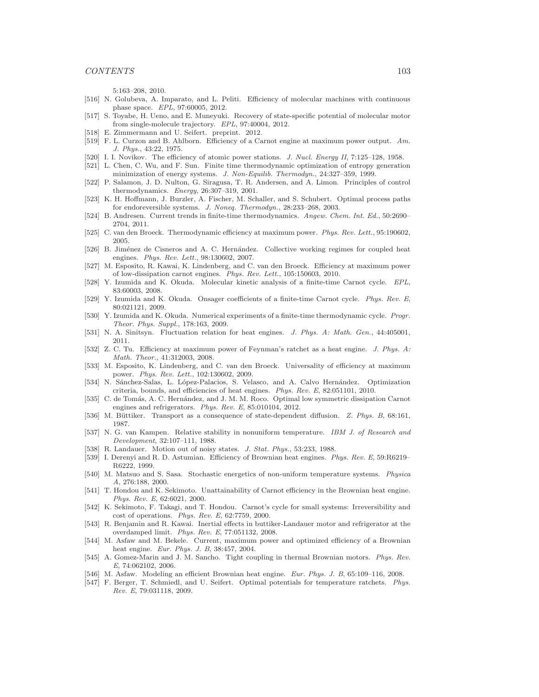5:163–208, 2010.

- [516] N. Golubeva, A. Imparato, and L. Peliti. Efficiency of molecular machines with continuous phase space. *EPL*, 97:60005, 2012.
- [517] S. Toyabe, H. Ueno, and E. Muneyuki. Recovery of state-specific potential of molecular motor from single-molecule trajectory. *EPL*, 97:40004, 2012.
- [518] E. Zimmermann and U. Seifert. preprint. 2012.
- [519] F. L. Curzon and B. Ahlborn. Efficiency of a Carnot engine at maximum power output. *Am. J. Phys.*, 43:22, 1975.
- [520] I. I. Novikov. The efficiency of atomic power stations. *J. Nucl. Energy II*, 7:125–128, 1958.
- [521] L. Chen, C. Wu, and F. Sun. Finite time thermodynamic optimization of entropy generation minimization of energy systems. *J. Non-Equilib. Thermodyn.*, 24:327–359, 1999.
- [522] P. Salamon, J. D. Nulton, G. Siragusa, T. R. Andersen, and A. Limon. Principles of control thermodynamics. *Energy*, 26:307–319, 2001.
- [523] K. H. Hoffmann, J. Burzler, A. Fischer, M. Schaller, and S. Schubert. Optimal process paths for endoreversible systems. *J. Noneq. Thermodyn.*, 28:233–268, 2003.
- [524] B. Andresen. Current trends in finite-time thermodynamics. *Angew. Chem. Int. Ed.*, 50:2690– 2704, 2011.
- [525] C. van den Broeck. Thermodynamic efficiency at maximum power. *Phys. Rev. Lett.*, 95:190602, 2005.
- [526] B. Jiménez de Cisneros and A. C. Hernández. Collective working regimes for coupled heat engines. *Phys. Rev. Lett.*, 98:130602, 2007.
- [527] M. Esposito, R. Kawai, K. Lindenberg, and C. van den Broeck. Efficiency at maximum power of low-dissipation carnot engines. *Phys. Rev. Lett.*, 105:150603, 2010.
- [528] Y. Izumida and K. Okuda. Molecular kinetic analysis of a finite-time Carnot cycle. *EPL*, 83:60003, 2008.
- [529] Y. Izumida and K. Okuda. Onsager coefficients of a finite-time Carnot cycle. *Phys. Rev. E*, 80:021121, 2009.
- [530] Y. Izumida and K. Okuda. Numerical experiments of a finite-time thermodynamic cycle. *Progr. Theor. Phys. Suppl.*, 178:163, 2009.
- [531] N. A. Sinitsyn. Fluctuation relation for heat engines. *J. Phys. A: Math. Gen.*, 44:405001, 2011.
- [532] Z. C. Tu. Efficiency at maximum power of Feynman's ratchet as a heat engine. *J. Phys. A: Math. Theor.*, 41:312003, 2008.
- [533] M. Esposito, K. Lindenberg, and C. van den Broeck. Universality of efficiency at maximum power. *Phys. Rev. Lett.*, 102:130602, 2009.
- [534] N. Sánchez-Salas, L. López-Palacios, S. Velasco, and A. Calvo Hernández. Optimization criteria, bounds, and efficiencies of heat engines. *Phys. Rev. E*, 82:051101, 2010.
- [535] C. de Tomás, A. C. Hernández, and J. M. M. Roco. Optimal low symmetric dissipation Carnot engines and refrigerators. *Phys. Rev. E*, 85:010104, 2012.
- [536] M. Büttiker. Transport as a consequence of state-dependent diffusion. *Z. Phys. B*, 68:161, 1987.
- [537] N. G. van Kampen. Relative stability in nonuniform temperature. *IBM J. of Research and Development*, 32:107–111, 1988.
- [538] R. Landauer. Motion out of noisy states. *J. Stat. Phys.*, 53:233, 1988.
- [539] I. Derenyi and R. D. Astumian. Efficiency of Brownian heat engines. *Phys. Rev. E*, 59:R6219– R6222, 1999.
- [540] M. Matsuo and S. Sasa. Stochastic energetics of non-uniform temperature systems. *Physica A*, 276:188, 2000.
- [541] T. Hondou and K. Sekimoto. Unattainability of Carnot efficiency in the Brownian heat engine. *Phys. Rev. E*, 62:6021, 2000.
- [542] K. Sekimoto, F. Takagi, and T. Hondou. Carnot's cycle for small systems: Irreversibility and cost of operations. *Phys. Rev. E*, 62:7759, 2000.
- [543] R. Benjamin and R. Kawai. Inertial effects in buttiker-Landauer motor and refrigerator at the overdamped limit. *Phys. Rev. E*, 77:051132, 2008.
- [544] M. Asfaw and M. Bekele. Current, maximum power and optimized efficiency of a Brownian heat engine. *Eur. Phys. J. B*, 38:457, 2004.
- [545] A. Gomez-Marin and J. M. Sancho. Tight coupling in thermal Brownian motors. *Phys. Rev. E*, 74:062102, 2006.
- [546] M. Asfaw. Modeling an efficient Brownian heat engine. *Eur. Phys. J. B*, 65:109–116, 2008.
- [547] F. Berger, T. Schmiedl, and U. Seifert. Optimal potentials for temperature ratchets. *Phys. Rev. E*, 79:031118, 2009.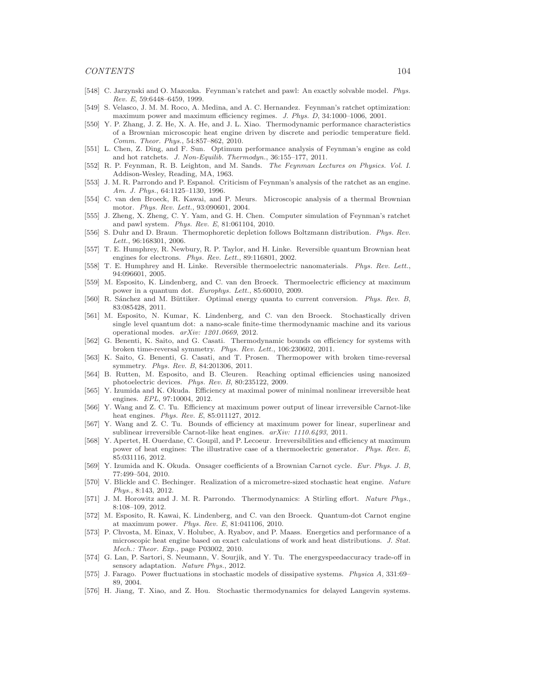- [548] C. Jarzynski and O. Mazonka. Feynman's ratchet and pawl: An exactly solvable model. *Phys. Rev. E*, 59:6448–6459, 1999.
- [549] S. Velasco, J. M. M. Roco, A. Medina, and A. C. Hernandez. Feynman's ratchet optimization: maximum power and maximum efficiency regimes. *J. Phys. D*, 34:1000–1006, 2001.
- [550] Y. P. Zhang, J. Z. He, X. A. He, and J. L. Xiao. Thermodynamic performance characteristics of a Brownian microscopic heat engine driven by discrete and periodic temperature field. *Comm. Theor. Phys.*, 54:857–862, 2010.
- [551] L. Chen, Z. Ding, and F. Sun. Optimum performance analysis of Feynman's engine as cold and hot ratchets. *J. Non-Equilib. Thermodyn.*, 36:155–177, 2011.
- [552] R. P. Feynman, R. B. Leighton, and M. Sands. *The Feynman Lectures on Physics. Vol. I*. Addison-Wesley, Reading, MA, 1963.
- [553] J. M. R. Parrondo and P. Espanol. Criticism of Feynman's analysis of the ratchet as an engine. *Am. J. Phys.*, 64:1125–1130, 1996.
- [554] C. van den Broeck, R. Kawai, and P. Meurs. Microscopic analysis of a thermal Brownian motor. *Phys. Rev. Lett.*, 93:090601, 2004.
- [555] J. Zheng, X. Zheng, C. Y. Yam, and G. H. Chen. Computer simulation of Feynman's ratchet and pawl system. *Phys. Rev. E*, 81:061104, 2010.
- [556] S. Duhr and D. Braun. Thermophoretic depletion follows Boltzmann distribution. *Phys. Rev. Lett.*, 96:168301, 2006.
- [557] T. E. Humphrey, R. Newbury, R. P. Taylor, and H. Linke. Reversible quantum Brownian heat engines for electrons. *Phys. Rev. Lett.*, 89:116801, 2002.
- [558] T. E. Humphrey and H. Linke. Reversible thermoelectric nanomaterials. *Phys. Rev. Lett.*, 94:096601, 2005.
- [559] M. Esposito, K. Lindenberg, and C. van den Broeck. Thermoelectric efficiency at maximum power in a quantum dot. *Europhys. Lett.*, 85:60010, 2009.
- [560] R. Sánchez and M. Büttiker. Optimal energy quanta to current conversion. Phys. Rev. B, 83:085428, 2011.
- [561] M. Esposito, N. Kumar, K. Lindenberg, and C. van den Broeck. Stochastically driven single level quantum dot: a nano-scale finite-time thermodynamic machine and its various operational modes. *arXiv: 1201.0669*, 2012.
- [562] G. Benenti, K. Saito, and G. Casati. Thermodynamic bounds on efficiency for systems with broken time-reversal symmetry. *Phys. Rev. Lett.*, 106:230602, 2011.
- [563] K. Saito, G. Benenti, G. Casati, and T. Prosen. Thermopower with broken time-reversal symmetry. *Phys. Rev. B*, 84:201306, 2011.
- [564] B. Rutten, M. Esposito, and B. Cleuren. Reaching optimal efficiencies using nanosized photoelectric devices. *Phys. Rev. B*, 80:235122, 2009.
- [565] Y. Izumida and K. Okuda. Efficiency at maximal power of minimal nonlinear irreversible heat engines. *EPL*, 97:10004, 2012.
- [566] Y. Wang and Z. C. Tu. Efficiency at maximum power output of linear irreversible Carnot-like heat engines. *Phys. Rev. E*, 85:011127, 2012.
- [567] Y. Wang and Z. C. Tu. Bounds of efficiency at maximum power for linear, superlinear and sublinear irreversible Carnot-like heat engines. *arXiv: 1110.6493*, 2011.
- [568] Y. Apertet, H. Ouerdane, C. Goupil, and P. Lecoeur. Irreversibilities and efficiency at maximum power of heat engines: The illustrative case of a thermoelectric generator. *Phys. Rev. E*, 85:031116, 2012.
- [569] Y. Izumida and K. Okuda. Onsager coefficients of a Brownian Carnot cycle. *Eur. Phys. J. B*, 77:499–504, 2010.
- [570] V. Blickle and C. Bechinger. Realization of a micrometre-sized stochastic heat engine. *Nature Phys.*, 8:143, 2012.
- [571] J. M. Horowitz and J. M. R. Parrondo. Thermodynamics: A Stirling effort. *Nature Phys.*, 8:108–109, 2012.
- [572] M. Esposito, R. Kawai, K. Lindenberg, and C. van den Broeck. Quantum-dot Carnot engine at maximum power. *Phys. Rev. E*, 81:041106, 2010.
- [573] P. Chvosta, M. Einax, V. Holubec, A. Ryabov, and P. Maass. Energetics and performance of a microscopic heat engine based on exact calculations of work and heat distributions. *J. Stat. Mech.: Theor. Exp.*, page P03002, 2010.
- [574] G. Lan, P. Sartori, S. Neumann, V. Sourjik, and Y. Tu. The energyspeedaccuracy trade-off in sensory adaptation. *Nature Phys.*, 2012.
- [575] J. Farago. Power fluctuations in stochastic models of dissipative systems. *Physica A*, 331:69– 89, 2004.
- [576] H. Jiang, T. Xiao, and Z. Hou. Stochastic thermodynamics for delayed Langevin systems.